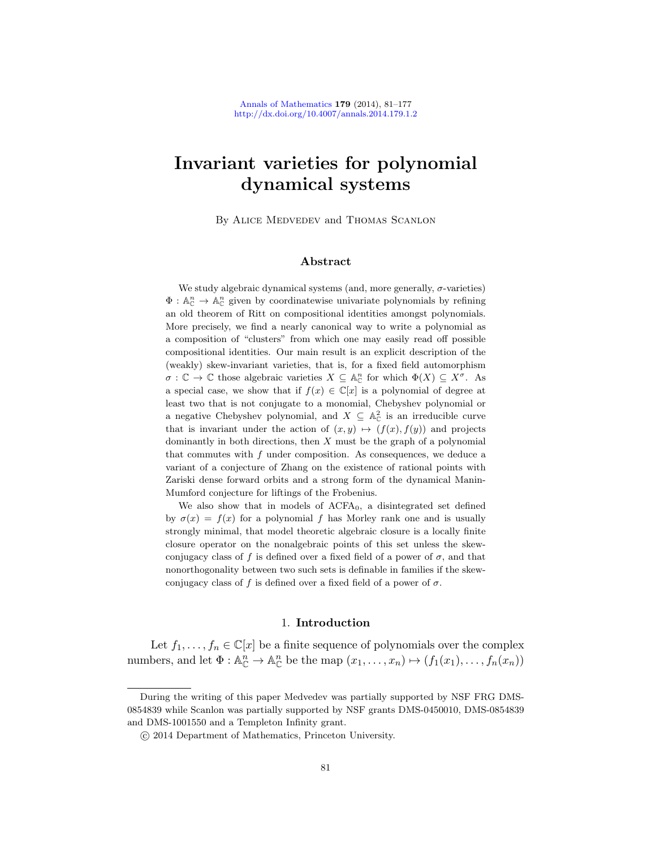# Invariant varieties for polynomial dynamical systems

By Alice Medvedev and Thomas Scanlon

## Abstract

We study algebraic dynamical systems (and, more generally,  $\sigma$ -varieties)  $\Phi: \mathbb{A}_{\mathbb{C}}^n \to \mathbb{A}_{\mathbb{C}}^n$  given by coordinatewise univariate polynomials by refining an old theorem of Ritt on compositional identities amongst polynomials. More precisely, we find a nearly canonical way to write a polynomial as a composition of "clusters" from which one may easily read off possible compositional identities. Our main result is an explicit description of the (weakly) skew-invariant varieties, that is, for a fixed field automorphism  $\sigma : \mathbb{C} \to \mathbb{C}$  those algebraic varieties  $X \subseteq \mathbb{A}_{\mathbb{C}}^n$  for which  $\Phi(X) \subseteq X^{\sigma}$ . As a special case, we show that if  $f(x) \in \mathbb{C}[x]$  is a polynomial of degree at least two that is not conjugate to a monomial, Chebyshev polynomial or a negative Chebyshev polynomial, and  $X \subseteq \mathbb{A}_{\mathbb{C}}^2$  is an irreducible curve that is invariant under the action of  $(x, y) \mapsto (f(x), f(y))$  and projects dominantly in both directions, then  $X$  must be the graph of a polynomial that commutes with  $f$  under composition. As consequences, we deduce a variant of a conjecture of Zhang on the existence of rational points with Zariski dense forward orbits and a strong form of the dynamical Manin-Mumford conjecture for liftings of the Frobenius.

We also show that in models of  $ACFA_0$ , a disintegrated set defined by  $\sigma(x) = f(x)$  for a polynomial f has Morley rank one and is usually strongly minimal, that model theoretic algebraic closure is a locally finite closure operator on the nonalgebraic points of this set unless the skewconjugacy class of f is defined over a fixed field of a power of  $\sigma$ , and that nonorthogonality between two such sets is definable in families if the skewconjugacy class of f is defined over a fixed field of a power of  $\sigma$ .

#### 1. Introduction

Let  $f_1, \ldots, f_n \in \mathbb{C}[x]$  be a finite sequence of polynomials over the complex numbers, and let  $\Phi: \mathbb{A}_{\mathbb{C}}^n \to \mathbb{A}_{\mathbb{C}}^n$  be the map  $(x_1, \ldots, x_n) \mapsto (f_1(x_1), \ldots, f_n(x_n))$ 

During the writing of this paper Medvedev was partially supported by NSF FRG DMS-0854839 while Scanlon was partially supported by NSF grants DMS-0450010, DMS-0854839 and DMS-1001550 and a Templeton Infinity grant.

c 2014 Department of Mathematics, Princeton University.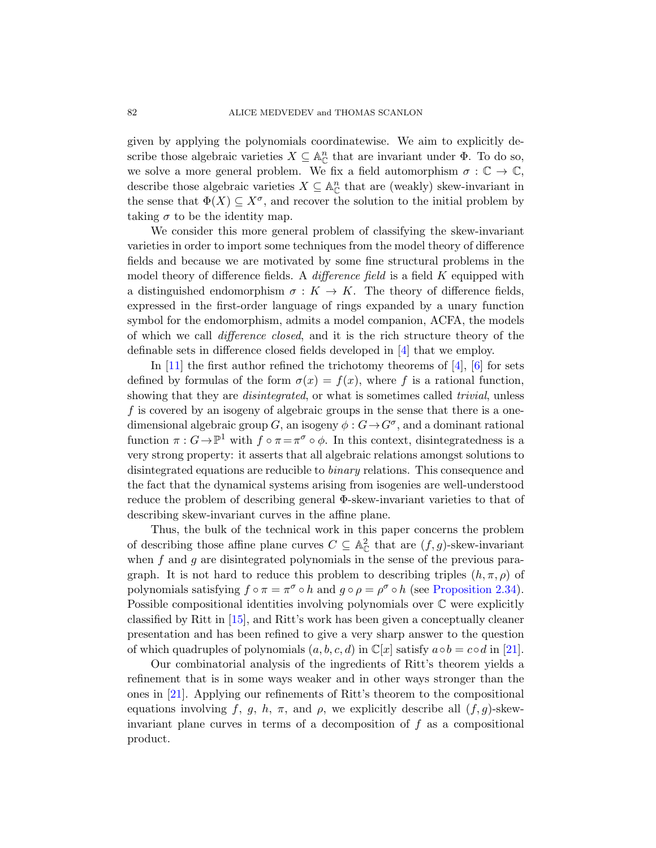given by applying the polynomials coordinatewise. We aim to explicitly describe those algebraic varieties  $X \subseteq \mathbb{A}_{\mathbb{C}}^n$  that are invariant under  $\Phi$ . To do so, we solve a more general problem. We fix a field automorphism  $\sigma : \mathbb{C} \to \mathbb{C}$ , describe those algebraic varieties  $X \subseteq \mathbb{A}_{\mathbb{C}}^n$  that are (weakly) skew-invariant in the sense that  $\Phi(X) \subseteq X^{\sigma}$ , and recover the solution to the initial problem by taking  $\sigma$  to be the identity map.

We consider this more general problem of classifying the skew-invariant varieties in order to import some techniques from the model theory of difference fields and because we are mo[tiv](#page-95-0)ated by some fine structural problems in the model theory of diffe[ren](#page-95-0)c[e](#page-95-1) fields. A *difference field* is a field  $K$  equipped with a distinguished endomorphism  $\sigma: K \to K$ . The theory of difference fields, expressed in the first-order language of rings expanded by a unary function symbol for the endomorphism, admits a model companion, ACFA, the models of which we call difference closed, and it is the rich structure theory of the definable sets in difference closed fields developed in [4] that we employ.

In  $[11]$  the first author refined the trichotomy theorems of  $[4]$ ,  $[6]$  for sets defined by formulas of the form  $\sigma(x) = f(x)$ , where f is a rational function, showing that they are *disintegrated*, or what is sometimes called *trivial*, unless  $f$  is covered by an isogeny of algebraic groups in the sense that there is a onedimensional algebraic group G, an isogeny  $\phi : G \to G^{\sigma}$ , and a dominant rational function  $\pi: G \to \mathbb{P}^1$  with  $f \circ \pi = \pi^{\sigma} \circ \phi$ . In this context, disintegratedness is a very strong property: it asserts that all algebraic relations amongst solutions to disintegrated equations are reducible to binary relations. This consequence and the fact that the dynamical systems arising from isogenies are well-understood reduce the problem of describing ge[neral Φ-skew-inva](#page-19-0)riant varieties to that of describing skew-invariant curves in the affine plane.

Thus, the bulk of the technical work in this paper concerns the problem of describing those affine plane curves  $C \subseteq \mathbb{A}_{\mathbb{C}}^2$  that are  $(f, g)$ -skew-invariant when  $f$  and  $g$  are disintegrated polynomials in the [sen](#page-96-0)se of the previous paragraph. It is not hard to reduce this problem to describing triples  $(h, \pi, \rho)$  of polynomials satisfying  $f \circ \pi = \pi^{\sigma} \circ h$  and  $g \circ \rho = \rho^{\sigma} \circ h$  (see Proposition 2.34). Possible compositional identities involving polynomials over C were explicitly classified by Ritt in [15], and Ritt's work has been given a conceptually cleaner presentation and has been refined to give a very sharp answer to the question of which quadruples of polynomials  $(a, b, c, d)$  in  $\mathbb{C}[x]$  satisfy  $a \circ b = c \circ d$  in [21].

Our combinatorial analysis of the ingredients of Ritt's theorem yields a refinement that is in some ways weaker and in other ways stronger than the ones in [21]. Applying our refinements of Ritt's theorem to the compositional equations involving f, g, h,  $\pi$ , and  $\rho$ , we explicitly describe all  $(f, g)$ -skewinvariant plane curves in terms of a decomposition of  $f$  as a compositional product.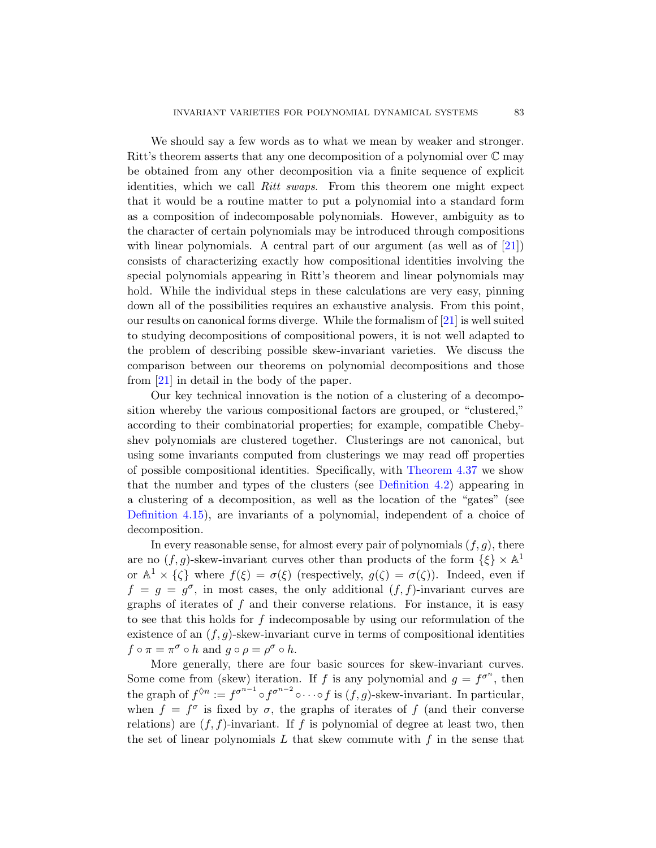We should say a few words as to what we mean by weaker and stronger. Ritt's theorem asserts that any one decomposition [of a](#page-96-0) polynomial over  $\mathbb C$  may be obtained from any other decomposition via a finite sequence of explicit identities, which we call Ritt swaps. From this theorem one might expect that it would be a routine matter to put a polynomial into a standard form as a composition of indecomposable polynomials. However, ambiguity as to the character of certain polynomials m[ay](#page-96-0) be introduced through compositions with linear polynomials. A central part of our argument (as well as of [21]) consists of characterizing exactly how compositional identities involving the special polynomials appearing in Ritt's theorem and linear polynomials may hold. While the individual steps in these calculations are very easy, pinning down all of the possibilities requires an exhaustive analysis. From this point, our results on canonical forms diverge. While the formalism of [21] is well suited to studying decompositions of compositional powers, it is not well adapted to the problem of describing possible skew-invariant varieties. We discuss the comparison between our theorems on polynomial decompositions and those from [21] in detail in the body [of the paper.](#page-60-0)

Our key technical in[novation is the](#page-45-0) notion of a clustering of a decomposition whereby the various compositional factors are grouped, or "clustered," according to their combinatorial properties; for example, compatible Chebyshev polynomials are clustered together. Clusterings are not canonical, but using some invariants computed from clusterings we may read off properties of possible compositional identities. Specifically, with Theorem 4.37 we show that the number and types of the clusters (see Definition 4.2) appearing in a clustering of a decomposition, as well as the location of the "gates" (see Definition 4.15), are invariants of a polynomial, independent of a choice of decomposition.

In every reasonable sense, for almost every pair of polynomials  $(f, g)$ , there are no  $(f, g)$ -skew-invariant curves other than products of the form  $\{\xi\} \times \mathbb{A}^1$ or  $\mathbb{A}^1 \times {\{\zeta\}}$  where  $f(\xi) = \sigma(\xi)$  (respectively,  $g(\zeta) = \sigma(\zeta)$ ). Indeed, even if  $f = g = g^{\sigma}$ , in most cases, the only additional  $(f, f)$ -invariant curves are graphs of iterates of  $f$  and their converse relations. For instance, it is easy to see that this holds for f indecomposable by using our reformulation of the existence of an  $(f, g)$ -skew-invariant curve in terms of compositional identities  $f \circ \pi = \pi^{\sigma} \circ h$  and  $g \circ \rho = \rho^{\sigma} \circ h$ .

More generally, there are four basic sources for skew-invariant curves. Some come from (skew) iteration. If f is any polynomial and  $g = f^{\sigma^n}$ , then the graph of  $f^{\lozenge n} := f^{\sigma^{n-1}} \circ f^{\sigma^{n-2}} \circ \cdots \circ f$  is  $(f, g)$ -skew-invariant. In particular, when  $f = f^{\sigma}$  is fixed by  $\sigma$ , the graphs of iterates of f (and their converse relations) are  $(f, f)$ -invariant. If f is polynomial of degree at least two, then the set of linear polynomials  $L$  that skew commute with  $f$  in the sense that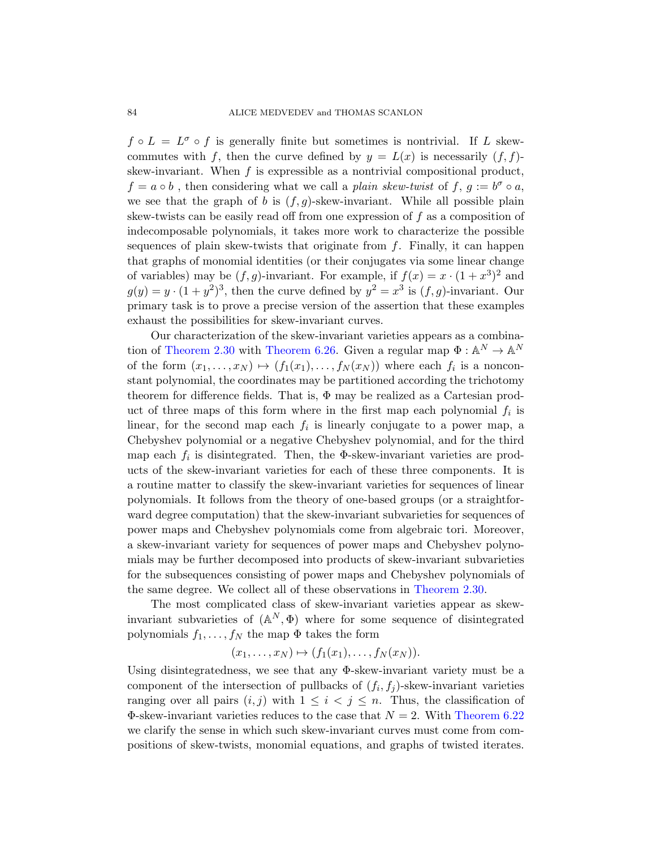$f \circ L = L^{\sigma} \circ f$  is generally finite but sometimes is nontrivial. If L skewcommutes with f, then the curve defined by  $y = L(x)$  is necessarily  $(f, f)$ skew-invariant. When  $f$  is expressible as a nontrivial compositional product,  $f = a \circ b$ , then considering what we call a plain skew-twist of f,  $g := b^{\sigma} \circ a$ , we see that the graph of b is  $(f, g)$ -skew-invariant. While all possible plain skew-twists can be easily read off from one expression of  $f$  as a composition of indecomposable polynomials, it takes more work to characterize the possible sequences of plain skew-twists that originate from  $f$ . Finally, it can happen tha[t graphs of mon](#page-85-0)omial identities (or their conjugates via some linear change of variables) may be  $(f, g)$ -invariant. For example, if  $f(x) = x \cdot (1 + x^3)^2$  and  $g(y) = y \cdot (1 + y^2)^3$ , then the curve defined by  $y^2 = x^3$  is  $(f, g)$ -invariant. Our primary task is to prove a precise version of the assertion that these examples exhaust the possibilities for skew-invariant curves.

Our characterization of the skew-invariant varieties appears as a combination of Theorem 2.30 with Theorem 6.26. Given a regular map  $\Phi : \mathbb{A}^N \to \mathbb{A}^N$ of the form  $(x_1, \ldots, x_N) \mapsto (f_1(x_1), \ldots, f_N(x_N))$  where each  $f_i$  is a nonconstant polynomial, the coordinates may be partitioned according the trichotomy theorem for difference fields. That is,  $\Phi$  may be realized as a Cartesian product of three maps of this form where in the first map each polynomial  $f_i$  is linear, for the second map each  $f_i$  is linearly conjugate to a power map, a Chebyshev polynomial or a negative Chebyshev polynomial, and for the third map each  $f_i$  is disintegrated. Then, the  $\Phi$ -skew-invariant varieties are products of the skew-invariant varieties for each of these three components. It is a routine matter to classify the skew-invariant varieties for sequences of linear polynomials. It follows from the [theory of one-](#page-18-0)based groups (or a straightforward degree computation) that the skew-invariant subvarieties for sequences of power maps and Chebyshev polynomials come from algebraic tori. Moreover, a skew-invariant variety for sequences of power maps and Chebyshev polynomials may be further decomposed into products of skew-invariant subvarieties for the subsequences consisting of power maps and Chebyshev polynomials of the same degree. We collect all of these observations in Theorem 2.30.

The most complicated class of skew-invariant varieties appear as skewinvariant subvarieties of  $(\mathbb{A}^N, \Phi)$  where [for some seq](#page-83-0)uence of disintegrated polynomials  $f_1, \ldots, f_N$  the map  $\Phi$  takes the form

$$
(x_1,\ldots,x_N)\mapsto (f_1(x_1),\ldots,f_N(x_N)).
$$

Using disintegratedness, we see that any Φ-skew-invariant variety must be a component of the intersection of pullbacks of  $(f_i, f_j)$ -skew-invariant varieties ranging over all pairs  $(i, j)$  with  $1 \leq i \leq j \leq n$ . Thus, the classification of  $\Phi$ -skew-invariant varieties reduces to the case that  $N = 2$ . With Theorem 6.22 we clarify the sense in which such skew-invariant curves must come from compositions of skew-twists, monomial equations, and graphs of twisted iterates.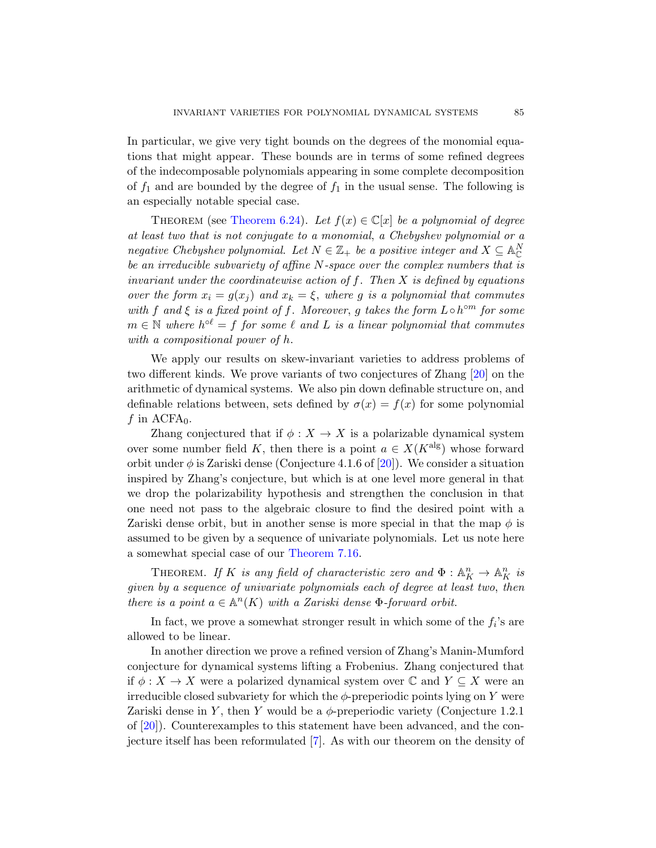In particular, we give very tight bounds on the degrees of the monomial equations that might appear. These bounds are in terms of some refined degrees of the indecomposable polynomials appearing in some complete decomposition of  $f_1$  and are bounded by the degree of  $f_1$  in the usual sense. The following is an especially notable special case.

THEOREM (see Theorem 6.24). Let  $f(x) \in \mathbb{C}[x]$  be a polynomial of degree at least two that is not conjugate to a monomial, a Chebyshev polynomial or a negative Chebyshev polynomial. Let  $N \in \mathbb{Z}_+$  be a positive integer and  $X \subseteq \mathbb{A}_{\mathbb{C}}^N$ be an irreducible subvariety of affine N-space over the complex numbers that is invariant under the coordinatewise action o[f](#page-96-1)  $f$ . Then  $X$  is defined by equations over the form  $x_i = g(x_i)$  and  $x_k = \xi$ , where g is a polynomial that commutes with f and  $\xi$  is a fixed point of f. Moreover, g takes the form  $L \circ h^{\circ m}$  for some  $m \in \mathbb{N}$  where  $h^{\circ \ell} = f$  for some  $\ell$  and  $L$  is a linear polynomial that commutes with a compositional power of h.

We apply our results on skew-invariant varieties to address problems of two different kinds. We pr[ove](#page-96-1) variants of two conjectures of Zhang [20] on the arithmetic of dynamical systems. We also pin down definable structure on, and definable relations between, sets defined by  $\sigma(x) = f(x)$  for some polynomial f in  $ACFA<sub>0</sub>$ .

Zhang conjectured that if  $\phi: X \to X$  is a polarizable dynamical system over some number field K, then there is a point  $a \in X(K^{\text{alg}})$  whose forward orbit under  $\phi$  [is Zariski](#page-89-0) dense (Conjecture 4.1.6 of [20]). We consider a situation inspired by Zhang's conjecture, but which is at one level more general in that we drop the polarizability hypothesis and strengthen the conclusion in that one need not pass to the algebraic closure to find the desired point with a Zariski dense orbit, but in another sense is more special in that the map  $\phi$  is assumed to be given by a sequence of univariate polynomials. Let us note here a somewhat special case of our Theorem 7.16.

THEOREM. If K is any field of characteristic zero and  $\Phi: \mathbb{A}^n_K \to \mathbb{A}^n_K$  is given by a sequence of univariate polynomials each of degree at least two, then there is a point  $a \in \mathbb{A}^n(K)$  with a Zariski dense  $\Phi$ -forward orbit.

In fact, we prove a somewhat stronger result in which some of the  $f_i$ 's are allowed to be linear.

In anoth[er](#page-95-2) direction we prove a refined version of Zhang's Manin-Mumford conjecture for dynamical systems lifting a Frobenius. Zhang conjectured that if  $\phi: X \to X$  were a polarized dynamical system over  $\mathbb C$  and  $Y \subseteq X$  were an irreducible closed subvariety for which the  $\phi$ -preperiodic points lying on Y were Zariski dense in Y, then Y would be a  $\phi$ -preperiodic variety (Conjecture 1.2.1) of [20]). Counterexamples to this statement have been advanced, and the conjecture itself has been reformulated [7]. As with our theorem on the density of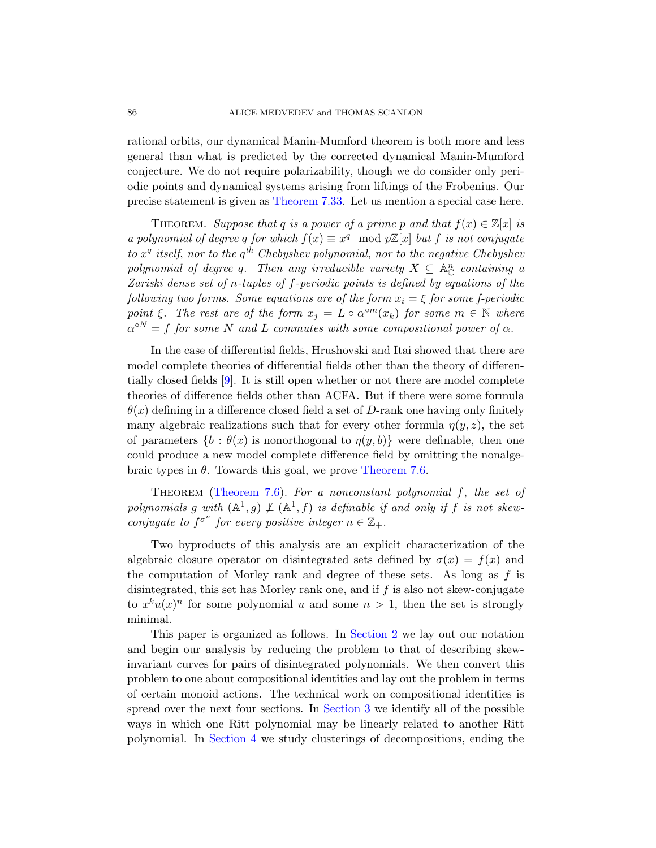rational orbits, our dynamical Manin-Mumford theorem is both more and less general than what is predicted by the corrected dynamical Manin-Mumford conjecture. We do not require polarizability, though we do consider only periodic points and dynamical systems arising from liftings of the Frobenius. Our precise statement is given as Theorem 7.33. Let us mention a special case here.

THEOREM. Suppose that q is a power of a prime p and that  $f(x) \in \mathbb{Z}[x]$  is a polynomial of degree q for which  $f(x) \equiv x^q \mod p\mathbb{Z}[x]$  but f is not conjugate to  $x^q$  itself, nor to the  $q^{th}$  Chebyshev polynomial, nor to the negative Chebyshev polynomial of degree q. Then any irreducible variety  $X \subseteq \mathbb{A}_{\mathbb{C}}^n$  containing a Zariski dense set of n-tuples of f-periodic points is defined by equations of the following two forms. Some equations are of the form  $x_i = \xi$  for some f-periodic point  $\xi$ . The rest are of the form  $x_j = L \circ \alpha^{\circ m}(x_k)$  for some  $m \in \mathbb{N}$  where  $\alpha^{\circ N} = f$  for some N and L commutes with some compositional power of  $\alpha$ .

In the case of differential fields, Hrushovski and Itai showed that there are model complete theories of differential fields other than the theory of differentially closed fields [9]. [It is still open](#page-86-0) whether or not there are model complete [theories](#page-86-0) of difference fields other than ACFA. But if there were some formula  $\theta(x)$  defining in a difference closed field a set of D-rank one having only finitely many algebraic realizations such that for every other formula  $\eta(y, z)$ , the set of parameters  $\{b : \theta(x)$  is nonorthogonal to  $\eta(y, b)\}$  were definable, then one could produce a new model complete difference field by omitting the nonalgebraic types in  $\theta$ . Towards this goal, we prove Theorem 7.6.

THEOREM (Theorem 7.6). For a nonconstant polynomial  $f$ , the set of polynomials g with  $(A^1, g) \not\perp (A^1, f)$  is definable if and only if f is not skewconjugate to  $f^{\sigma^n}$  for every positive integer  $n \in \mathbb{Z}_+$ .

Two byproduct[s of this a](#page-6-0)nalysis are an explicit characterization of the algebraic closure operator on disintegrated sets defined by  $\sigma(x) = f(x)$  and the computation of Morley rank and degree of these sets. As long as  $f$  is disintegrated, this set has Morley rank one, and if f is also not skew-conjugate to  $x^k u(x)^n$  for [some poly](#page-32-0)nomial u and some  $n > 1$ , then the set is strongly minimal.

This paper is organized as follows. In Section 2 we lay out our notation [and](#page-44-0) begin our analysis by reducing the problem to that of describing skewinvariant curves for pairs of disintegrated polynomials. We then convert this problem to one about compositional identities and lay out the problem in terms of certain monoid actions. The technical work on compositional identities is spread over the next four sections. In Section 3 we identify all of the possible ways in which one Ritt polynomial may be linearly related to another Ritt polynomial. In Section 4 we study clusterings of decompositions, ending the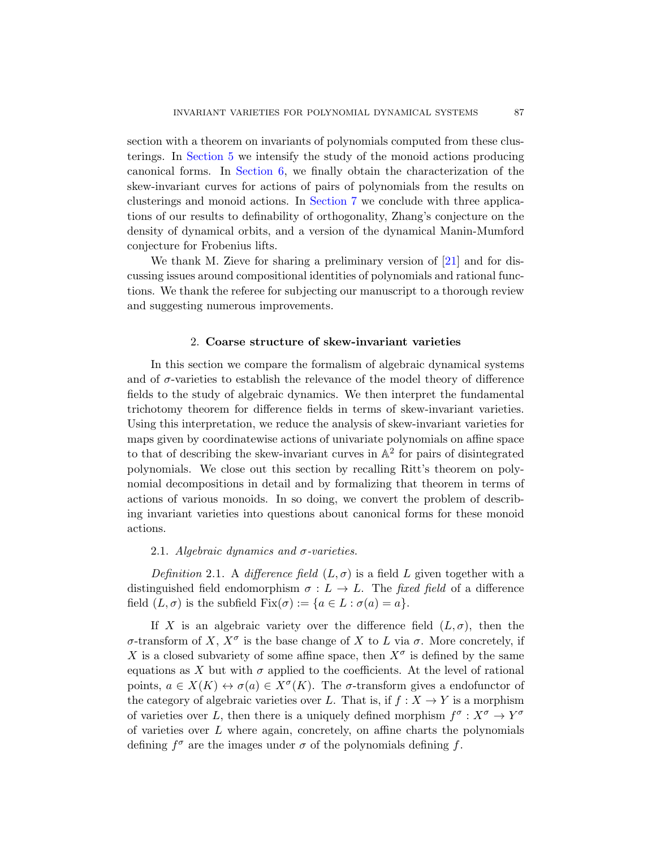section with a theorem on invariants of polynomials computed from these clusterings. In Section 5 we intensify the study of the monoid actions producing canonical forms. In Section 6, we fin[ally](#page-96-0) obtain the characterization of the skew-invariant curves for actions of pairs of polynomials from the results on clusterings and monoid actions. In Section 7 we conclude with three applications of our results to definability of orthogonality, Zhang's conjecture on the density of dynamical orbits, and a version of the dynamical Manin-Mumford conjecture for Frobenius lifts.

<span id="page-6-0"></span>We thank M. Zieve for sharing a preliminary version of [21] and for discussing issues around compositional identities of polynomials and rational functions. We thank the referee for subjecting our manuscript to a thorough review and suggesting numerous improvements.

## 2. Coarse structure of skew-invariant varieties

In this section we compare the formalism of algebraic dynamical systems and of  $\sigma$ -varieties to establish the relevance of the model theory of difference fields to the study of algebraic dynamics. We then interpret the fundamental trichotomy theorem for difference fields in terms of skew-invariant varieties. Using this interpretation, we reduce the analysis of skew-invariant varieties for maps given by coordinatewise actions of univariate polynomials on affine space to that of describing the skew-invariant curves in  $\mathbb{A}^2$  for pairs of disintegrated polynomials. We close out this section by recalling Ritt's theorem on polynomial decompositions in detail and by formalizing that theorem in terms of actions of various monoids. In so doing, we convert the problem of describing invariant varieties into questions about canonical forms for these monoid actions.

## 2.1. Algebraic dynamics and  $\sigma$ -varieties.

Definition 2.1. A difference field  $(L, \sigma)$  is a field L given together with a distinguished field endomorphism  $\sigma : L \to L$ . The fixed field of a difference field  $(L, \sigma)$  is the subfield  $Fix(\sigma) := \{a \in L : \sigma(a) = a\}.$ 

If X is an algebraic variety over the difference field  $(L, \sigma)$ , then the σ-transform of X,  $X^{\sigma}$  is the base change of X to L via σ. More concretely, if X is a closed subvariety of some affine space, then  $X^{\sigma}$  is defined by the same equations as X but with  $\sigma$  applied to the coefficients. At the level of rational points,  $a \in X(K) \leftrightarrow \sigma(a) \in X^{\sigma}(K)$ . The  $\sigma$ -transform gives a endofunctor of the category of algebraic varieties over L. That is, if  $f : X \to Y$  is a morphism of varieties over L, then there is a uniquely defined morphism  $f^{\sigma}: X^{\sigma} \to Y^{\sigma}$ of varieties over  $L$  where again, concretely, on affine charts the polynomials defining  $f^{\sigma}$  are the images under  $\sigma$  of the polynomials defining f.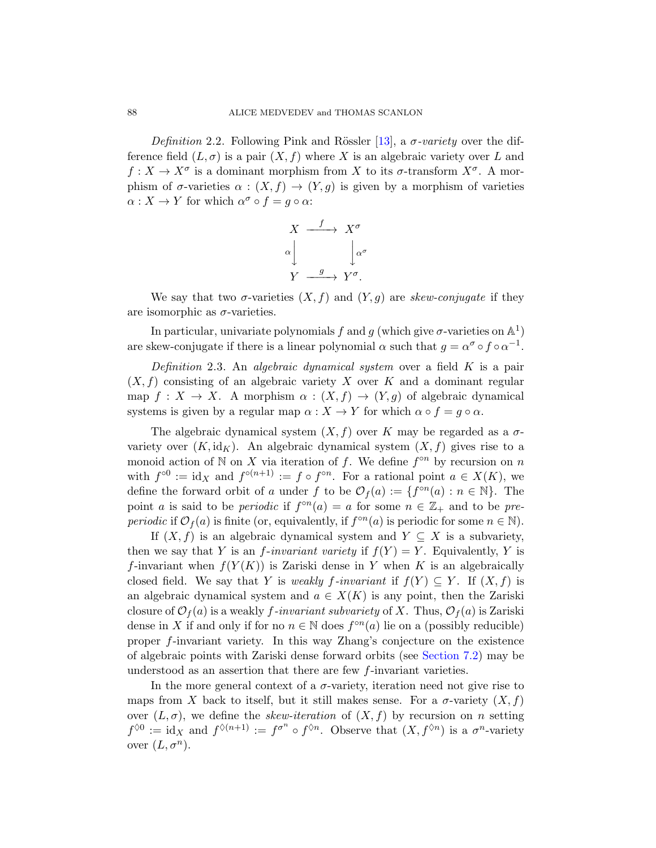Definition 2.2. Following Pink and Rössler [13], a  $\sigma$ -variety over the difference field  $(L, \sigma)$  is a pair  $(X, f)$  where X is an algebraic variety over L and  $f: X \to X^{\sigma}$  is a dominant morphism from X to its  $\sigma$ -transform  $X^{\sigma}$ . A morphism of  $\sigma$ -varieties  $\alpha : (X, f) \to (Y, g)$  is given by a morphism of varieties  $\alpha: X \to Y$  for which  $\alpha^{\sigma} \circ f = g \circ \alpha$ :

$$
X \xrightarrow{f} X^{\sigma}
$$

$$
\alpha \downarrow \qquad \qquad \downarrow \alpha^{\sigma}
$$

$$
Y \xrightarrow{g} Y^{\sigma}.
$$

We say that two  $\sigma$ -varieties  $(X, f)$  and  $(Y, g)$  are skew-conjugate if they are isomorphic as  $\sigma$ -varieties.

In particular, univariate polynomials f and g (which give  $\sigma$ -varieties on  $\mathbb{A}^1$ ) are skew-conjugate if there is a linear polynomial  $\alpha$  such that  $g = \alpha^{\sigma} \circ f \circ \alpha^{-1}$ .

Definition 2.3. An algebraic dynamical system over a field  $K$  is a pair  $(X, f)$  consisting of an algebraic variety X over K and a dominant regular map  $f: X \to X$ . A morphism  $\alpha: (X, f) \to (Y, g)$  of algebraic dynamical systems is given by a regular map  $\alpha : X \to Y$  for which  $\alpha \circ f = g \circ \alpha$ .

The algebraic dynamical system  $(X, f)$  over K may be regarded as a  $\sigma$ variety over  $(K, id<sub>K</sub>)$ . An algebraic dynamical system  $(X, f)$  gives rise to a monoid action of N on X via iteration of f. We define  $f^{\circ n}$  by recursion on n with  $f^{\circ 0} := id_X$  and  $f^{\circ (n+1)} := f \circ f^{\circ n}$ . For a rational point  $a \in X(K)$ , we define the forward orbit of a under f to be  $\mathcal{O}_f(a) := \{f^{\circ n}(a) : n \in \mathbb{N}\}\.$  The point a is said to be *periodic* if  $f^{\circ n}(a) = a$  for some  $n \in \mathbb{Z}_+$  and to be *pre*periodic if  $\mathcal{O}_f(a)$  is finite (or, equivalently, if  $f^{\circ n}(a)$  is periodic for some  $n \in \mathbb{N}$ ).

If  $(X, f)$  is an algebraic dynamical system and  $Y \subseteq X$  is a subvariety, then we say that Y is an *f*-invariant variety if  $f(Y) = Y$ . Equivalently, Y is f-invariant when  $f(Y(K))$  is Zari[ski dense in](#page-88-0) Y when K is an algebraically closed field. We say that Y is weakly f-invariant if  $f(Y) \subseteq Y$ . If  $(X, f)$  is an algebraic dynamical system and  $a \in X(K)$  is any point, then the Zariski closure of  $\mathcal{O}_f(a)$  is a weakly f-invariant subvariety of X. Thus,  $\mathcal{O}_f(a)$  is Zariski dense in X if and only if for no  $n \in \mathbb{N}$  does  $f^{\circ n}(a)$  lie on a (possibly reducible) proper f-invariant variety. In this way Zhang's conjecture on the existence of algebraic points with Zariski dense forward orbits (see Section 7.2) may be understood as an assertion that there are few f-invariant varieties.

In the more general context of a  $\sigma$ -variety, iteration need not give rise to maps from X back to itself, but it still makes sense. For a  $\sigma$ -variety  $(X, f)$ over  $(L, \sigma)$ , we define the *skew-iteration* of  $(X, f)$  by recursion on n setting  $f^{\lozenge 0} := \text{id}_X$  and  $f^{\lozenge (n+1)} := f^{\sigma^n} \circ f^{\lozenge n}$ . Observe that  $(X, f^{\lozenge n})$  is a  $\sigma^n$ -variety over  $(L, \sigma^n)$ .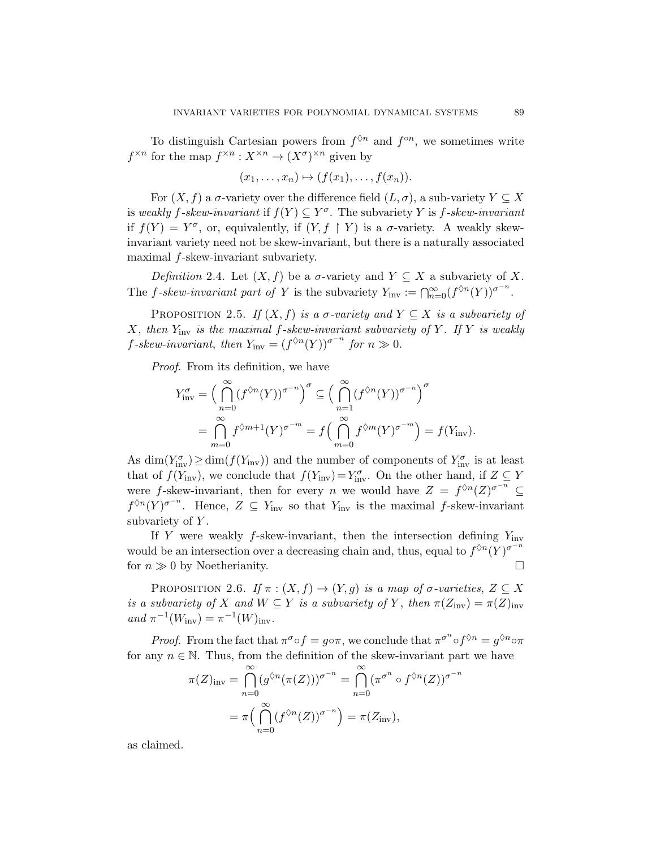To distinguish Cartesian powers from  $f^{\lozenge n}$  and  $f^{\circ n}$ , we sometimes write  $f^{\times n}$  for the map  $f^{\times n}: X^{\times n} \to (X^{\sigma})^{\times n}$  given by

$$
(x_1,\ldots,x_n)\mapsto (f(x_1),\ldots,f(x_n)).
$$

For  $(X, f)$  a  $\sigma$ -variety over the difference field  $(L, \sigma)$ , a sub-variety  $Y \subseteq X$ is weakly f-skew-invariant if  $f(Y) \subseteq Y^{\sigma}$ . The subvariety Y is f-skew-invariant if  $f(Y) = Y^{\sigma}$ , or, equivalently, if  $(Y, f \restriction Y)$  is a  $\sigma$ -variety. A weakly skewinvariant variety need not be skew-invariant, but there is a naturally associated maximal f-skew-invariant subvariety.

Definition 2.4. Let  $(X, f)$  be a  $\sigma$ -variety and  $Y \subseteq X$  a subvariety of X. The f-skew-invariant part of Y is the subvariety  $Y_{\text{inv}} := \bigcap_{n=0}^{\infty} (f^{\lozenge n}(Y))^{\sigma^{-n}}$ .

PROPOSITION 2.5. If  $(X, f)$  is a  $\sigma$ -variety and  $Y \subseteq X$  is a subvariety of X, then  $Y_{\text{inv}}$  is the maximal f-skew-invariant subvariety of Y. If Y is weakly  $f\text{-}skew\text{-}invariant, then Y<sub>inv</sub> = (f<sup>0</sup><sup>n</sup>(Y))<sup>σ<sup>-n</sup></sup> for n \gg 0.$ 

Proof. From its definition, we have

$$
Y_{\text{inv}}^{\sigma} = \left(\bigcap_{n=0}^{\infty} (f^{\lozenge n}(Y))^{\sigma^{-n}}\right)^{\sigma} \subseteq \left(\bigcap_{n=1}^{\infty} (f^{\lozenge n}(Y))^{\sigma^{-n}}\right)^{\sigma}
$$

$$
= \bigcap_{m=0}^{\infty} f^{\lozenge m+1}(Y)^{\sigma^{-m}} = f\left(\bigcap_{m=0}^{\infty} f^{\lozenge m}(Y)^{\sigma^{-m}}\right) = f(Y_{\text{inv}}).
$$

As  $\dim(Y_{\text{inv}}^{\sigma}) \geq \dim(f(Y_{\text{inv}}))$  and the number of components of  $Y_{\text{inv}}^{\sigma}$  is at least that of  $f(Y_{\text{inv}})$ , we conclude that  $f(Y_{\text{inv}})=Y_{\text{inv}}^{\sigma}$ . On the other hand, if  $Z \subseteq Y$ were f-skew-invariant, then for every n we would have  $Z = f^{\lozenge n}(Z)^{\sigma^{-n}} \subseteq$  $f^{\lozenge n}(Y)^{\sigma^{-n}}$ . Hence,  $Z \subseteq Y_{\text{inv}}$  so that  $Y_{\text{inv}}$  is the maximal f-skew-invariant subvariety of  $Y$ .

If Y were weakly  $f$ -skew-invariant, then the intersection defining  $Y_{\text{inv}}$ would be an intersection over a decreasing chain and, thus, equal to  $f^{\Diamond n}(Y)^{\sigma^{-n}}$ for  $n \gg 0$  by Noetherianity.

<span id="page-8-0"></span>PROPOSITION 2.6. If  $\pi : (X, f) \to (Y, g)$  is a map of  $\sigma$ -varieties,  $Z \subseteq X$ is a subvariety of X and  $W \subseteq Y$  is a subvariety of Y, then  $\pi(Z_{\text{inv}}) = \pi(Z)_{\text{inv}}$ and  $\pi^{-1}(W_{\text{inv}}) = \pi^{-1}(W)_{\text{inv}}$ .

*Proof.* From the fact that  $\pi^{\sigma} \circ f = g \circ \pi$ , we conclude that  $\pi^{\sigma^n} \circ f^{\Diamond n} = g^{\Diamond n} \circ \pi$ for any  $n \in \mathbb{N}$ . Thus, from the definition of the skew-invariant part we have

$$
\pi(Z)_{\text{inv}} = \bigcap_{n=0}^{\infty} (g^{\lozenge n}(\pi(Z)))^{\sigma^{-n}} = \bigcap_{n=0}^{\infty} (\pi^{\sigma^n} \circ f^{\lozenge n}(Z))^{\sigma^{-n}}
$$

$$
= \pi\Big(\bigcap_{n=0}^{\infty} (f^{\lozenge n}(Z))^{\sigma^{-n}}\Big) = \pi(Z_{\text{inv}}),
$$

as claimed.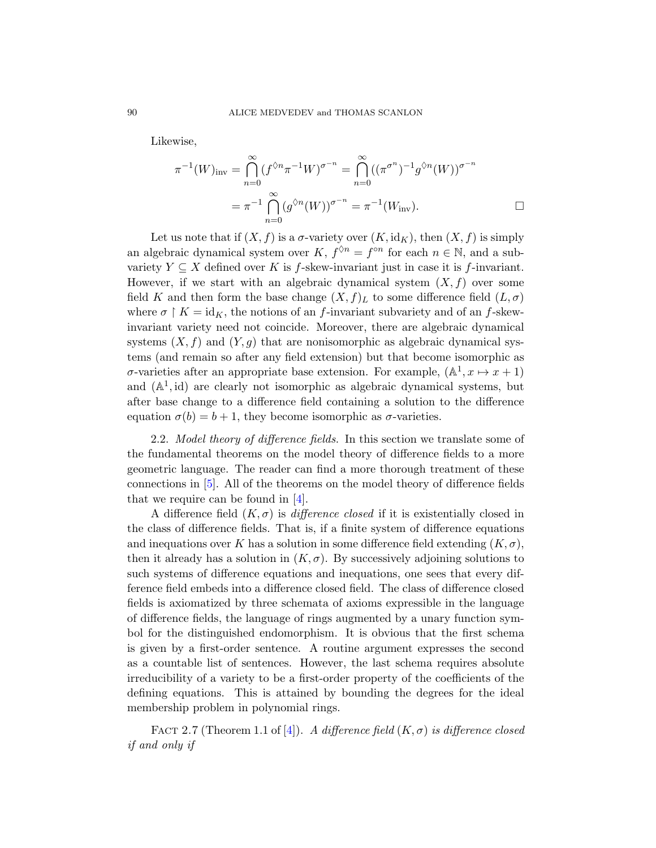Likewise,

$$
\pi^{-1}(W)_{\text{inv}} = \bigcap_{n=0}^{\infty} (f^{\Diamond n} \pi^{-1} W)^{\sigma^{-n}} = \bigcap_{n=0}^{\infty} ((\pi^{\sigma^n})^{-1} g^{\Diamond n}(W))^{\sigma^{-n}}
$$

$$
= \pi^{-1} \bigcap_{n=0}^{\infty} (g^{\Diamond n}(W))^{\sigma^{-n}} = \pi^{-1}(W_{\text{inv}}).
$$

Let us note that if  $(X, f)$  is a  $\sigma$ -variety over  $(K, id_K)$ , then  $(X, f)$  is simply an algebraic dynamical system over K,  $f^{\lozenge n} = f^{\circ n}$  for each  $n \in \mathbb{N}$ , and a subvariety  $Y \subseteq X$  defined over K is f-skew-invariant just in case it is f-invariant. However, if we start with an algebraic dynamical system  $(X, f)$  over some field K and then form the base change  $(X, f)<sub>L</sub>$  to some difference field  $(L, \sigma)$ where  $\sigma \restriction K = \text{id}_K$ , the notions of an f-invariant subvariety and of an f-skewinvariant variety need not coincide. Moreover, there are algebraic dynamical systems  $(X, f)$  and  $(Y, g)$  that are nonisomorphic as algebraic dynamical systems (and remain so after any field extension) but that become isomorphic as  $\sigma$ -varieties after an appropriate base extension. For example,  $(\mathbb{A}^1, x \mapsto x+1)$ and  $(A^1, id)$  are clearly not isomorphic as algebraic dynamical systems, but after bas[e c](#page-95-0)hange to a difference field containing a solution to the difference equation  $\sigma(b) = b + 1$ , they become isomorphic as  $\sigma$ -varieties.

2.2. Model theory of difference fields. In this section we translate some of the fundamental theorems on the model theory of difference fields to a more geometric language. The reader can find a more thorough treatment of these connections in [5]. All of the theorems on the model theory of difference fields that we require can be found in [4].

A difference field  $(K, \sigma)$  is *difference closed* if it is existentially closed in the class of difference fields. That is, if a finite system of difference equations and inequations over K has a solution in some difference field extending  $(K, \sigma)$ , then it already has a solution in  $(K, \sigma)$ . By successively adjoining solutions to such systems of difference equations and inequations, one sees that every difference field embeds into a difference closed field. The class of difference closed fields is axiomatized by three schemata of axioms expressible in the language of difference fields, the language of rings augmented by a unary function symbol for [th](#page-95-0)e distinguished endomorphism. It is obvious that the first schema is given by a first-order sentence. A routine argument expresses the second as a countable list of sentences. However, the last schema requires absolute irreducibility of a variety to be a first-order property of the coefficients of the defining equations. This is attained by bounding the degrees for the ideal membership problem in polynomial rings.

FACT 2.7 (Theorem 1.1 of [4]). A difference field  $(K, \sigma)$  is difference closed if and only if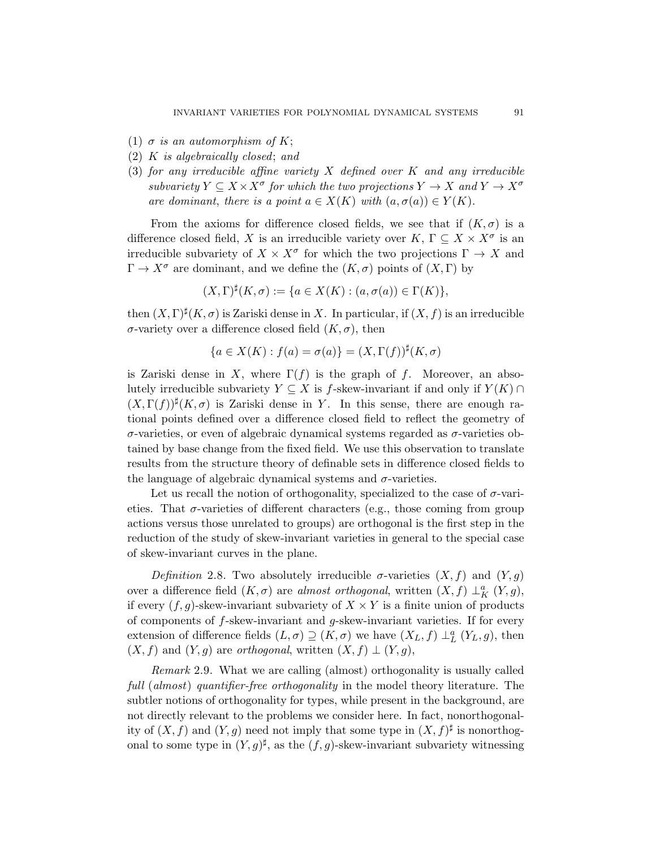- (1)  $\sigma$  is an automorphism of K;
- (2) K is algebraically closed; and
- (3) for any irreducible affine variety  $X$  defined over  $K$  and any irreducible subvariety  $Y \subseteq X \times X^{\sigma}$  for which the two projections  $Y \to X$  and  $Y \to X^{\sigma}$ are dominant, there is a point  $a \in X(K)$  with  $(a, \sigma(a)) \in Y(K)$ .

From the axioms for difference closed fields, we see that if  $(K, \sigma)$  is a difference closed field, X is an irreducible variety over  $K, \Gamma \subseteq X \times X^{\sigma}$  is an irreducible subvariety of  $X \times X^{\sigma}$  for which the two projections  $\Gamma \to X$  and  $\Gamma \to X^{\sigma}$  are dominant, and we define the  $(K,\sigma)$  points of  $(X,\Gamma)$  by

$$
(X,\Gamma)^{\sharp}(K,\sigma) := \{ a \in X(K) : (a,\sigma(a)) \in \Gamma(K) \},
$$

then  $(X, \Gamma)^{\sharp}(K, \sigma)$  is Zariski dense in X. In particular, if  $(X, f)$  is an irreducible σ-variety over a difference closed field (K, σ), then

$$
\{a \in X(K) : f(a) = \sigma(a)\} = (X, \Gamma(f))^{\sharp}(K, \sigma)
$$

is Zariski dense in X, where  $\Gamma(f)$  is the graph of f. Moreover, an absolutely irreducible subvariety  $Y \subseteq X$  is f-skew-invariant if and only if  $Y(K) \cap$  $(X, \Gamma(f))^{\sharp}(K, \sigma)$  is Zariski dense in Y. In this sense, there are enough rational points defined over a difference closed field to reflect the geometry of  $\sigma$ -varieties, or even of algebraic dynamical systems regarded as  $\sigma$ -varieties obtained by base change from the fixed field. We use this observation to translate results from the structure theory of definable sets in difference closed fields to the language of algebraic dynamical systems and  $\sigma$ -varieties.

Let us recall the notion of orthogonality, specialized to the case of  $\sigma$ -varieties. That  $\sigma$ -varieties of different characters (e.g., those coming from group actions versus those unrelated to groups) are orthogonal is the first step in the reduction of the study of skew-invariant varieties in general to the special case of skew-invariant curves in the plane.

Definition 2.8. Two absolutely irreducible  $\sigma$ -varieties  $(X, f)$  and  $(Y, g)$ over a difference field  $(K, \sigma)$  are *almost orthogonal*, written  $(X, f) \perp_K^a (Y, g)$ , if every  $(f, g)$ -skew-invariant subvariety of  $X \times Y$  is a finite union of products of components of f-skew-invariant and g-skew-invariant varieties. If for every extension of difference fields  $(L, \sigma) \supseteq (K, \sigma)$  we have  $(X_L, f) \perp_L^a (Y_L, g)$ , then  $(X, f)$  and  $(Y, g)$  are *orthogonal*, written  $(X, f) \perp (Y, g)$ ,

<span id="page-10-0"></span>Remark 2.9. What we are calling (almost) orthogonality is usually called full (almost) quantifier-free orthogonality in the model theory literature. The subtler notions of orthogonality for types, while present in the background, are not directly relevant to the problems we consider here. In fact, nonorthogonality of  $(X, f)$  and  $(Y, g)$  need not imply that some type in  $(X, f)^{\sharp}$  is nonorthogonal to some type in  $(Y, g)^\sharp$ , as the  $(f, g)$ -skew-invariant subvariety witnessing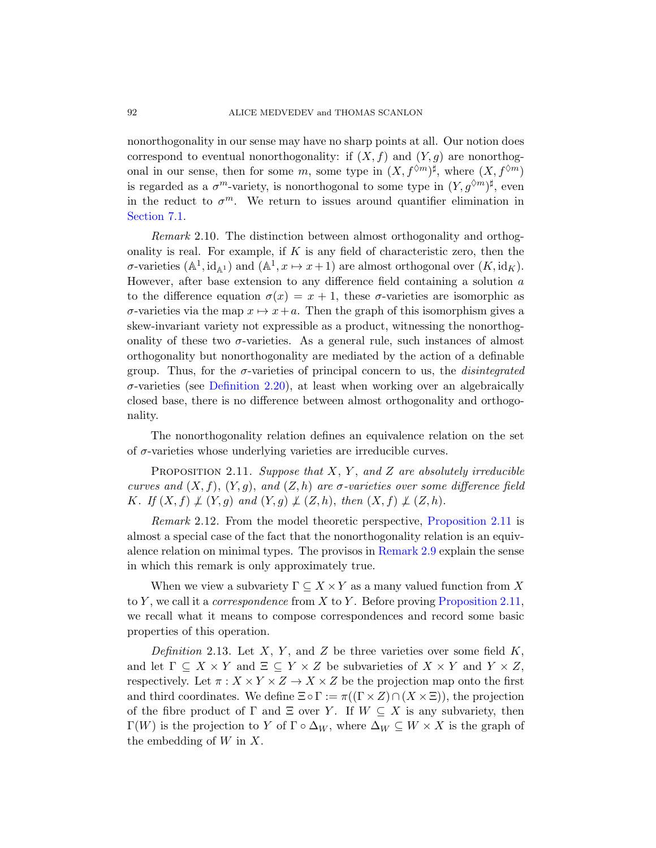nonorthogonality in our sense may have no sharp points at all. Our notion does correspond to eventual nonorthogonality: if  $(X, f)$  and  $(Y, q)$  are nonorthogonal in our sense, then for some m, some type in  $(X, f^{\lozenge m})^{\sharp}$ , where  $(X, f^{\lozenge m})$ is regarded as a  $\sigma^m$ -variety, is nonorthogonal to some type in  $(Y, g^{\lozenge m})^{\sharp}$ , even in the reduct to  $\sigma^m$ . We return to issues around quantifier elimination in Section 7.1.

Remark 2.10. The distinction between almost orthogonality and orthogonality is real. For example, if  $K$  is any field of characteristic zero, then the  $\sigma$ -varieties  $(\mathbb{A}^1, id_{\mathbb{A}^1})$  and  $(\mathbb{A}^1, x \mapsto x+1)$  are almost orthogonal over  $(K, id_K)$ . However, after base extension to any difference field containing a solution  $a$ [to the d](#page-14-0)ifference equation  $\sigma(x) = x + 1$ , these  $\sigma$ -varieties are isomorphic as  $\sigma$ -varieties via the map  $x \mapsto x+a$ . Then the graph of this isomorphism gives a skew-invariant variety not expressible as a product, witnessing the nonorthogonality of these two  $\sigma$ -varieties. As a general rule, such instances of almost orthogonality but nonorthogonality are mediated by the action of a definable group. Thus, for the  $\sigma$ -varieties of principal concern to us, the *disintegrated*  $\sigma$ -varieties (see Definition 2.20), at least when working over an algebraically closed base, there is no difference between almost orthogonality and orthogonality.

<span id="page-11-0"></span>The nonorthogonality relation [defines an equiva](#page-11-0)lence relation on the set of  $\sigma$ -varieties whose unde[rlying varieti](#page-10-0)es are irreducible curves.

PROPOSITION 2.11. Suppose that  $X, Y$ , and  $Z$  are absolutely irreducible curves and  $(X, f), (Y, g),$  and  $(Z, h)$  are  $\sigma$ -varieties over some difference field K. If  $(X, f) \not\perp (Y, g)$  and  $(Y, g) \not\perp (Z, h)$ , [then](#page-11-0)  $(X, f) \not\perp (Z, h)$ .

Remark 2.12. From the model theoretic perspective, Proposition 2.11 is almost a special case of the fact that the nonorthogonality relation is an equivalence relation on minimal types. The provisos in Remark 2.9 explain the sense in which this remark is only approximately true.

When we view a subvariety  $\Gamma \subseteq X \times Y$  as a many valued function from X to Y, we call it a *correspondence* from X to Y. Before proving Proposition 2.11, we recall what it means to compose correspondences and record some basic properties of this operation.

Definition 2.13. Let X, Y, and Z be three varieties over some field  $K$ , and let  $\Gamma \subseteq X \times Y$  and  $\Xi \subseteq Y \times Z$  be subvarieties of  $X \times Y$  and  $Y \times Z$ , respectively. Let  $\pi: X \times Y \times Z \rightarrow X \times Z$  be the projection map onto the first and third coordinates. We define  $\Xi \circ \Gamma := \pi((\Gamma \times Z) \cap (X \times \Xi))$ , the projection of the fibre product of  $\Gamma$  and  $\Xi$  over Y. If  $W \subseteq X$  is any subvariety, then  $Γ(W)$  is the projection to Y of Γ ο Δ<sub>W</sub>, where Δ<sub>W</sub> ⊆ W × X is the graph of the embedding of  $W$  in  $X$ .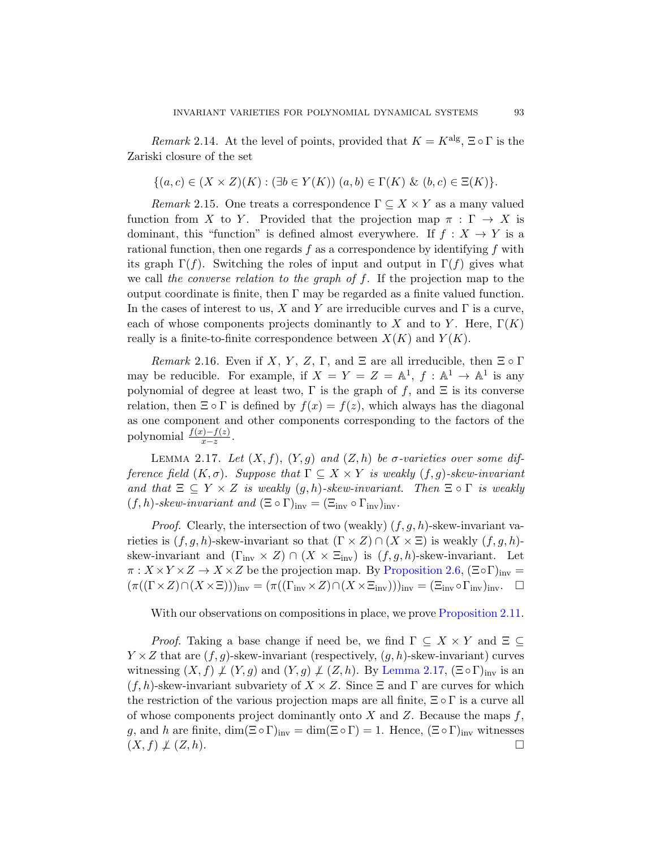*Remark* 2.14. At the level of points, provided that  $K = K^{\text{alg}}$ ,  $\Xi \circ \Gamma$  is the Zariski closure of the set

$$
\{(a, c) \in (X \times Z)(K) : (\exists b \in Y(K)) \ (a, b) \in \Gamma(K) \ \& \ (b, c) \in \Xi(K) \}.
$$

*Remark* 2.15. One treats a correspondence  $\Gamma \subseteq X \times Y$  as a many valued function from X to Y. Provided that the projection map  $\pi : \Gamma \to X$  is dominant, this "function" is defined almost everywhere. If  $f : X \to Y$  is a rational function, then one regards  $f$  as a correspondence by identifying  $f$  with its graph  $\Gamma(f)$ . Switching the roles of input and output in  $\Gamma(f)$  gives what we call the converse relation to the graph of f. If the projection map to the output coordinate is finite, then  $\Gamma$  may be regarded as a finite valued function. In the cases of interest to us, X and Y are irreducible curves and  $\Gamma$  is a curve, each of whose components projects dominantly to X and to Y. Here,  $\Gamma(K)$ really is a finite-to-finite correspondence between  $X(K)$  and  $Y(K)$ .

<span id="page-12-0"></span>Remark 2.16. Even if X, Y, Z,  $\Gamma$ , and  $\Xi$  are all irreducible, then  $\Xi \circ \Gamma$ may be reducible. For example, if  $X = Y = Z = \mathbb{A}^1$ ,  $f : \mathbb{A}^1 \to \mathbb{A}^1$  is any polynomial of degree at least two,  $\Gamma$  is the graph of f, and  $\Xi$  is its converse relation, then  $\Xi \circ \Gamma$  is defined by  $f(x) = f(z)$ , which always has the diagonal as one component and other components corresponding to the factors of the polynomial  $\frac{f(x)-f(z)}{x-z}$ .

LEMMA 2.17. Let  $(X, f), (Y, g)$  and  $(Z, h)$  be  $\sigma$ -varieties over some difference field  $(K, \sigma)$ . Supp[ose that](#page-8-0)  $\Gamma \subseteq X \times Y$  is weakly  $(f, g)$ -skew-invariant and that  $\Xi \subseteq Y \times Z$  is weakly  $(g, h)$ -skew-invariant. Then  $\Xi \circ \Gamma$  is weakly  $(f, h)$ -skew-invariant and  $(\Xi \circ \Gamma)_{inv} = (\Xi_{inv} \circ \Gamma_{inv})_{inv}$ .

*Proof.* Clearly, the intersection of two (weakly)  $(f, g, h)$ -skew-invariant varieties is  $(f, g, h)$ -skew-invariant so that  $(\Gamma \times Z) \cap (X \times \Xi)$  is weakly  $(f, g, h)$ skew-invariant and  $(\Gamma_{\text{inv}} \times Z) \cap (X \times \Xi_{\text{inv}})$  is  $(f, g, h)$ -skew-invariant. Let  $\pi: X \times Y \times Z \to X \times Z$  be [the projection](#page-12-0) map. By Proposition 2.6,  $(\Xi \circ \Gamma)_{inv} =$  $(\pi((\Gamma \times Z) \cap (X \times \Xi)))_{\text{inv}} = (\pi((\Gamma_{\text{inv}} \times Z) \cap (X \times \Xi_{\text{inv}})))_{\text{inv}} = (\Xi_{\text{inv}} \circ \Gamma_{\text{inv}})_{\text{inv}}$ .

With our observations on compositions in place, we prove Proposition 2.11.

*Proof.* Taking a base change if need be, we find  $\Gamma \subseteq X \times Y$  and  $\Xi \subseteq$  $Y \times Z$  that are  $(f, g)$ -skew-invariant (respectively,  $(g, h)$ -skew-invariant) curves witnessing  $(X, f) \nsubseteq (Y, g)$  and  $(Y, g) \nsubseteq (Z, h)$ . By Lemma 2.17,  $(\Xi \circ \Gamma)_{inv}$  is an  $(f, h)$ -skew-invariant subvariety of  $X \times Z$ . Since  $\Xi$  and  $\Gamma$  are curves for which the restriction of the various projection maps are all finite,  $\Xi \circ \Gamma$  is a curve all of whose components project dominantly onto  $X$  and  $Z$ . Because the maps  $f$ , g, and h are finite,  $\dim(\Xi \circ \Gamma)_{inv} = \dim(\Xi \circ \Gamma) = 1$ . Hence,  $(\Xi \circ \Gamma)_{inv}$  witnesses  $(X, f) \not\perp (Z, h).$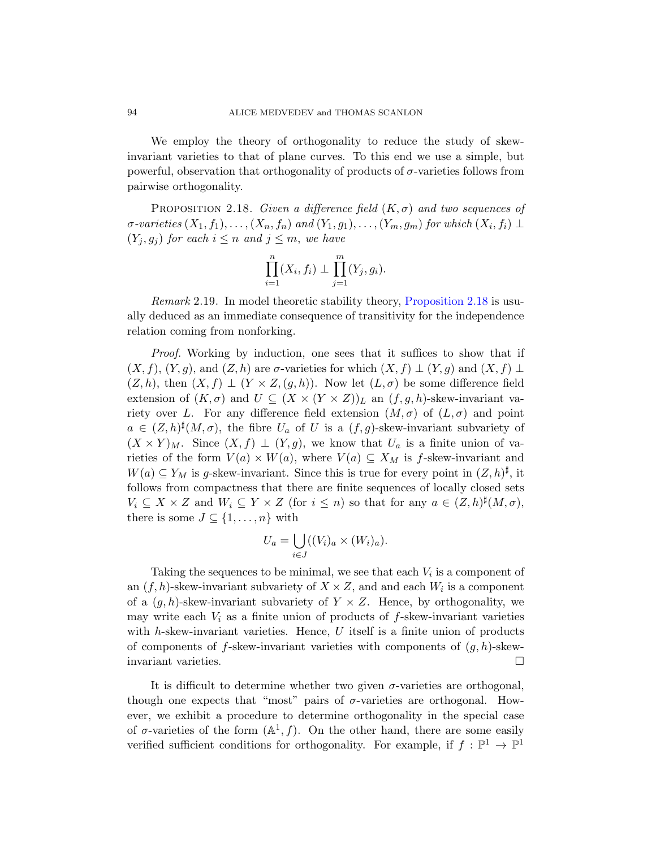<span id="page-13-0"></span>We employ the theory of orthogonality to reduce the study of skewinvariant varieties to that of plane curves. To this end we use a simple, but powerful, observation that orthogonality of products of  $\sigma$ -varieties follows from pairwise orthogonality.

PROPOSITION 2.18. Give[n a difference field](#page-13-0)  $(K,\sigma)$  and two sequences of  $\sigma$ -varieties  $(X_1, f_1), \ldots, (X_n, f_n)$  and  $(Y_1, g_1), \ldots, (Y_m, g_m)$  for which  $(X_i, f_i) \perp$  $(Y_i, g_j)$  for each  $i \leq n$  and  $j \leq m$ , we have

$$
\prod_{i=1}^{n} (X_i, f_i) \perp \prod_{j=1}^{m} (Y_j, g_i).
$$

Remark 2.19. In model theoretic stability theory, Proposition 2.18 is usually deduced as an immediate consequence of transitivity for the independence relation coming from nonforking.

Proof. Working by induction, one sees that it suffices to show that if  $(X, f), (Y, g),$  and  $(Z, h)$  are  $\sigma$ -varieties for which  $(X, f) \perp (Y, g)$  and  $(X, f) \perp$  $(Z, h)$ , then  $(X, f) \perp (Y \times Z, (g, h))$ . Now let  $(L, \sigma)$  be some difference field extension of  $(K, \sigma)$  and  $U \subseteq (X \times (Y \times Z))_L$  an  $(f, g, h)$ -skew-invariant variety over L. For any difference field extension  $(M, \sigma)$  of  $(L, \sigma)$  and point  $a \in (Z,h)^{\sharp}(M,\sigma)$ , the fibre  $U_a$  of U is a  $(f,g)$ -skew-invariant subvariety of  $(X \times Y)_{M}$ . Since  $(X, f) \perp (Y, g)$ , we know that  $U_a$  is a finite union of varieties of the form  $V(a) \times W(a)$ , where  $V(a) \subseteq X_M$  is f-skew-invariant and  $W(a) \subseteq Y_M$  is g-skew-invariant. Since this is true for every point in  $(Z,h)^{\sharp}$ , it follows from compactness that there are finite sequences of locally closed sets  $V_i \subseteq X \times Z$  and  $W_i \subseteq Y \times Z$  (for  $i \leq n$ ) so that for any  $a \in (Z, h)^\sharp(M, \sigma)$ , there is some  $J \subseteq \{1, \ldots, n\}$  with

$$
U_a = \bigcup_{i \in J} ((V_i)_a \times (W_i)_a).
$$

Taking the sequences to be minimal, we see that each  $V_i$  is a component of an  $(f, h)$ -skew-invariant subvariety of  $X \times Z$ , and and each  $W_i$  is a component of a  $(g, h)$ -skew-invariant subvariety of  $Y \times Z$ . Hence, by orthogonality, we may write each  $V_i$  as a finite union of products of  $f$ -skew-invariant varieties with  $h$ -skew-invariant varieties. Hence,  $U$  itself is a finite union of products of components of  $f$ -skew-invariant varieties with components of  $(g, h)$ -skewinvariant varieties.

It is difficult to determine whether two given  $\sigma$ -varieties are orthogonal, though one expects that "most" pairs of  $\sigma$ -varieties are orthogonal. However, we exhibit a procedure to determine orthogonality in the special case of  $\sigma$ -varieties of the form  $(\mathbb{A}^1, f)$ . On the other hand, there are some easily verified sufficient conditions for orthogonality. For example, if  $f : \mathbb{P}^1 \to \mathbb{P}^1$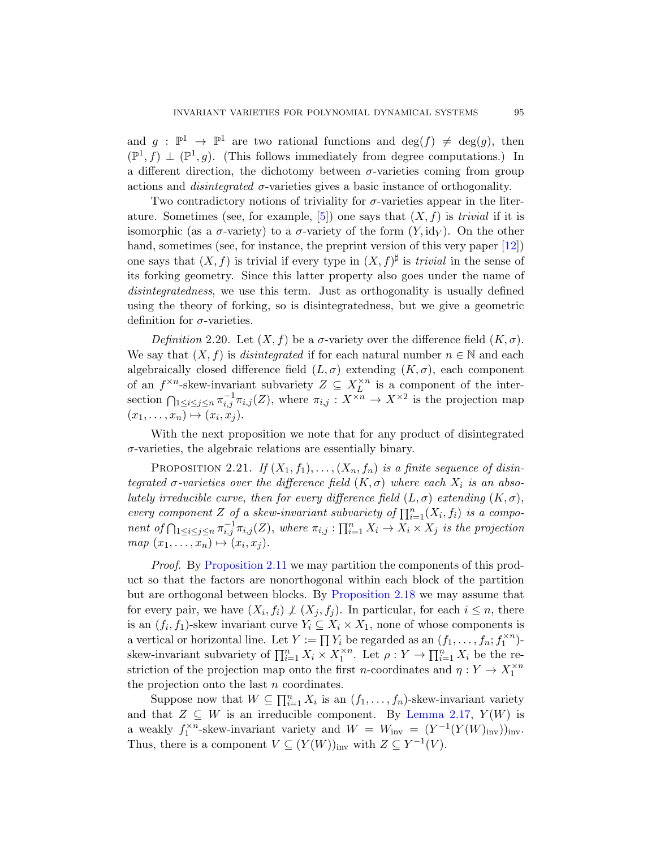and  $g : \mathbb{P}^1 \to \mathbb{P}^1$  are two rational functions and  $deg(f) \neq deg(g)$ , then  $(\mathbb{P}^1, f) \perp (\mathbb{P}^1, g)$ . (This follows immediately fro[m de](#page-96-2)gree computations.) In a different direction, the dichotomy between  $\sigma$ -varieties coming from group actions and *disintegrated*  $\sigma$ -varieties gives a basic instance of orthogonality.

<span id="page-14-0"></span>Two contradictory notions of triviality for  $\sigma$ -varieties appear in the literature. Sometimes (see, for example, [5]) one says that  $(X, f)$  is *trivial* if it is isomorphic (as a  $\sigma$ -variety) to a  $\sigma$ -variety of the form  $(Y, id_Y)$ . On the other hand, sometimes (see, for instance, the preprint version of this very paper [12]) one says that  $(X, f)$  is trivial if every type in  $(X, f)^\sharp$  is *trivial* in the sense of its forking geometry. Since this latter property also goes under the name of disintegratedness, we use this term. Just as orthogonality is usually defined using the theory of forking, so is disintegratedness, but we give a geometric definition for  $\sigma$ -varieties.

Definition 2.20. Let  $(X, f)$  be a  $\sigma$ -variety over the difference field  $(K, \sigma)$ . We say that  $(X, f)$  is *disintegrated* if for each natural number  $n \in \mathbb{N}$  and each algebraically closed difference field  $(L, \sigma)$  extending  $(K, \sigma)$ , each component of an  $f^{\times n}$ -skew-invariant subvariety  $Z \subseteq X_L^{\times n}$  is a component of the intersection  $\bigcap_{1 \leq i \leq j \leq n} \pi_{i,j}^{-1} \pi_{i,j}(Z)$ , where  $\pi_{i,j} : X^{\times n} \to X^{\times 2}$  is the projection map  $(x_1, \ldots, x_n) \mapsto (x_i, x_j).$ 

With the next proposition we note that for any product of disintegrated  $\sigma$ -varieties, the algebraic relations are essentially binary.

PROPOSITION 2.21. If  $(X_1, f_1), \ldots, (X_n, f_n)$  is a finite sequence of disintegrated  $\sigma$ -varieties over the difference field  $(K, \sigma)$  where each  $X_i$  is an absolutely irreducible curve, [then for e](#page-13-0)very difference field  $(L, \sigma)$  extending  $(K, \sigma)$ , every component Z of a skew-invariant subvariety of  $\prod_{i=1}^{n}(X_i, f_i)$  is a component of  $\bigcap_{1 \leq i \leq j \leq n} \pi_{i,j}^{-1} \pi_{i,j}(Z)$ , where  $\pi_{i,j} : \prod_{i=1}^n X_i \to X_i \times X_j$  is the projection  $map(x_1, \ldots, x_n) \mapsto (x_i, x_j).$ 

Proof. By Proposition 2.11 we may partition the components of this product so that the factors are nonorthogonal within each block of the partition but are orthogonal between blocks. By Proposition 2.18 we may assume that for every pair, we have  $(X_i, f_i) \not\perp (X_j, f_j)$ . In particular, for each  $i \leq n$ , there is an  $(f_i, f_1)$ -skew invariant cur[ve](#page-12-0)  $Y_i \subseteq X_i \times X_1$ , none of whose components is a vertical or horizontal line. Let  $Y := \prod Y_i$  be regarded as an  $(f_1, \ldots, f_n; f_1^{\times n})$ skew-invariant subvariety of  $\prod_{i=1}^n X_i \times X_1^{\times n}$ . Let  $\rho: Y \to \prod_{i=1}^n X_i$  be the restriction of the projection map onto the first n-coordinates and  $\eta: Y \to X_1^{\times n}$ the projection onto the last n coordinates.

Suppose now that  $W \subseteq \prod_{i=1}^n X_i$  is an  $(f_1, \ldots, f_n)$ -skew-invariant variety and that  $Z \subseteq W$  is an irreducible component. By Lemma 2.17,  $Y(W)$  is a weakly  $f_1^{\times n}$ -skew-invariant variety and  $W = W_{\text{inv}} = (Y^{-1}(Y(W)_{\text{inv}}))_{\text{inv}}$ . Thus, there is a component  $V \subseteq (Y(W))_{\text{inv}}$  with  $Z \subseteq Y^{-1}(V)$ .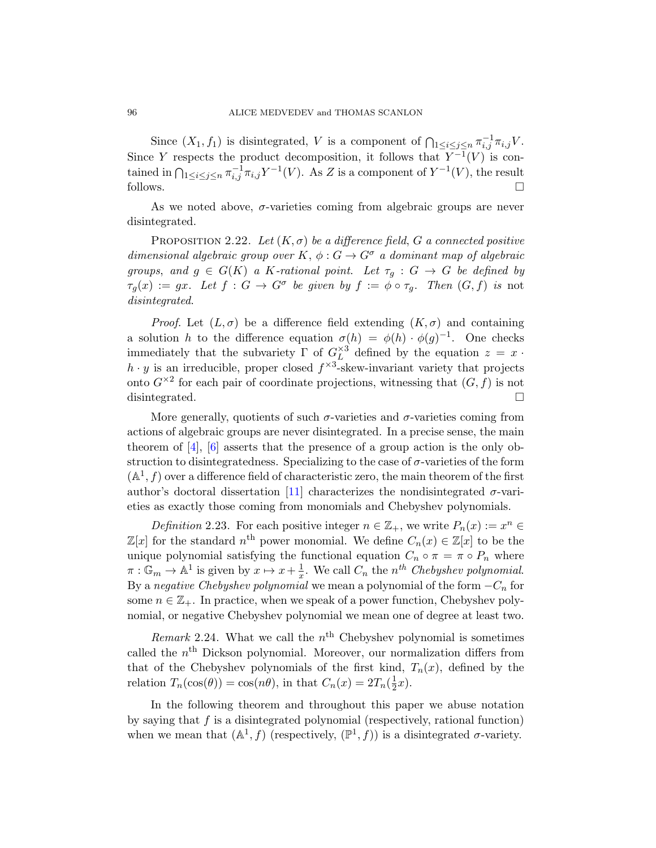Since  $(X_1, f_1)$  is disintegrated, V is a component of  $\bigcap_{1 \leq i \leq j \leq n} \pi_{i,j}^{-1} \pi_{i,j} V$ . Since Y respects the product decomposition, it follows that  $Y^{-1}(V)$  is contained in  $\bigcap_{1 \leq i \leq j \leq n} \pi_{i,j}^{-1} \pi_{i,j} Y^{-1}(V)$ . As Z is a component of  $Y^{-1}(V)$ , the result follows.  $\Box$ 

As we noted above,  $\sigma$ -varieties coming from algebraic groups are never disintegrated.

PROPOSITION 2.22. Let  $(K, \sigma)$  be a difference field, G a connected positive dimensional algebraic group over K,  $\phi: G \to G^{\sigma}$  a dominant map of algebraic groups, and  $g \in G(K)$  a K-rational point. Let  $\tau_g : G \to G$  be defined by  $\tau_g(x) := gx$ . Let  $f : G \to G^{\sigma}$  be given by  $f := \phi \circ \tau_g$ . Then  $(G, f)$  is not disintegrated.

*Proof.* Let  $(L, \sigma)$  be a difference field extending  $(K, \sigma)$  and containing a solution h to the difference equation  $\sigma(h) = \phi(h) \cdot \phi(g)^{-1}$ . One checks immediately that the subvariety  $\Gamma$  of  $G_L^{\times 3}$  defined by the equation  $z = x$ .  $h \cdot y$  is an irreducible, proper closed  $f^{\times 3}$ -skew-invariant variety that projects onto  $G^{\times 2}$  for each pair of coordinate projections, witnessing that  $(G, f)$  is not disinteg[rate](#page-95-3)d.  $\square$ 

More generally, quotients of such  $\sigma$ -varieties and  $\sigma$ -varieties coming from actions of algebraic groups are never disintegrated. In a precise sense, the main theorem of [4], [6] asserts that the presence of a group action is the only obstruction to disintegratedness. Specializing to the case of  $\sigma$ -varieties of the form  $(A<sup>1</sup>, f)$  over a difference field of characteristic zero, the main theorem of the first author's doctoral dissertation [11] characterizes the nondisintegrated  $\sigma$ -varieties as exactly those coming from monomials and Chebyshev polynomials.

Definition 2.23. For each positive integer  $n \in \mathbb{Z}_+$ , we write  $P_n(x) := x^n \in$  $\mathbb{Z}[x]$  for the standard  $n^{\text{th}}$  power monomial. We define  $C_n(x) \in \mathbb{Z}[x]$  to be the unique polynomial satisfying the functional equation  $C_n \circ \pi = \pi \circ P_n$  where  $\pi: \mathbb{G}_m \to \mathbb{A}^1$  is given by  $x \mapsto x + \frac{1}{x}$  $\frac{1}{x}$ . We call  $C_n$  the  $n^{th}$  Chebyshev polynomial. By a negative Chebyshev polynomial we mean a polynomial of the form  $-C_n$  for some  $n \in \mathbb{Z}_+$ . In practice, when we speak of a power function, Chebyshev polynomial, or negative Chebyshev polynomial we mean one of degree at least two.

Remark 2.24. What we call the  $n<sup>th</sup>$  Chebyshev polynomial is sometimes called the  $n<sup>th</sup>$  Dickson polynomial. Moreover, our normalization differs from that of the Chebyshev polynomials of the first kind,  $T_n(x)$ , defined by the relation  $T_n(\cos(\theta)) = \cos(n\theta)$ , in that  $C_n(x) = 2T_n(\frac{1}{2})$  $\frac{1}{2}x$ ).

In the following theorem and throughout this paper we abuse notation by saying that f is a disintegrated polynomial (respectively, rational function) when we mean that  $(A^1, f)$  (respectively,  $(\mathbb{P}^1, f)$ ) is a disintegrated  $\sigma$ -variety.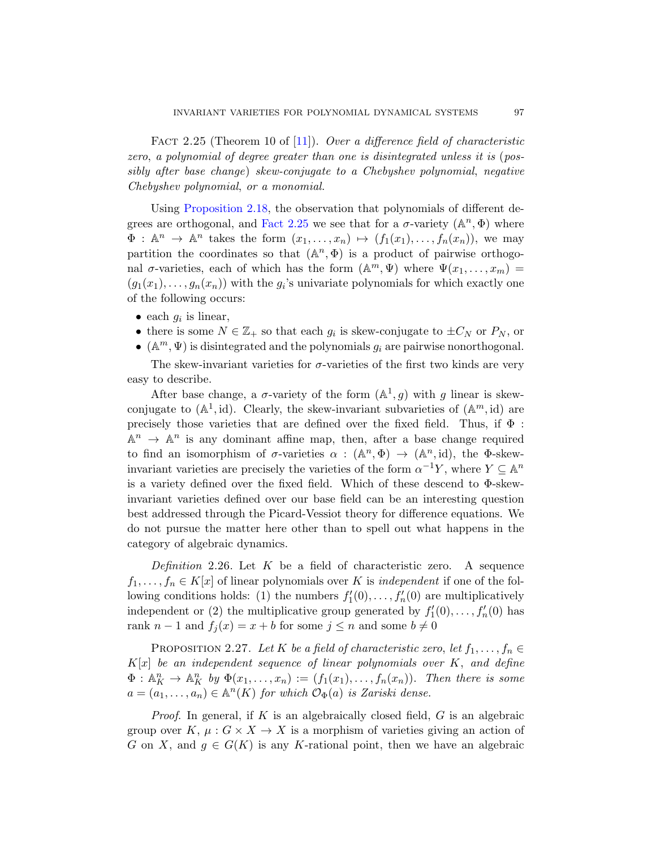<span id="page-16-0"></span>FACT 2.25 (Theorem 10 of [11]). Over a difference field of characteristic zero, a polynomial of degree greater than one is disintegrated unless it is (possibly after base change) skew-conjugate to a Chebyshev polynomial, negative Chebyshev polynomial, or a monomial.

Using Proposition 2.18, the observation that polynomials of different degrees are orthogonal, and Fact 2.25 we see that for a  $\sigma$ -variety  $(\mathbb{A}^n, \Phi)$  where  $\Phi: \mathbb{A}^n \to \mathbb{A}^n$  takes the form  $(x_1, \ldots, x_n) \mapsto (f_1(x_1), \ldots, f_n(x_n)),$  we may partition the coordinates so that  $(A^n, \Phi)$  is a product of pairwise orthogonal  $\sigma$ -varieties, each of which has the form  $(\mathbb{A}^m, \Psi)$  where  $\Psi(x_1, \ldots, x_m)$  =  $(g_1(x_1),...,g_n(x_n))$  with the  $g_i$ 's univariate polynomials for which exactly one of the following occurs:

- each  $g_i$  is linear,
- there is some  $N \in \mathbb{Z}_+$  so that each  $g_i$  is skew-conjugate to  $\pm C_N$  or  $P_N$ , or
- ( $\mathbb{A}^m, \Psi$ ) is disintegrated and the polynomials  $g_i$  are pairwise nonorthogonal.

The skew-invariant varieties for  $\sigma$ -varieties of the first two kinds are very easy to describe.

After base change, a  $\sigma$ -variety of the form  $(\mathbb{A}^1, g)$  with g linear is skewconjugate to  $(A^1, id)$ . Clearly, the skew-invariant subvarieties of  $(A^m, id)$  are precisely those varieties that are defined over the fixed field. Thus, if  $\Phi$ :  $\mathbb{A}^n \to \mathbb{A}^n$  is any dominant affine map, then, after a base change required to find an isomorphism of  $\sigma$ -varieties  $\alpha : (\mathbb{A}^n, \Phi) \to (\mathbb{A}^n, id)$ , the  $\Phi$ -skewinvariant varieties are precisely the varieties of the form  $\alpha^{-1}Y$ , where  $Y \subseteq \mathbb{A}^n$ is a variety defined over the fixed field. Which of these descend to Φ-skewinvariant varieties defined over our base field can be an interesting question best addressed through the Picard-Vessiot theory for difference equations. We do not pursue the matter here other than to spell out what happens in the category of algebraic dynamics.

Definition 2.26. Let  $K$  be a field of characteristic zero. A sequence  $f_1, \ldots, f_n \in K[x]$  of linear polynomials over K is *independent* if one of the following conditions holds: (1) the numbers  $f'_1(0), \ldots, f'_n(0)$  are multiplicatively independent or (2) the multiplicative group generated by  $f'_1(0), \ldots, f'_n(0)$  has rank  $n-1$  and  $f_i(x) = x + b$  for some  $j \leq n$  and some  $b \neq 0$ 

PROPOSITION 2.27. Let K be a field of characteristic zero, let  $f_1, \ldots, f_n \in$  $K[x]$  be an independent sequence of linear polynomials over  $K$ , and define  $\Phi: \mathbb{A}_{K}^{n} \to \mathbb{A}_{K}^{n}$  by  $\Phi(x_{1},...,x_{n}) := (f_{1}(x_{1}),...,f_{n}(x_{n}))$ . Then there is some  $a = (a_1, \ldots, a_n) \in \mathbb{A}^n(K)$  for which  $\mathcal{O}_{\Phi}(a)$  is Zariski dense.

*Proof.* In general, if K is an algebraically closed field,  $G$  is an algebraic group over K,  $\mu: G \times X \to X$  is a morphism of varieties giving an action of G on X, and  $g \in G(K)$  is any K-rational point, then we have an algebraic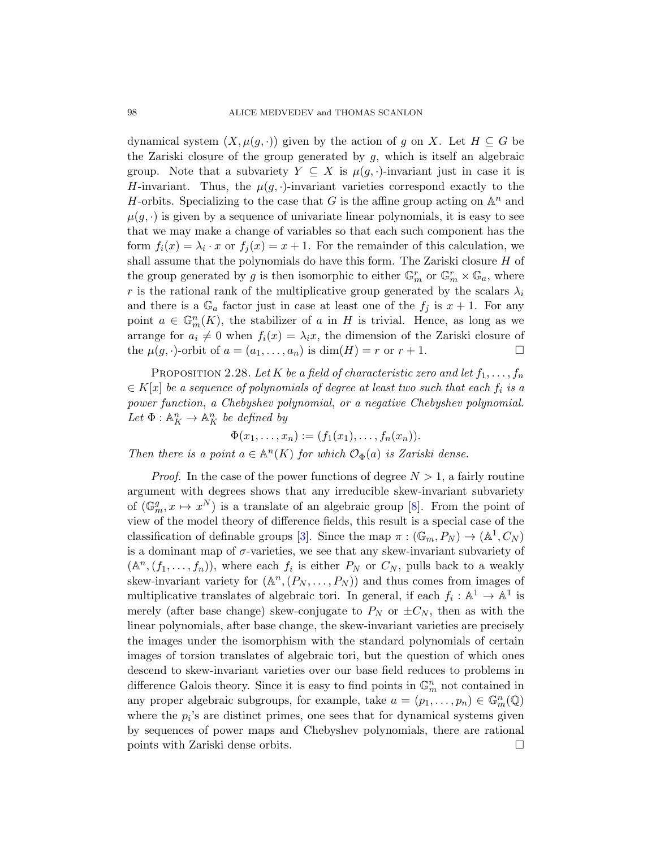dynamical system  $(X, \mu(g, \cdot))$  given by the action of g on X. Let  $H \subseteq G$  be the Zariski closure of the group generated by  $g$ , which is itself an algebraic group. Note that a subvariety  $Y \subseteq X$  is  $\mu(g, \cdot)$ -invariant just in case it is H-invariant. Thus, the  $\mu(g, \cdot)$ -invariant varieties correspond exactly to the H-orbits. Specializing to the case that G is the affine group acting on  $\mathbb{A}^n$  and  $\mu(g, \cdot)$  is given by a sequence of univariate linear polynomials, it is easy to see that we may make a change of variables so that each such component has the form  $f_i(x) = \lambda_i \cdot x$  or  $f_j(x) = x + 1$ . For the remainder of this calculation, we shall assume that the polynomials do have this form. The Zariski closure  $H$  of the group generated by g is then isomorphic to either  $\mathbb{G}_m^r$  or  $\mathbb{G}_m^r \times \mathbb{G}_a$ , where r is the rational rank of the multiplicative group generated by the scalars  $\lambda_i$ and there is a  $\mathbb{G}_a$  factor just in case at least one of the  $f_i$  is  $x + 1$ . For any point  $a \in \mathbb{G}_m^n(K)$ , the stabilizer of a in H is trivial. Hence, as long as we arrange for  $a_i \neq 0$  when  $f_i(x) = \lambda_i x$ , the dimension of the Zariski closure of the  $\mu(g, \cdot)$ -orbit of  $a = (a_1, \ldots, a_n)$  is  $\dim(H) = r$  or  $r + 1$ .

PROPOSITION 2.28. Let K be a field of characteristic zero and let  $f_1, \ldots, f_n$  $\in K[x]$  be a sequence of polynomials of degree at least two such that each  $f_i$  is a power function, a Chebyshev pol[yn](#page-95-4)omial, or a negative Chebyshev polynomial. Let  $\Phi: \mathbb{A}^n_K \to \mathbb{A}^n_K$  be defined by

 $\Phi(x_1,\ldots,x_n) := (f_1(x_1),\ldots,f_n(x_n)).$ 

Then there is a point  $a \in \mathbb{A}^n(K)$  for which  $\mathcal{O}_{\Phi}(a)$  is Zariski dense.

*Proof.* In the case of the power functions of degree  $N > 1$ , a fairly routine argument with degrees shows that any irreducible skew-invariant subvariety of  $(\mathbb{G}_m^g, x \mapsto x^N)$  is a translate of an algebraic group [8]. From the point of view of the model theory of difference fields, this result is a special case of the classification of definable groups [3]. Since the map  $\pi : (\mathbb{G}_m, P_N) \to (\mathbb{A}^1, C_N)$ is a dominant map of  $\sigma$ -varieties, we see that any skew-invariant subvariety of  $(\mathbb{A}^n, (f_1, \ldots, f_n)),$  where each  $f_i$  is either  $P_N$  or  $C_N$ , pulls back to a weakly skew-invariant variety for  $(\mathbb{A}^n, (P_N, \ldots, P_N))$  and thus comes from images of multiplicative translates of algebraic tori. In general, if each  $f_i: \mathbb{A}^1 \to \mathbb{A}^1$  is merely (after base change) skew-conjugate to  $P_N$  or  $\pm C_N$ , then as with the linear polynomials, after base change, the skew-invariant varieties are precisely the images under the isomorphism with the standard polynomials of certain images of torsion translates of algebraic tori, but the question of which ones descend to skew-invariant varieties over our base field reduces to problems in difference Galois theory. Since it is easy to find points in  $\mathbb{G}_m^n$  not contained in any proper algebraic subgroups, for example, take  $a = (p_1, \ldots, p_n) \in \mathbb{G}_m^n(\mathbb{Q})$ where the  $p_i$ 's are distinct primes, one sees that for dynamical systems given by sequences of power maps and Chebyshev polynomials, there are rational points with Zariski dense orbits.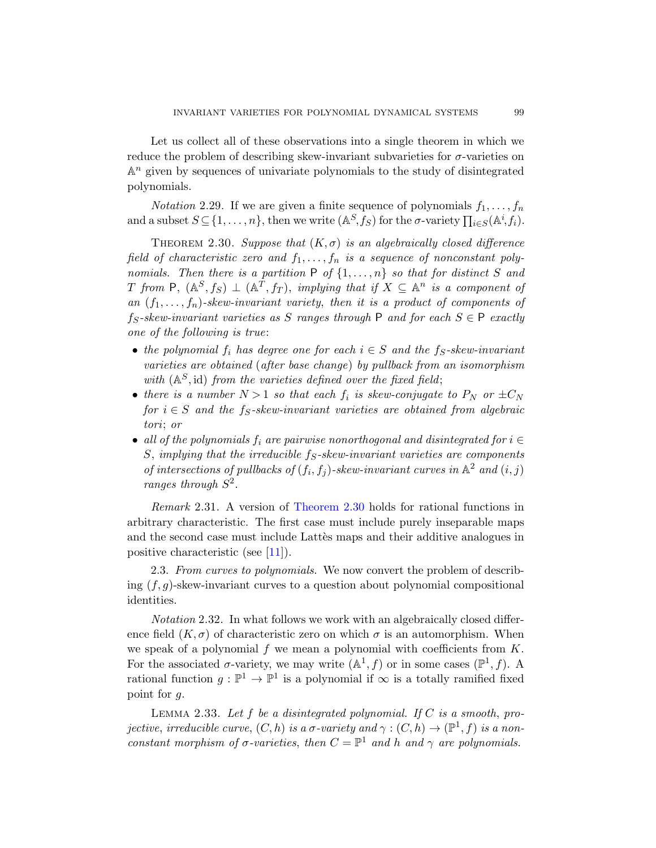<span id="page-18-0"></span>Let us collect all of these observations into a single theorem in which we reduce the problem of describing skew-invariant subvarieties for  $\sigma$ -varieties on  $\mathbb{A}^n$  given by sequences of univariate polynomials to the study of disintegrated polynomials.

*Notation* 2.29. If we are given a finite sequence of polynomials  $f_1, \ldots, f_n$ and a subset  $S \subseteq \{1, \ldots, n\}$ , then we write  $(\mathbb{A}^S, f_S)$  for the  $\sigma$ -variety  $\prod_{i \in S} (\mathbb{A}^i, f_i)$ .

THEOREM 2.30. Suppose that  $(K, \sigma)$  is an algebraically closed difference field of characteristic zero and  $f_1, \ldots, f_n$  is a sequence of nonconstant polynomials. Then there is a partition  $P$  of  $\{1, \ldots, n\}$  so that for distinct S and T from  $P$ ,  $(A^S, f_S) \perp (A^T, f_T)$ , implying that if  $X \subseteq A^n$  is a component of an  $(f_1, \ldots, f_n)$ -skew-invariant variety, then it is a product of components of  $f_S\text{-}skew\text{-}invariant \text{ \textit{varieties}} \text{ \textit{as}} \text{ } S \text{ \textit{ranges} through } P \text{ \textit{and} for each } S \in P \text{ \textit{exactly}}$ one of the following is true:

- the polynomial  $f_i$  has degree one for each  $i \in S$  and the  $f_S$ -skew-invariant varieties are obtained (after base change) by pullback from an isomorphism with  $(A^S, id)$  from the varieties defined over the fixed field;
- there is a number  $N > 1$  so that each  $f_i$  is skew-conjugate to  $P_N$  or  $\pm C_N$ for  $i \in S$  [and the](#page-18-0) f<sub>S</sub>-skew-invariant varieties are obtained from algebraic tori; or
- all of the polynomials  $f_i$  are pairwise nonorthogonal and disintegrated for  $i \in$ S, [im](#page-95-3)plying that the irreducible  $f_S$ -skew-invariant varieties are components of intersections of pullbacks of  $(f_i, f_j)$ -skew-invariant curves in  $\mathbb{A}^2$  and  $(i, j)$ ranges through  $S^2$ .

Remark 2.31. A version of Theorem 2.30 holds for rational functions in arbitrary characteristic. The first case must include purely inseparable maps and the second case must include Lattes maps and their additive analogues in positive characteristic (see [11]).

2.3. From curves to polynomials. We now convert the problem of describing  $(f, g)$ -skew-invariant curves to a question about polynomial compositional identities.

<span id="page-18-1"></span>Notation 2.32. In what follows we work with an algebraically closed difference field  $(K, \sigma)$  of characteristic zero on which  $\sigma$  is an automorphism. When we speak of a polynomial f we mean a polynomial with coefficients from  $K$ . For the associated  $\sigma$ -variety, we may write  $(\mathbb{A}^1, f)$  or in some cases  $(\mathbb{P}^1, f)$ . A rational function  $g: \mathbb{P}^1 \to \mathbb{P}^1$  is a polynomial if  $\infty$  is a totally ramified fixed point for g.

LEMMA 2.33. Let f be a disintegrated polynomial. If  $C$  is a smooth, projective, irreducible curve,  $(C, h)$  is a  $\sigma$ -variety and  $\gamma : (C, h) \to (\mathbb{P}^1, f)$  is a nonconstant morphism of  $\sigma$ -varieties, then  $C = \mathbb{P}^1$  and h and  $\gamma$  are polynomials.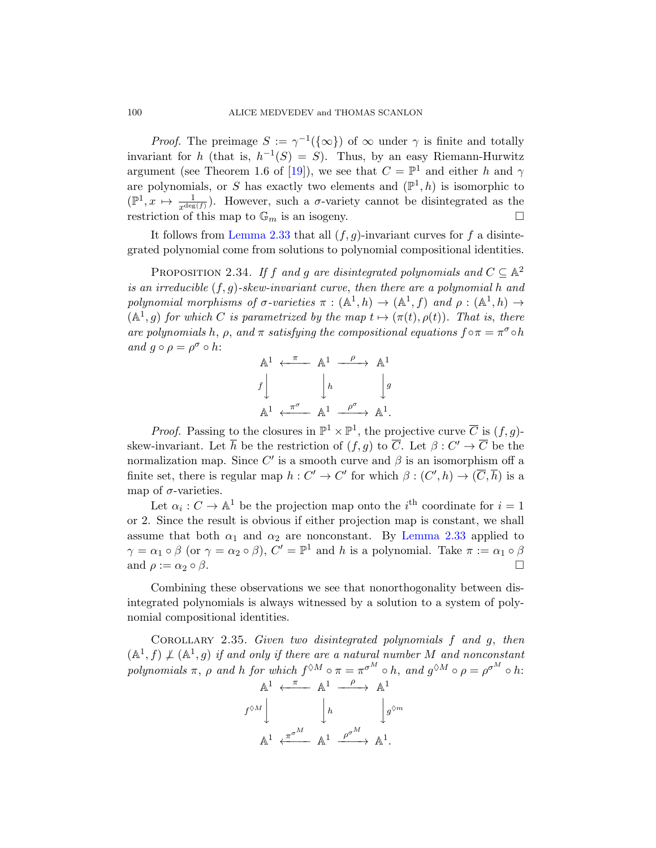<span id="page-19-0"></span>*[Proo](#page-18-1)f.* The preimage  $S := \gamma^{-1}(\{\infty\})$  of  $\infty$  under  $\gamma$  is finite and totally invariant for h (that is,  $h^{-1}(S) = S$ ). Thus, by an easy Riemann-Hurwitz argument (see Theorem 1.6 of [19]), we see that  $C = \mathbb{P}^1$  and either h and  $\gamma$ are polynomials, or S has exactly two elements and  $(\mathbb{P}^1, h)$  is isomorphic to  $(\mathbb{P}^1, x \mapsto \frac{1}{x^{\deg(f)}})$ . However, such a  $\sigma$ -variety cannot be disintegrated as the restriction of this map to  $\mathbb{G}_m$  is an isogeny.

It follows from Lemma 2.33 that all  $(f, g)$ -invariant curves for f a disintegrated polynomial come from solutions to polynomial compositional identities.

PROPOSITION 2.34. If f and g are disintegrated polynomials and  $C \subseteq \mathbb{A}^2$ is an irreducible  $(f, g)$ -skew-invariant curve, then there are a polynomial h and polynomial morphisms of  $\sigma$ -varieties  $\pi : (\mathbb{A}^1, h) \to (\mathbb{A}^1, f)$  and  $\rho : (\mathbb{A}^1, h) \to$  $(A<sup>1</sup>, g)$  for which C is parametrized by the map  $t \mapsto (\pi(t), \rho(t))$ . That is, there are polynomials h,  $\rho$ , and  $\pi$  satisfying the compositional equations  $f \circ \pi = \pi^{\sigma} \circ h$ and  $g \circ \rho = \rho^{\sigma} \circ h$ :

$$
\begin{array}{ccc}\n\mathbb{A}^1 & \xleftarrow{\pi} & \mathbb{A}^1 & \xrightarrow{\rho} & \mathbb{A}^1 \\
f \downarrow & & \downarrow{h} & & \downarrow{g} \\
\mathbb{A}^1 & \xleftarrow{\pi^{\sigma}} & \mathbb{A}^1 & \xrightarrow{\rho^{\sigma}} & \mathbb{A}^1.\n\end{array}
$$

*Proof.* Passing to the closures in  $\mathbb{P}^1 \times \mathbb{P}^1$ , the projective curve  $\overline{C}$  is  $(f, g)$ -skew-invariant.Let  $\overline{h}$  be the restriction of  $(f, g)$  to  $\overline{C}$ . Let  $\beta : C' \to \overline{C}$  be the normalization map. Since  $C'$  is a smooth curve and  $\beta$  is an isomorphism off a finite set, there is regular map  $h: C' \to C'$  for which  $\beta: (C', h) \to (\overline{C}, \overline{h})$  is a map of  $\sigma$ -varieties.

Let  $\alpha_i : C \to \mathbb{A}^1$  be the projection map onto the  $i^{\text{th}}$  coordinate for  $i = 1$ or 2. Since the result is obvious if either projection map is constant, we shall assume that both  $\alpha_1$  and  $\alpha_2$  are nonconstant. By Lemma 2.33 applied to  $\gamma = \alpha_1 \circ \beta$  (or  $\gamma = \alpha_2 \circ \beta$ ),  $C' = \mathbb{P}^1$  and h is a polynomial. Take  $\pi := \alpha_1 \circ \beta$ and  $\rho := \alpha_2 \circ \beta$ .

Combining these observations we see that nonorthogonality between disintegrated polynomials is always witnessed by a solution to a system of polynomial compositional identities.

COROLLARY 2.35. Given two disintegrated polynomials  $f$  and  $g$ , then  $(A<sup>1</sup>, f) \nperp (A<sup>1</sup>, g)$  if and only if there are a natural number M and nonconstant polynomials  $\pi$ ,  $\rho$  and  $h$  for which  $f^{\Diamond M} \circ \pi = \pi^{\sigma^M} \circ h$ , and  $g^{\Diamond M} \circ \rho = \rho^{\sigma^M} \circ h$ :  $\mathbb{A}^1 \leftarrow \mathbb{\overline{A}}^1 \leftarrow \mathbb{A}^1$ 

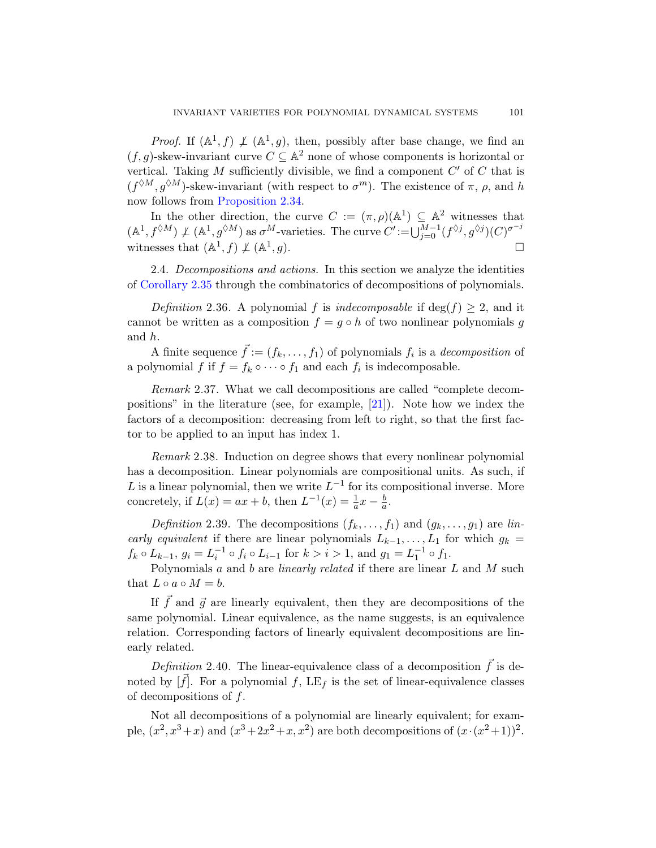<span id="page-20-0"></span>*Proof.* If  $(A^1, f) \not\perp (A^1, g)$ , then, possibly after base change, we find an  $(f, g)$ -skew-invariant curve  $C \subseteq \mathbb{A}^2$  none of whose components is horizontal or vertical. Taking  $M$  sufficiently divisible, we find a component  $C'$  of  $C$  that is  $(f^{\lozenge M}, g^{\lozenge M})$ -skew-invariant (with respect to  $\sigma^m$ ). The existence of  $\pi$ ,  $\rho$ , and h now follows from Proposition 2.34.

In the other direction, the curve  $C := (\pi, \rho)(\mathbb{A}^1) \subseteq \mathbb{A}^2$  witnesses that  $(\mathbb{A}^1, f^{\lozenge M}) \nperp (\mathbb{A}^1, g^{\lozenge M})$  as  $\sigma^M$ -varieties. The curve  $C' := \bigcup_{j=0}^{M-1} (f^{\lozenge j}, g^{\lozenge j})(C)^{\sigma^{-j}}$ witnesses that  $(\mathbb{A}^1, f) \not\perp (\mathbb{A}^1)$  $, g$ ).

2.4. Decompositions and actions. In this section we analyze the identities of Corollary 2.35 through the combinatorics of decompositions of polynomials.

Definition 2.36. A [poly](#page-96-0)nomial f is indecomposable if deg(f)  $\geq$  2, and it cannot be written as a composition  $f = g \circ h$  of two nonlinear polynomials g and h.

A finite sequence  $\vec{f} := (f_k, \ldots, f_1)$  of polynomials  $f_i$  is a *decomposition* of a polynomial f if  $f = f_k \circ \cdots \circ f_1$  and each  $f_i$  is indecomposable.

Remark 2.37. What we call decompositions are called "complete decompositions" in the literature (see, for example, [21]). Note how we index the factors of a decomposition: decreasing from left to right, so that the first factor to be applied to an input has index 1.

Remark 2.38. Induction on degree shows that every nonlinear polynomial has a decomposition. Linear polynomials are compositional units. As such, if L is a linear polynomial, then we write  $L^{-1}$  for its compositional inverse. More concretely, if  $L(x) = ax + b$ , then  $L^{-1}(x) = \frac{1}{a}x - \frac{b}{a}$  $\frac{b}{a}$ .

Definition 2.39. The decompositions  $(f_k, \ldots, f_1)$  and  $(g_k, \ldots, g_1)$  are linearly equivalent if there are linear polynomials  $L_{k-1}, \ldots, L_1$  for which  $g_k =$  $f_k \circ L_{k-1}, g_i = L_i^{-1} \circ f_i \circ L_{i-1}$  for  $k > i > 1$ , and  $g_1 = L_1^{-1} \circ f_1$ .

Polynomials  $a$  and  $b$  are *linearly related* if there are linear  $L$  and  $M$  such that  $L \circ a \circ M = b$ .

If  $\vec{f}$  and  $\vec{g}$  are linearly equivalent, then they are decompositions of the same polynomial. Linear equivalence, as the name suggests, is an equivalence relation. Corresponding factors of linearly equivalent decompositions are linearly related.

Definition 2.40. The linear-equivalence class of a decomposition  $\vec{f}$  is denoted by  $[f]$ . For a polynomial f,  $LE<sub>f</sub>$  is the set of linear-equivalence classes of decompositions of f.

Not all decompositions of a polynomial are linearly equivalent; for example,  $(x^2, x^3+x)$  and  $(x^3+2x^2+x, x^2)$  are both decompositions of  $(x \cdot (x^2+1))^2$ .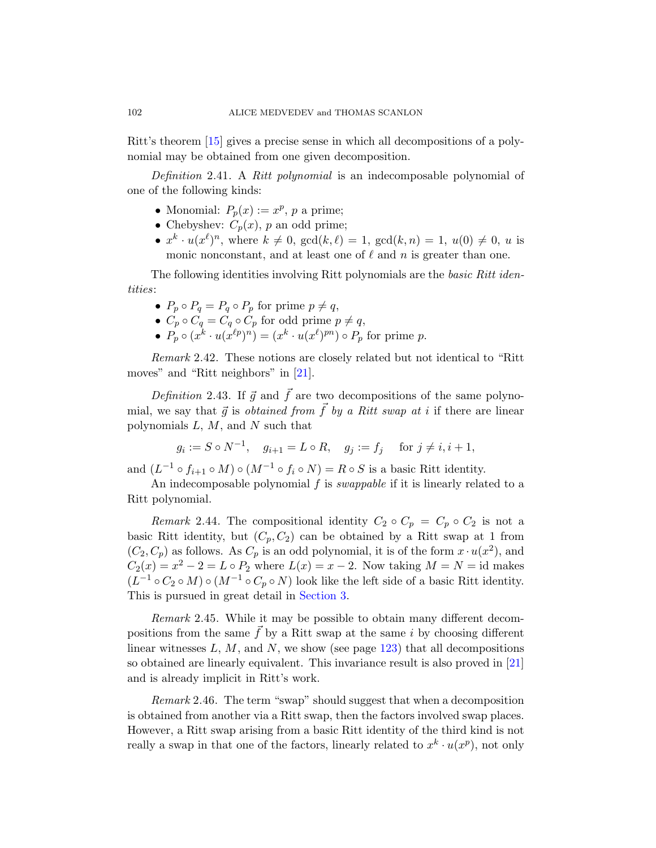Ritt's theorem [15] gives a precise sense in which all decompositions of a polynomial may be obtained from one given decomposition.

Definition 2.41. A Ritt polynomial is an indecomposable polynomial of one of the following kinds:

- Monomial:  $P_p(x) := x^p$ , p a prime;
- Chebyshev:  $C_p(x)$ , p an odd prime;
- $x^k \cdot u(x^{\ell})^n$ , where  $k \neq 0$ ,  $gcd(k, \ell) = 1$ ,  $gcd(k, n) = 1$ ,  $u(0) \neq 0$ , u is monic nonconstant, and at least one of  $\ell$  and n is greater than one.

Thef[ollo](#page-96-0)wing identities involving Ritt polynomials are the *basic Ritt iden*tities:

- $P_p \circ P_q = P_q \circ P_p$  for prime  $p \neq q$ ,
- $C_p \circ C_q = C_q \circ C_p$  for odd prime  $p \neq q$ ,
- $P_p \circ (x^k \cdot u(x^{\ell p})^n) = (x^k \cdot u(x^{\ell})^{pn}) \circ P_p$  for prime p.

Remark 2.42. These notions are closely related but not identical to "Ritt moves" and "Ritt neighbors" in [21].

Definition 2.43. If  $\vec{g}$  and  $\vec{f}$  are two decompositions of the same polynomial, we say that  $\vec{g}$  is *obtained from*  $\vec{f}$  by a Ritt swap at i if there are linear polynomials  $L, M$ , and  $N$  such that

$$
g_i := S \circ N^{-1}, \quad g_{i+1} = L \circ R, \quad g_j := f_j \quad \text{ for } j \neq i, i+1,
$$

and  $(L^{-1} \circ f_{i+1} \circ M) \circ (M^{-1} \circ f_i \circ N) = R \circ S$  is a basic Ritt identity.

An indecomposable polynomial  $f$  is *swappable* if it is linearly related to a Ritt polyn[omial.](#page-32-0)

<span id="page-21-0"></span>Remark 2.44. The compositional identity  $C_2 \circ C_p = C_p \circ C_2$  is not a basic Ritt identity, but  $(C_p, C_2)$  can be obtained by a Ritt swap at 1 from  $(C_2, C_p)$  as follows. As  $C_p$  [is an](#page-42-0) odd polynomial, it is of the form  $x \cdot u(x^2)$ , and  $C_2(x) = x^2 - 2 = L \circ P_2$  where  $L(x) = x - 2$ . Now [tak](#page-96-0)ing  $M = N = id$  makes  $(L^{-1} \circ C_2 \circ M) \circ (M^{-1} \circ C_p \circ N)$  look like the left side of a basic Ritt identity. This is pursued in great detail in Section 3.

Remark 2.45. While it may be possible to obtain many different decompositions from the same  $\vec{f}$  by a Ritt swap at the same i by choosing different linear witnesses  $L, M$ , and  $N$ , we show (see page 123) that all decompositions so obtained are linearly equivalent. This invariance result is also proved in [21] and is already implicit in Ritt's work.

Remark 2.46. The term "swap" should suggest that when a decomposition is obtained from another via a Ritt swap, then the factors involved swap places. However, a Ritt swap arising from a basic Ritt identity of the third kind is not really a swap in that one of the factors, linearly related to  $x^k \cdot u(x^p)$ , not only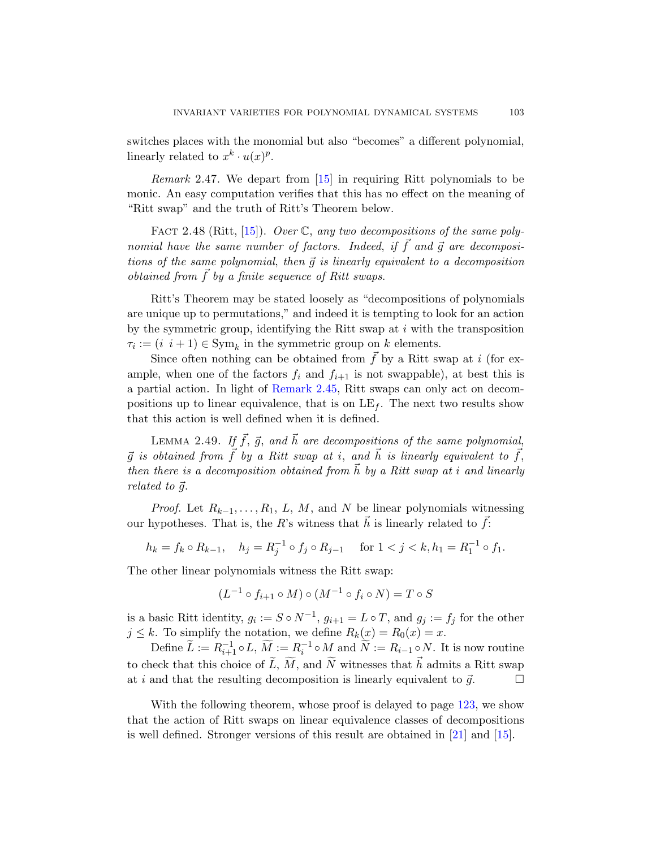[sw](#page-96-3)itches places with the monomial but also "becomes" a different polynomial, linearly related to  $x^k \cdot u(x)^p$ .

Remark 2.47. We depart from [15] in requiring Ritt polynomials to be monic. An easy computation verifies that this has no effect on the meaning of "Ritt swap" and the truth of Ritt's Theorem below.

FACT 2.48 (Ritt, [15]). Over  $\mathbb C$ , any two decompositions of the same polynomial have the same number of factors. Indeed, if  $\vec{f}$  and  $\vec{g}$  are decompositions of the same polynomial, then  $\vec{q}$  is linearly equivalent to a decomposition obtained from  $\tilde{f}$  by a finite sequence of Ritt swaps.

[Ritt's Theorem](#page-21-0) may be stated loosely as "decompositions of polynomials are unique up to permutations," and indeed it is tempting to look for an action by the symmetric group, identifying the Ritt swap at  $i$  with the transposition  $\tau_i := (i \, i+1) \in \text{Sym}_k$  in the symmetric group on k elements.

Since often nothing can be obtained from  $\overrightarrow{f}$  by a Ritt swap at i (for example, when one of the factors  $f_i$  and  $f_{i+1}$  is not swappable), at best this is a partial action. In light of Remark 2.45, Ritt swaps can only act on decompositions up to linear equivalence, that is on  $LE_f$ . The next two results show that this action is well defined when it is defined.

LEMMA 2.49. If  $\vec{f}$ ,  $\vec{g}$ , and  $\vec{h}$  are decompositions of the same polynomial,  $\vec{q}$  is obtained from  $\vec{f}$  by a Ritt swap at i, and  $\vec{h}$  is linearly equivalent to  $\vec{f}$ , then there is a decomposition obtained from  $\vec{h}$  by a Ritt swap at i and linearly related to  $\vec{q}$ .

*Proof.* Let  $R_{k-1}, \ldots, R_1, L, M$ , and N be linear polynomials witnessing our hypotheses. That is, the R's witness that  $\vec{h}$  is linearly related to  $\vec{f}$ :

$$
h_k = f_k \circ R_{k-1}, \quad h_j = R_j^{-1} \circ f_j \circ R_{j-1} \quad \text{ for } 1 < j < k, h_1 = R_1^{-1} \circ f_1.
$$

The other linear polynomials witness the Ritt swap:

$$
(L^{-1} \circ f_{i+1} \circ M) \circ (M^{-1} \circ f_i \circ N) = T \circ S
$$

is a basic Ritt identity,  $g_i := S \circ N^{-1}$  $g_i := S \circ N^{-1}$  $g_i := S \circ N^{-1}$ ,  $g_{i+1} = L \circ T$ , and  $g_j := f_j$  for the other  $j \leq k$ . To simplify the notation, we define  $R_k(x) = R_0(x) = x$ .

Define  $\widetilde{L} := R_{i+1}^{-1} \circ L, \, \widetilde{M} := R_i^{-1} \circ M$  $\widetilde{L} := R_{i+1}^{-1} \circ L, \, \widetilde{M} := R_i^{-1} \circ M$  $\widetilde{L} := R_{i+1}^{-1} \circ L, \, \widetilde{M} := R_i^{-1} \circ M$  [an](#page-96-0)d  $\widetilde{N} := R_{i-1} \circ N$ . It is now routine to check that this choice of  $\widetilde{L}$ ,  $\widetilde{M}$ , and  $\widetilde{N}$  witnesses that  $\vec{h}$  admits a Ritt swap at i and that the resulting decomposition is linearly equivalent to  $\vec{g}$ .

With the following theorem, whose proof is delayed to page  $123$ , we show that the action of Ritt swaps on linear equivalence classes of decompositions is well defined. Stronger versions of this result are obtained in [21] and [15].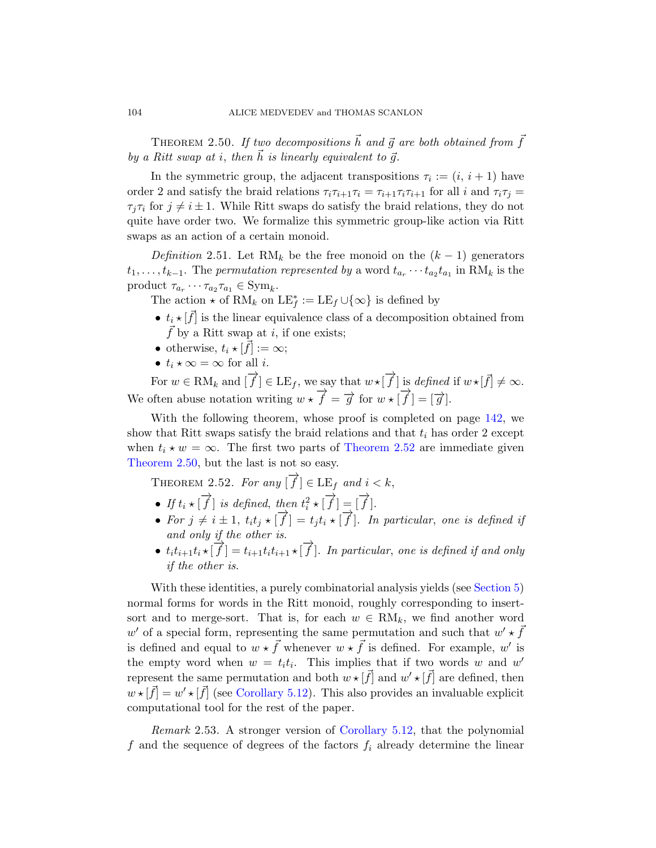<span id="page-23-1"></span>THEOREM 2.50. If two decompositions  $\vec{h}$  and  $\vec{g}$  are both obtained from  $\vec{f}$ by a Ritt swap at i, then  $\vec{h}$  is linearly equivalent to  $\vec{q}$ .

In the symmetric group, the adjacent transpositions  $\tau_i := (i, i + 1)$  have order 2 and satisfy the braid relations  $\tau_i \tau_{i+1} \tau_i = \tau_{i+1} \tau_i \tau_{i+1}$  for all i and  $\tau_i \tau_j =$  $\tau_i \tau_i$  for  $j \neq i \pm 1$ . While Ritt swaps do satisfy the braid relations, they do not quite have order two. We formalize this symmetric group-like action via Ritt swaps as an action of a certain monoid.

Definition 2.51. Let RM<sub>k</sub> be the free monoid on the  $(k-1)$  generators  $t_1, \ldots, t_{k-1}$ . The permutation represented by a word  $t_{a_r} \cdots t_{a_2} t_{a_1}$  in  $\text{RM}_k$  is the product  $\tau_{a_r} \cdots \tau_{a_2} \tau_{a_1} \in \text{Sym}_k$ .

The action  $\star$  of RM<sub>k</sub> on  $LE_f^* := LE_f \cup \{\infty\}$  is defined by

- $t_i \star [\vec{f}]$  is the linear equivalence class of [a de](#page-60-1)composition obtained from  $f$  by a Ritt swap at i, if one exists;
- otherwise,  $t_i \star [\vec{f}] := \infty;$
- $t_i \star \infty = \infty$  [for all](#page-23-0) *i*.

<span id="page-23-0"></span>For  $w \in \text{RM}_k$  and  $[\overrightarrow{f}] \in \text{LE}_f$ , we say that  $w \star [\overrightarrow{f}]$  is defined if  $w \star [\overrightarrow{f}] \neq \infty$ . We often abuse notation writing  $w \star \vec{f} = \vec{g}$  for  $w \star [\vec{f}] = [\vec{g}]$ .

With the following theorem, whose proof is completed on page 142, we show that Ritt swaps satisfy the braid relations and that  $t_i$  has order 2 except when  $t_i \star w = \infty$ . The first two parts of Theorem 2.52 are immediate given Theorem 2.50, but the last is not so easy.

THEOREM 2.52. For any  $[\overrightarrow{f}] \in \text{LE}_f$  and  $i < k$ ,

- If  $t_i \star [\overrightarrow{f}]$  is defined, then  $t_i^2 \star [\overrightarrow{f}] = [\overrightarrow{f}].$
- For  $j \neq i \pm 1$ ,  $t_i t_j \star [\overrightarrow{f}] = t_j t_i \star [\overrightarrow{f}]$ . In particular, one is defined if and only if the other is.
- $t_i t_{i+1} t_i \star [\overrightarrow{f}] = t_{i+1} t_i t_{i+1} \star [\overrightarrow{f}]$ . In particular, one is defined if and only if the other is.

With these identities, a purely combinatorial analysis yields (see Section 5) [normal forms](#page-66-0) for words in the Ritt monoid, roughly corresponding to insertsort and to merge-sort. That is, for each  $w \in RM_k$ , we find another word w' of a special for[m, representing](#page-66-0) the same permutation and such that  $w' \star \bar{f}$ is defined and equal to  $w \star \vec{f}$  whenever  $w \star \vec{f}$  is defined. For example, w' is the empty word when  $w = t_i t_i$ . This implies that if two words w and w' represent the same permutation and both  $w \star [\vec{f}]$  and  $w' \star [\vec{f}]$  are defined, then  $w \star [\vec{f}] = w' \star [\vec{f}]$  (see Corollary 5.12). This also provides an invaluable explicit computational tool for the rest of the paper.

Remark 2.53. A stronger version of Corollary 5.12, that the polynomial f and the sequence of degrees of the factors  $f_i$  already determine the linear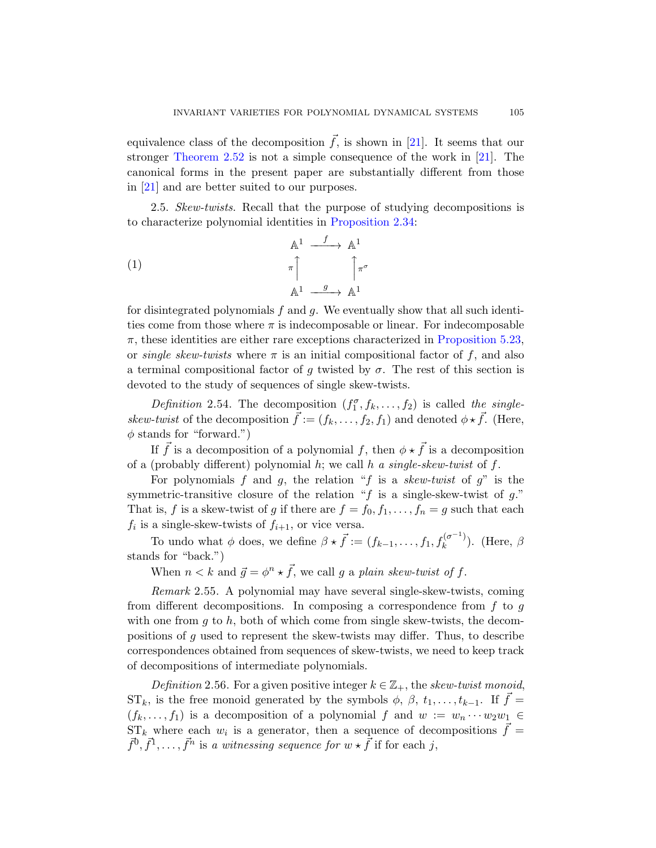equivalence class of the decomposition  $\vec{f}$ , is shown in [21]. It seems that our stronger Theorem 2.52 is not a simple consequence of the work in [21]. The canonical forms in the present paper are substantially different from those in [21] and are better suited to our purposes.

2.5. Skew-twists. Recall that the purpose of studying decompositions is to characterize polynomial identities in Proposition 2.34:

(1)  
\n
$$
\begin{array}{ccc}\n & \mathbb{A}^{1} & \xrightarrow{f} & \mathbb{A}^{1} \\
 & \pi & & \pi \\
 & \mathbb{A}^{1} & \xrightarrow{g} & \mathbb{A}^{1}\n\end{array}
$$

for disintegrated polynomials  $f$  and  $g$ . We eventually show that all such identities come from those where  $\pi$  is indecomposable or linear. For indecomposable  $\pi$ , these identities are either rare exceptions characterized in Proposition 5.23, or *single skew-twists* where  $\pi$  is an initial compositional factor of f, and also a terminal compositional factor of g twisted by  $\sigma$ . The rest of this section is devoted to the study of sequences of single skew-twists.

Definition 2.54. The decomposition  $(f_1^{\sigma}, f_k, \ldots, f_2)$  is called the singleskew-twist of the decomposition  $\vec{f} := (f_k, \ldots, f_2, f_1)$  and denoted  $\phi * \vec{f}$ . (Here,  $\phi$  stands for "forward.")

If  $\vec{f}$  is a decomposition of a polynomial f, then  $\phi \star \vec{f}$  is a decomposition of a (probably different) polynomial  $h$ ; we call  $h$  a single-skew-twist of  $f$ .

For polynomials f and g, the relation "f is a skew-twist of  $g$ " is the symmetric-transitive closure of the relation " $f$  is a single-skew-twist of  $g$ ." That is, f is a skew-twist of g if there are  $f = f_0, f_1, \ldots, f_n = g$  such that each  $f_i$  is a single-skew-twists of  $f_{i+1}$ , or vice versa.

To undo what  $\phi$  does, we define  $\beta \star \vec{f} := (f_{k-1}, \ldots, f_1, f_k^{(\sigma^{-1})})$  $\binom{0}{k}$ ). (Here,  $\beta$ stands for "back.")

When  $n < k$  and  $\vec{g} = \phi^n \star \vec{f}$ , we call g a plain skew-twist of f.

Remark 2.55. A polynomial may have several single-skew-twists, coming from different decompositions. In composing a correspondence from  $f$  to  $g$ with one from q to h, both of which come from single skew-twists, the decompositions of g used to represent the skew-twists may differ. Thus, to describe correspondences obtained from sequences of skew-twists, we need to keep track of decompositions of intermediate polynomials.

Definition 2.56. For a given positive integer  $k \in \mathbb{Z}_+$ , the skew-twist monoid,  $ST_k$ , is the free monoid generated by the symbols  $\phi$ ,  $\beta$ ,  $t_1, \ldots, t_{k-1}$ . If  $\vec{f} =$  $(f_k, \ldots, f_1)$  is a decomposition of a polynomial f and  $w := w_n \cdots w_2 w_1 \in$  $ST_k$  where each  $w_i$  is a generator, then a sequence of decompositions  $\vec{f} =$  $\vec{f}^0, \vec{f}^1, \ldots, \vec{f}^n$  is a witnessing sequence for  $w \star \vec{f}$  if for each j,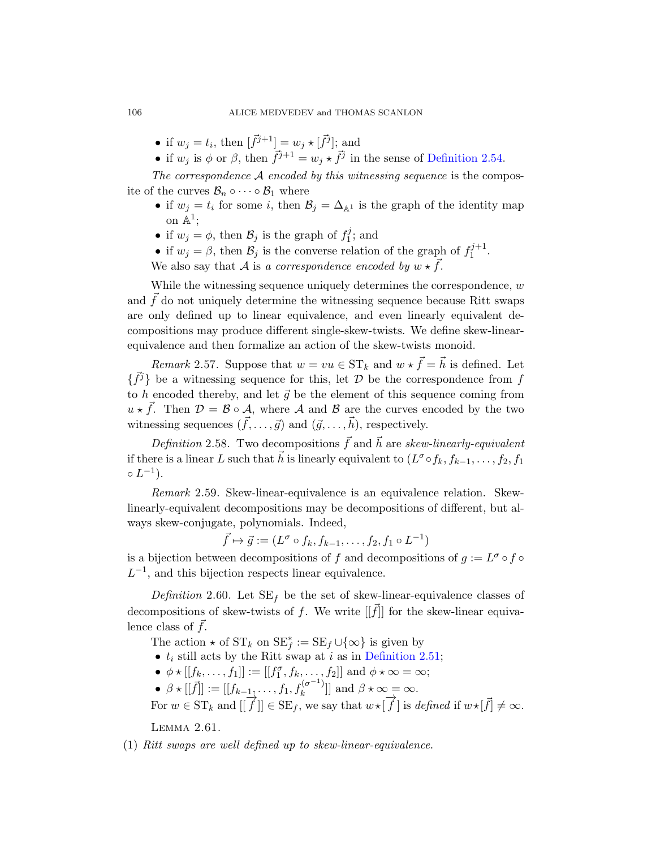- if  $w_j = t_i$ , then  $[\vec{f}^{j+1}] = w_j \star [\vec{f}^j]$ ; and
- if  $w_j$  is  $\phi$  or  $\beta$ , then  $\vec{f}^{j+1} = w_j \star \vec{f}^j$  in the sense of Definition 2.54.

The correspondence  $A$  encoded by this witnessing sequence is the composite of the curves  $\mathcal{B}_n \circ \cdots \circ \mathcal{B}_1$  where

- if  $w_j = t_i$  for some i, then  $\mathcal{B}_j = \Delta_{\mathbb{A}^1}$  is the graph of the identity map on  $\mathbb{A}^1$ ;
- if  $w_j = \phi$ , then  $\mathcal{B}_j$  is the graph of  $f_1^j$  $t_1^j$ ; and
- if  $w_j = \beta$ , then  $\mathcal{B}_j$  is the converse relation of the graph of  $f_1^{j+1}$ . $1^{j+1}$ .

We also say that A is a correspondence encoded by  $w \star \vec{f}$ .

While the witnessing sequence uniquely determines the correspondence,  $w$ and  $\vec{f}$  do not uniquely determine the witnessing sequence because Ritt swaps are only defined up to linear equivalence, and even linearly equivalent decompositions may produce different single-skew-twists. We define skew-linearequivalence and then formalize an action of the skew-twists monoid.

*Remark* 2.57. Suppose that  $w = vu \in ST_k$  and  $w * \vec{f} = \vec{h}$  is defined. Let  $\{\vec{f}^j\}$  be a witnessing sequence for this, let  $\mathcal D$  be the correspondence from f to h encoded thereby, and let  $\vec{g}$  be the element of this sequence coming from  $u \star \vec{f}$ . Then  $\mathcal{D} = \mathcal{B} \circ \mathcal{A}$ , where  $\mathcal{A}$  and  $\mathcal{B}$  are the curves encoded by the two witnessing sequences  $({\vec f}, \ldots, {\vec g})$  and  $({\vec g}, \ldots, {\vec h})$ , respectively.

Definition 2.58. Two decompositions  $\vec{f}$  and  $\vec{h}$  are skew-linearly-equivalent if there is a linear L such that  $\vec{h}$  is linearly equivalent to  $(L^{\sigma} \circ f_k, f_{k-1}, \ldots, f_2, f_1)$  $\circ L^{-1}$ ).

Remark 2.59. Skew-linear-equivalence is an equivalence relation. Skewlinearly-equivalent decompositions may be decompositions of different, but always skew-conjugate, polynomials. Indeed,

 $\vec{f} \mapsto \vec{g} := (L^{\sigma} \circ f_k, f_{k-1}, \dots, f_2, f_1 \circ L^{-1})$ 

is a bijection between [decompositions o](#page-23-1)f f and decompositions of  $g := L^{\sigma} \circ f \circ$  $L^{-1}$ , and this bijection respects linear equivalence.

Definition 2.60. Let  $SE_f$  be the set of skew-linear-equivalence classes of decompositions of skew-twists of f. We write  $[[\vec{f}]]$  for the skew-linear equivalence class of  $f$ .

The action  $\star$  of  $ST_k$  on  $SE_f^* := SE_f \cup \{\infty\}$  is given by

- $t_i$  still acts by the Ritt swap at i as in Definition 2.51;
- $\phi \star [[f_k, \ldots, f_1]] := [[f_1^{\sigma}, f_k, \ldots, f_2]]$  and  $\phi \star \infty = \infty$ ;
- $\beta \star [[\vec{f}]] := [[f_{k-1}, \ldots, f_1, f_k^{(\sigma^{-1})}]$  $\left[\begin{matrix} k^{(\sigma)} \\ k \end{matrix}\right]$  and  $\beta \star \infty = \infty$ .

For  $w \in ST_k$  and  $[[\overrightarrow{f}]] \in SE_f$ , we say that  $w \star [\overrightarrow{f}]$  is defined if  $w \star [\overrightarrow{f}] \neq \infty$ .

Lemma 2.61.

(1) Ritt swaps are well defined up to skew-linear-equivalence.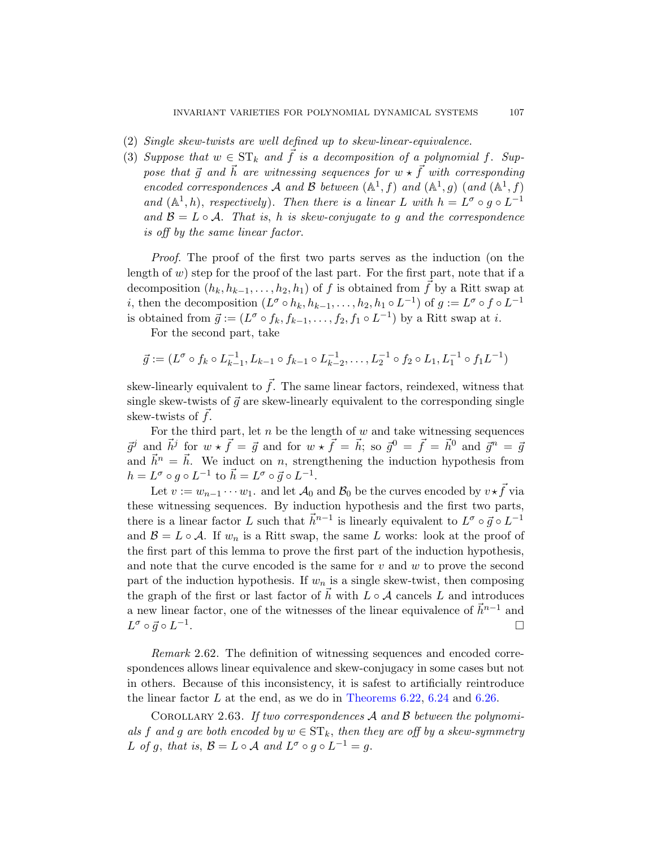- (2) Single skew-twists are well defined up to skew-linear-equivalence.
- (3) Suppose that  $w \in ST_k$  and  $\overline{f}$  is a decomposition of a polynomial f. Suppose that  $\vec{q}$  and  $\vec{h}$  are witnessing sequences for  $w \star \vec{f}$  with corresponding encoded correspondences A and B between  $(A^1, f)$  and  $(A^1, g)$  (and  $(A^1, f)$ ) and  $(\mathbb{A}^1, h)$ , respectively). Then there is a linear L with  $h = L^{\sigma} \circ g \circ L^{-1}$ and  $\mathcal{B} = L \circ \mathcal{A}$ . That is, h is skew-conjugate to g and the correspondence is off by the same linear factor.

Proof. The proof of the first two parts serves as the induction (on the length of  $w$ ) step for the proof of the last part. For the first part, note that if a decomposition  $(h_k, h_{k-1}, \ldots, h_2, h_1)$  of f is obtained from f by a Ritt swap at *i*, then the decomposition  $(L^{\sigma} \circ h_k, h_{k-1}, \ldots, h_2, h_1 \circ L^{-1})$  of  $g := L^{\sigma} \circ f \circ L^{-1}$ is obtained from  $\vec{g} := (L^{\sigma} \circ f_k, f_{k-1}, \ldots, f_2, f_1 \circ L^{-1})$  by a Ritt swap at *i*.

For the second part, take

$$
\vec{g} := (L^{\sigma} \circ f_k \circ L_{k-1}^{-1}, L_{k-1} \circ f_{k-1} \circ L_{k-2}^{-1}, \dots, L_2^{-1} \circ f_2 \circ L_1, L_1^{-1} \circ f_1 L^{-1})
$$

skew-linearly equivalent to  $\vec{f}$ . The same linear factors, reindexed, witness that single skew-twists of  $\vec{q}$  are skew-linearly equivalent to the corresponding single skew-twists of  $f$ .

For the third part, let  $n$  be the length of  $w$  and take witnessing sequences  $\vec{g}^j$  and  $\vec{h}^j$  for  $w \star \vec{f} = \vec{g}$  and for  $w \star \vec{f} = \vec{h}$ ; so  $\vec{g}^0 = \vec{f} = \vec{h}^0$  and  $\vec{g}^n = \vec{g}$ and  $\vec{h}^n = \vec{h}$ . We induct on n, strengthening the induction hypothesis from  $h = L^{\sigma} \circ g \circ L^{-1}$  to  $\vec{h} = L^{\sigma} \circ \vec{g} \circ L^{-1}$ .

Let  $v := w_{n-1} \cdots w_1$ . and let  $\mathcal{A}_0$  and  $\mathcal{B}_0$  be the curves encoded by  $v \star \vec{f}$  via these witnessing sequences. By induction hypothesis and the first two parts, there is a linear factor L such that  $\vec{h}^{n-1}$  is linearly equivalent to  $L^{\sigma} \circ \vec{g} \circ L^{-1}$ and  $\mathcal{B} = L \circ \mathcal{A}$ . If  $w_n$  is a Ritt swap, the same L works: look at the proof of the first part of this lemma to prove the first part of the induction hypothesis, and note that the curve encoded is the same for  $v$  and  $w$  to prove the second part of the induction hypothesis. If  $w_n$  is a single skew-twist, then composing the graph of the first or last factor of  $\vec{h}$  with  $L \circ A$  cancels L and introduces a new linear factor, [one of the witn](#page-83-0)[esses](#page-84-0) of t[he lin](#page-85-0)ear equivalence of  $\vec{h}^{n-1}$  and  $L^{\sigma} \circ \vec{g} \circ L^{-1}$ . В последните последните последните последните последните последните последните последните последните последн<br>В 1990 година от селото на селото на селото на селото на селото на селото на селото на селото на селото на сел

Remark 2.62. The definition of witnessing sequences and encoded correspondences allows linear equivalence and skew-conjugacy in some cases but not in others. Because of this inconsistency, it is safest to artificially reintroduce the linear factor  $L$  at the end, as we do in Theorems 6.22, 6.24 and 6.26.

COROLLARY 2.63. If two correspondences A and B between the polynomials f and g are both encoded by  $w \in ST_k$ , then they are off by a skew-symmetry L of g, that is,  $\mathcal{B} = L \circ \mathcal{A}$  and  $L^{\sigma} \circ g \circ L^{-1} = g$ .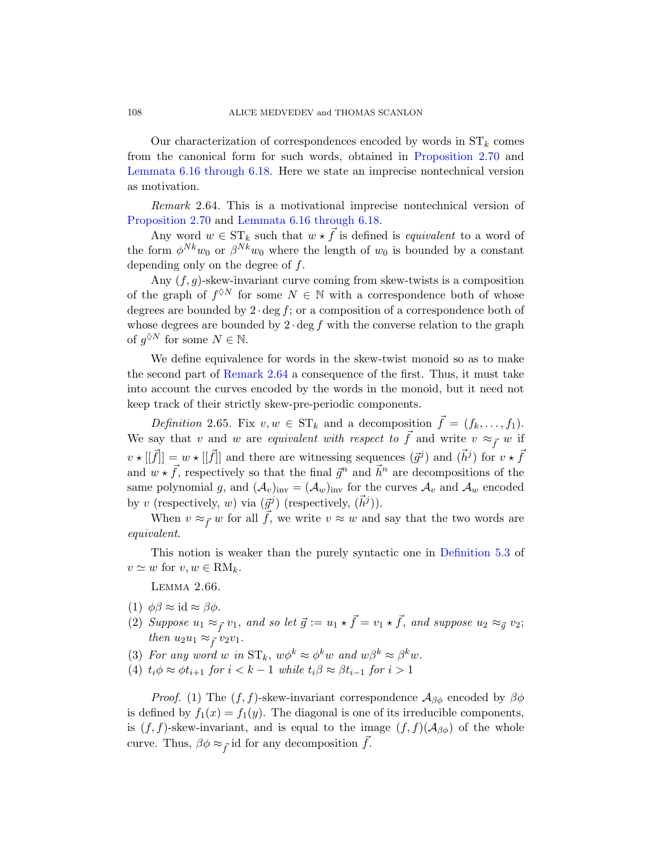Our characterization of correspondences encoded by words in  $ST_k$  comes from the canonical form for such words, obtained in Proposition 2.70 and Lemmata 6.16 through 6.18. Here we state an imprecise nontechnical version as motivation.

Remark 2.64. This is a motivational imprecise nontechnical version of Proposition 2.70 and Lemmata 6.16 through 6.18.

Any word  $w \in ST_k$  such that  $w \star \vec{f}$  is defined is *equivalent* to a word of the form  $\phi^{Nk}w_0$  or  $\beta^{Nk}w_0$  where the length of  $w_0$  is bounded by a constant depending only on the degree of  $f$ .

[Any](#page-27-0)  $(f, g)$ -skew-invariant curve coming from skew-twists is a composition of the graph of  $f^{\lozenge N}$  for some  $N \in \mathbb{N}$  with a correspondence both of whose degrees are bounded by  $2 \cdot \deg f$ ; or a composition of a correspondence both of whose degrees are bounded by  $2 \cdot \deg f$  with the converse relation to the graph of  $g^{\lozenge N}$  for some  $N \in \mathbb{N}$ .

We define equivalence for words in the skew-twist monoid so as to make the second part of Remark 2.64 a consequence of the first. Thus, it must take into account the curves encoded by the words in the monoid, but it need not keep track of their strictly skew-pre-periodic components.

Definition 2.65. Fix  $v, w \in ST_k$  and a decomposition  $\vec{f} = (f_k, \ldots, f_1)$ . We say that v and w are equivalent with respect to  $\vec{f}$  and write  $v \approx_{\vec{f}} w$  if  $v \star [[\vec{f}]]=w \star [[\vec{f}]]$  and there are wit[nessing sequenc](#page-63-0)es  $(\vec{g}^j)$  and  $(\vec{h}^j)$  for  $v \star \vec{f}$ and  $w \star \vec{f}$ , respectively so that the final  $\vec{g}^n$  and  $\vec{h}^n$  are decompositions of the same polynomial g, and  $(\mathcal{A}_v)_{inv} = (\mathcal{A}_w)_{inv}$  for the curves  $\mathcal{A}_v$  and  $\mathcal{A}_w$  encoded by v (respectively, w) via  $(\vec{g}^j)$  (respectively,  $(\vec{h}^j)$ ).

When  $v \approx_{\vec{f}} w$  for all f, we write  $v \approx w$  and say that the two words are equivalent.

<span id="page-27-1"></span>This notion is weaker than the purely syntactic one in Definition 5.3 of  $v \simeq w$  for  $v, w \in \text{RM}_k$ .

Lemma 2.66.

- (1)  $\phi\beta \approx \mathrm{id} \approx \beta\phi$ .
- (2) Suppose  $u_1 \approx_{\vec{f}} v_1$ , and so let  $\vec{g} := u_1 \star \vec{f} = v_1 \star \vec{f}$ , and suppose  $u_2 \approx_{\vec{g}} v_2$ ; then  $u_2u_1 \approx_{\vec{f}} v_2v_1$ .
- (3) For any word w in  $ST_k$ ,  $w\phi^k \approx \phi^k w$  and  $w\beta^k \approx \beta^k w$ .
- (4)  $t_i \phi \approx \phi t_{i+1}$  for  $i < k-1$  while  $t_i \beta \approx \beta t_{i-1}$  for  $i > 1$

*Proof.* (1) The  $(f, f)$ -skew-invariant correspondence  $\mathcal{A}_{\beta\phi}$  encoded by  $\beta\phi$ is defined by  $f_1(x) = f_1(y)$ . The diagonal is one of its irreducible components, is  $(f, f)$ -skew-invariant, and is equal to the image  $(f, f)(\mathcal{A}_{\beta\phi})$  of the whole curve. Thus,  $\beta \phi \approx_{\vec{f}}$  id for any decomposition f.

<span id="page-27-0"></span>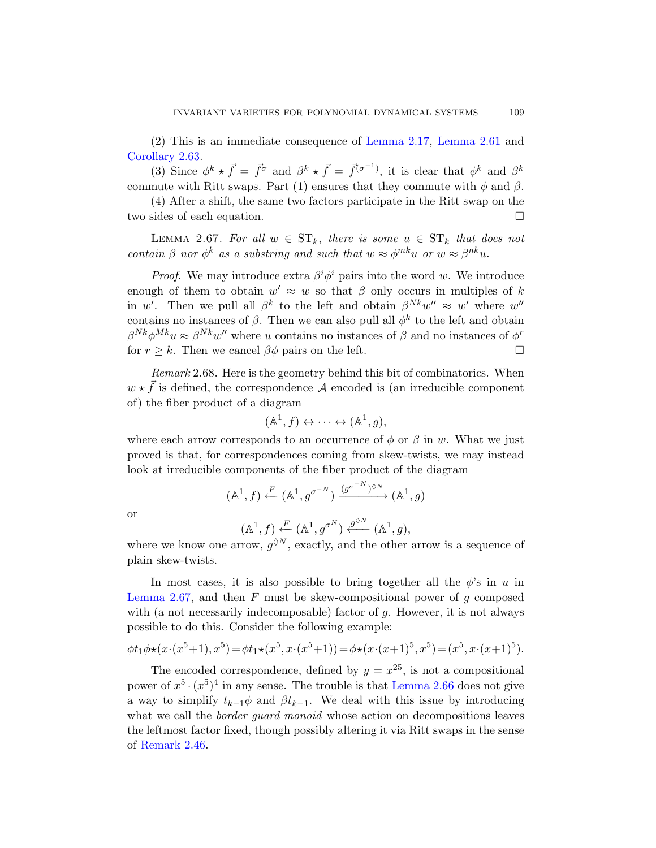(2) This is an immediate consequence of Lemma 2.17, Lemma 2.61 and Corollary 2.63.

(3) Since  $\phi^k \star \vec{f} = \vec{f}^{\sigma}$  and  $\beta^k \star \vec{f} = \vec{f}^{(\sigma^{-1})}$ , it is clear that  $\phi^k$  and  $\beta^k$ commute with Ritt swaps. Part (1) ensures that they commute with  $\phi$  and  $\beta$ .

(4) After a shift, the same two factors participate in the Ritt swap on the two sides of each equation.

LEMMA 2.67. For all  $w \in ST_k$ , there is some  $u \in ST_k$  that does not contain  $\beta$  nor  $\phi^k$  as a substring and such that  $w \approx \phi^{mk}u$  or  $w \approx \beta^{nk}u$ .

*Proof.* We may introduce extra  $\beta^i \phi^i$  pairs into the word w. We introduce enough of them to obtain  $w' \approx w$  so that  $\beta$  only occurs in multiples of k in w'. Then we pull all  $\beta^k$  to the left and obtain  $\beta^{Nk}w'' \approx w'$  where  $w''$ contains no instances of  $\beta$ . Then we can also pull all  $\phi^k$  to the left and obtain  $\beta^{Nk}\phi^{Mk}u \approx \beta^{Nk}w''$  where u contains no instances of  $\beta$  and no instances of  $\phi^r$ for  $r \geq k$ . Then we cancel  $\beta \phi$  pairs on the left.

Remark 2.68. Here is the geometry behind this bit of combinatorics. When  $w \star \vec{f}$  is defined, the correspondence A encoded is (an irreducible component of) the fiber product of a diagram

$$
(\mathbb{A}^1, f) \leftrightarrow \cdots \leftrightarrow (\mathbb{A}^1, g),
$$

where each arrow corresponds to an occurrence of  $\phi$  or  $\beta$  in w. What we just proved is that, for correspondences coming from skew-twists, we may instead look at irreducible components of the fiber product of the diagram

$$
(\mathbb{A}^1, f) \xleftarrow{F} (\mathbb{A}^1, g^{\sigma^{-N}}) \xrightarrow{(g^{\sigma^{-N}})^{\lozenge N}} (\mathbb{A}^1, g)
$$

or

$$
(\mathbb{A}^1, f) \underset{\mathbb{A} \times \mathbb{A}^1}{\leftarrow} (\mathbb{A}^1, g^{\sigma^N}) \overset{g^{\lozenge N}}{\longleftarrow} (\mathbb{A}^1, g),
$$

where we know one arrow,  $g^{\lozenge N}$ , exactly, and the other arrow is a sequence of plain skew-twists.

In most cases, it is also possible to bring together all the  $\phi$ 's in u in Lemma 2.67, and then  $F$  [must be skew-](#page-27-1)compositional power of  $q$  composed with (a not necessarily indecomposable) factor of  $g$ . However, it is not always possible to do this. Consider the following example:

$$
\phi t_1 \phi \star (x \cdot (x^5 + 1), x^5) = \phi t_1 \star (x^5, x \cdot (x^5 + 1)) = \phi \star (x \cdot (x + 1)^5, x^5) = (x^5, x \cdot (x + 1)^5).
$$

The encoded correspondence, defined by  $y = x^{25}$ , is not a compositional power of  $x^5 \cdot (x^5)^4$  in any sense. The trouble is that Lemma 2.66 does not give a way to simplify  $t_{k-1}\phi$  and  $\beta t_{k-1}$ . We deal with this issue by introducing what we call the *border guard monoid* whose action on decompositions leaves the leftmost factor fixed, though possibly altering it via Ritt swaps in the sense of Remark 2.46.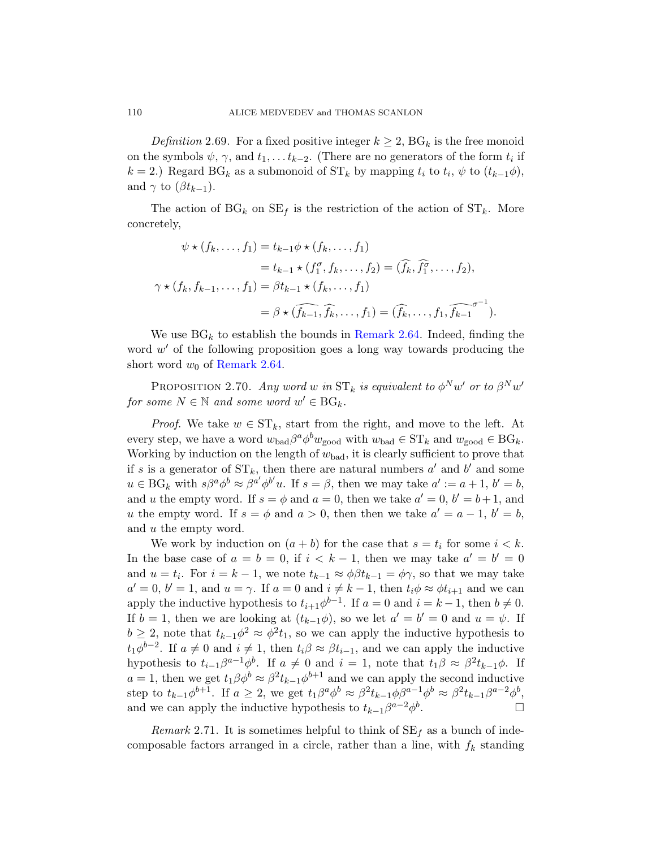Definition 2.69. For a fixed positive integer  $k \geq 2$ ,  $BG_k$  is the free monoid on the symbols  $\psi$ ,  $\gamma$ , and  $t_1, \ldots t_{k-2}$ . (There are no generators of the form  $t_i$  if  $k = 2$ .) Regard BG<sub>k</sub> as a submonoid of ST<sub>k</sub> by mapping  $t_i$  to  $t_i$ ,  $\psi$  to  $(t_{k-1}\phi)$ , and  $\gamma$  to  $(\beta t_{k-1})$ .

The action of  $BG_k$  on  $SE_f$  is the restriction of the action of  $ST_k$ . More concretely,

$$
\psi \star (f_k, \dots, f_1) = t_{k-1} \phi \star (f_k, \dots, f_1)
$$
  
=  $t_{k-1} \star (f_1^{\sigma}, f_k, \dots, f_2) = (\widehat{f}_k, \widehat{f}_1^{\sigma}, \dots, f_2),$   

$$
\gamma \star (f_k, f_{k-1}, \dots, f_1) = \beta t_{k-1} \star (f_k, \dots, f_1)
$$
  
=  $\beta \star (\widehat{f_{k-1}}, \widehat{f}_k, \dots, f_1) = (\widehat{f}_k, \dots, f_1, \widehat{f_{k-1}}^{\sigma^{-1}}).$ 

We use  $BG_k$  to establish the bounds in Remark 2.64. Indeed, finding the word  $w'$  of the following proposition goes a long way towards producing the short word  $w_0$  of Remark 2.64.

PROPOSITION 2.70. Any word w in  $\text{ST}_k$  is equivalent to  $\phi^N w'$  or to  $\beta^N w'$ for some  $N \in \mathbb{N}$  and some word  $w' \in BG_k$ .

*Proof.* We take  $w \in ST_k$ , start from the right, and move to the left. At every step, we have a word  $w_{bad}\beta^a\phi^bw_{good}$  with  $w_{bad}\in \mathrm{ST}_k$  and  $w_{good}\in \mathrm{BG}_k$ . Working by induction on the length of  $w_{bad}$ , it is clearly sufficient to prove that if s is a generator of  $ST_k$ , then there are natural numbers  $a'$  and  $b'$  and some  $u \in BG_k$  with  $s\beta^a \phi^b \approx \beta^{a'} \phi^{b'} u$ . If  $s = \beta$ , then we may take  $a' := a + 1$ ,  $b' = b$ , and u the empty word. If  $s = \phi$  and  $a = 0$ , then we take  $a' = 0$ ,  $b' = b + 1$ , and u the empty word. If  $s = \phi$  and  $a > 0$ , then then we take  $a' = a - 1$ ,  $b' = b$ , and u the empty word.

We work by induction on  $(a + b)$  for the case that  $s = t_i$  for some  $i < k$ . In the base case of  $a = b = 0$ , if  $i < k - 1$ , then we may take  $a' = b' = 0$ and  $u = t_i$ . For  $i = k - 1$ , we note  $t_{k-1} \approx \phi \beta t_{k-1} = \phi \gamma$ , so that we may take  $a' = 0, b' = 1$ , and  $u = \gamma$ . If  $a = 0$  and  $i \neq k - 1$ , then  $t_i \phi \approx \phi t_{i+1}$  and we can apply the inductive hypothesis to  $t_{i+1}\phi^{b-1}$ . If  $a=0$  and  $i=k-1$ , then  $b\neq 0$ . If  $b = 1$ , then we are looking at  $(t_{k-1}\phi)$ , so we let  $a' = b' = 0$  and  $u = \psi$ . If  $b \geq 2$ , note that  $t_{k-1} \phi^2 \approx \phi^2 t_1$ , so we can apply the inductive hypothesis to  $t_1\phi^{b-2}$ . If  $a \neq 0$  and  $i \neq 1$ , then  $t_i\beta \approx \beta t_{i-1}$ , and we can apply the inductive hypothesis to  $t_{i-1}\beta^{a-1}\phi^b$ . If  $a \neq 0$  and  $i = 1$ , note that  $t_1\beta \approx \beta^2 t_{k-1}\phi$ . If  $a = 1$ , then we get  $t_1 \beta \phi^b \approx \beta^2 t_{k-1} \phi^{b+1}$  and we can apply the second inductive step to  $t_{k-1}\phi^{b+1}$ . If  $a \geq 2$ , we get  $t_1\beta^a\phi^b \approx \beta^2 t_{k-1}\phi\beta^{a-1}\phi^b \approx \beta^2 t_{k-1}\beta^{a-2}\phi^b$ , and we can apply the inductive hypothesis to  $t_{k-1}\beta^{a-2}\phi^b$ . — Первый проста проста проста проста проста проста проста проста проста проста проста проста проста проста п<br>В 1990 году стала проста проста проста проста проста проста проста проста проста проста проста проста проста п

Remark 2.71. It is sometimes helpful to think of  $SE_f$  as a bunch of indecomposable factors arranged in a circle, rather than a line, with  $f_k$  standing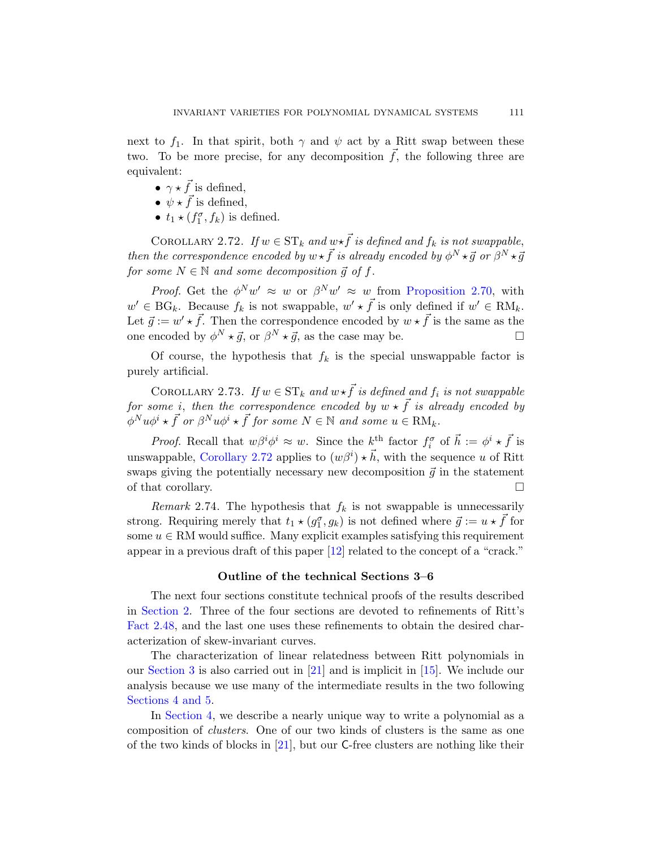<span id="page-30-0"></span>next to  $f_1$ . In that spirit, both  $\gamma$  and  $\psi$  act by a Ritt swap between these two. To be more precise, for any decomposition  $f$ , the following three are equivalent:

- $\gamma \star \vec{f}$  is defined,
- $\psi \star \vec{f}$  is defined,
- $t_1 \star (f_1^{\sigma}, f_k)$  is defined.

COROLLARY 2.72. If  $w \in ST_k$  and  $w \star \overline{f}$  is defined and  $f_k$  is not swappable, then the correspondence encoded by  $w \star \vec{f}$  is already encoded by  $\phi^N \star \vec{g}$  or  $\beta^N \star \vec{g}$ for some  $N \in \mathbb{N}$  and some decomposition  $\vec{g}$  of f.

*Proof.* Get the  $\phi^N w' \approx w$  or  $\beta^N w' \approx w$  from Proposition 2.70, with  $w' \in BG_k$ . Because  $f_k$  is not swappable,  $w' \star \vec{f}$  is only defined if  $w' \in RM_k$ . Let  $\vec{g} := w' \star \vec{f}$ . Then the correspondence encoded by  $w \star \vec{f}$  is the same as the one encoded by  $\phi^N \star \vec{g}$ , or  $\beta^N \star \vec{g}$ , as the case may be.

Of course, the hypothesis that  $f_k$  is the special unswappable factor is [purely](#page-30-0) artificial.

COROLLARY 2.73. If  $w \in ST_k$  and  $w \star \vec{f}$  is defined and  $f_i$  is not swappable for some i, then the correspondence encoded by  $w \star \vec{f}$  is already encoded by  $\phi^N u \phi^i \star \vec{f}$  or  $\beta^N u \phi^i \star \vec{f}$  for some  $N \in \mathbb{N}$  and some  $u \in \text{RM}_k$ .

*Proof.* Recall that  $w\beta^i\phi^i \approx w$ . Since the k<sup>th</sup> factor  $f_i^{\sigma}$  of  $\vec{h} := \phi^i \star \vec{f}$  is unswappable, C[orol](#page-96-2)lary 2.72 applies to  $(w\beta^i) \star \vec{h}$ , with the sequence u of Ritt swaps giving the potentially necessary new decomposition  $\vec{g}$  in the statement of that corollary.  $\Box$ 

Remark 2.74. The hypothesis that  $f_k$  is not swappable is unnecessarily strong. Requiring merely that  $t_1 \star (g_1^{\sigma}, g_k)$  is not defined where  $\vec{g} := u \star \vec{f}$  for some  $u \in \mathbb{R}M$  would suffice. Many explicit examples satisfying this requirement appear in a previous draft of this paper [12] related to the concept of a "crack."

## Outline of the [tec](#page-96-3)hnical Sections 3–6

The next four sections constitute technical proofs of the results described in Section 2. Three of the four sections are devoted to refinements of Ritt's Fact 2.48, and the last one uses these refinements to obtain the desired characterization of skew-invariant curves.

[The](#page-96-0) characterization of linear relatedness between Ritt polynomials in our Section 3 is also carried out in [21] and is implicit in [15]. We include our analysis because we use many of the intermediate results in the two following Sections 4 and 5.

In Section 4, we describe a nearly unique way to write a polynomial as a composition of clusters. One of our two kinds of clusters is the same as one of the two kinds of blocks in [21], but our C-free clusters are nothing like their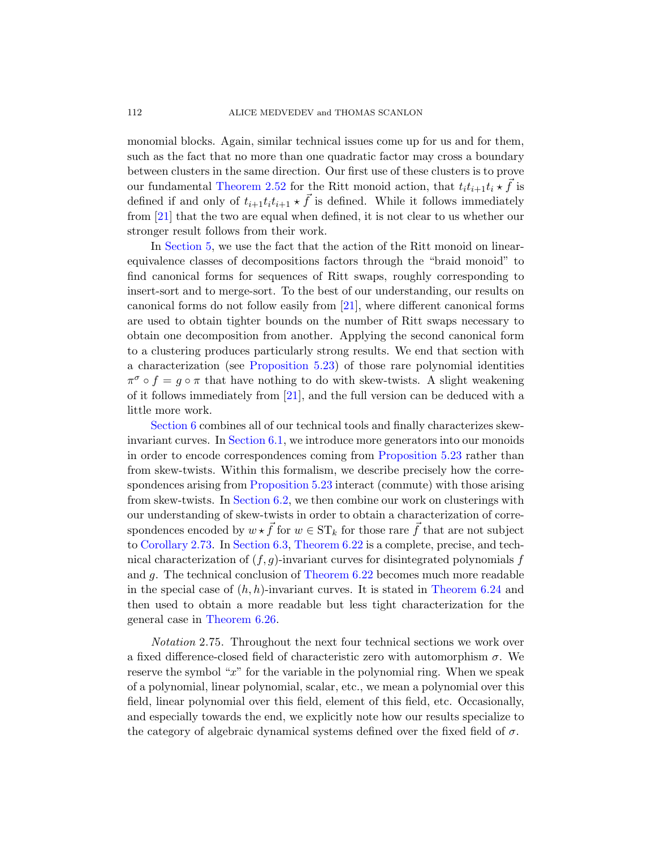monomial blocks. Again, similar technical issues come up for us and for them, such as the fact that no more than one quadratic factor may cross a boundary between clusters in the same direction. Our first use of these clusters is to prove our fundamental Theorem 2.52 for the Ritt monoid action, that  $t_i t_{i+1} t_i \star \vec{f}$  is defined if and only of  $t_{i+1}t_it_{i+1} \star \vec{f}$  is defined. While it follows immediately from [21] that thet[wo](#page-96-0) are equal when defined, it is not clear to us whether our stronger result follows from their work.

In Section 5, we use the fact that the action of the Ritt monoid on linearequivalence classes of decompositions factors through the "braid monoid" to [find canonical for](#page-71-0)ms for sequences of Ritt swaps, roughly corresponding to insert-sort and to merge-sort. To the best of our understanding, our results on canonic[al f](#page-96-0)orms do not follow easily from [21], where different canonical forms are used to obtain tighter bounds on the number of Ritt swaps necessary to obtain one decomposition from another. Applying the second canonical form [to a clu](#page-75-0)stering produces particularly strong results. We end that section with a characterization (see P[roposition 5.23\) o](#page-71-0)f those rare polynomial identities  $\pi^{\sigma} \circ f = g \circ \pi$  that have nothing to do with skew-twists. A slight weakening [of it follows imme](#page-71-0)diately from [21], and the full version can be deduced with a [little mor](#page-78-0)e work.

Section 6 combines all of our technical tools and finally characterizes skewinvariant curves. In Section 6.1, we introduce more generators into our monoids [in order](#page-82-0) [to encode corre](#page-83-0)spondences coming from Proposition 5.23 rather than from skew-twists. Within this formalism, we describe precisely how the correspondences [arising from](#page-83-0) Proposition 5.23 interact (commute) with those arising from skew-twists. In Section 6.2, we [then combine o](#page-84-0)ur work on clusterings with our understanding of skew-twists in order to obtain a characterization of corre[sponde](#page-85-0)nces encoded by  $w \star \vec{f}$  for  $w \in ST_k$  for those rare  $\vec{f}$  that are not subject to Corollary 2.73. In Section 6.3, Theorem 6.22 is a complete, precise, and technical characterization of  $(f, g)$ -invariant curves for disintegrated polynomials f and g. The technical conclusion of Theorem 6.22 becomes much more readable in the special case of  $(h, h)$ -invariant curves. It is stated in Theorem 6.24 and then used to obtain a more readable but less tight characterization for the general case in Theorem 6.26.

Notation 2.75. Throughout the next four technical sections we work over a fixed difference-closed field of characteristic zero with automorphism  $\sigma$ . We reserve the symbol " $x$ " for the variable in the polynomial ring. When we speak of a polynomial, linear polynomial, scalar, etc., we mean a polynomial over this field, linear polynomial over this field, element of this field, etc. Occasionally, and especially towards the end, we explicitly note how our results specialize to the category of algebraic dynamical systems defined over the fixed field of  $\sigma$ .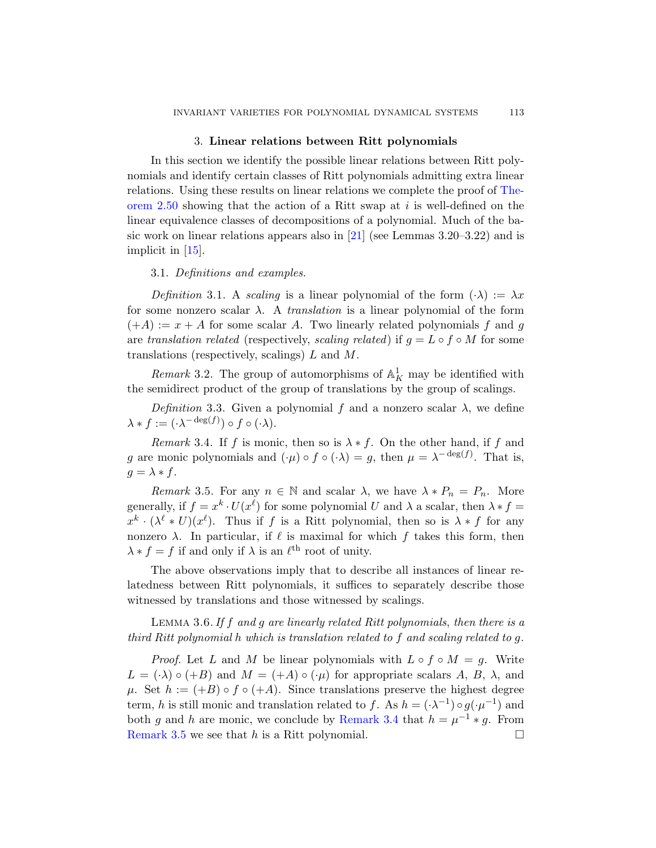## 3. Lin[ear](#page-96-0) relations between Ritt polynomials

<span id="page-32-0"></span>In this section we identify the possible linear relations between Ritt polynomials and identify certain classes of Ritt polynomials admitting extra linear relations. Using these results on linear relations we complete the proof of Theorem 2.50 showing that the action of a Ritt swap at  $i$  is well-defined on the linear equivalence classes of decompositions of a polynomial. Much of the basic work on linear relations appears also in [21] (see Lemmas 3.20–3.22) and is implicit in [15].

#### 3.1. Definitions and examples.

Definition 3.1. A scaling is a linear polynomial of the form  $(\cdot \lambda) := \lambda x$ for some nonzero scalar  $\lambda$ . A *translation* is a linear polynomial of the form  $(+A) := x + A$  for some scalar A. Two linearly related polynomials f and g are translation related (respectively, scaling related) if  $g = L \circ f \circ M$  for some translations (respectively, scalings) L and M.

<span id="page-32-1"></span>Remark 3.2. The group of automorphisms of  $\mathbb{A}^1$  may be identified with the semidirect product of the group of translations by the group of scalings.

<span id="page-32-2"></span>Definition 3.3. Given a polynomial f and a nonzero scalar  $\lambda$ , we define  $\lambda * f := (\cdot \lambda^{-\deg(f)}) \circ f \circ (\cdot \lambda).$ 

Remark 3.4. If f is monic, then so is  $\lambda * f$ . On the other hand, if f and g are monic polynomials and  $(\cdot \mu) \circ f \circ (\cdot \lambda) = g$ , then  $\mu = \lambda^{-\deg(f)}$ . That is,  $g = \lambda * f$ .

<span id="page-32-3"></span>Remark 3.5. For any  $n \in \mathbb{N}$  and scalar  $\lambda$ , we have  $\lambda * P_n = P_n$ . More generally, if  $f = x^k \cdot U(x^{\ell})$  for some polynomial U and  $\lambda$  a scalar, then  $\lambda * f =$  $x^k \cdot (\lambda^{\ell} * U)(x^{\ell})$ . Thus if f is a Ritt polynomial, then so is  $\lambda * f$  for any nonzero  $\lambda$ . In particular, if  $\ell$  is maximal for which f takes this form, then  $\lambda * f = f$  if and only if  $\lambda$  is an  $\ell^{\text{th}}$  root of unity.

The above observations imply that to describe all instances of linear relatedness between Ritt polynomials, it suffices to separately describe those witnessed by translations and those witnessed by scalings.

Lemma 3.6.If f [and](#page-32-1) g are linearly related Ritt polynomials, then there is a third Ritt polynomial h which is translation related to f and scaling related to g.

*Proof.* Let L and M be linear polynomials with  $L \circ f \circ M = g$ . Write  $L = (\cdot \lambda) \circ (+B)$  and  $M = (+A) \circ (\cdot \mu)$  for appropriate scalars A, B,  $\lambda$ , and  $\mu$ . Set  $h := (+B) \circ f \circ (+A)$ . Since translations preserve the highest degree term, h is still monic and translation related to f. As  $h = (\cdot \lambda^{-1}) \circ g(\cdot \mu^{-1})$  and both g and h are monic, we conclude by Remark 3.4 that  $h = \mu^{-1} * g$ . From Remark 3.5 we see that h is a Ritt polynomial.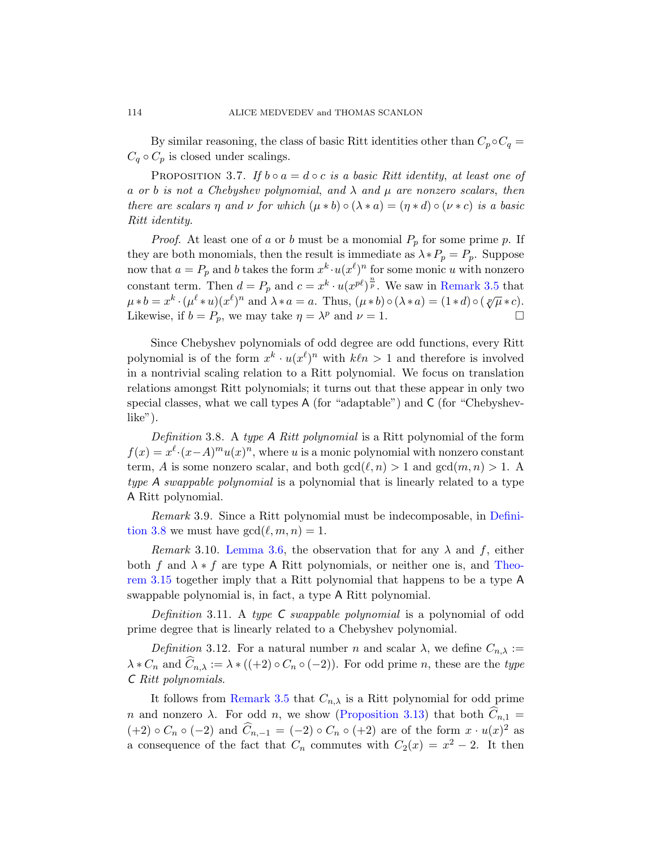By similar reasoning, the class of basic Ritt identities other than  $C_p \circ C_q =$  $C_q \circ C_p$  is closed under scalings.

PROPOSITION 3.7. If  $b \circ a = d \circ c$  is a basic Ritt identity, at least one of a or b is not a Chebyshev polynomial, [and](#page-32-2)  $\lambda$  and  $\mu$  are nonzero scalars, then there are scalars  $\eta$  and  $\nu$  for which  $(\mu * b) \circ (\lambda * a) = (\eta * d) \circ (\nu * c)$  is a basic Ritt identity.

*Proof.* At least one of a or b must be a monomial  $P_p$  for some prime p. If they are both monomials, then the result is immediate as  $\lambda * P_p = P_p$ . Suppose now that  $a = P_p$  and b takes the form  $x^k \cdot u(x^{\ell})^n$  for some monic u with nonzero constant term. Then  $d = P_p$  and  $c = x^k \cdot u(x^{p\ell})^{\frac{n}{p}}$ . We saw in Remark 3.5 that  $\mu * b = x^k \cdot (\mu^{\ell} * u)(x^{\ell})^n$  and  $\lambda * a = a$ . Thus,  $(\mu * b) \circ (\lambda * a) = (1 * d) \circ (\sqrt[p]{\mu} * c)$ . Likewise, if  $b = P_p$ , we may take  $\eta = \lambda^p$  and  $\nu = 1$ .

Since Chebyshev polynomials of odd degree are odd functions, every Ritt polynomial is of the form  $x^k \cdot u(x^{\ell})^n$  with  $k\ell n > 1$  and therefore is involved in a nontrivial scaling relation to a Ritt polynomial. We focus on translation relations amongst Ritt polynomials; it turns out that these appear in only two special classes, what we call types A (for "adaptable") and C (for "Chebyshevlike").

Definition 3.8. A type A Ritt polynomial is a Ritt polynomial of the form  $f(x) = x^{\ell} \cdot (x - A)^m u(x)^n$  $f(x) = x^{\ell} \cdot (x - A)^m u(x)^n$  $f(x) = x^{\ell} \cdot (x - A)^m u(x)^n$ , where u is a monic polynomial with nonzero constant term, A is some nonzero scalar, and both  $gcd(\ell, n) > 1$  and  $gcd(m, n) > 1$ . A type A swappable polynomial is a polynomial th[at is lin](#page-35-0)early related to a type A Ritt polynomial.

Remark 3.9. Since a Ritt polynomial must be indecomposable, in Definition 3.8 we must have  $gcd(\ell, m, n) = 1$ .

Remark 3.10. Lemma 3.6, the observation that for any  $\lambda$  and f, either both f and  $\lambda * f$  are type A Ritt polynomials, or neither one is, and Theorem 3.15 together imply that a Ritt polynomial that happens to be a type A swappable polynomial is, in fact, a type A Ritt polynomial.

[Defin](#page-32-2)ition 3.11. A type  $C$  swappable polynomial is a polynomial of odd prime degree that [is linearly related](#page-34-0) to a Chebyshev polynomial.

Definition 3.12. For a natural number n and scalar  $\lambda$ , we define  $C_{n,\lambda}$  :=  $\lambda * C_n$  and  $\widehat{C}_{n,\lambda} := \lambda * ((+2) \circ C_n \circ (-2))$ . For odd prime n, these are the type C Ritt polynomials.

It follows from Remark 3.5 that  $C_{n,\lambda}$  is a Ritt polynomial for odd prime n and nonzero  $\lambda$ . For odd n, we show (Proposition 3.13) that both  $\widehat{C}_{n,1}$  =  $(+2) \circ C_n \circ (-2)$  and  $\widehat{C}_{n,-1} = (-2) \circ C_n \circ (+2)$  are of the form  $x \cdot u(x)^2$  as a consequence of the fact that  $C_n$  commutes with  $C_2(x) = x^2 - 2$ . It then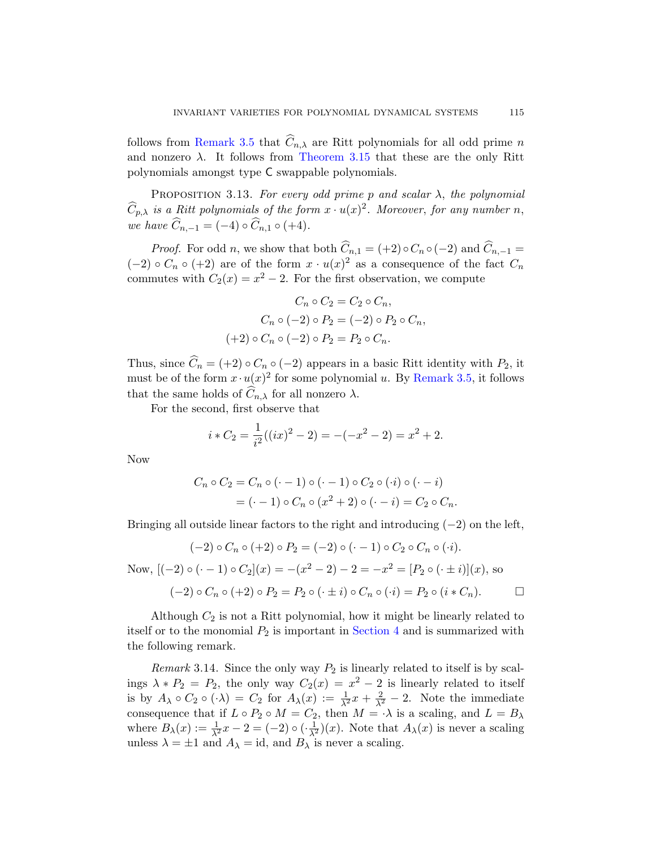<span id="page-34-0"></span>follows from Remark 3.5 that  $\widehat{C}_{n,\lambda}$  are Ritt polynomials for all odd prime n and nonzero  $\lambda$ . It follows from Theorem 3.15 that these are the only Ritt polynomials amongst type C swappable polynomials.

PROPOSITION 3.13. For every odd prime p and scalar  $\lambda$ , the polynomial  $\widehat{C}_{p,\lambda}$  is a Ritt polynomials of the form  $x \cdot u(x)^2$ . Moreover, for any number n, we have  $\widehat{C}_{n,-1} = (-4) \circ \widehat{C}_{n,1} \circ (+4)$ .

*Proof.* For odd n, we show that both  $\widehat{C}_{n,1} = (+2) \circ C_n \circ (-2)$  and  $\widehat{C}_{n,-1} =$  $(-2) \circ C_n \circ (+2)$  are of the form  $x \cdot u(x)^2$  as a consequence of the fact  $C_n$ commutes with  $C_2(x) = x^2 - 2$ . [For the first](#page-32-2) observation, we compute

$$
C_n \circ C_2 = C_2 \circ C_n,
$$
  
\n
$$
C_n \circ (-2) \circ P_2 = (-2) \circ P_2 \circ C_n,
$$
  
\n
$$
(+2) \circ C_n \circ (-2) \circ P_2 = P_2 \circ C_n.
$$

Thus, since  $\widehat{C}_n = (+2) \circ C_n \circ (-2)$  appears in a basic Ritt identity with  $P_2$ , it must be of the form  $x \cdot u(x)^2$  for some polynomial u. By Remark 3.5, it follows that the same holds of  $C_{n,\lambda}$  for all nonzero  $\lambda$ .

For the second, first observe that

$$
i * C_2 = \frac{1}{i^2}((ix)^2 - 2) = -(-x^2 - 2) = x^2 + 2.
$$

Now

$$
C_n \circ C_2 = C_n \circ (\cdot - 1) \circ (\cdot - 1) \circ C_2 \circ (\cdot i) \circ (\cdot - i)
$$
  
= 
$$
(\cdot - 1) \circ C_n \circ (x^2 + 2) \circ (\cdot - i) = C_2 \circ C_n.
$$

Bringing all outside linear factors to the right and introducing  $(-2)$  on the left,

$$
(-2) \circ C_n \circ (+2) \circ P_2 = (-2) \circ (\cdot - 1) \circ C_2 \circ C_n \circ (\cdot i).
$$
  
Now, 
$$
[(-2) \circ (\cdot - 1) \circ C_2](x) = -(x^2 - 2) - 2 = -x^2 = [P_2 \circ (\cdot \pm i)](x),
$$
 so 
$$
(-2) \circ C_n \circ (+2) \circ P_2 = P_2 \circ (\cdot \pm i) \circ C_n \circ (\cdot i) = P_2 \circ (i * C_n).
$$

Although  $C_2$  is not a Ritt polynomial, how it might be linearly related to itself or to the monomial  $P_2$  is important in Section 4 and is summarized with the following remark.

Remark 3.14. Since the only way  $P_2$  is linearly related to itself is by scalings  $\lambda * P_2 = P_2$ , the only way  $C_2(x) = x^2 - 2$  is linearly related to itself is by  $A_{\lambda} \circ C_2 \circ (\cdot \lambda) = C_2$  for  $A_{\lambda}(x) := \frac{1}{\lambda^2}x + \frac{2}{\lambda^2} - 2$ . Note the immediate consequence that if  $L \circ P_2 \circ M = C_2$ , then  $M = \cdot \lambda$  is a scaling, and  $L = B_\lambda$ where  $B_\lambda(x) := \frac{1}{\lambda^2}x - 2 = (-2) \circ (\frac{1}{\lambda^2})(x)$ . Note that  $A_\lambda(x)$  is never a scaling unless  $\lambda = \pm 1$  and  $A_{\lambda} = id$ , and  $B_{\lambda}$  is never a scaling.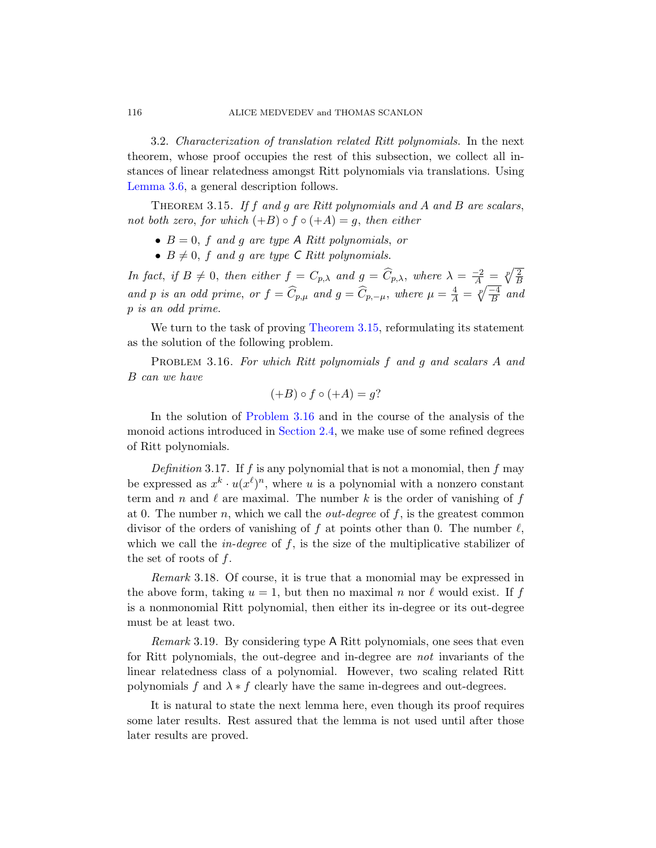<span id="page-35-0"></span>3.2. Characterization of translation related Ritt polynomials. In the next theorem, whose proof occupies the rest of this subsection, we collect all instances of linear relatedness amongst Ritt polynomials via translations. Using Lemma 3.6, a general description follows.

THEOREM 3.15. If f and g are Ritt polynomials and A and B are scalars, not both zero, for which  $(+B) \circ f \circ (+A) = g$ , then either

- $B = 0$ , f [and](#page-35-0) g are type A Ritt polynomials, or
- $B \neq 0$ , f and g are type C Ritt polynomials.

<span id="page-35-1"></span>In fact, if  $B \neq 0$ , then either  $f = C_{p,\lambda}$  and  $g = \widehat{C}_{p,\lambda}$ , where  $\lambda = \frac{-2}{A} = \sqrt[p]{\frac{2}{B}}$ and p is an odd prime, or  $f = \widehat{C}_{p,\mu}$  and  $g = \widehat{C}_{p,-\mu}$ , where  $\mu = \frac{4}{A} = \sqrt[p]{\frac{-4}{B}}$  and p is an odd prime.

[We turn t](#page-35-1)o the task of proving Theorem 3.15, reformulating its statement as the [solution of](#page-20-0) the following problem.

PROBLEM 3.16. For which Ritt polynomials f and g and scalars A and B can we have

$$
(+B) \circ f \circ (+A) = g?
$$

In the solution of Problem 3.16 and in the course of the analysis of the monoid actions introduced in Section 2.4, we make use of some refined degrees of Ritt polynomials.

Definition 3.17. If f is any polynomial that is not a monomial, then f may be expressed as  $x^k \cdot u(x^{\ell})^n$ , where u is a polynomial with a nonzero constant term and n and  $\ell$  are maximal. The number k is the order of vanishing of f at 0. The number n, which we call the *out-degree* of  $f$ , is the greatest common divisor of the orders of vanishing of f at points other than 0. The number  $\ell$ , which we call the *in-degree* of  $f$ , is the size of the multiplicative stabilizer of the set of roots of  $f$ .

Remark 3.18. Of course, it is true that a monomial may be expressed in the above form, taking  $u = 1$ , but then no maximal n nor  $\ell$  would exist. If f is a nonmonomial Ritt polynomial, then either its in-degree or its out-degree must be at least two.

Remark 3.19. By considering type A Ritt polynomials, one sees that even for Ritt polynomials, the out-degree and in-degree are not invariants of the linear relatedness class of a polynomial. However, two scaling related Ritt polynomials f and  $\lambda * f$  clearly have the same in-degrees and out-degrees.

It is natural to state the next lemma here, even though its proof requires some later results. Rest assured that the lemma is not used until after those later results are proved.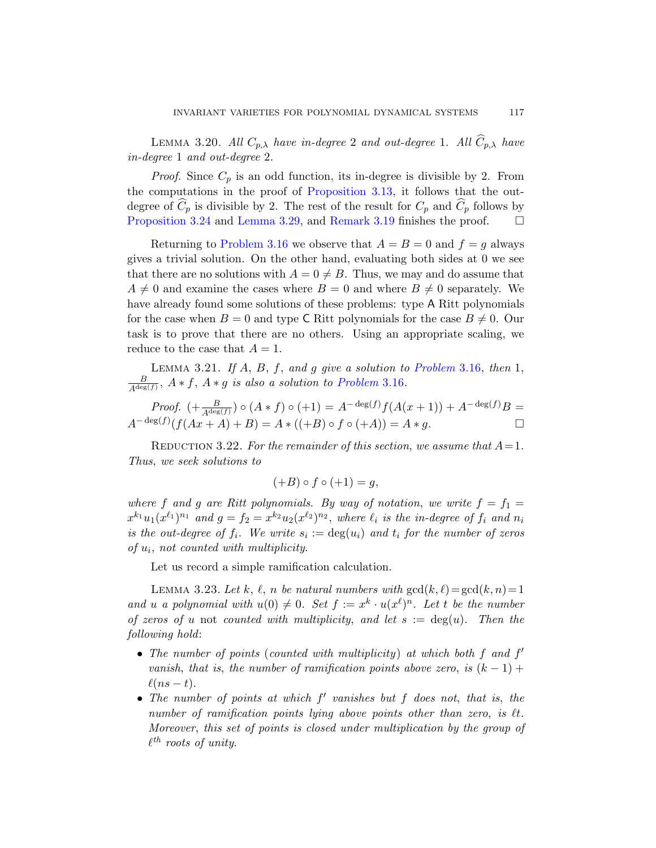<span id="page-36-2"></span>LEMMA 3.[20.](#page-35-0) All  $C_{p,\lambda}$  have in-degree 2 and out-degree 1. All  $\hat{C}_{p,\lambda}$  have [in-degree](#page-35-1) 1 and out-degree 2.

*Proof.* Since  $C_p$  is an odd function, its in-degree is divisible by 2. From the computations in the proof of Proposition 3.13, it follows that the outdegree of  $C_p$  is divisible by 2. The rest of the result for  $C_p$  and  $C_p$  follows by Proposition 3.24 and Lemma 3.29, and Remark 3.19 finishes the proof.  $\Box$ 

Returning to Problem 3.16 we observe that  $A = B = 0$  and  $f = g$  always gives a trivial solution. On the other hand, evaluating both sides at 0 we see that there are no solutions with  $A = 0 \neq B$ [. Th](#page-35-1)us, we may and do assume that  $A \neq 0$  and exami[ne the cases w](#page-35-1)here  $B = 0$  and where  $B \neq 0$  separately. We have already found some solutions of these problems: type A Ritt polynomials for the case when  $B = 0$  and type C Ritt polynomials for the case  $B \neq 0$ . Our task is to prove that there are no others. Using an appropriate scaling, we reduce to the case that  $A = 1$ .

<span id="page-36-0"></span>LEMMA 3.21. If  $A, B, f, and g$  give a solution to Problem 3.16, then 1, B  $\frac{B}{A^{\deg(f)}}$ ,  $A * f$ ,  $A * g$  is also a solution to Problem 3.16.

*Proof.* 
$$
(+\frac{B}{A^{\deg(f)}}) \circ (A * f) \circ (+1) = A^{-\deg(f)} f(A(x+1)) + A^{-\deg(f)} B = A^{-\deg(f)} (f(Ax+A)+B) = A * ((+B) \circ f \circ (+A)) = A * g.
$$

REDUCTION 3.22. For the remainder of this section, we assume that  $A = 1$ . Thus, we seek solutions to

$$
(+B)\circ f\circ (+1)=g,
$$

<span id="page-36-1"></span>where f and g are Ritt polynomials. By way of notation, we write  $f = f_1 =$  $x^{k_1}u_1(x^{\ell_1})^{n_1}$  and  $g = f_2 = x^{k_2}u_2(x^{\ell_2})^{n_2}$ , where  $\ell_i$  is the in-degree of  $f_i$  and  $n_i$ is the out-degree of  $f_i$ . We write  $s_i := \deg(u_i)$  and  $t_i$  for the number of zeros of u<sup>i</sup> , not counted with multiplicity.

Let us record a simple ramification calculation.

LEMMA 3.23. Let k,  $\ell$ , n be natural numbers with  $gcd(k, \ell) = gcd(k, n) = 1$ and u a polynomial with  $u(0) \neq 0$ . Set  $f := x^k \cdot u(x^{\ell})^n$ . Let t be the number of zeros of u not counted with multiplicity, and let  $s := \deg(u)$ . Then the following hold:

- The number of points (counted with multiplicity) at which both  $f$  and  $f'$ vanish, that is, the number of ramification points above zero, is  $(k-1)$  +  $\ell(ns - t).$
- The number of points at which  $f'$  vanishes but  $f$  does not, that is, the number of ramification points lying above points other than zero, is  $\ell t$ . Moreover, this set of points is closed under multiplication by the group of  $\ell^{th}$  roots of unity.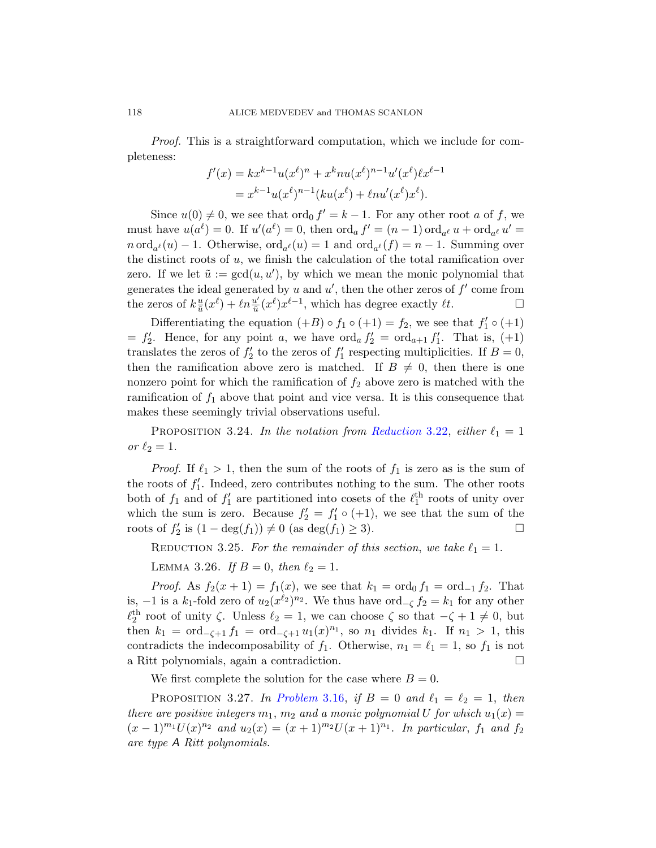Proof. This is a straightforward computation, which we include for completeness:

$$
f'(x) = kx^{k-1}u(x^{\ell})^n + x^k n u(x^{\ell})^{n-1} u'(x^{\ell}) \ell x^{\ell-1}
$$
  
=  $x^{k-1} u(x^{\ell})^{n-1} (ku(x^{\ell}) + \ell n u'(x^{\ell}) x^{\ell}).$ 

Since  $u(0) \neq 0$ , we see that  $\text{ord}_0 f' = k - 1$ . For any other root a of f, we must have  $u(a^{\ell}) = 0$ . If  $u'(a^{\ell}) = 0$ , then  $\operatorname{ord}_a f' = (n-1) \operatorname{ord}_{a^{\ell}} u + \operatorname{ord}_{a^{\ell}} u' =$  $n \text{ord}_{a^{\ell}}(u) - 1$ . Otherwise,  $\text{ord}_{a^{\ell}}(u) = 1$  and  $\text{ord}_{a^{\ell}}(f) = n - 1$ . Summing over the distinct roots of  $u$ , we finish the calculation of the total ramification over zero. If we let  $\tilde{u} := \gcd(u, u')$ , by which we mean the monic polynomial that generates the ideal generated by u and  $u'$ , then the other zeros of  $f'$  come from the zeros of  $k_{\tilde{n}}^{\underline{u}}$  $\frac{u}{\tilde{u}}(x^{\ell}) + \ell n \frac{u'}{\tilde{u}}$  $\frac{u'}{\tilde{u}}(x^{\ell})x^{\ell-1}$ , which has degree exactly  $\ell t$ .  $\Box$ 

Differentiating the equation  $(+B) \circ f_1 \circ (+1) = f_2$ , we see that  $f'_1 \circ (+1)$  $= f_2'$ . Hence, for any point a[, we have](#page-36-0)  $\text{ord}_a f_2' = \text{ord}_{a+1} f_1'$ . That is, (+1) translates the zeros of  $f_2'$  to the zeros of  $f_1'$  respecting multiplicities. If  $B = 0$ , then the ramification above zero is matched. If  $B \neq 0$ , then there is one nonzero point for which the ramification of  $f_2$  above zero is matched with the ramification of  $f_1$  above that point and vice versa. It is this consequence that makes these seemingly trivial observations useful.

PROPOSITION 3.24. In the notation from Reduction 3.22, either  $\ell_1 = 1$ or  $\ell_2 = 1$ .

*Proof.* If  $\ell_1 > 1$ , then the sum of the roots of  $f_1$  is zero as is the sum of the roots of  $f_1'$ . Indeed, zero contributes nothing to the sum. The other roots both of  $f_1$  and of  $f'_1$  are partitioned into cosets of the  $\ell_1^{\text{th}}$  roots of unity over which the sum is zero. Because  $f_2' = f_1' \circ (+1)$ , we see that the sum of the roots of  $f'_2$  is  $(1 - \deg(f_1)) \neq 0$  (as  $\deg(f_1) \geq 3$ ).

REDUCTION 3.25. For the remainder of this section, we take  $\ell_1 = 1$ .

LEMMA 3.26. If  $B = 0$ , then  $\ell_2 = 1$ .

*Proof.* As  $f_2(x+1) = f_1(x)$ , we see that  $k_1 = \text{ord}_0 f_1 = \text{ord}_{-1} f_2$ . That is,  $-1$  is a  $k_1$ [-fold ze](#page-35-1)ro of  $u_2(x^{\ell_2})^{n_2}$ . We thus have  $\text{ord}_{-\zeta} f_2 = k_1$  for any other  $\ell_2^{\text{th}}$  root of unity  $\zeta$ . Unless  $\ell_2 = 1$ , we can choose  $\zeta$  so that  $-\zeta + 1 \neq 0$ , but then  $k_1 = \text{ord}_{-\zeta+1} f_1 = \text{ord}_{-\zeta+1} u_1(x)^{n_1}$ , so  $n_1$  divides  $k_1$ . If  $n_1 > 1$ , this contradicts the indecomposability of  $f_1$ . Otherwise,  $n_1 = \ell_1 = 1$ , so  $f_1$  is not a Ritt polynomials, again a contradiction.

We first complete the solution for the case where  $B = 0$ .

PROPOSITION 3.27. In Problem 3.16, if  $B = 0$  and  $\ell_1 = \ell_2 = 1$ , then there are positive integers  $m_1$ ,  $m_2$  and a monic polynomial U for which  $u_1(x) =$  $(x-1)^{m_1}U(x)^{n_2}$  and  $u_2(x) = (x+1)^{m_2}U(x+1)^{n_1}$ . In particular,  $f_1$  and  $f_2$ are type A Ritt polynomials.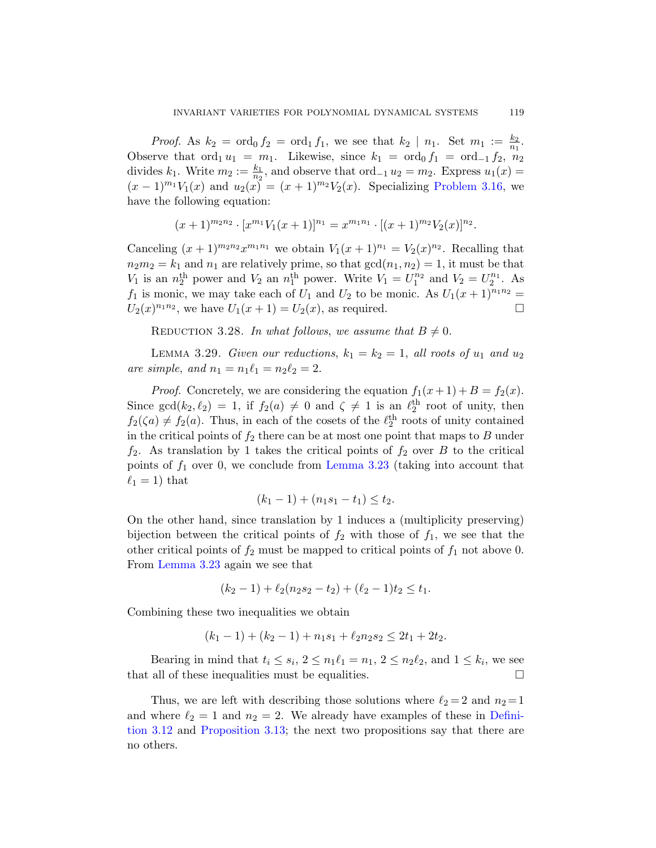*Proof.* As  $k_2 = \text{ord}_0 f_2 = \text{ord}_1 f_1$ , we see that  $k_2 | n_1$ . Set  $m_1 := \frac{k_2}{n_1}$ . Observe that  $\text{ord}_1 u_1 = m_1$ . Likewise, since  $k_1 = \text{ord}_0 f_1 = \text{ord}_{-1} f_2$ ,  $n_2$ divides  $k_1$ . Write  $m_2 := \frac{k_1}{n_2}$ , and observe that  $\text{ord}_{-1} u_2 = m_2$ . Express  $u_1(x) =$  $(x-1)^{m_1}V_1(x)$  and  $u_2(x) = (x+1)^{m_2}V_2(x)$ . Specializing Problem 3.16, we have the following equation:

$$
(x+1)^{m_2n_2} \cdot [x^{m_1}V_1(x+1)]^{n_1} = x^{m_1n_1} \cdot [(x+1)^{m_2}V_2(x)]^{n_2}.
$$

<span id="page-38-0"></span>Canceling  $(x+1)^{m_2n_2}x^{m_1n_1}$  we obtain  $V_1(x+1)^{n_1} = V_2(x)^{n_2}$ . Recalling that  $n_2m_2 = k_1$  and  $n_1$  are relatively prime, so that  $gcd(n_1, n_2) = 1$ , it must be that  $V_1$  is an  $n_2^{\text{th}}$  power and  $V_2$  an  $n_1^{\text{th}}$  power. Write  $V_1 = U_1^{n_2}$  and  $V_2 = U_2^{n_1}$ . As  $f_1$  is monic, we may take each of  $U_1$  and  $U_2$  to be monic. As  $U_1(x+1)^{n_1n_2} =$  $U_2(x)^{n_1 n_2}$ , we have  $U_1(x + 1) = U_2(x)$ , as required.

REDUCTION 3.28. In what follows, we assume that  $B \neq 0$ .

LEMMA 3.29. Given our reductions,  $k_1 = k_2 = 1$ , all roots of  $u_1$  and  $u_2$ are simple, and  $n_1 = n_1\ell_1 = n_2\ell_2 = 2$  $n_1 = n_1\ell_1 = n_2\ell_2 = 2$  $n_1 = n_1\ell_1 = n_2\ell_2 = 2$ .

*Proof.* Concretely, we are considering the equation  $f_1(x+1) + B = f_2(x)$ . Since  $gcd(k_2, \ell_2) = 1$ , if  $f_2(a) \neq 0$  and  $\zeta \neq 1$  is an  $\ell_2^{th}$  root of unity, then  $f_2(\zeta a) \neq f_2(a)$ . Thus, in each of the cosets of the  $\ell_2^{\text{th}}$  roots of unity contained in the critical points of  $f_2$  there can be at most one point that maps to  $B$  under  $f_2$ . As translation by 1 takes the critical points of  $f_2$  over B to the critical points of  $f_1$  over 0, we conclude from Lemma 3.23 (taking into account that  $\ell_1 = 1$ ) that

$$
(k_1 - 1) + (n_1s_1 - t_1) \le t_2.
$$

On the other hand, since translation by 1 induces a (multiplicity preserving) bijection between the critical points of  $f_2$  with those of  $f_1$ , we see that the other critical points of  $f_2$  must be mapped to critical points of  $f_1$  not above 0. From Lemma 3.23 again we see that

$$
(k_2 - 1) + \ell_2(n_2s_2 - t_2) + (\ell_2 - 1)t_2 \le t_1.
$$

Combining these two inequalities we obtain

$$
(k_1 - 1) + (k_2 - 1) + n_1 s_1 + \ell_2 n_2 s_2 \le 2t_1 + 2t_2.
$$

Bearing in mind that  $t_i \leq s_i$ ,  $2 \leq n_1\ell_1 = n_1$ ,  $2 \leq n_2\ell_2$ , and  $1 \leq k_i$ , we see that all of these inequalities must be equalities.  $\Box$ 

Thus, we are left with describing those solutions where  $\ell_2 = 2$  and  $n_2 = 1$ and where  $\ell_2 = 1$  and  $n_2 = 2$ . We already have examples of these in Definition 3.12 and Proposition 3.13; the next two propositions say that there are no others.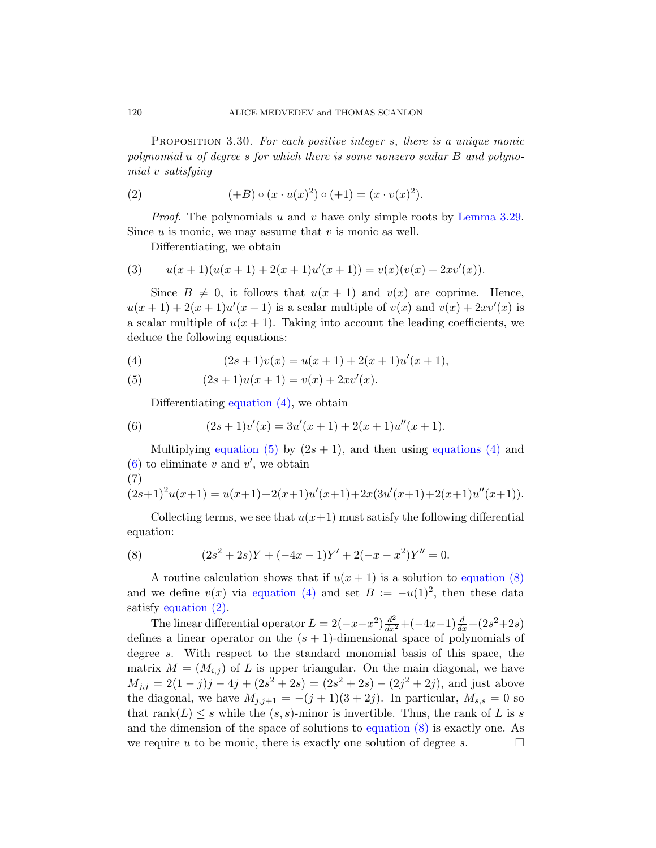PROPOSITION 3.30. For each positive integer s, there is a unique monic polynomial u of degree s for which there is some nonzero scalar B and polynomial v satisfying

(2) 
$$
(+B) \circ (x \cdot u(x)^{2}) \circ (+1) = (x \cdot v(x)^{2}).
$$

*Proof.* The polynomials u and v have only simple roots by Lemma 3.29. Since  $u$  is monic, we may assume that  $v$  is monic as well.

Differentiating, we obtain

<span id="page-39-1"></span><span id="page-39-0"></span>(3) 
$$
u(x+1)(u(x+1)+2(x+1)u'(x+1)) = v(x)(v(x)+2xv'(x)).
$$

Since  $B \neq 0$ , it follows that  $u(x + 1)$  and  $v(x)$  are coprime. Hence,  $u(x+1) + 2(x+1)u'(x+1)$  is a scalar multiple of  $v(x)$  and  $v(x) + 2xv'(x)$  is a scalar multiple of  $u(x + 1)$ . Taking into account the leading coefficients, we deduce the following equations:

(4) 
$$
(2s+1)v(x) = u(x+1) + 2(x+1)u'(x+1),
$$

(5) 
$$
(2s+1)u(x+1) = v(x) + 2xv'(x).
$$

Differentiating equation  $(4)$ , we obtain

(6) 
$$
(2s+1)v'(x) = 3u'(x+1) + 2(x+1)u''(x+1).
$$

<span id="page-39-2"></span>Multiplying equation (5) by  $(2s + 1)$ , and then using equations (4) and  $(6)$  to eliminate v and v', we obtain (7)

$$
(2s+1)^{2}u(x+1) = u(x+1) + 2(x+1)u'(x+1) + 2x(3u'(x+1) + 2(x+1)u''(x+1)).
$$

Collecting terms, we see that  $u(x+1)$  must satisfy the following differential equation:

(8) 
$$
(2s2 + 2s)Y + (-4x - 1)Y' + 2(-x - x2)Y'' = 0.
$$

A routine calculation shows that if  $u(x + 1)$  is a solution to equation (8) and we define  $v(x)$  via equation (4) and set  $B := -u(1)^2$ , then these data satisfy equation (2).

The linear differential operator  $L = 2(-x-x^2)\frac{d^2}{dx^2} + (-4x-1)\frac{d}{dx} + (2s^2+2s)$ defines a linear operator on the  $(s + 1)$ -dimensional space of polynomials of degree s. With respect to the standard monomial basis of this space, the matrix  $M = (M_{i,j})$  of L is upper triangular. On the main diagonal, we have  $M_{j,j} = 2(1-j)j - 4j + (2s^2 + 2s) = (2s^2 + 2s) - (2j^2 + 2j)$ , and just above the diagonal, we have  $M_{j,j+1} = -(j+1)(3+2j)$ . In particular,  $M_{s,s} = 0$  so that rank $(L) \leq s$  while the  $(s, s)$ -minor is invertible. Thus, the rank of L is s and the dimension of the space of solutions to equation (8) is exactly one. As we require u to be monic, there is exactly one solution of degree s.  $\Box$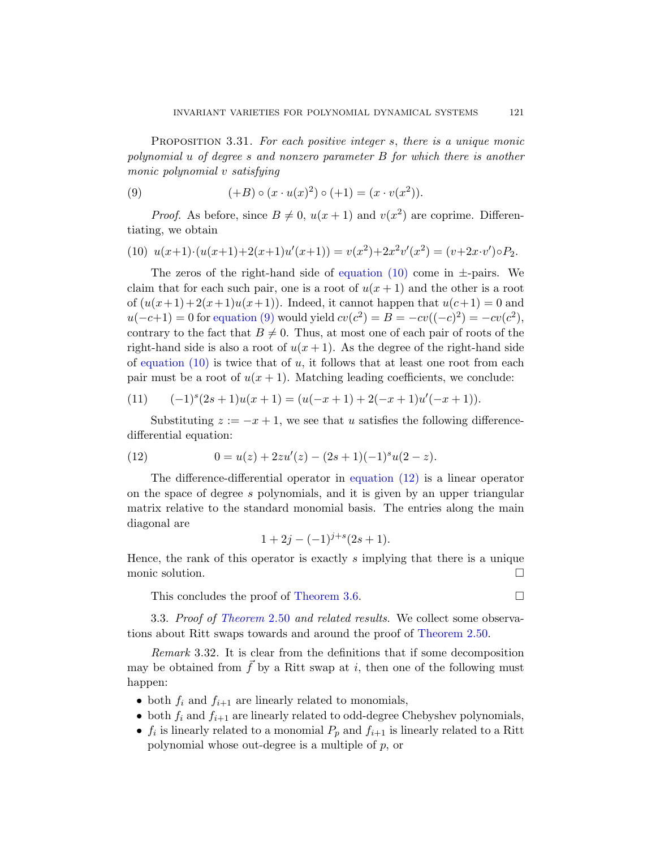<span id="page-40-1"></span><span id="page-40-0"></span>PROPOSITION 3.31. For each positive integer s, there is a unique monic polynomial u of degree s and nonzero parameter B for which there is another monic polynomial v [satisfying](#page-40-0)

(9) 
$$
(+B) \circ (x \cdot u(x)^{2}) \circ (+1) = (x \cdot v(x^{2})).
$$

*Proof.* As before, since  $B \neq 0$ ,  $u(x + 1)$  and  $v(x^2)$  are coprime. Differen[tiating](#page-40-1), we obtain

(10) 
$$
u(x+1) \cdot (u(x+1)+2(x+1)u'(x+1)) = v(x^2) + 2x^2v'(x^2) = (v+2x \cdot v') \circ P_2.
$$

The zeros of the right-hand side of equation (10) come in  $\pm$ -pairs. We claim that for each such pair, one is a root of  $u(x + 1)$  and the other is a root of  $(u(x+1)+2(x+1)u(x+1))$ . Indeed, it cannot happen that  $u(c+1) = 0$  and  $u(-c+1) = 0$  for equation (9) would yield  $cv(c^2) = B = -cv((-c)^2) = -cv(c^2)$ , contrary to the fact that  $B \neq 0$ . Thus, at most one of each pair of roots of the right-hand side is also a root of  $u(x + 1)$ . As the degree of the right-hand side of equation  $(10)$  is twice that of u, it follows that at least one root from each pair must be a root of  $u(x + 1)$ . Matching leading coefficients, we conclude:

<span id="page-40-2"></span>(11) 
$$
(-1)^{s}(2s+1)u(x+1) = (u(-x+1) + 2(-x+1)u'(-x+1)).
$$

Substituting  $z := -x + 1$ , we see that u satisfies the following differencedifferential equation:

(12) 
$$
0 = u(z) + 2zu'(z) - (2s+1)(-1)^su(2-z).
$$

The difference-differential operator in equation  $(12)$  is a linear operator on the space of degree s polynomials, and it is given by an upper triangular matrix r[elative to the](#page-32-0) standard monomial basis. The entries along the main [diagonal](#page-23-0) are

$$
1 + 2j - (-1)^{j+s} (2s + 1).
$$

<span id="page-40-3"></span>Hence, the rank of this operator is exactly s implying that there is a unique monic solution.

This concludes the proof of Theorem 3.6.

3.3. Proof of Theorem 2.50 and related results. We collect some observations about Ritt swaps towards and around the proof of Theorem 2.50.

Remark 3.32. It is clear from the definitions that if some decomposition may be obtained from  $\vec{f}$  by a Ritt swap at i, then one of the following must happen:

- both  $f_i$  and  $f_{i+1}$  are linearly related to monomials,
- both  $f_i$  and  $f_{i+1}$  are linearly related to odd-degree Chebyshev polynomials,
- $f_i$  is linearly related to a monomial  $P_p$  and  $f_{i+1}$  is linearly related to a Ritt polynomial whose out-degree is a multiple of  $p$ , or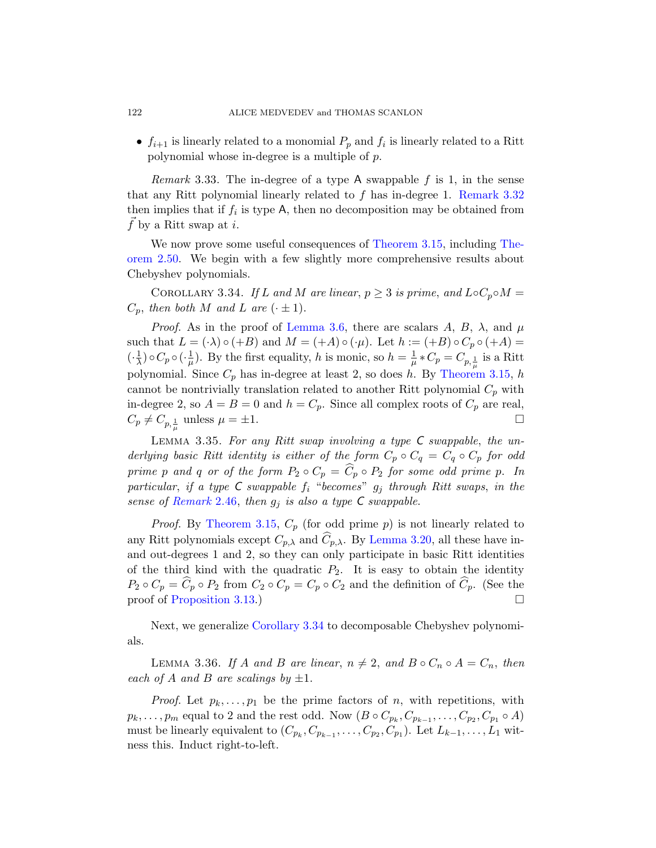•  $f_{i+1}$  [is li](#page-23-0)nearly related to a monomial  $P_p$  and  $f_i$  is linearly related to a Ritt polynomial whose in[-degree is a mu](#page-35-2)ltiple of p.

<span id="page-41-0"></span>*Remark* 3.33. The in-degree of a type A swappable f is 1, in the sense that any Ritt polynomial linearly related to  $f$  has in-degree 1. Remark 3.32 then implies that if  $f_i$  is type A, then no decomposition may be obtained from  $f$  by a [Ritt swap at](#page-32-0) i.

We now prove some useful consequences of Theorem 3.15, including Theorem 2.50. We begin with a few slightly more comprehensive results about Chebyshev polynomials.

COROLLARY 3.34. If L and M ar[e linear](#page-35-2),  $p \geq 3$  is prime, and  $LoC_p \circ M =$  $C_p$ , then both M and L are  $(\cdot \pm 1)$ .

*Proof.* As in the proof of Lemma 3.6, there are scalars A, B,  $\lambda$ , and  $\mu$ such that  $L = (\cdot \lambda) \circ (+B)$  and  $M = (+A) \circ (\cdot \mu)$ . Let  $h := (+B) \circ C_p \circ (+A) =$  $\left(\cdot\right)\frac{1}{\lambda}$  $\frac{1}{\lambda}$ )  $\circ$   $C_p$   $\circ$   $\left(\cdot\frac{1}{\mu}\right)$  $\frac{1}{\mu}$ ). By the first equality, h is monic, so  $h = \frac{1}{\mu}$  $\frac{1}{\mu}*C_p=C_{p,\frac{1}{\mu}}$  is a Ritt polynomial. Since  $C_p$  has in-degree at least 2, so does h. By Theorem 3.15, h cannot be nontrivially translation related to another Ritt polynomial  $C_p$  with in-degree 2, so  $A = B = 0$  and  $h = C_p$ . Since all complex roots of  $C_p$  are real,  $C_p \neq C_{p, \frac{1}{\mu}}$  unless  $\mu = \pm 1$ .

[Le](#page-35-2)mma 3.35. For [any Ritt swa](#page-36-2)p involving a type C swappable, the underlying basic Ritt identity is either of the form  $C_p \circ C_q = C_q \circ C_p$  for odd prime p and q or of the form  $P_2 \circ C_p = \widehat{C}_p \circ P_2$  for some odd prime p. In particular, if a type C swappable  $f_i$  "becomes"  $g_j$  through Ritt swaps, in the [sen](#page-34-0)se of Remark 2.46, then  $g_i$  is also a type C swappable.

<span id="page-41-2"></span>*Proof.* By Theorem 3.15,  $C_p$  (for odd prime p) is not linearly related to [any Ritt polyno](#page-41-0)mials except  $C_{p,\lambda}$  and  $\widehat{C}_{p,\lambda}$ . By Lemma 3.20, all these have inand out-degrees 1 and 2, so they can only participate in basic Ritt identities of the third kind with the quadratic  $P_2$ . It is easy to obtain the identity  $P_2 \circ C_p = \widehat{C}_p \circ P_2$  from  $C_2 \circ C_p = C_p \circ C_2$  and the definition of  $\widehat{C}_p$ . (See the proof of Proposition 3.13.)

Next, we generalize Corollary 3.34 to decomposable Chebyshev polynomials.

LEMMA 3.36. If A and B are linear,  $n \neq 2$ , and  $B \circ C_n \circ A = C_n$ , then each of A and B are scalings by  $\pm 1$ .

*Proof.* Let  $p_k, \ldots, p_1$  be the prime factors of n, with repetitions, with  $p_k, \ldots, p_m$  equal to 2 and the rest odd. Now  $(B \circ C_{p_k}, C_{p_{k-1}}, \ldots, C_{p_2}, C_{p_1} \circ A)$ must be linearly equivalent to  $(C_{p_k}, C_{p_{k-1}}, \ldots, C_{p_2}, C_{p_1})$ . Let  $L_{k-1}, \ldots, L_1$  witness this. Induct right-to-left.

<span id="page-41-1"></span>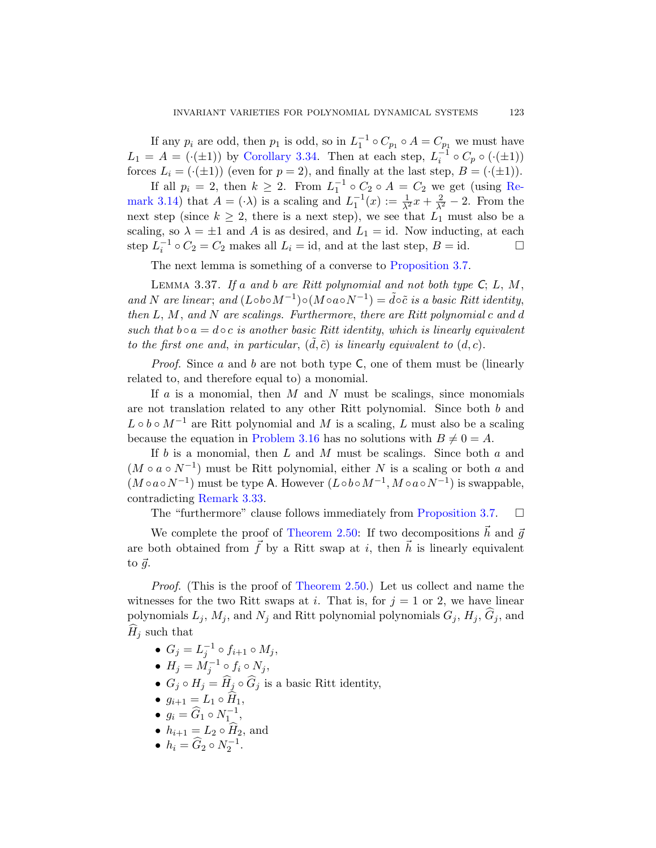If any  $p_i$  are odd, then  $p_1$  is odd, so in  $L_1^{-1} \circ C_{p_1} \circ A = C_{p_1}$  we must have  $L_1 = A = (\cdot(\pm 1))$  by Corollary 3.34. Then at each step,  $L_i^{-1} \circ C_p \circ (\cdot(\pm 1))$ forces  $L_i = (\cdot(\pm 1))$  (even for  $p = 2$ ), and finally at the last step,  $B = (\cdot(\pm 1))$ .

<span id="page-42-0"></span>If all  $p_i = 2$ , then  $k \geq 2$ . From  $L_1^{-1} \circ C_2 \circ A = C_2$  we get (using Remark 3.14) that  $A = (\cdot \lambda)$  is a scaling and  $L_1^{-1}(x) := \frac{1}{\lambda^2}x + \frac{2}{\lambda^2} - 2$ . From the next step (since  $k \geq 2$ , there is a next step), we see that  $L_1$  must also be a scaling, so  $\lambda = \pm 1$  and A is as desired, and  $L_1 = id$ . Now inducting, at each step  $L_i^{-1} \circ C_2 = C_2$  makes all  $L_i = id$ , and at the last step,  $B = id$ .

The next lemma is something of a converse to Proposition 3.7.

LEMMA 3.37. If a and b are Ritt polynomial and not both type  $C; L, M$ , and N are linear; and  $(L \circ b \circ M^{-1}) \circ (M \circ a \circ N^{-1}) = \tilde{d} \circ \tilde{c}$  is a basic Ritt identity, then  $L, M$ , and  $N$  are scalings. Furthermore, there are Ritt polynomial  $c$  and  $d$ such that  $b \circ a = d \circ c$  is another basic Ritt identity, which is linearly equivalent t[o the first one](#page-35-1) and, in particular,  $(d, \tilde{c})$  is linearly equivalent to  $(d, c)$ .

*Proof.* Since a and b are not both type  $C$ , one of them must be (linearly related to, and therefore equal to) a monomial.

If  $a$  is a monomial, then  $M$  and  $N$  must be scalings, since monomials [are](#page-41-1) not translation related to any other Ritt polynomial. Since both b and  $L \circ b \circ M^{-1}$  are Ritt polynomial and M [is a scali](#page-33-0)ng, L must also be a scaling because [the equation i](#page-23-0)n Problem 3.16 has no solutions with  $B \neq 0 = A$ .

If  $b$  is a monomial, then  $L$  and  $M$  must be scalings. Since both  $a$  and  $(M \circ a \circ N^{-1})$  must be Ritt polynomial, either N is a scaling or both a and  $(M \circ a \circ N^{-1})$  must be type A. However  $(L \circ b \circ M^{-1}, M \circ a \circ N^{-1})$  is swappable, contradicting [Remark 3.](#page-23-0)33.

The "furthermore" clause follows immediately from Proposition 3.7.  $\Box$ 

We complete the proof of Theorem 2.50: If two decompositions  $\vec{h}$  and  $\vec{g}$ are both obtained from  $\vec{f}$  by a Ritt swap at i, then  $\vec{h}$  is linearly equivalent to  $\vec{g}$ .

Proof. (This is the proof of Theorem 2.50.) Let us collect and name the witnesses for the two Ritt swaps at i. That is, for  $j = 1$  or 2, we have linear polynomials  $L_j$ ,  $M_j$ , and  $N_j$  and Ritt polynomial polynomials  $G_j$ ,  $H_j$ ,  $\widehat{G}_j$ , and  $H_i$  such that

- $G_j = L_j^{-1} \circ f_{i+1} \circ M_j,$
- $H_j = \dot{M}_j^{-1} \circ f_i \circ N_j,$
- $G_j \circ H_j = \widehat{H}_j \circ \widehat{G}_j$  is a basic Ritt identity,
- $g_{i+1} = L_1 \circ H_1,$
- $g_i = \widehat{G}_1 \circ N_1^{-1},$
- $h_{i+1} = L_2 \circ \widehat{H}_2$ , and
- $h_i = \widehat{G}_2 \circ N_2^{-1}$ .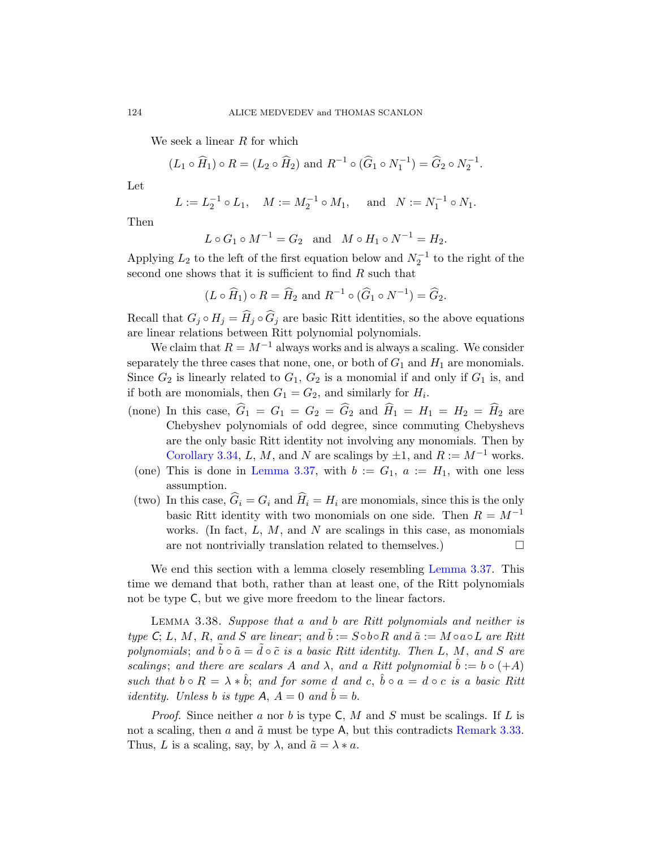We seek a linear  $R$  for which

$$
(L_1 \circ \widehat{H}_1) \circ R = (L_2 \circ \widehat{H}_2)
$$
 and  $R^{-1} \circ (\widehat{G}_1 \circ N_1^{-1}) = \widehat{G}_2 \circ N_2^{-1}$ .

Let

$$
L := L_2^{-1} \circ L_1, \quad M := M_2^{-1} \circ M_1, \quad \text{and} \quad N := N_1^{-1} \circ N_1.
$$

Then

$$
L \circ G_1 \circ M^{-1} = G_2
$$
 and  $M \circ H_1 \circ N^{-1} = H_2$ .

Applying  $L_2$  to the left of the first equation below and  $N_2^{-1}$  to the right of the second one shows that it is sufficient to find R such that

$$
(L \circ \widehat{H}_1) \circ R = \widehat{H}_2
$$
 and  $R^{-1} \circ (\widehat{G}_1 \circ N^{-1}) = \widehat{G}_2$ .

Recall that  $G_j \circ H_j = \widehat{H}_j \circ \widehat{G}_j$  are basic Ritt identities, so the above equations are linear relations between Ritt polynomial polynomials.

We claim that  $R = M^{-1}$  always works and is always a scaling. We consider separately the three cases that none, one, or both of  $G_1$  and  $H_1$  are monomials. Since  $G_2$  [is lin](#page-42-0)early related to  $G_1, G_2$  is a monomial if and only if  $G_1$  is, and if both are monomials, then  $G_1 = G_2$ , and similarly for  $H_i$ .

- (none) In this case,  $\widehat{G}_1 = G_1 = G_2 = \widehat{G}_2$  and  $\widehat{H}_1 = H_1 = H_2 = \widehat{H}_2$  are Chebyshev polynomials of odd degree, since commuting Chebyshevs are the only basic Ritt identity not involving any monomials. Then by Corollary 3.34, L, M, and N are scalings by  $\pm 1$ , and  $R := M^{-1}$  works.
- (one) This is done in Lemma 3.3[7, with](#page-42-0)  $b := G_1$ ,  $a := H_1$ , with one less assumption.
- (two) In this case,  $G_i = G_i$  and  $H_i = H_i$  are monomials, since this is the only basic Ritt identity with two monomials on one side. Then  $R = M^{-1}$ works. (In fact,  $L, M$ , and  $N$  are scalings in this case, as monomials are not nontrivially translation related to themselves.)

We end this section with a lemma closely resembling Lemma 3.37. This time we demand that both, rather than at least one, of the Ritt polynomials not be type C, but we give more freedom to the linear factors.

LEMMA 3.38. Suppose that a and b are Ritt polynomials and neither is type C; L, M, R, [an](#page-41-1)d S are linear; and  $\bar{b} := S \circ b \circ R$  and  $\tilde{a} := M \circ a \circ L$  are Ritt polynomials; and  $\bar{b} \circ \tilde{a} = d \circ \tilde{c}$  is a basic Ritt identity. Then L, M, and S are scalings; and there are scalars A and  $\lambda$ , and a Ritt polynomial  $\hat{b} := b \circ (+A)$ such that  $b \circ R = \lambda * \hat{b}$ ; and for some d and c,  $\hat{b} \circ a = d \circ c$  is a basic Ritt *identity.* Unless b is type A,  $A = 0$  and  $\hat{b} = b$ .

*Proof.* Since neither a nor b is type  $C$ , M and S must be scalings. If L is not a scaling, then  $a$  and  $\tilde{a}$  must be type A, but this contradicts Remark 3.33. Thus, L is a scaling, say, by  $\lambda$ , and  $\tilde{a} = \lambda * a$ .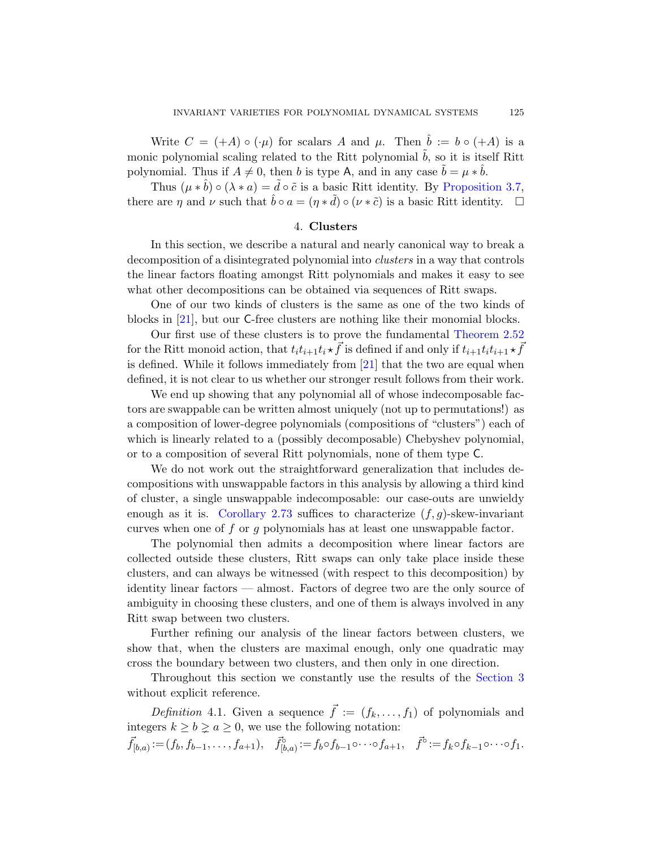Write  $C = (+A) \circ (\cdot \mu)$  for scalars A and  $\mu$ . Then  $\hat{b} := b \circ (+A)$  is a monic polynomial scaling related to the Ritt polynomial  $\tilde{b}$ , so it is itself Ritt polynomial. Thus if  $A \neq 0$ , then b is type A, and in any case  $\tilde{b} = \mu * \hat{b}$ .

Thus  $(\mu * \hat{b}) \circ (\lambda * a) = \tilde{d} \circ \tilde{c}$  is a basic Ritt identity. By Proposition 3.7, there are  $\eta$  and  $\nu$  such that  $\hat{b} \circ a = (\eta * \tilde{d}) \circ (\nu * \tilde{c})$  is a basic Ritt identity.  $\Box$ 

## 4. Clusters

In this section, we describe a natura[l and nearly ca](#page-23-1)nonical way to break a decomposition of a disintegrated polynomial into clusters in a way that controls the linear factors float[ing](#page-96-0) amongst Ritt polynomials and makes it easy to see what other decompositions can be obtained via sequences of Ritt swaps.

One of our two kinds of clusters is the same as one of the two kinds of blocks in [21], but our C-free clusters are nothing like their monomial blocks.

Our first use of these clusters is to prove the fundamental Theorem 2.52 for the Ritt monoid action, that  $t_i t_{i+1} t_i \star \vec{f}$  is defined if and only if  $t_{i+1} t_i t_{i+1} \star \vec{f}$ is defined. While it follows immediately from [21] that the two are equal when defined, it is not clear to us whether our stronger result follows from their work.

We end up showing that any polynomial all of whose indecomposable factors are swappable can be written almost uniquely (not up to permutations!) as [a composi](#page-30-0)tion of lower-degree polynomials (compositions of "clusters") each of which is linearly related to a (possibly decomposable) Chebyshev polynomial, or to a composition of several Ritt polynomials, none of them type C.

We do not work out the straightforward generalization that includes decompositions with unswappable factors in this analysis by allowing a third kind of cluster, a single unswappable indecomposable: our case-outs are unwieldy enough as it is. Corollary 2.73 suffices to characterize  $(f, g)$ -skew-invariant curves when one of  $f$  or  $g$  polynomials has at least one unswappable factor.

The polynomial then admits a decomposition where linear factors are collected outside these clusters, Ritt swaps can only take place inside these clusters, and can always be witnessed (with respect to this decomposition) by identity linear factors — almost. Factors of [degree two](#page-32-1) are the only source of ambiguity in choosing these clusters, and one of them is always involved in any Ritt swap between two clusters.

Further refining our analysis of the linear factors between clusters, we show that, when the clusters are maximal enough, only one quadratic may cross the boundary between two clusters, and then only in one direction.

Throughout this section we constantly use the results of the Section 3 without explicit reference.

Definition 4.1. Given a sequence  $\vec{f} := (f_k, \ldots, f_1)$  of polynomials and integers  $k \geq b \geq a \geq 0$ , we use the following notation:

 $\vec{f}_{[b,a)} := (f_b, f_{b-1}, \ldots, f_{a+1}), \quad \vec{f}_{[b,a)}^{\circ} := f_b \circ f_{b-1} \circ \cdots \circ f_{a+1}, \quad \vec{f}^{\circ} := f_k \circ f_{k-1} \circ \cdots \circ f_1.$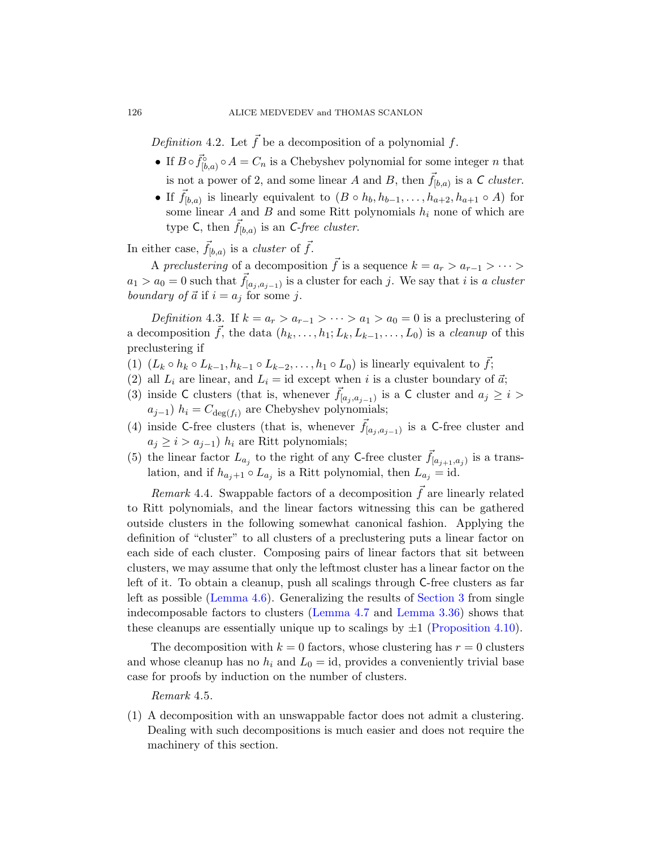Definition 4.2. Let  $\vec{f}$  be a decomposition of a polynomial f.

- If  $B \circ \vec{f}_{[b,a)}^{\circ} \circ A = C_n$  is a Chebyshev polynomial for some integer n that is not a power of 2, and some linear A and B, then  $\vec{f}_{[b,a)}$  is a C cluster.
- If  $\vec{f}_{[b,a)}$  is linearly equivalent to  $(B \circ h_b, h_{b-1}, \ldots, h_{a+2}, h_{a+1} \circ A)$  for some linear  $A$  and  $B$  and some Ritt polynomials  $h_i$  none of which are type C, then  $\vec{f}_{[b,a)}$  is an C-free cluster.

In either case,  $\vec{f}_{[b,a)}$  is a *cluster* of  $\vec{f}$ .

A preclustering of a decomposition  $\vec{f}$  is a sequence  $k = a_r > a_{r-1} > \cdots > a_r$  $a_1 > a_0 = 0$  such that  $\vec{f}_{[a_j, a_{j-1})}$  is a cluster for each j. We say that i is a cluster boundary of  $\vec{a}$  if  $i = a_j$  for some j.

Definition 4.3. If  $k = a_r > a_{r-1} > \cdots > a_1 > a_0 = 0$  is a preclustering of a decomposition  $\vec{f}$ , the data  $(h_k, \ldots, h_1; L_k, L_{k-1}, \ldots, L_0)$  is a *cleanup* of this preclustering if

- (1)  $(L_k \circ h_k \circ L_{k-1}, h_{k-1} \circ L_{k-2}, \ldots, h_1 \circ L_0)$  is linearly equivalent to  $\vec{f}$ ;
- (2) all  $L_i$  are linear, and  $L_i = id$  except when i is a cluster boundary of  $\vec{a}$ ;
- (3) inside C clusters (that is, whenever  $\vec{f}_{[a_j, a_{j-1})}$  is a C cluster and  $a_j \geq i >$  $a_{j-1}$ )  $h_i = C_{\text{deg}(f_i)}$  are Chebyshev polynomials;
- (4) inside C-free clusters (that is, whenever  $\vec{f}_{[a_j, a_{j-1})}$  is a C-free cluster and  $a_i \geq i > a_{i-1}$ )  $h_i$  are Ritt polynomials;
- (5) the linear factor  $L_{a_j}$  to the right of any C-free cluster  $\vec{f}_{[a_{j+1},a_j)}$  is a translation, and if  $h_{a_j+1} \circ L_{a_j}$  is a Ritt polynomial, then  $L_{a_j} = id$ .

Remark 4.4. Swappable factors of a decomposition  $f$  are linearly related [to R](#page-46-0)itt polynomials, and the lin[ear factor](#page-32-1)s witnessing this can be gathered outside clust[ers in the fo](#page-46-1)llow[ing somewha](#page-41-2)t canonical fashion. Applying the definition of "cluster" to all clusters [of a preclusterin](#page-48-0)g puts a linear factor on each side of each cluster. Composing pairs of linear factors that sit between clusters, we may assume that only the leftmost cluster has a linear factor on the left of it. To obtain a cleanup, push all scalings through C-free clusters as far left as possible (Lemma 4.6). Generalizing the results of Section 3 from single indecomposable factors to clusters (Lemma 4.7 and Lemma 3.36) shows that these cleanups are essentially unique up to scalings by  $\pm 1$  (Proposition 4.10).

<span id="page-45-0"></span>The decomposition with  $k = 0$  factors, whose clustering has  $r = 0$  clusters and whose cleanup has no  $h_i$  and  $L_0 = id$ , provides a conveniently trivial base case for proofs by induction on the number of clusters.

## Remark 4.5.

(1) A decomposition with an unswappable factor does not admit a clustering. Dealing with such decompositions is much easier and does not require the machinery of this section.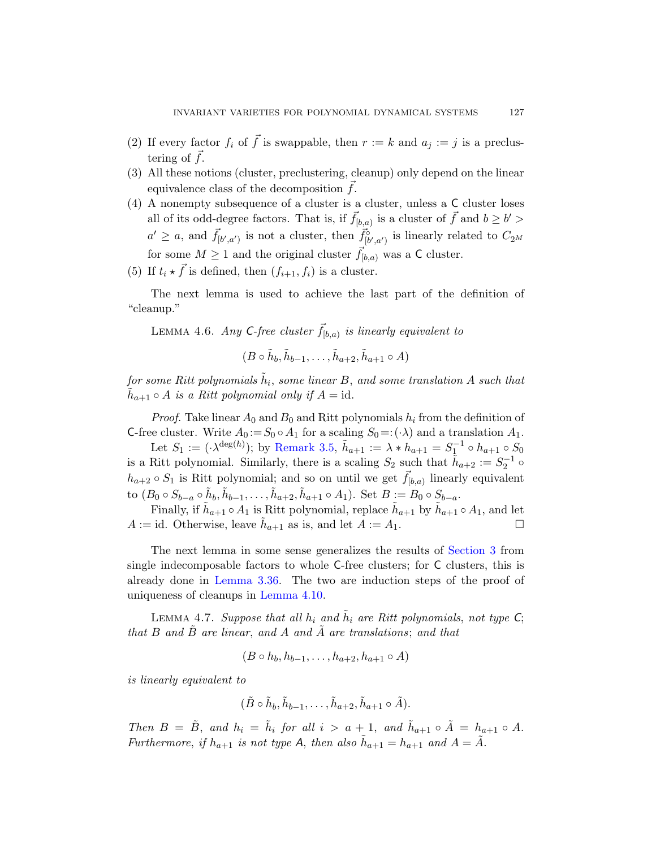- (2) If every factor  $f_i$  of  $\vec{f}$  is swappable, then  $r := k$  and  $a_i := j$  is a preclustering of  $\vec{f}$ .
- (3) All these notions (cluster, preclustering, cleanup) only depend on the linear equivalence class of the decomposition  $f$ .
- <span id="page-46-0"></span>(4) A nonempty subsequence of a cluster is a cluster, unless a C cluster loses all of its odd-degree factors. That is, if  $\vec{f}_{[b,a)}$  is a cluster of  $\vec{f}$  and  $b \ge b' > b'$  $a' \ge a$ , and  $\vec{f}_{[b',a']}$  is not a cluster, then  $\vec{f}_{[b',a']}^{\circ}$  is linearly related to  $C_{2^M}$ for some  $M \geq 1$  and the original cluster  $\vec{f}_{[b,a)}$  was a C cluster.
- (5) If  $t_i \star \vec{f}$  is defined, then  $(f_{i+1}, f_i)$  is a cluster.

The next lemma is used to achieve the last part of the definition of "cleanup."

LEMMA 4.6. Any C-free cluster  $\vec{f}_{[b,a)}$  is linearly equivalent to

$$
(B \circ \tilde{h}_b, \tilde{h}_{b-1}, \dots, \tilde{h}_{a+2}, \tilde{h}_{a+1} \circ A)
$$

for some Ritt polynomials  $\tilde{h}_i$ , some linear B, and some translation A such that  $\tilde{h}_{a+1} \circ A$  is a Ritt polynomial only if  $A = id$ .

*Proof.* Take linear  $A_0$  and  $B_0$  and Ritt polynomials  $h_i$  from the definition of C-free cluster. Write  $A_0 := S_0 \circ A_1$  for a scaling  $S_0 = : (\cdot \lambda)$  and a translation  $A_1$ .

Let  $S_1 := (\cdot \lambda^{\deg(h)})$ ; by Remark 3.5,  $\tilde{h}_{a+1} := \lambda * h_{a+1} = S_1^{-1} \circ h_{a+1} \circ S_0$ is a Ritt polynomial. Similarly, there i[s a scaling](#page-32-1)  $S_2$  such that  $\tilde{h}_{a+2} := S_2^{-1} \circ$  $h_{a+2} \circ S_1$  is Ritt polynomial; and so on until we get  $\vec{f}_{[b,a)}$  linearly equivalent to  $(B_0 \circ S_{b-a} \circ \tilde{h}_b, \tilde{h}_{b-1}, \ldots, \tilde{h}_{a+2}, \tilde{h}_{a+1} \circ A_1)$ . Set  $B := B_0 \circ S_{b-a}$ .

<span id="page-46-1"></span>[Finally, if](#page-48-0)  $\tilde{h}_{a+1} \circ A_1$  is Ritt polynomial, replace  $\tilde{h}_{a+1}$  by  $\tilde{h}_{a+1} \circ A_1$ , and let  $A := id$ . Otherwise, leave  $\tilde{h}_{a+1}$  as is, and let  $A := A_1$ .

The next lemma in some sense generalizes the results of Section 3 from single indecomposable factors to whole C-free clusters; for C clusters, this is already done in Lemma 3.36. The two are induction steps of the proof of uniqueness of cleanups in Lemma 4.10.

LEMMA 4.7. Suppose that all  $h_i$  and  $\tilde{h}_i$  are Ritt polynomials, not type  $C$ ; that B and  $\tilde{B}$  are linear, and A and  $\tilde{A}$  are translations; and that

$$
(B \circ h_b, h_{b-1}, \ldots, h_{a+2}, h_{a+1} \circ A)
$$

is linearly equivalent to

$$
(\tilde{B}\circ \tilde{h}_b, \tilde{h}_{b-1}, \ldots, \tilde{h}_{a+2}, \tilde{h}_{a+1}\circ \tilde{A}).
$$

Then  $B = \tilde{B}$ , and  $h_i = \tilde{h}_i$  for all  $i > a + 1$ , and  $\tilde{h}_{a+1} \circ \tilde{A} = h_{a+1} \circ A$ . Furthermore, if  $h_{a+1}$  is not type A, then also  $\tilde{h}_{a+1} = h_{a+1}$  and  $A = \tilde{A}$ .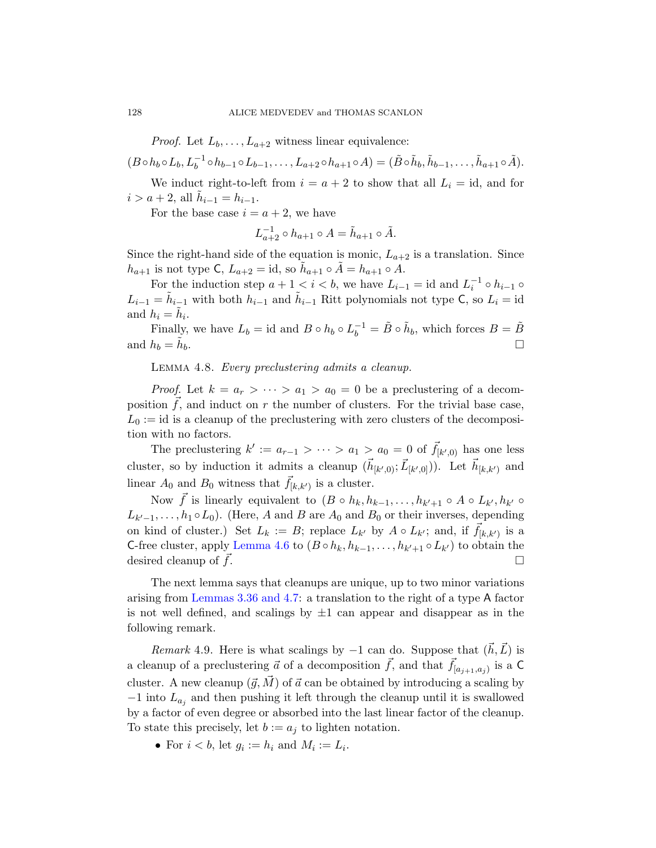*Proof.* Let  $L_b, \ldots, L_{a+2}$  witness linear equivalence:

$$
(B\circ h_b\circ L_b, L_b^{-1}\circ h_{b-1}\circ L_{b-1},\ldots, L_{a+2}\circ h_{a+1}\circ A)=(\tilde{B}\circ \tilde{h}_b, \tilde{h}_{b-1},\ldots, \tilde{h}_{a+1}\circ \tilde{A}).
$$

We induct right-to-left from  $i = a + 2$  to show that all  $L_i = id$ , and for  $i > a + 2$ , all  $\tilde{h}_{i-1} = h_{i-1}$ .

For the base case  $i = a + 2$ , we have

$$
L_{a+2}^{-1} \circ h_{a+1} \circ A = \tilde{h}_{a+1} \circ \tilde{A}.
$$

<span id="page-47-1"></span>Since the right-hand side of the equation is monic,  $L_{a+2}$  is a translation. Since  $h_{a+1}$  is not type C,  $L_{a+2} = id$ , so  $\tilde{h}_{a+1} \circ \tilde{A} = h_{a+1} \circ A$ .

For the induction step  $a + 1 < i < b$ , we have  $L_{i-1} = id$  and  $L_i^{-1} \circ h_{i-1} \circ h$  $L_{i-1} = \tilde{h}_{i-1}$  with both  $h_{i-1}$  and  $\tilde{h}_{i-1}$  Ritt polynomials not type C, so  $L_i = id$ and  $h_i = \tilde{h}_i$ .

Finally, we have  $L_b = id$  and  $B \circ h_b \circ L_b^{-1} = \tilde{B} \circ \tilde{h}_b$ , which forces  $B = \tilde{B}$ and  $h_b = h_b$ .  $\mathbf{b}$ .

Lemma 4.8. Every preclustering admits a cleanup.

*Proof.* Let  $k = a_r > \cdots > a_1 > a_0 = 0$  be a preclustering of a decomposition  $f$ , and induct on r the number of clusters. For the trivial base case,  $L_0 := id$  is a cleanup of the preclustering with zero clusters of the decomposition with no factors.

[The](#page-46-0) preclustering  $k' := a_{r-1} > \cdots > a_1 > a_0 = 0$  of  $\vec{f}_{[k',0]}$  has one less cluster, so by induction it admits a cleanup  $(\vec{h}_{[k',0]}; \vec{L}_{[k',0]}))$ . Let  $\vec{h}_{[k,k')}$  and linear  $A_0$  and  $B_0$  witness that  $\vec{f}_{[k,k')}$  is a cluster.

[Now](#page-46-1)  $\vec{f}$  is linearly equivalent to  $(B \circ h_k, h_{k-1}, \ldots, h_{k'+1} \circ A \circ L_{k'}, h_{k'} \circ$  $L_{k'-1}, \ldots, h_1 \circ L_0$  $L_{k'-1}, \ldots, h_1 \circ L_0$ ). (Here, A and B are  $A_0$  and  $B_0$  or their inverses, depending on kind of cluster.) Set  $L_k := B$ ; replace  $L_{k'}$  by  $A \circ L_{k'}$ ; and, if  $\vec{f}_{[k,k')}$  is a C-free cluster, apply Lemma 4.6 to  $(B \circ h_k, h_{k-1}, \ldots, h_{k'+1} \circ L_{k'})$  to obtain the desired cleanup of  $f$ .

<span id="page-47-0"></span>The next lemma says that cleanups are unique, up to two minor variations arising from Lemmas 3.36 and 4.7: a translation to the right of a type A factor is not well defined, and scalings by  $\pm 1$  can appear and disappear as in the following remark.

Remark 4.9. Here is what scalings by  $-1$  can do. Suppose that  $(h, L)$  is a cleanup of a preclustering  $\vec{a}$  of a decomposition  $\vec{f}$ , and that  $\vec{f}_{[a_{j+1},a_j)}$  is a C cluster. A new cleanup  $({\vec{g}}, {\vec{M}})$  of  ${\vec{a}}$  can be obtained by introducing a scaling by  $-1$  into  $L_{a_j}$  and then pushing it left through the cleanup until it is swallowed by a factor of even degree or absorbed into the last linear factor of the cleanup. To state this precisely, let  $b := a_j$  to lighten notation.

• For  $i < b$ , let  $g_i := h_i$  and  $M_i := L_i$ .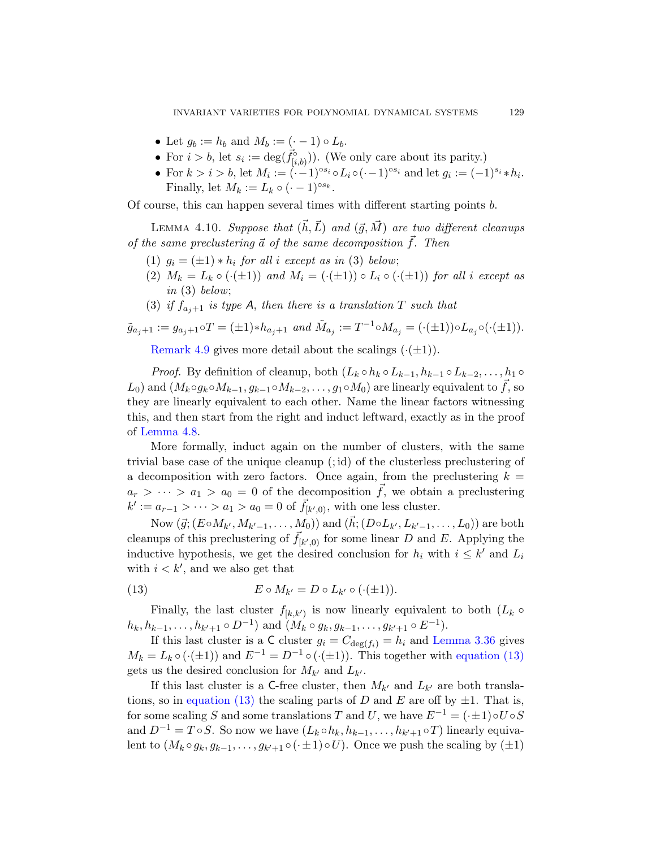- Let  $g_b := h_b$  and  $M_b := (\cdot 1) \circ L_b$ .
- For  $i > b$ , let  $s_i := \deg(\vec{f}_{[i,b]}^{\circ})$ ). (We only care about its parity.)
- For  $k > i > b$ , let  $M_i := (-1)^{\circ s_i} \circ L_i \circ (-1)^{\circ s_i}$  and let  $g_i := (-1)^{s_i} * h_i$ . Finally, let  $M_k := L_k \circ (-1)^{\circ s_k}$ .

<span id="page-48-0"></span>Of course, this can happen several times with different starting points b.

LEMMA 4.10. Suppose that  $(\vec{h}, \vec{L})$  and  $(\vec{g}, \vec{M})$  are two different cleanups of the same preclustering  $\vec{a}$  of the same decomposition  $\vec{f}$ . Then

- (1)  $q_i = (\pm 1) * h_i$  for all i except as in (3) below;
- (2)  $M_k = L_k \circ (\cdot(\pm 1))$  and  $M_i = (\cdot(\pm 1)) \circ L_i \circ (\cdot(\pm 1))$  for all i except as in (3) below;
- (3) if  $f_{a,i+1}$  is type A, then there is a translation T such that

$$
\tilde{g}_{a_j+1} := g_{a_j+1} \circ T = (\pm 1) * h_{a_j+1} \text{ and } \tilde{M}_{a_j} := T^{-1} \circ M_{a_j} = (\cdot(\pm 1)) \circ L_{a_j} \circ (\cdot(\pm 1)).
$$

Remark 4.9 gives more detail about the scalings  $(\cdot(\pm 1))$ .

*Proof.* By definition of cleanup, both  $(L_k \circ h_k \circ L_{k-1}, h_{k-1} \circ L_{k-2}, \ldots, h_1 \circ L_{k-1})$  $L_0$ ) and  $(M_k \circ g_k \circ M_{k-1}, g_{k-1} \circ M_{k-2}, \ldots, g_1 \circ M_0)$  are linearly equivalent to f, so they are linearly equivalent to each other. Name the linear factors witnessing this, and then start from the right and induct leftward, exactly as in the proof of Lemma 4.8.

More formally, induct again on the number of clusters, with the same trivial base case of the unique cleanup (; id) of the clusterless preclustering of a decomposition with zero factors. Once again, from the preclustering  $k =$  $a_r > \cdots > a_1 > a_0 = 0$  of the decomposition  $\vec{f}$ , we obtain a preclustering  $k' := a_{r-1} > \cdots > a_1 > a_0 = 0$  of  $\vec{f}_{[k',0)}$ , with one less cluster.

<span id="page-48-1"></span>Now  $(\vec{g};(E\circ M_{k'},M_{k'-1},\ldots,M_0))$  and  $(\vec{h};(D\circ L_{k'},L_{k'-1},\ldots,L_0))$  are both cleanups of this preclustering of  $\vec{f}_{[k',0)}$  for some linear D and E. Applying the inductive hypothesis, we get the des[ired conclusi](#page-41-2)[on for](#page-48-1)  $h_i$  with  $i \leq k'$  and  $L_i$ with  $i < k'$ , and we also get that

(13) 
$$
E \circ M_{k'} = D \circ L_{k'} \circ (\cdot(\pm 1)).
$$

Finally, the last cluster  $f_{[k,k')}$  is now linearly equivalent to both  $(L_k \circ$  $h_k, h_{k-1}, \ldots, h_{k'+1} \circ D^{-1}$  and  $(M_k \circ g_k, g_{k-1}, \ldots, g_{k'+1} \circ E^{-1})$ .

If this last cluster is a C cluster  $g_i = C_{\text{deg}(f_i)} = h_i$  and Lemma 3.36 gives  $M_k = L_k \circ (\cdot(\pm 1))$  and  $E^{-1} = D^{-1} \circ (\cdot(\pm 1))$ . This together with equation (13) gets us the desired conclusion for  $M_{k'}$  and  $L_{k'}$ .

If this last cluster is a C-free cluster, then  $M_{k'}$  and  $L_{k'}$  are both translations, so in equation (13) the scaling parts of D and E are off by  $\pm 1$ . That is, for some scaling S and some translations T and U, we have  $E^{-1} = (\cdot \pm 1) \circ U \circ S$ and  $D^{-1} = T \circ S$ . So now we have  $(L_k \circ h_k, h_{k-1}, \ldots, h_{k'+1} \circ T)$  linearly equivalent to  $(M_k \circ g_k, g_{k-1}, \ldots, g_{k'+1} \circ (\cdot \pm 1) \circ U)$ . Once we push the scaling by  $(\pm 1)$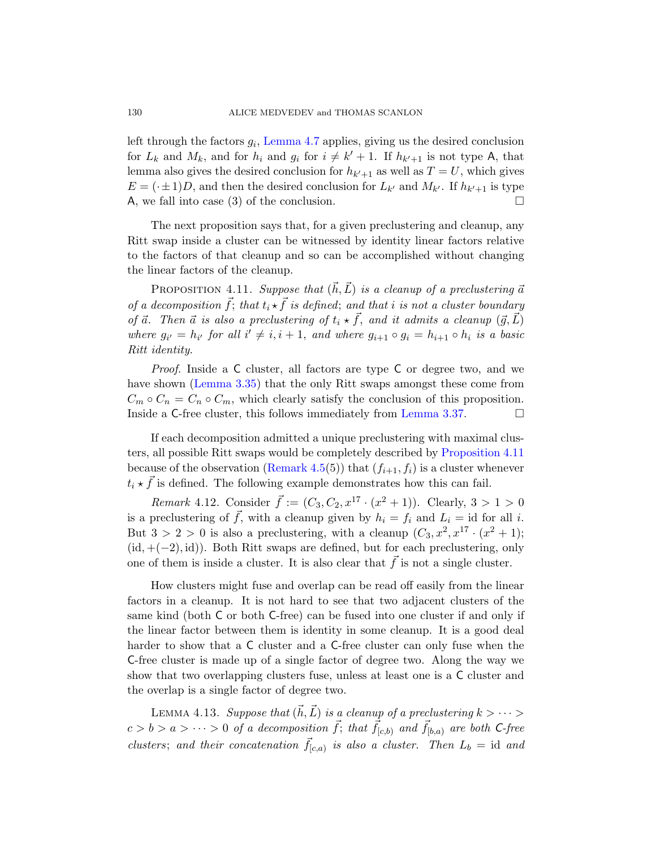left through the factors  $g_i$ , Lemma 4.7 applies, giving us the desired conclusion for  $L_k$  and  $M_k$ , and for  $h_i$  and  $g_i$  for  $i \neq k' + 1$ . If  $h_{k'+1}$  is not type A, that lemma also gives the desired conclusion for  $h_{k'+1}$  as well as  $T = U$ , which gives  $E = (\cdot \pm 1)D$ , and then the desired conclusion for  $L_{k'}$  and  $M_{k'}$ . If  $h_{k'+1}$  is type A, we fall into case (3) of the conclusion.  $\Box$ 

<span id="page-49-0"></span>The next proposition says that, for a given preclustering and cleanup, any Ritt swap inside a cluster can be witnessed by identity linear factors relative to the factors of that cleanup and so can be accomplished without changing the linear factors of the cleanup.

PROPOSITION 4.11. Suppose that  $(\vec{h}, \vec{L})$  is a cleanup of a preclustering  $\vec{a}$ of a decomposition  $\vec{f}$ ; that  $t_i \star \vec{f}$  is defined; and that i is not a cluster boundary of  $\vec{a}$ . Then  $\vec{a}$  is also a preclu[stering of](#page-42-0)  $t_i \star \vec{f}$ , and it admits a cleanup  $(\vec{g}, \vec{L})$ where  $g_{i'} = h_{i'}$  for all  $i' \neq i, i + 1$ , and where  $g_{i+1} \circ g_i = h_{i+1} \circ h_i$  is a basic Ritt identity.

Proof. Inside a C cluster, all fac[tors are type](#page-49-0) C or degree two, and we hav[e shown \(Lem](#page-45-0)ma 3.35) that the only Ritt swaps amongst these come from  $C_m \circ C_n = C_n \circ C_m$ , which clearly satisfy the conclusion of this proposition. Inside a C-free cluster, this follows immediately from Lemma 3.37.  $\Box$ 

If each decomposition admitted a unique preclustering with maximal clusters, all possible Ritt swaps would be completely described by Proposition 4.11 because of the observation (Remark 4.5(5)) that  $(f_{i+1}, f_i)$  is a cluster whenever  $t_i \star \vec{f}$  is defined. The following example demonstrates how this can fail.

*Remark* 4.12. Consider  $\vec{f} := (C_3, C_2, x^{17} \cdot (x^2 + 1))$ . Clearly,  $3 > 1 > 0$ is a preclustering of  $\vec{f}$ , with a cleanup given by  $h_i = f_i$  and  $L_i = id$  for all i. But  $3 > 2 > 0$  is also a preclustering, with a cleanup  $(C_3, x^2, x^{17} \cdot (x^2 + 1);$  $(id, +(-2), id)$ . Both Ritt swaps are defined, but for each preclustering, only one of them is inside a cluster. It is also clear that  $f$  is not a single cluster.

<span id="page-49-1"></span>How clusters might fuse and overlap can be read off easily from the linear factors in a cleanup. It is not hard to see that two adjacent clusters of the same kind (both C or both C-free) can be fused into one cluster if and only if the linear factor between them is identity in some cleanup. It is a good deal harder to show that a C cluster and a C-free cluster can only fuse when the C-free cluster is made up of a single factor of degree two. Along the way we show that two overlapping clusters fuse, unless at least one is a C cluster and the overlap is a single factor of degree two.

LEMMA 4.13. Suppose that  $(\vec{h}, \vec{L})$  is a cleanup of a preclustering  $k > \cdots >$  $c > b > a > \cdots > 0$  of a decomposition  $\vec{f}$ ; that  $\vec{f}_{[c,b)}$  and  $\vec{f}_{[b,a)}$  are both C-free clusters; and their concatenation  $\vec{f}_{[c,a)}$  is also a cluster. Then  $L_b = id$  and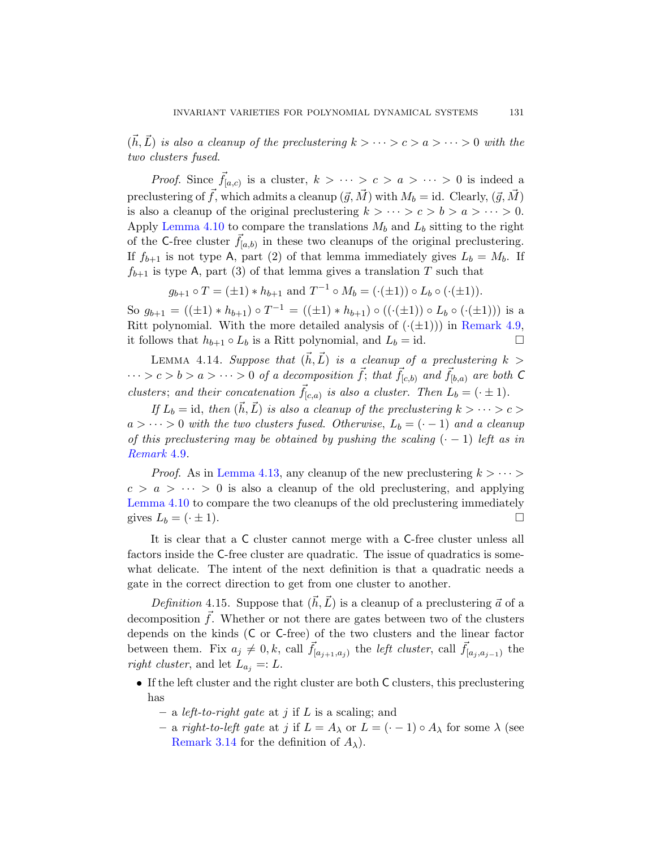$(\vec{h}, \vec{L})$  is also a cleanup of the preclustering  $k > \cdots > c > a > \cdots > 0$  with the two clusters fused.

*Proof.* Since  $\vec{f}_{[a,c)}$  is a cluster,  $k > \cdots > c > a > \cdots > 0$  is indeed a preclustering of  $\vec{f}$ , which admits a cleanup  $(\vec{g}, \vec{M})$  with  $M_b = id$ . Clearly,  $(\vec{g}, \vec{M})$ is also a cleanup of the original preclustering  $k > \cdots > c > b > a > \cdots > 0$ . Apply Lemma 4.10 to compare the translations  $M_b$  and  $L_b$  sitting to the right of the C-free cluster  $\vec{f}_{[a,b)}$  in these two cl[eanups of the](#page-47-0) original preclustering. If  $f_{b+1}$  is not type A, part (2) of that lemma immediately gives  $L_b = M_b$ . If  $f_{b+1}$  is type A, part (3) of that lemma gives a translation T such that

$$
g_{b+1} \circ T = (\pm 1) * h_{b+1}
$$
 and  $T^{-1} \circ M_b = (\cdot(\pm 1)) \circ L_b \circ (\cdot(\pm 1)).$ 

<span id="page-50-0"></span>So  $g_{b+1} = ((\pm 1) * h_{b+1}) \circ T^{-1} = ((\pm 1) * h_{b+1}) \circ ((\cdot (\pm 1)) \circ L_b \circ (\cdot (\pm 1)))$  is a Ritt polynomial. With the more detailed analysis of  $(\cdot(\pm 1))$  in Remark 4.9, it follows that  $h_{b+1} \circ L_b$  is a Ritt polynomial, and  $L_b = id$ .

LEMMA 4.14. Suppose that  $(\vec{h}, \vec{L})$  is a cleanup of a preclustering  $k >$  $\cdots > c > b > a > \cdots > 0$  of a decomposition  $\vec{f}$ ; that  $\vec{f}_{[c,b]}$  and  $\vec{f}_{[b,a]}$  are both C clusters; and their concatenation  $\vec{f}_{[c,a)}$  is also a cluster. Then  $L_b = (\cdot \pm 1)$ .

If  $L_b = id$ , then  $(\vec{h}, \vec{L})$  is also a cleanup of the preclustering  $k > \cdots > c >$  $a > \cdots > 0$  with the two clusters fused. Otherwise,  $L_b = (-1)$  and a cleanup of this preclustering may be obtained by pushing the scaling  $(· − 1)$  left as in Remark 4.9.

*Proof.* As in Lemma 4.13, any cleanup of the new preclustering  $k > \cdots$  $c > a > \cdots > 0$  is also a cleanup of the old preclustering, and applying Lemma 4.10 to compare the two cleanups of the old preclustering immediately gives  $L_b = (\cdot \pm 1)$ .

It is clear that a C cluster cannot merge with a C-free cluster unless all factors inside the C-free cluster are quadratic. The issue of quadratics is somewhat delicate. The intent of the next definition is that a quadratic needs a gate in the correct direction to get from one cluster to another.

Definition 4.15. Suppose that  $(\vec{h}, \vec{L})$  is a cleanup of a preclustering  $\vec{a}$  of a decomposition  $\vec{f}$ . Whether or not there are gates between two of the clusters depends on the kinds (C or C-free) of the two clusters and the linear factor between them. Fix  $a_j \neq 0, k$ , call  $\vec{f}_{[a_{j+1},a_j]}$  the *left cluster*, call  $\vec{f}_{[a_j,a_{j-1}]}$  the right cluster, and let  $L_{a_i} =: L$ .

- If the left cluster and the right cluster are both C clusters, this preclustering has
	- a *left-to-right gate* at j if L is a scaling; and
	- a right-to-left gate at j if  $L = A_{\lambda}$  or  $L = (-1) \circ A_{\lambda}$  for some  $\lambda$  (see Remark 3.14 for the definition of  $A_\lambda$ ).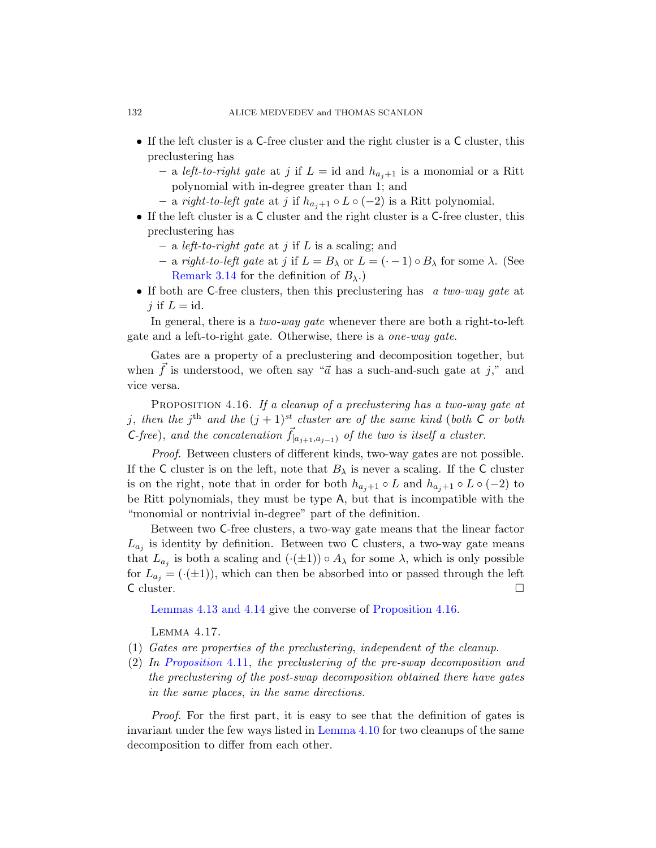- If the left cluster is a C-free cluster and the right cluster is a C cluster, this preclustering has
	- a left-to-right gate at j if  $L = id$  and  $h_{a,i+1}$  is a monomial or a Ritt polynomial with in-degree greater than 1; and
	- a right-to-left gate at j if  $h_{a+1} \circ L \circ (-2)$  is a Ritt polynomial.
- If the left cluster is a C cluster and the right cluster is a C-free cluster, this preclustering has
	- a *left-to-right gate* at j if  $L$  is a scaling; and
	- a right-to-left gate at j if  $L = B_\lambda$  or  $L = (\cdot 1) \circ B_\lambda$  for some  $\lambda$ . (See Remark 3.14 for the definition of  $B_{\lambda}$ .)
- If both are C-free clusters, then this preclustering has a two-way qate at j if  $L = id$ .

<span id="page-51-0"></span>In general, there is a *two-way gate* whenever there are both a right-to-left gate and a left-to-right gate. Otherwise, there is a one-way gate.

Gates are a property of a preclustering and decomposition together, but when  $\bar{f}$  is understood, we often say " $\vec{a}$  has a such-and-such gate at j," and vice versa.

PROPOSITION 4.16. If a cleanup of a preclustering has a two-way gate at j, then the j<sup>th</sup> and the  $(j + 1)^{st}$  cluster are of the same kind (both C or both C-free), and the concatenation  $\vec{f}_{[a_{i+1},a_{i-1})}$  of the two is itself a cluster.

Proof. Between clusters of different kinds, two-way gates are not possible. If the C cluster is on the left, note that  $B_{\lambda}$  is never a scaling. If the C cluster is on the right, note that in order for both  $h_{a_j+1} \circ L$  and  $h_{a_j+1} \circ L \circ (-2)$  to be Ritt polynomials, they must be type A, but that is incompatible with the ["mon](#page-50-0)omial or nontrivial [in-degree" part o](#page-51-0)f the definition.

<span id="page-51-1"></span>Between two C-free clusters, a two-way gate means that the linear factor  $L_{a_j}$  is identity by definition. Between two C clusters, a two-way gate means that  $L_{a_j}$  is both a scaling and  $(\cdot(\pm 1)) \circ A_\lambda$  for some  $\lambda$ , which is only possible [fo](#page-49-0)r  $L_{a_i} = (\cdot(\pm 1))$ , which can then be absorbed into or passed through the left  $\Box$  cluster.  $\Box$ 

Lemmas 4.13 and 4.14 give the converse of Proposition 4.16.

Lemma 4.17.

- (1) Gates are [properties of](#page-48-0) the preclustering, independent of the cleanup.
- (2) In Proposition 4.11, the preclustering of the pre-swap decomposition and the preclustering of the post-swap decomposition obtained there have gates in the same places, in the same directions.

Proof. For the first part, it is easy to see that the definition of gates is invariant under the few ways listed in Lemma 4.10 for two cleanups of the same decomposition to differ from each other.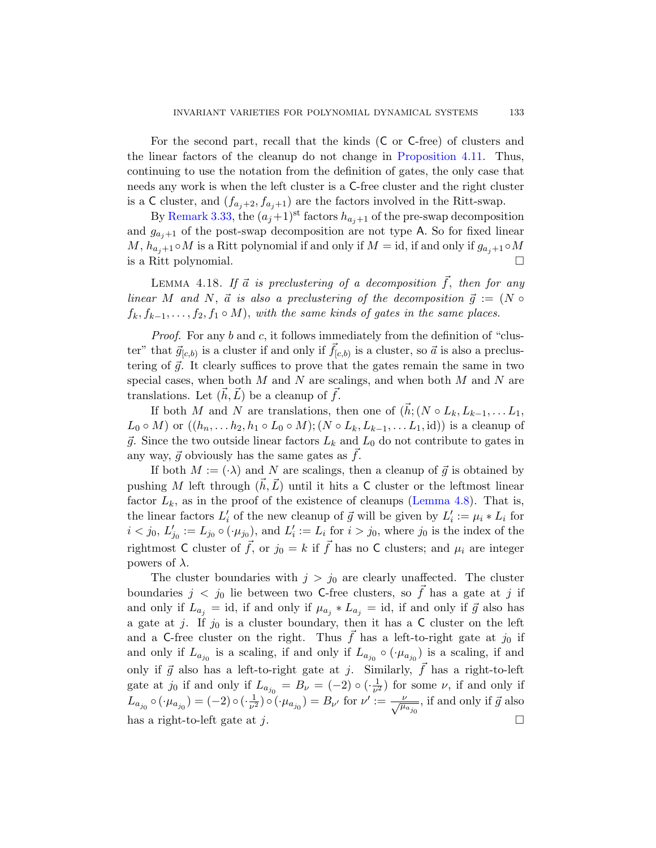For the second part, recall that the kinds (C or C-free) of clusters and the linear factors of the cleanup do not change in Proposition 4.11. Thus, continuing to use the notation from the definition of gates, the only case that needs any work is when the left cluster is a C-free cluster and the right cluster is a C cluster, and  $(f_{a_j+2}, f_{a_j+1})$  are the factors involved in the Ritt-swap.

<span id="page-52-0"></span>By Remark 3.33, the  $(a_j+1)$ <sup>st</sup> factors  $h_{a_j+1}$  of the pre-swap decomposition and  $g_{a_j+1}$  of the post-swap decomposition are not type A. So for fixed linear  $M$ ,  $h_{a_j+1} \circ M$  is a Ritt polynomial if and only if  $M = id$ , if and only if  $g_{a_j+1} \circ M$ is a Ritt polynomial.

LEMMA 4.18. If  $\vec{a}$  is preclustering of a decomposition  $\vec{f}$ , then for any linear M and N,  $\vec{a}$  is also a preclustering of the decomposition  $\vec{g} := (N \circ$  $f_k, f_{k-1}, \ldots, f_2, f_1 \circ M$ , with the same kinds of gates in the same places.

Proof. For any b and c, it follows immediately from the definition of "cluster" that  $\vec{g}_{[c,b)}$  is a cluster if and only if  $\vec{f}_{[c,b)}$  is a cluster, so  $\vec{a}$  is also a preclustering of  $\vec{g}$ . It clearly suffices to prove that the gates remain the same in two special cases, when both  $M$  and  $N$  are scalings, and when both  $M$  and  $N$  are translations. Let  $(\vec{h}, \vec{L})$  be a cleanup of  $\vec{f}$ .

If both M and N are tran[slations, then](#page-47-1) one of  $(\vec{h}; (N \circ L_k, L_{k-1}, \ldots L_1,$  $L_0 \circ M$ ) or  $((h_n, \ldots, h_2, h_1 \circ L_0 \circ M); (N \circ L_k, L_{k-1}, \ldots, L_1, id))$  is a cleanup of  $\vec{g}$ . Since the two outside linear factors  $L_k$  and  $L_0$  do not contribute to gates in any way,  $\vec{g}$  obviously has the same gates as  $f$ .

If both  $M := (\cdot \lambda)$  and N are scalings, then a cleanup of  $\vec{g}$  is obtained by pushing M left through  $(\vec{h}, \vec{L})$  until it hits a C cluster or the leftmost linear factor  $L_k$ , as in the proof of the existence of cleanups (Lemma 4.8). That is, the linear factors  $L'_i$  of the new cleanup of  $\vec{g}$  will be given by  $L'_i := \mu_i * L_i$  for  $i < j_0$ ,  $L'_{j_0} := L_{j_0} \circ (\cdot \mu_{j_0})$ , and  $L'_i := L_i$  for  $i > j_0$ , where  $j_0$  is the index of the rightmost C cluster of  $\vec{f}$ , or  $j_0 = k$  if  $\vec{f}$  has no C clusters; and  $\mu_i$  are integer powers of  $\lambda$ .

The cluster boundaries with  $j > j_0$  are clearly unaffected. The cluster boundaries  $j < j_0$  lie between two C-free clusters, so  $\overrightarrow{f}$  has a gate at j if and only if  $L_{a_j} = id$ , if and only if  $\mu_{a_j} * L_{a_j} = id$ , if and only if  $\vec{g}$  also has a gate at j. If  $j_0$  is a cluster boundary, then it has a C cluster on the left and a C-free cluster on the right. Thus  $\vec{f}$  has a left-to-right gate at  $j_0$  if and only if  $L_{a_{j_0}}$  is a scaling, if and only if  $L_{a_{j_0}} \circ (\cdot \mu_{a_{j_0}})$  is a scaling, if and only if  $\vec{g}$  also has a left-to-right gate at j. Similarly,  $f$  has a right-to-left gate at  $j_0$  if and only if  $L_{a_{j_0}} = B_\nu = (-2) \circ (\frac{1}{\nu^2})$  $\frac{1}{\nu^2}$ ) for some  $\nu$ , if and only if  $L_{a_{j_0}} \circ (\cdot \mu_{a_{j_0}}) = (-2) \circ (\cdot \frac{1}{\nu^2})$  $(\frac{1}{\nu^2}) \circ (\cdot \mu_{a_{j_0}}) = B_{\nu'}$  for  $\nu' := \frac{\nu}{\sqrt{\mu_{a_{j_0}}}}$ , if and only if  $\vec{g}$  also has a right-to-left gate at j.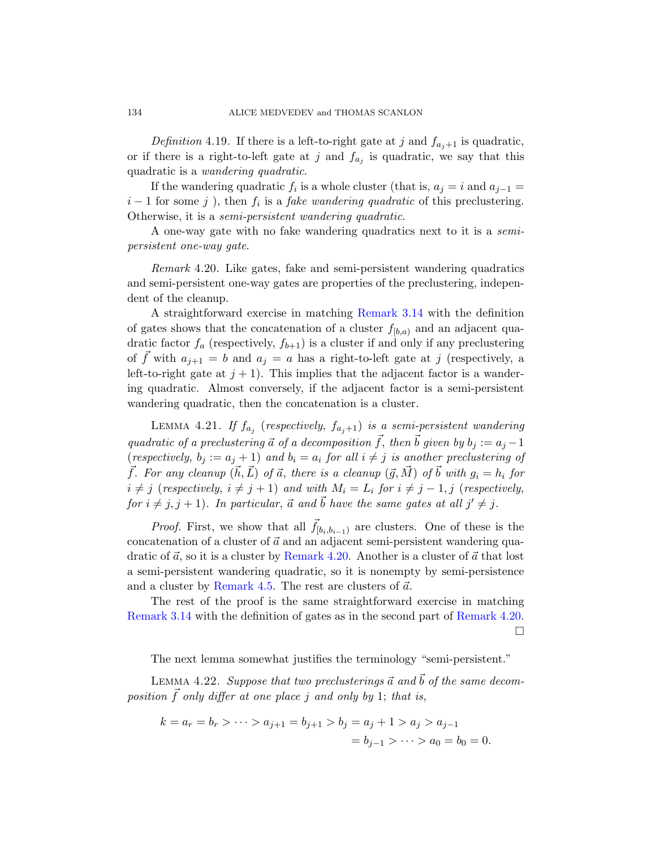Definition 4.19. If there is a left-to-right gate at j and  $f_{a_j+1}$  is quadratic, or if there is a right-to-left gate at j and  $f_{a_j}$  is quadratic, we say that this quadratic is a wandering quadratic.

<span id="page-53-0"></span>If the wandering quadratic  $f_i$  is a whole cluster (that is,  $a_j = i$  and  $a_{j-1} =$  $i-1$  for some j ), then  $f_i$  is a fake wandering quadratic of this preclustering. Otherwise, it is a sem[i-persistent w](#page-34-1)andering quadratic.

A one-way gate with no fake wandering quadratics next to it is a semipersistent one-way gate.

Remark 4.20. Like gates, fake and semi-persistent wandering quadratics and semi-persistent one-way gates are properties of the preclustering, independent of the cleanup.

<span id="page-53-2"></span>A straightforward exercise in matching Remark 3.14 with the definition of gates shows that the concatenation of a cluster  $f_{[b,a)}$  and an adjacent quadratic factor  $f_a$  (respectively,  $f_{b+1}$ ) is a cluster if and only if any preclustering of f with  $a_{i+1} = b$  and  $a_i = a$  has a right-to-left gate at j (respectively, a left-to-right gate at  $j + 1$ ). This implies that the adjacent factor is a wandering quadratic. Almost conversely, if the adjacent factor is a semi-persistent wandering quadratic, then the concatenation is a cluster.

LEMMA 4.21. If  $f_{a_j}$  (respectively,  $f_{a_j+1}$ ) is a semi-persistent wandering quadratic of a preclustering  $\vec{a}$  of a decomposition  $\vec{f}$ , then  $\vec{b}$  given by  $b_i := a_i - 1$ (respec[tively](#page-53-0),  $b_j := a_j + 1$ ) and  $b_i = a_i$  for all  $i \neq j$  is another preclustering of  $\vec{f}$ . For any cleanup  $(\vec{h}, \vec{L})$  of  $\vec{a}$ , there is a cleanup  $(\vec{g}, \vec{M})$  of  $\vec{b}$  with  $g_i = h_i$  for  $i \neq j$  (respectively,  $i \neq j + 1$ ) and with  $M_i = L_i$  $M_i = L_i$  $M_i = L_i$  for  $i \neq j - 1, j$  (respectively, for  $i \neq j, j + 1$ ). In particular,  $\vec{a}$  and  $\vec{b}$  have the same gates at all  $j' \neq j$ .

*Proof.* First, we show that all  $\vec{f}_{[b_i,b_{i-1})}$  [are cluste](#page-53-0)rs. One of these is the concatenation of a cluster of  $\vec{a}$  and an adjacent semi-persistent wandering quadratic of  $\vec{a}$ , so it is a cluster by Remark 4.20. Another is a cluster of  $\vec{a}$  that lost a semi-persistent wandering quadratic, so it is nonempty by semi-persistence and a cluster by Remark 4.5. The rest are clusters of  $\vec{a}$ .

<span id="page-53-1"></span>The rest of the proof is the same straightforward exercise in matching Remark 3.14 with the definition of gates as in the second part of Remark 4.20.  $\Box$ 

The next lemma somewhat justifies the terminology "semi-persistent."

LEMMA 4.22. Suppose that two preclusterings  $\vec{a}$  and  $\vec{b}$  of the same decomposition  $\vec{f}$  only differ at one place j and only by 1; that is,

$$
k = a_r = b_r > \dots > a_{j+1} = b_{j+1} > b_j = a_j + 1 > a_j > a_{j-1}
$$
  
=  $b_{j-1} > \dots > a_0 = b_0 = 0$ .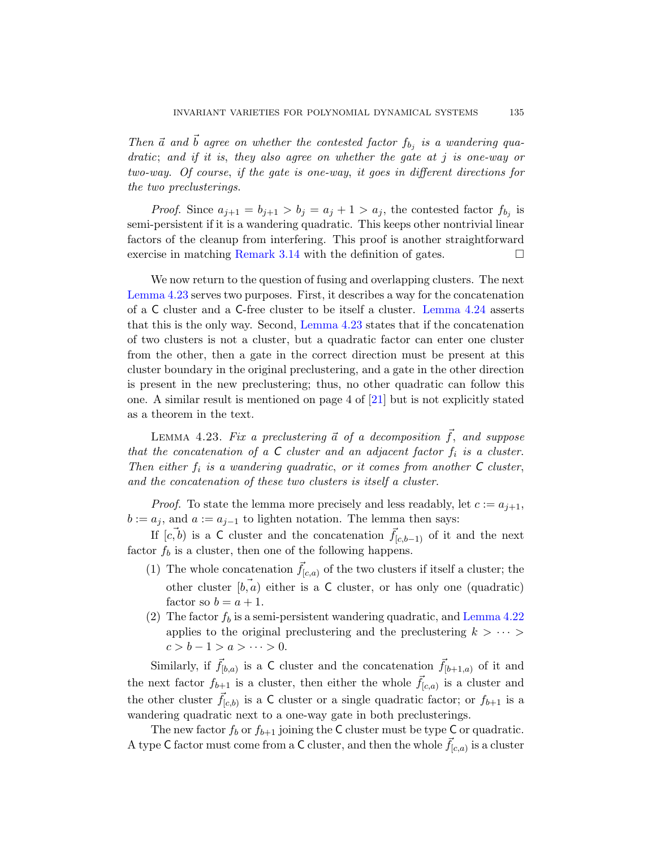Then  $\vec{a}$  and  $\vec{b}$  agree on whether the contested factor  $f_{b_j}$  is a wandering qua[dratic](#page-34-1); and if it is, they also agree on whether the gate at j is one-way or two-way. Of course, if the gate is one-way, it goes in different directions for the two preclusterings.

*Proof.* Since  $a_{j+1} = b_{j+1} > b_j = a_j + 1 > a_j$ , the contested factor  $f_{b_j}$  is semi-persi[stent if it is a](#page-54-0) wandering [quadratic. Th](#page-55-0)is keeps other nontrivial linear factors of the cleanup from interfering. This proof is another straightforward exercise in matching Remark 3.14 with the definition of gates.  $\Box$ 

<span id="page-54-0"></span>We now return to the question of fusing and overlapping clusters. The next Lemma 4.23 serves two purposes. First, it describes a way for the concatenation of a C cluster and a C-f[ree](#page-96-0) cluster to be itself a cluster. Lemma 4.24 asserts that this is the only way. Second, Lemma 4.23 states that if the concatenation of two clusters is not a cluster, but a quadratic factor can enter one cluster from the other, then a gate in the correct direction must be present at this cluster boundary in the original preclustering, and a gate in the other direction is present in the new preclustering; thus, no other quadratic can follow this one. A similar result is mentioned on page 4 of [21] but is not explicitly stated as a theorem in the text.

LEMMA 4.23. Fix a preclustering  $\vec{a}$  of a decomposition  $\vec{f}$ , and suppose that the concatenation of a  $C$  cluster and an adjacent factor  $f_i$  is a cluster. Then either  $f_i$  is a wandering quadratic, or it comes from another  $C$  cluster, and the concatenation of these two clusters is itself a cluster.

*Proof.* To state the lemma more precisely and less readably, let  $c := a_{i+1}$ ,  $b := a_j$ , and  $a := a_{j-1}$  to lighten notation. [The lemma](#page-53-1) then says:

If  $[c, b)$  is a C cluster and the concatenation  $f_{[c, b-1)}$  of it and the next factor  $f_b$  is a cluster, then one of the following happens.

- (1) The whole concatenation  $\vec{f}_{[c,a)}$  of the two clusters if itself a cluster; the other cluster  $[\overrightarrow{b}, \overrightarrow{a}]$  either is a C cluster, or has only one (quadratic) factor so  $b = a + 1$ .
- (2) The factor  $f_b$  is a semi-persistent wandering quadratic, and Lemma 4.22 applies to the original preclustering and the preclustering  $k > \cdots$  $c > b - 1 > a > \cdots > 0.$

Similarly, if  $\vec{f}_{[b,a)}$  is a C cluster and the concatenation  $\vec{f}_{[b+1,a)}$  of it and the next factor  $f_{b+1}$  is a cluster, then either the whole  $\vec{f}_{[c,a)}$  is a cluster and the other cluster  $\vec{f}_{[c,b)}$  is a C cluster or a single quadratic factor; or  $f_{b+1}$  is a wandering quadratic next to a one-way gate in both preclusterings.

The new factor  $f_b$  or  $f_{b+1}$  joining the C cluster must be type C or quadratic. A type C factor must come from a C cluster, and then the whole  $\vec{f}_{[c,a)}$  is a cluster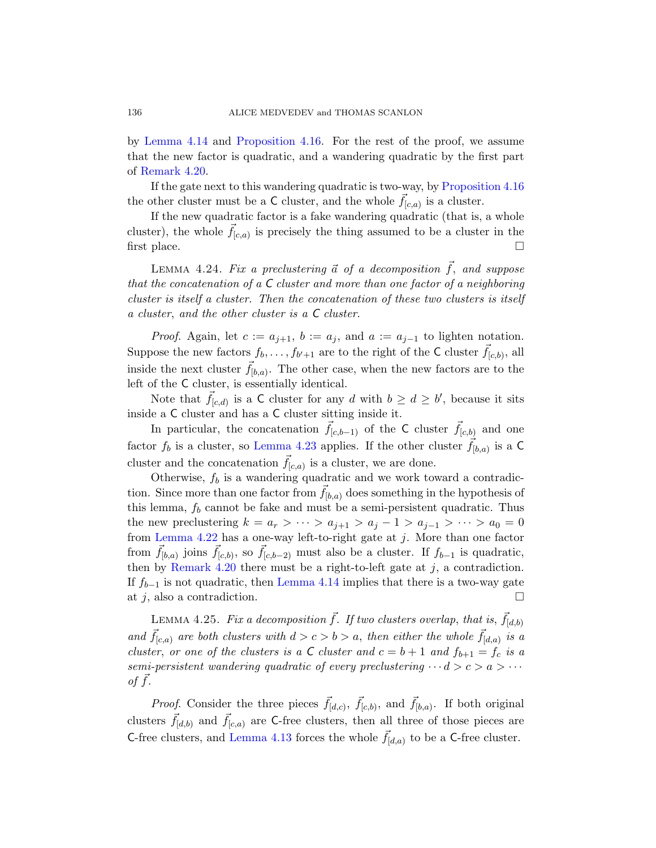by Lemma 4.14 and Proposition 4.16. For the rest of the proof, we assume that the new factor is quadratic, and a wandering quadratic by the first part of Remark 4.20.

<span id="page-55-0"></span>If the gate next to this wandering quadratic is two-way, by Proposition 4.16 the other cluster must be a C cluster, and the whole  $\vec{f}_{[c,a)}$  is a cluster.

If the new quadratic factor is a fake wandering quadratic (that is, a whole cluster), the whole  $\vec{f}_{[c,a)}$  is precisely the thing assumed to be a cluster in the first place.  $\Box$ 

LEMMA 4.24. Fix a preclustering  $\vec{a}$  of a decomposition  $\vec{f}$ , and suppose that the concatenation of a  $C$  cluster and more than one factor of a neighboring cluster is itself a cluster. Then the concatenation of these two clusters is itself a cluster, and the other cluster is a C cluster.

*Proof.* Again, let  $c := a_{i+1}$ ,  $b := a_i$ , and  $a := a_{i-1}$  to lighten notation. S[uppose the ne](#page-54-0)w factors  $f_b, \ldots, f_{b'+1}$  are to the right of the C cluster  $\vec{f}_{[c,b)}$ , all inside the next cluster  $\vec{f}_{[b,a)}$ . The other case, when the new factors are to the left of the C cluster, is essentially identical.

Note that  $\vec{f}_{[c,d)}$  is a C cluster for any d with  $b \geq d \geq b'$ , because it sits inside a C cluster and has a C cluster sitting inside it.

In particular, the concatenation  $\bar{f}_{[c,b-1]}$  of the C cluster  $\bar{f}_{[c,b]}$  and one factor  $f_b$  is a cluster, so Lemma 4.23 applies. If the other cluster  $\vec{f}_{[b,a)}$  is a C cluster and the concatenation  $\vec{f}_{[c,a)}$  is a cluster, we are done.

<span id="page-55-1"></span>Otherwise,  $f_b$  is a wandering quadratic and we work toward a contradic-tion. [Since more th](#page-50-0)an one factor from  $f_{[b,a)}$  does something in the hypothesis of this lemma,  $f_b$  cannot be fake and must be a semi-persistent quadratic. Thus the new preclustering  $k = a_r > \cdots > a_{j+1} > a_j - 1 > a_{j-1} > \cdots > a_0 = 0$ from Lemma 4.22 has a one-way left-to-right gate at  $j$ . More than one factor from  $\vec{f}_{[b,a)}$  joins  $\vec{f}_{[c,b)}$ , so  $\vec{f}_{[c,b-2)}$  must also be a cluster. If  $f_{b-1}$  is quadratic, then by Remark 4.20 there must be a right-to-left gate at  $j$ , a contradiction. If  $f_{b-1}$  is not quadratic, then Lemma 4.14 implies that there is a two-way gate at j, also a contradiction.

LEMMA 4.25. Fix a decomposition  $\vec{f}$ . If two clusters overlap, that is,  $\vec{f}_{[d,b)}$ and  $\vec{f}_{[c,a)}$  are both clusters with  $d > c > b > a$ , then either the whole  $\vec{f}_{[d,a)}$  is a [cluster](#page-49-1), or one of the clusters is a C cluster and  $c = b + 1$  and  $f_{b+1} = f_c$  is a semi-persistent wandering quadratic of every preclustering  $\cdots d > c > a > \cdots$ of  $f$ .

*Proof.* Consider the three pieces  $\vec{f}_{[d,c)}$ ,  $\vec{f}_{[c,b)}$ , and  $\vec{f}_{[b,a)}$ . If both original clusters  $\vec{f}_{[d,b)}$  and  $\vec{f}_{[c,a)}$  are C-free clusters, then all three of those pieces are C-free clusters, and Lemma 4.13 forces the whole  $\vec{f}_{[d,a)}$  to be a C-free cluster.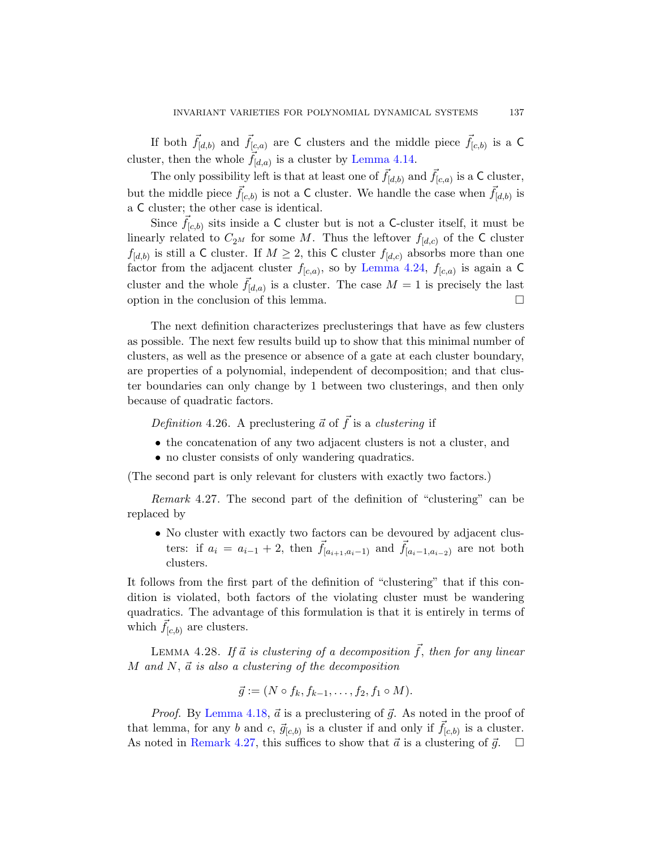If both  $\vec{f}_{[d,b)}$  and  $\vec{f}_{[c,a)}$  are C clusters and the middle piece  $\vec{f}_{[c,b)}$  is a C cluster, then the whole  $\vec{f}_{[d,a)}$  is a cluster by Lemma 4.14.

The only possibili[ty left is that a](#page-55-0)t least one of  $\vec{f}_{[d,b)}$  and  $\vec{f}_{[c,a)}$  is a C cluster, but the middle piece  $\vec{f}_{[c,b)}$  is not a C cluster. We handle the case when  $\vec{f}_{[d,b)}$  is a C cluster; the other case is identical.

Since  $\vec{f}_{[c,b)}$  sits inside a C cluster but is not a C-cluster itself, it must be linearly related to  $C_{2^M}$  for some M. Thus the leftover  $f_{[d,c)}$  of the C cluster  $f_{[d,b)}$  is still a C cluster. If  $M \geq 2$ , this C cluster  $f_{[d,c)}$  absorbs more than one factor from the adjacent cluster  $f_{[c,a)}$ , so by Lemma 4.24,  $f_{[c,a)}$  is again a C cluster and the whole  $\vec{f}_{[d,a)}$  is a cluster. The case  $M = 1$  is precisely the last option in the conclusion of this lemma.

<span id="page-56-0"></span>The next definition characterizes preclusterings that have as few clusters as possible. The next few results build up to show that this minimal number of clusters, as well as the presence or absence of a gate at each cluster boundary, are properties of a polynomial, independent of decomposition; and that cluster boundaries can only change by 1 between two clusterings, and then only because of quadratic factors.

Definition 4.26. A preclustering  $\vec{a}$  of  $\vec{f}$  is a clustering if

- the concatenation of any two adjacent clusters is not a cluster, and
- no cluster consists of only wandering quadratics.

(The second part is only relevant for clusters with exactly two factors.)

Remark 4.27. The second part of the definition of "clustering" can be replaced by

• No cluster with exactly two factors can be devoured by adjacent clusters: if  $a_i = a_{i-1} + 2$ , then  $\vec{f}_{[a_{i+1},a_{i-1})}$  and  $\vec{f}_{[a_i-1,a_{i-2})}$  are not both clusters.

It follows from the first part of the definition of "clustering" that if this condition is violated, both factors of the violating cluster must be wandering quadratics. The advantage of this formulation is that it is entirely in terms of [whic](#page-52-0)h  $\vec{f}_{[c,b)}$  are clusters.

LEMMA 4.28. If  $\vec{a}$  is clustering of a decomposition  $\vec{f}$ , then for any linear M and N,  $\vec{a}$  is also a clustering of the decomposition

$$
\vec{g} := (N \circ f_k, f_{k-1}, \dots, f_2, f_1 \circ M).
$$

*Proof.* By Lemma 4.18,  $\vec{a}$  is a preclustering of  $\vec{g}$ . As noted in the proof of that lemma, for any b and c,  $\vec{g}_{[c,b)}$  is a cluster if and only if  $\vec{f}_{[c,b)}$  is a cluster. As noted in Remark 4.27, this suffices to show that  $\vec{a}$  is a clustering of  $\vec{g}$ .  $\Box$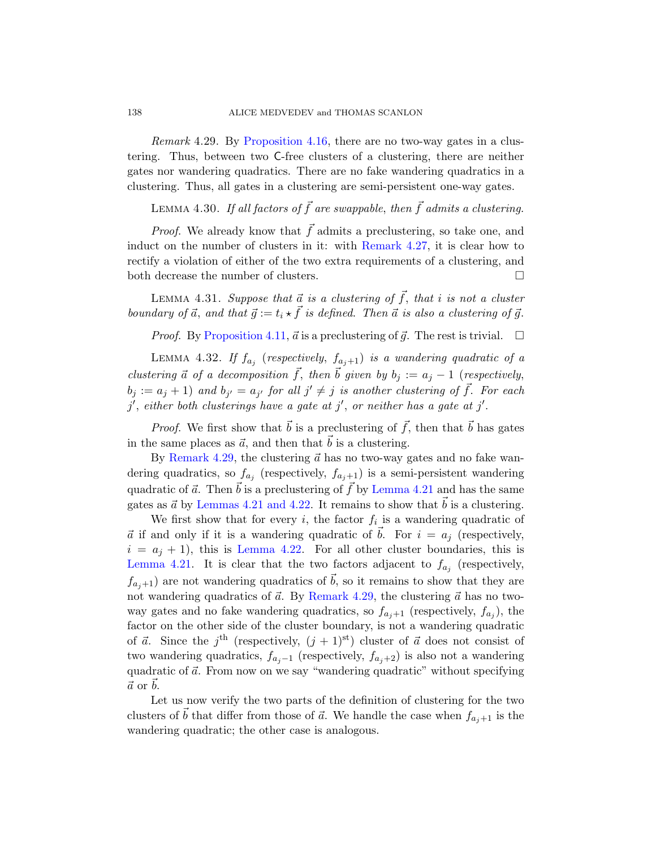## <span id="page-57-0"></span>138 ALICE MEDVEDEV and THOMAS SCANLON

Remark 4.29. By Proposition 4.16, there are no two-way gates in a clustering. Thus, between two C[-free c](#page-56-0)lusters of a clustering, there are neither gates nor wandering quadratics. There are no fake wandering quadratics in a clustering. Thus, all gates in a clustering are semi-persistent one-way gates.

LEMMA 4.30. If all factors of  $\vec{f}$  are swappable, then  $\vec{f}$  admits a clustering.

<span id="page-57-2"></span><span id="page-57-1"></span>*Proof.* We already know that  $\vec{f}$  admits a preclustering, so take one, and [induct o](#page-49-0)n the number of clusters in it: with Remark 4.27, it is clear how to rectify a violation of either of the two extra requirements of a clustering, and both decrease the number of clusters.  $\hfill \square$ 

LEMMA 4.31. Suppose that  $\vec{a}$  is a clustering of  $\vec{f}$ , that i is not a cluster boundary of  $\vec{a}$ , and that  $\vec{g} := t_i \star \vec{f}$  is defined. Then  $\vec{a}$  is also a clustering of  $\vec{g}$ .

*Proof.* By Proposition 4.11,  $\vec{a}$  is a preclustering of  $\vec{g}$ . The rest is trivial.  $\Box$ 

LEMMA 4.32. If  $f_{a_j}$  (respectively,  $f_{a_j+1}$ ) is a wandering quadratic of a clustering  $\vec{a}$  of a decomposition  $\vec{f}$ , then  $\vec{b}$  given by  $b_i := a_i - 1$  (respectively,  $b_j := a_j + 1$  and  $b_{j'} = a_{j'}$  [for all](#page-53-2)  $j' \neq j$  is another clustering of  $\vec{f}$ . For each  $j'$  $j'$ , [either both](#page-53-1) clusterings have a gate at  $j'$ , or neither has a gate at  $j'$ .

*Proof.* We first show that  $\vec{b}$  is a preclustering of  $\vec{f}$ , then that  $\vec{b}$  has gates in the same places as  $\vec{a}$ , and then that  $\vec{b}$  is a clustering.

By [Rem](#page-53-1)ark 4.29, the clustering  $\vec{a}$  has no two-way gates and no fake wandering quadratics, so  $f_{a_j}$  (respectively,  $f_{a_j+1}$ ) is a semi-persistent wandering quadratic of  $\vec{a}$ . Then  $\vec{b}$  is a preclustering of  $\vec{f}$  by Lemma 4.21 and has the same gates as  $\vec{a}$  by [Lemmas 4.2](#page-57-0)1 and 4.22. It remains to show that  $\vec{b}$  is a clustering.

We first show that for every i, the factor  $f_i$  is a wandering quadratic of  $\vec{a}$  if and only if it is a wandering quadratic of b. For  $i = a_j$  (respectively,  $i = a_j + 1$ , this is Lemma 4.22. For all other cluster boundaries, this is Lemma 4.21. It is clear that the two factors adjacent to  $f_{a_j}$  (respectively,  $f_{a,i+1}$ ) are not wandering quadratics of  $\vec{b}$ , so it remains to show that they are not wandering quadratics of  $\vec{a}$ . By Remark 4.29, the clustering  $\vec{a}$  has no twoway gates and no fake wandering quadratics, so  $f_{a_j+1}$  (respectively,  $f_{a_j}$ ), the factor on the other side of the cluster boundary, is not a wandering quadratic of  $\vec{a}$ . Since the j<sup>th</sup> (respectively,  $(j + 1)$ <sup>st</sup>) cluster of  $\vec{a}$  does not consist of two wandering quadratics,  $f_{a_j-1}$  (respectively,  $f_{a_j+2}$ ) is also not a wandering quadratic of  $\vec{a}$ . From now on we say "wandering quadratic" without specifying  $\vec{a}$  or  $\vec{b}$ .

Let us now verify the two parts of the definition of clustering for the two clusters of  $\vec{b}$  that differ from those of  $\vec{a}$ . We handle the case when  $f_{a_j+1}$  is the wandering quadratic; the other case is analogous.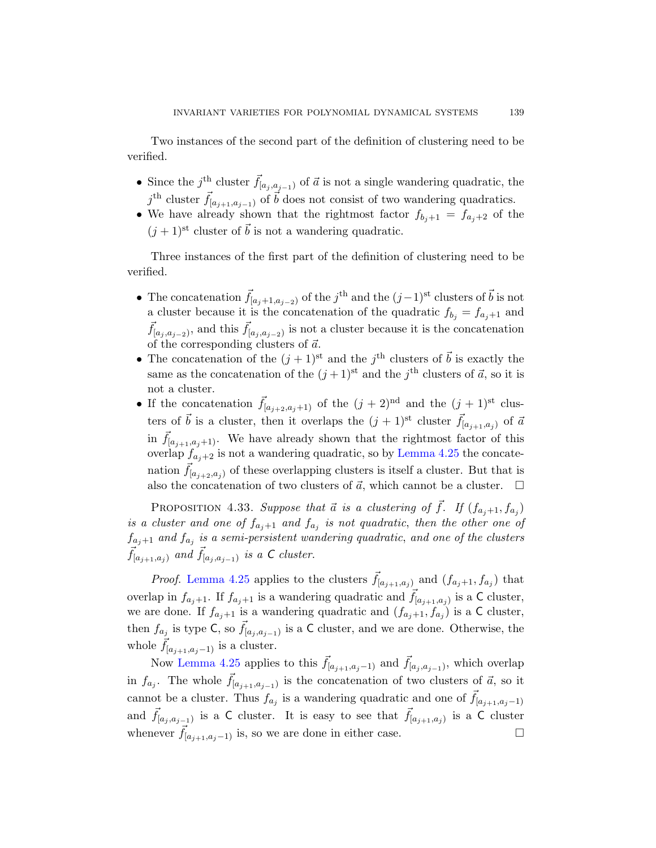Two instances of the second part of the definition of clustering need to be verified.

- Since the j<sup>th</sup> cluster  $\vec{f}_{[a_j, a_{j-1})}$  of  $\vec{a}$  is not a single wandering quadratic, the  $j^{\text{th}}$  cluster  $\vec{f}_{[a_{j+1},a_{j-1})}$  of  $\vec{b}$  does not consist of two wandering quadratics.
- We have already shown that the rightmost factor  $f_{b_j+1} = f_{a_j+2}$  of the  $(j + 1)$ <sup>st</sup> cluster of  $\vec{b}$  is not a wandering quadratic.

Three instances of the first part of the definition of clustering need to be verified.

- The concatenation  $\vec{f}_{[a_j+1,a_{j-2})}$  of the j<sup>th</sup> and the  $(j-1)$ <sup>st</sup> clusters of  $\vec{b}$  is not a cluster because it is the concatenation of the quadratic  $f_{b_j} = f_{a_j+1}$  and  $\vec{f}_{[a_j, a_{j-2})}$ , and this  $\vec{f}_{[a_j, a_{j-2})}$  is not a cluster because it is the concatenation of the corresponding clusters of  $\vec{a}$ .
- The concatenation of the  $(j+1)$ <sup>st</sup> and the  $j^{\text{th}}$  clusters of  $\vec{b}$  is exactly the same as the concatenation of the  $(j+1)$ <sup>st</sup> and the  $j^{\text{th}}$  clusters of  $\vec{a}$ , so it is not a cluster.
- <span id="page-58-0"></span>• If the concatenation  $\vec{f}_{[a_{j+2},a_j+1)}$  of the  $(j + 2)^{nd}$  and the  $(j + 1)^{st}$  clusters of  $\vec{b}$  is a cluster, then it overlaps the  $(j + 1)$ <sup>st</sup> cluster  $\vec{f}_{[a_{j+1},a_j]}$  of  $\vec{a}$ in  $\vec{f}_{[a_{j+1},a_j+1)}$ . We have already shown that the rightmost factor of this overlap  $f_{a_i+2}$  is not a wandering quadratic, so by Lemma 4.25 the concatenation  $f_{[a_{j+2},a_j)}$  of these overlapping clusters is itself a cluster. But that is also the concatenation of two clusters of  $\vec{a}$ , which cannot be a cluster.  $\Box$

PROPOSITION 4.33. Suppose that  $\vec{a}$  is a clustering of  $\vec{f}$ . If  $(f_{a_j+1}, f_{a_j})$ is a cluster and one of  $f_{a_j+1}$  and  $f_{a_j}$  is not quadratic, then the other one of  $f_{a_j+1}$  and  $f_{a_j}$  is a semi-persistent wandering quadratic, and one of the clusters  $\vec{f}_{[a_{j+1},a_j)}$  and  $\vec{f}_{[a_j,a_{j-1})}$  is a C cluster.

*Proof.* Lemma 4.25 applies to the clusters  $\vec{f}_{[a_{j+1},a_j]}$  and  $(f_{a_j+1},f_{a_j})$  that overlap in  $f_{a_j+1}$ . If  $f_{a_j+1}$  is a wandering quadratic and  $\vec{f}_{[a_{j+1},a_j)}$  is a C cluster, we are done. If  $f_{a_j+1}$  is a wandering quadratic and  $(f_{a_j+1}, f_{a_j})$  is a C cluster, then  $f_{a_j}$  is type C, so  $\vec{f}_{[a_j, a_{j-1})}$  is a C cluster, and we are done. Otherwise, the whole  $f_{[a_{i+1},a_i-1]}$  is a cluster.

Now Lemma 4.25 applies to this  $\vec{f}_{[a_{j+1},a_j-1)}$  and  $\vec{f}_{[a_j,a_{j-1})}$ , which overlap in  $f_{a_j}$ . The whole  $\vec{f}_{[a_{j+1},a_{j-1})}$  is the concatenation of two clusters of  $\vec{a}$ , so it cannot be a cluster. Thus  $f_{a_j}$  is a wandering quadratic and one of  $\vec{f}_{[a_{j+1},a_j-1]}$ and  $\vec{f}_{[a_j, a_{j-1})}$  is a C cluster. It is easy to see that  $\vec{f}_{[a_{j+1}, a_j)}$  is a C cluster whenever  $\vec{f}_{[a_{i+1},a_i-1)}$  is, so we are done in either case.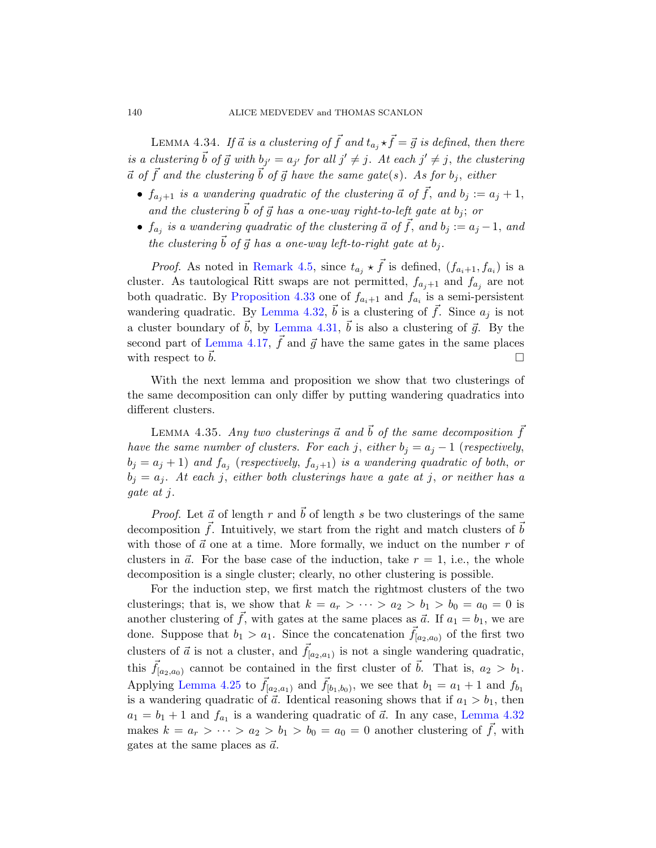<span id="page-59-1"></span>LEMMA 4.34. If  $\vec{a}$  is a clustering of  $\vec{f}$  and  $t_{a_j} \star \vec{f} = \vec{g}$  is defined, then there is a clustering  $\vec{b}$  of  $\vec{g}$  with  $b_{j'} = a_{j'}$  for all  $j' \neq j$ . At each  $j' \neq j$ , the clustering  $\vec{a}$  of  $\vec{f}$  [and the](#page-45-0) clustering  $\vec{b}$  of  $\vec{g}$  have the same gate(s). As for  $b_j$ , either

- $f_{a_i+1}$  is a wandering quadratic of the clustering  $\vec{a}$  of  $\vec{f}$ , and  $b_j := a_j + 1$ , [and the clus](#page-57-1)tering  $\vec{b}$  of  $\vec{g}$  has a one-way right-to-left gate at  $b_j$ ; or
- $f_{a_j}$  [is a wander](#page-57-2)ing quadratic of the clustering  $\vec{a}$  of  $\vec{f}$ , and  $b_j := a_j 1$ , and [t](#page-51-1)he clustering  $\vec{b}$  of  $\vec{g}$  has a one-way left-to-right gate at  $b_i$ .

*Proof.* As noted in Remark 4.5, since  $t_{a_j} \star \vec{f}$  is defined,  $(f_{a_i+1}, f_{a_i})$  is a cluster. As tautological Ritt swaps are not permitted,  $f_{a_j+1}$  and  $f_{a_j}$  are not both quadratic. By Proposition 4.33 one of  $f_{a_i+1}$  and  $f_{a_i}$  is a semi-persistent wandering quadratic. By Lemma 4.32,  $\vec{b}$  is a clustering of  $\vec{f}$ . Since  $a_j$  is not a cluster boundary of  $\vec{b}$ , by Lemma 4.31,  $\vec{b}$  is also a clustering of  $\vec{g}$ . By the second part of Lemma 4.17,  $\vec{f}$  and  $\vec{g}$  have the same gates in the same places with respect to  $\vec{b}$ .

<span id="page-59-0"></span>With the next lemma and proposition we show that two clusterings of the same decomposition can only differ by putting wandering quadratics into different clusters.

LEMMA 4.35. Any two clusterings  $\vec{a}$  and  $\vec{b}$  of the same decomposition  $\vec{f}$ have the same number of clusters. For each j, either  $b_i = a_j - 1$  (respectively,  $b_j = a_j + 1$ ) and  $f_{a_j}$  (respectively,  $f_{a_j+1}$ ) is a wandering quadratic of both, or  $b_j = a_j$ . At each j, either both clusterings have a gate at j, or neither has a gate at j.

*Proof.* Let  $\vec{a}$  of length r and  $\vec{b}$  of length s be two clusterings of the same decomposition  $\vec{f}$ . Intuitively, we start from the right and match clusters of  $\vec{b}$ with those of  $\vec{a}$  one at a time. More formally, we induct on the number r of clusters in  $\vec{a}$ . For the base case of the induction, take  $r = 1$ , i.e., the whole decomposition is a single cluster; clearly, no other clustering is possible.

For the induction step, we first match the rightmost clusters of the two clusterings; that is, we show that  $k = a_r > \cdots > a_2 > b_1 > b_0 = a_0 = 0$  is another clustering of  $\vec{f}$ , with gates at the [same places a](#page-57-1)s  $\vec{a}$ . If  $a_1 = b_1$ , we are done. Suppose that  $b_1 > a_1$ . Since the concatenation  $\vec{f}_{[a_2,a_0)}$  of the first two clusters of  $\vec{a}$  is not a cluster, and  $\vec{f}_{[a_2,a_1)}$  is not a single wandering quadratic, this  $f_{a_2,a_0}$  cannot be contained in the first cluster of  $\vec{b}$ . That is,  $a_2 > b_1$ . Applying Lemma 4.25 to  $\vec{f}_{[a_2,a_1]}$  and  $\vec{f}_{[b_1,b_0]}$ , we see that  $b_1 = a_1 + 1$  and  $f_{b_1}$ is a wandering quadratic of  $\vec{a}$ . Identical reasoning shows that if  $a_1 > b_1$ , then  $a_1 = b_1 + 1$  and  $f_{a_1}$  is a wandering quadratic of  $\vec{a}$ . In any case, Lemma 4.32 makes  $k = a_r > \cdots > a_2 > b_1 > b_0 = a_0 = 0$  another clustering of  $\vec{f}$ , with gates at the same places as  $\vec{a}$ .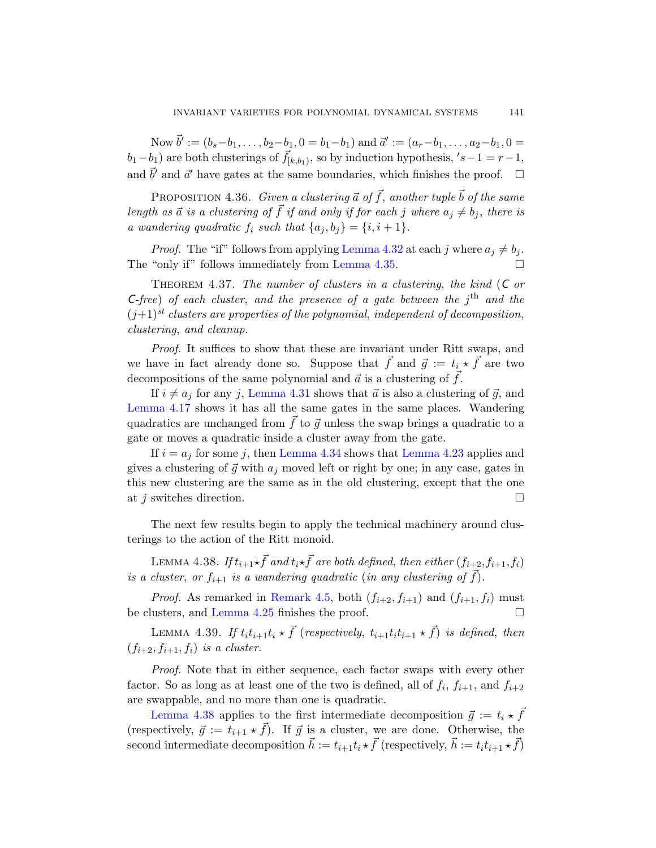Now  $\vec{b}' := (b_s - b_1, \ldots, b_2 - b_1, 0 = b_1 - b_1)$  and  $\vec{a}' := (a_r - b_1, \ldots, a_2 - b_1, 0 = b_1 - b_1)$  $(b_1-b_1)$  are both cl[usterings of](#page-57-1)  $\vec{f}_{[k,b_1)}$ , so by induction hypothesis,  $'s-1 = r-1$ , and  $\vec{b}'$  and  $\vec{a}'$  ha[ve gates at th](#page-59-0)e same boundaries, which finishes the proof.  $\Box$ 

PROPOSITION 4.36. Given a clustering  $\vec{a}$  of  $\vec{f}$ , another tuple  $\vec{b}$  of the same length as  $\vec{a}$  is a clustering of  $\vec{f}$  if and only if for each j where  $a_i \neq b_j$ , there is a wandering quadratic  $f_i$  such that  $\{a_j, b_j\} = \{i, i+1\}.$ 

*Proof.* The "if" follows from applying Lemma 4.32 at each j where  $a_i \neq b_i$ . The "only if" follows immediately from Lemma 4.35.  $\Box$ 

THEOREM 4.37. The number of clusters in a clustering, the kind  $(C \text{ or } )$ C-free) [of eac](#page-57-2)h cluster, and the presence of a gate between the  $j<sup>th</sup>$  and the  $(j+1)^{st}$  clusters are properties of the polynomial, independent of decomposition, clustering, and cleanup.

Proof. It suffices to show that these are invariant under Ritt swaps, and we ha[ve in fact alr](#page-59-1)eady done [so. Suppose](#page-54-0) that  $\vec{f}$  and  $\vec{g} := t_i \star \vec{f}$  are two decompositions of the same polynomial and  $\vec{a}$  is a clustering of  $\vec{f}$ .

If  $i \neq a_j$  for any j, Lemma 4.31 shows that  $\vec{a}$  is also a clustering of  $\vec{g}$ , and Lemma 4.17 shows it has all the same gates in the same places. Wandering quadratics are unchanged from  $\vec{f}$  to  $\vec{g}$  unless the swap brings a quadratic to a gate or moves a quadratic inside a cluster away from the gate.

<span id="page-60-0"></span>If  $i = a_j$  for some j, then Lemma 4.34 shows that Lemma 4.23 applies and gives a clustering of  $\vec{g}$  with  $a_j$  moved left or right by one; in any case, gates in this new clustering are the same as in the old clustering, except that the one at j [switches dire](#page-45-0)ction.  $\Box$ 

[T](#page-55-1)he next few results begin to apply the technical machinery around clusterings to the action of the Ritt monoid.

LEMMA 4.38. If  $t_{i+1} \star \vec{f}$  and  $t_i \star \vec{f}$  are both defined, then either  $(f_{i+2}, f_{i+1}, f_i)$ is a cluster, or  $f_{i+1}$  is a wandering quadratic (in any clustering of  $\vec{f}$ ).

*Proof.* As remarked in Remark 4.5, both  $(f_{i+2}, f_{i+1})$  and  $(f_{i+1}, f_i)$  must be clusters, and Lemma 4.25 finishes the proof.  $\Box$ 

LEMMA 4.39. If  $t_i t_{i+1} t_i \star \vec{f}$  (respectively,  $t_{i+1} t_i t_{i+1} \star \vec{f}$ ) is defined, then  $(f_{i+2}, f_{i+1}, f_i)$  is a cluster.

Proof. Note that in either sequence, each factor swaps with every other factor. So as long as at least one of the two is defined, all of  $f_i$ ,  $f_{i+1}$ , and  $f_{i+2}$ are swappable, and no more than one is quadratic.

Lemma 4.38 applies to the first intermediate decomposition  $\vec{g} := t_i \star \vec{f}$ (respectively,  $\vec{g} := t_{i+1} \star \vec{f}$ ). If  $\vec{g}$  is a cluster, we are done. Otherwise, the second intermediate decomposition  $\vec{h} := t_{i+1}t_i \star \vec{f}$  (respectively,  $\vec{h} := t_i t_{i+1} \star \vec{f}$ )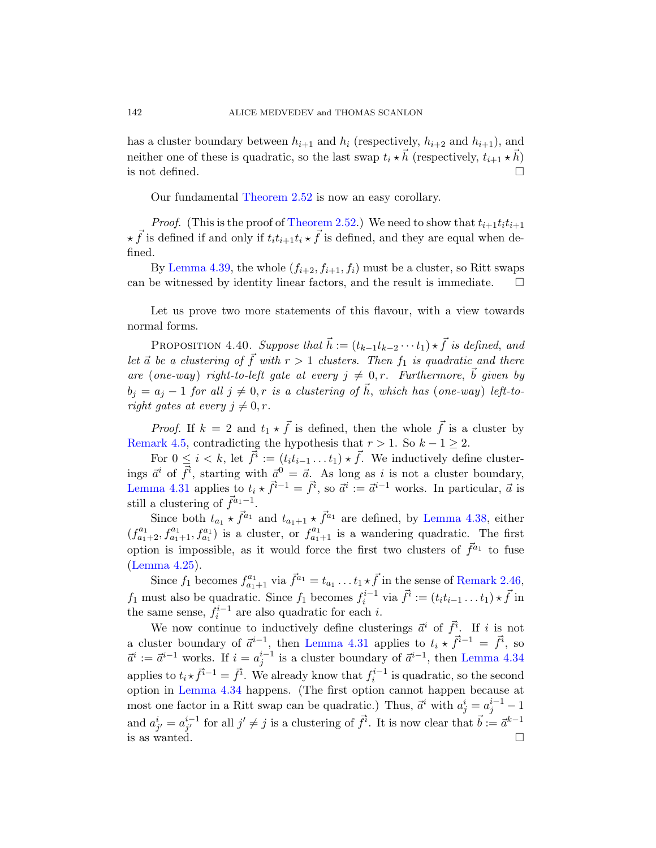has a cl[uster boundary](#page-23-1) between  $h_{i+1}$  and  $h_i$  (respectively,  $h_{i+2}$  and  $h_{i+1}$ ), and neither one of these is quadratic, so the last swap  $t_i \star \vec{h}$  (respectively,  $t_{i+1} \star \vec{h}$ ) is not defined.  $\Box$ 

Our fundamental Theorem 2.52 is now an easy corollary.

*Proof.* (This is the proof of Theorem 2.52.) We need to show that  $t_{i+1}t_it_{i+1}$  $\star \vec{f}$  is defined if and only if  $t_i t_{i+1} t_i \star \vec{f}$  is defined, and they are equal when defined.

<span id="page-61-0"></span>By Lemma 4.39, the whole  $(f_{i+2}, f_{i+1}, f_i)$  must be a cluster, so Ritt swaps can be witnessed by identity linear factors, and the result is immediate.  $\Box$ 

Let us prove two more statements of this flavour, with a view towards normal forms.

PROPOSITION 4.40. Suppose that  $\vec{h} := (t_{k-1}t_{k-2} \cdots t_1) \star \vec{f}$  is defined, and let  $\vec{a}$  be a clustering of  $\vec{f}$  with  $r > 1$  clusters. Then  $f_1$  is quadratic and there are (one-way) right-to-left gate at every  $j \neq 0, r$ . Furthermore,  $\vec{b}$  given by  $b_i = a_j - 1$  for all  $j \neq 0, r$  is a clustering of  $\vec{h}$ , which has (one-way) left-toright gates at every  $j \neq 0, r$ .

*Proof.* If  $k = 2$  and  $t_1 \star \vec{f}$  is [defined, then](#page-60-0) the whole  $\vec{f}$  is a cluster by Remark 4.5, contradicting the hypothesis that  $r > 1$ . So  $k - 1 \geq 2$ .

For  $0 \leq i < k$ , let  $\vec{f}^i := (t_i t_{i-1} \dots t_1) \star \vec{f}$ . We inductively define clusterings  $\vec{a}^i$  of  $\vec{f}^i$ , starting with  $\vec{a}^0 = \vec{a}$ . As long as i is not a cluster boundary, Lemma 4.31 applies to  $t_i \star \vec{f}^{i-1} = \vec{f}^i$ , so  $\vec{a}^i := \vec{a}^{i-1}$  $\vec{a}^i := \vec{a}^{i-1}$  $\vec{a}^i := \vec{a}^{i-1}$  works. In particular,  $\vec{a}$  is still a clustering of  $\vec{f}^{a_1-1}$ .

Since both  $t_{a_1} \star \vec{f}^{a_1}$  and  $t_{a_1+1} \star \vec{f}^{a_1}$  are defined, by Lemma 4.38, either  $(f_{a_1+2}^{a_1}, f_{a_1+1}^{a_1}, f_{a_1}^{a_1})$  is a cluster, or  $f_{a_1+1}^{a_1}$  is a wandering quadratic. The first option is i[mpossible, as](#page-57-2) it would force the first two clusters of  $\vec{f}^{a_1}$  to fuse (Lemma 4.25).

Since  $f_1$  becomes  $f_{a_1+1}^{a_1}$  via  $\vec{f}^{a_1} = t_{a_1} \dots t_1 \star \vec{f}$  in the sense of Remark 2.46,  $f_1$  must also be quadratic. Since  $f_1$  becomes  $f_i^{i-1}$  via  $\vec{f}^i := (t_i t_{i-1} \dots t_1) \star \vec{f}$  in the same sense,  $f_i^{i-1}$  are also quadratic for each *i*.

We now continue to inductively define clusterings  $\vec{a}^i$  of  $\vec{f}^i$ . If i is not a cluster boundary of  $\vec{a}^{i-1}$ , then Lemma 4.31 applies to  $t_i \star \vec{f}^{i-1} = \vec{f}^i$ , so  $\vec{a}^i := \vec{a}^{i-1}$  works. If  $i = a_j^{i-1}$  is a cluster boundary of  $\vec{a}^{i-1}$ , then Lemma 4.34 applies to  $t_i \star \vec{f}^{i-1} = \vec{f}^i$ . We already know that  $f_i^{i-1}$  is quadratic, so the second option in Lemma 4.34 happens. (The first option cannot happen because at most one factor in a Ritt swap can be quadratic.) Thus,  $\vec{a}^i$  with  $a^i_j = a^{i-1}_j - 1$ and  $a_{j'}^i = a_{j'}^{i-1}$  $j^{i-1}_{j'}$  for all  $j' \neq j$  is a clustering of  $\vec{f}^i$ . It is now clear that  $\vec{b} := \vec{a}^{k-1}$ is as wanted.  $\square$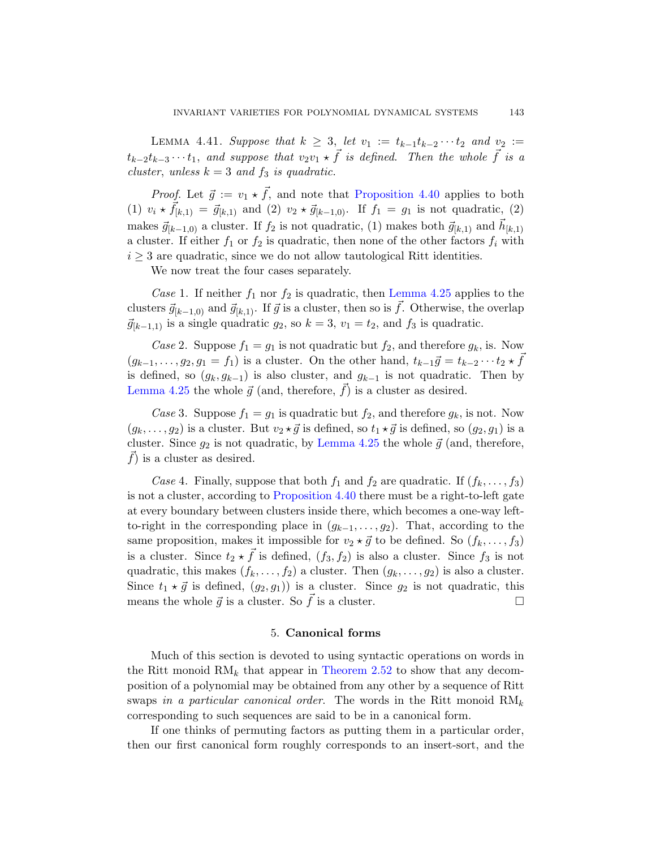LEMMA 4.41. Suppose that  $k \geq 3$ , let  $v_1 := t_{k-1}t_{k-2} \cdots t_2$  and  $v_2 :=$  $t_{k-2}t_{k-3}\cdots t_1$ , and suppose that  $v_2v_1 \star \vec{f}$  is defined. Then the whole  $\vec{f}$  is a cluster, unless  $k = 3$  and  $f_3$  is quadratic.

*Proof.* Let  $\vec{g} := v_1 \star \vec{f}$ [, and note th](#page-55-1)at Proposition 4.40 applies to both (1)  $v_i \star \vec{f}_{[k,1)} = \vec{g}_{[k,1)}$  and (2)  $v_2 \star \vec{g}_{[k-1,0)}$ . If  $f_1 = g_1$  is not quadratic, (2) makes  $\vec{g}_{[k-1,0)}$  a cluster. If  $f_2$  is not quadratic, (1) makes both  $\vec{g}_{[k,1)}$  and  $\vec{h}_{[k,1)}$ a cluster. If either  $f_1$  or  $f_2$  is quadratic, then none of the other factors  $f_i$  with  $i \geq 3$  are quadratic, since we do not allow tautological Ritt identities.

We now treat the four cases separately.

Case 1. If neither  $f_1$  nor  $f_2$  is quadratic, then Lemma 4.25 applies to the clusters  $\vec{g}_{[k-1,0)}$  and  $\vec{g}_{[k,1)}$ . If  $\vec{g}$  is a cluster, then so is  $\vec{f}$ . Otherwise, the overlap  $\vec{g}_{[k-1,1)}$  is a single quadratic  $g_2$ , so  $k = 3$ ,  $v_1 = t_2$ , and  $f_3$  is quadratic.

Case 2. [Suppose](#page-55-1)  $f_1 = g_1$  is not quadratic but  $f_2$ , and therefore  $g_k$ , is. Now  $(g_{k-1},\ldots,g_2,g_1=f_1)$  is a cluster. On the other hand,  $t_{k-1}\vec{g} = t_{k-2}\cdots t_2 \star \vec{f}$ is defined, so  $(g_k, g_{k-1})$  is also cluster, and  $g_{k-1}$  is not quadratic. Then by Lemma 4.25 the whole  $\vec{g}$  (and, therefore,  $\vec{f}$ ) is a cluster as desired.

Case [3. Suppose](#page-61-0)  $f_1 = g_1$  is quadratic but  $f_2$ , and therefore  $g_k$ , is not. Now  $(g_k, \ldots, g_2)$  is a cluster. But  $v_2 \star \vec{g}$  is defined, so  $t_1 \star \vec{g}$  is defined, so  $(g_2, g_1)$  is a cluster. Since  $g_2$  is not quadratic, by Lemma 4.25 the whole  $\vec{g}$  (and, therefore,  $\overrightarrow{f}$  is a cluster as desired.

Case 4. Finally, suppose that both  $f_1$  and  $f_2$  are quadratic. If  $(f_k, \ldots, f_3)$ is not a cluster, according to Proposition 4.40 there must be a right-to-left gate at every boundary between clusters inside there, which becomes a one-way leftto-right in the corresponding place in  $(g_{k-1}, \ldots, g_2)$ . That, according to the same proposition, makes it impossible for  $v_2 \star \vec{g}$  to be defined. So  $(f_k, \ldots, f_3)$ is a cluster. Since  $t_2 \star \vec{f}$  is defined,  $(f_3, f_2)$  is also a cluster. Since  $f_3$  is not quadratic, this makes  $(f_k, \ldots, f_2)$  a cluster. Then  $(g_k, \ldots, g_2)$  is also a cluster. Since  $t_1 \star \vec{g}$  is defined,  $(g_2, g_1)$  is a cluster. Since  $g_2$  is not quadratic, this means the whole  $\vec{g}$  is a cluster. So  $\vec{f}$  is a cluster.

## 5. Canonical forms

Much of this section is devoted to using syntactic operations on words in the Ritt monoid  $RM_k$  that appear in Theorem 2.52 to show that any decomposition of a polynomial may be obtained from any other by a sequence of Ritt swaps in a particular canonical order. The words in the Ritt monoid  $RM_k$ corresponding to such sequences are said to be in a canonical form.

If one thinks of permuting factors as putting them in a particular order, then our first canonical form roughly corresponds to an insert-sort, and the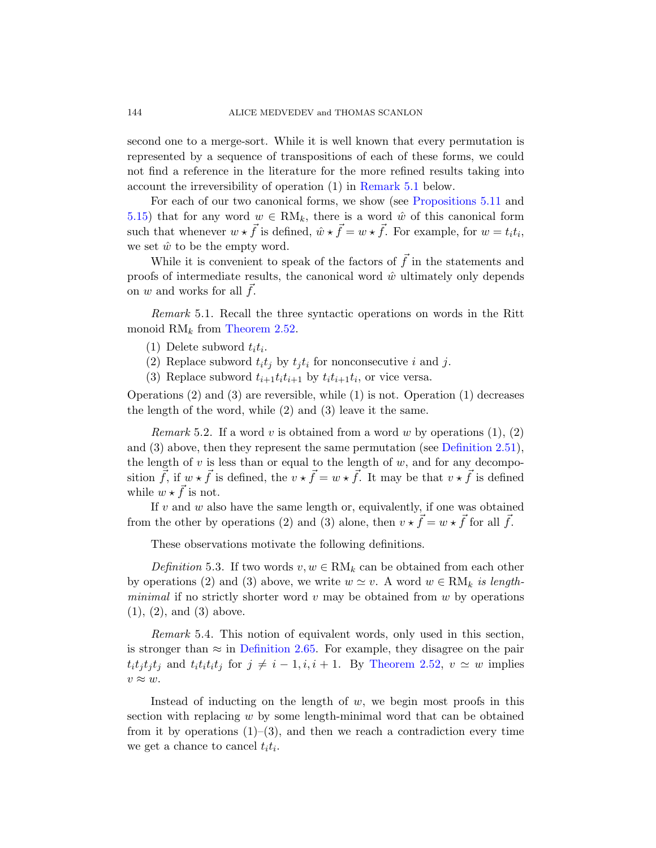second one to a merge-sort. While it is well known that every permutation is represented by a sequence of transpositions of each of these forms, we could not find a reference in the literature for the more refined results taking into account the irreversibility of operation (1) in Remark 5.1 below.

<span id="page-63-0"></span>For each of our two canonical forms, we show (see Propositions 5.11 and 5.15) that for any word  $w \in RM_k$ , there is a word  $\hat{w}$  of this canonical form [such that w](#page-23-1)henever  $w \star \vec{f}$  is defined,  $\hat{w} \star \vec{f} = w \star \vec{f}$ . For example, for  $w = t_i t_i$ , we set  $\hat{w}$  to be the empty word.

While it is convenient to speak of the factors of  $\vec{f}$  in the statements and proofs of intermediate results, the canonical word  $\hat{w}$  ultimately only depends on  $w$  and works for all  $f$ .

Remark 5.1. Recall the three syntactic operations on words in the Ritt monoid  $RM_k$  from Theorem 2.52.

- (1) Delete subword  $t_i t_i$ .
- (2) Replace subword  $t_i t_j$  by  $t_j t_i$  fo[r nonconsecutiv](#page-23-2)e i and j.
- (3) Replace subword  $t_{i+1}t_i t_{i+1}$  by  $t_i t_{i+1} t_i$ , or vice versa.

Operations  $(2)$  and  $(3)$  are reversible, while  $(1)$  is not. Operation  $(1)$  decreases the length of the word, while (2) and (3) leave it the same.

*Remark* 5.2. If a word v is obtained from a word w by operations  $(1), (2)$ and (3) above, then they represent the same permutation (see Definition 2.51), the length of  $v$  is less than or equal to the length of  $w$ , and for any decomposition  $\vec{f}$ , if  $w \star \vec{f}$  is defined, the  $v \star \vec{f} = w \star \vec{f}$ . It may be that  $v \star \vec{f}$  is defined while  $w \star \vec{f}$  is not.

If  $v$  and  $w$  also have the same length or, equivalently, if one was obtained from the other by operations (2) and (3) alone, then  $v \star \vec{f} = w \star \vec{f}$  for all  $\vec{f}$ .

These observations motivate the following definitions.

[Definition](#page-27-0) 5.3. If t[wo words](#page-23-1)  $v, w \in RM_k$  can be obtained from each other by operations (2) and (3) above, we write  $w \simeq v$ . A word  $w \in RM_k$  is lengthminimal if no strictly shorter word  $v$  may be obtained from  $w$  by operations (1), (2), and (3) above.

Remark 5.4. This notion of equivalent words, only used in this section, is stronger than  $\approx$  in Definition 2.65. For example, they disagree on the pair  $t_i t_j t_j t_j$  and  $t_i t_i t_j$  for  $j \neq i - 1, i, i + 1$ . By Theorem 2.52,  $v \simeq w$  implies  $v \approx w$ .

Instead of inducting on the length of  $w$ , we begin most proofs in this section with replacing w by some length-minimal word that can be obtained from it by operations  $(1)-(3)$ , and then we reach a contradiction every time we get a chance to cancel  $t_i t_i$ .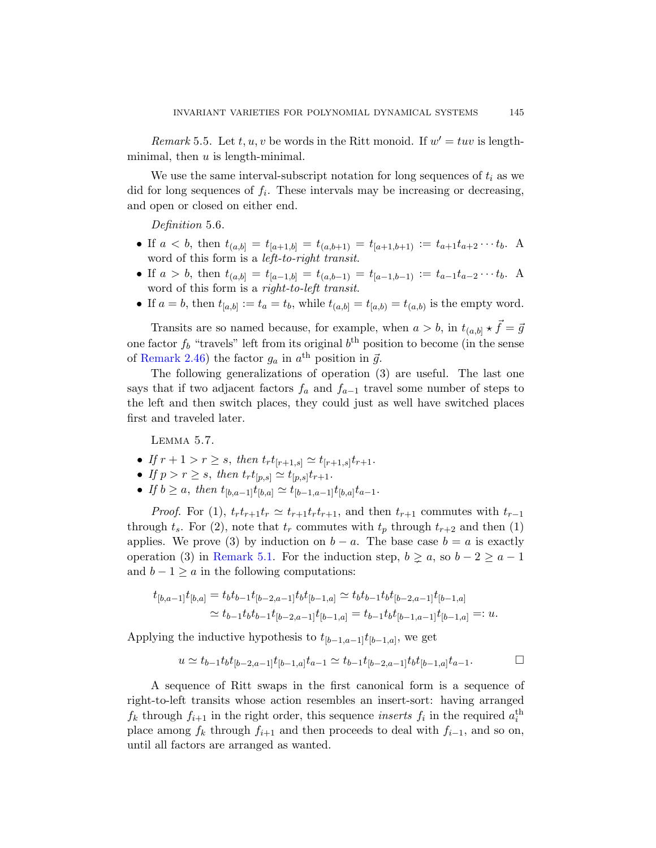Remark 5.5. Let  $t, u, v$  be words in the Ritt monoid. If  $w' = tuv$  is lengthminimal, then  $u$  is length-minimal.

We use the same interval-subscript notation for long sequences of  $t_i$  as we did for long sequences of  $f_i$ . These intervals may be increasing or decreasing, and open or closed on either end.

Definition 5.6.

- If  $a < b$ , then  $t_{(a,b]} = t_{[a+1,b]} = t_{(a,b+1)} = t_{[a+1,b+1]} := t_{a+1}t_{a+2}\cdots t_b$ . word of this form is a left-to-right transit.
- If  $a > b$ , then  $t_{(a,b]} = t_{[a-1,b]} = t_{(a,b-1)} = t_{[a-1,b-1]} := t_{a-1}t_{a-2}\cdots t_b$ . A word of this form is a *right-to-left transit*.
- If  $a = b$ , then  $t_{[a,b]} := t_a = t_b$ , while  $t_{(a,b]} = t_{[a,b)} = t_{(a,b)}$  is the empty word.

<span id="page-64-0"></span>Transits are so named because, for example, when  $a > b$ , in  $t_{(a,b]} \star \vec{f} = \vec{g}$ one factor  $f_b$  "travels" left from its original  $b^{\text{th}}$  position to become (in the sense of Remark 2.46) the factor  $g_a$  in  $a^{\text{th}}$  position in  $\vec{g}$ .

The following generalizations of operation (3) are useful. The last one says that if two adjacent factors  $f_a$  and  $f_{a-1}$  travel some number of steps to the left and then switch places, they could just as well have switched places first and traveled later.

Lemma 5.7.

- [If](#page-63-0)  $r + 1 > r \geq s$ , then  $t_r t_{[r+1,s]} \simeq t_{[r+1,s]} t_{r+1}$ .
- If  $p > r \geq s$ , then  $t_r t_{[p,s]} \simeq t_{[p,s]} t_{r+1}$ .
- If  $b \ge a$ , then  $t_{[b,a-1]}t_{[b,a]} \simeq t_{[b-1,a-1]}t_{[b,a]}t_{a-1}$ .

*Proof.* For (1),  $t_r t_{r+1} t_r \simeq t_{r+1} t_r t_{r+1}$ , and then  $t_{r+1}$  commutes with  $t_{r-1}$ through  $t_s$ . For (2), note that  $t_r$  commutes with  $t_p$  through  $t_{r+2}$  and then (1) applies. We prove (3) by induction on  $b - a$ . The base case  $b = a$  is exactly operation (3) in Remark 5.1. For the induction step,  $b \ge a$ , so  $b-2 \ge a-1$ and  $b - 1 \ge a$  in the following computations:

$$
t_{[b,a-1]}t_{[b,a]} = t_b t_{b-1} t_{[b-2,a-1]} t_b t_{[b-1,a]} \simeq t_b t_{b-1} t_b t_{[b-2,a-1]} t_{[b-1,a]}
$$
  

$$
\simeq t_{b-1} t_b t_{b-1} t_{[b-2,a-1]} t_{[b-1,a]} = t_{b-1} t_b t_{[b-1,a-1]} t_{[b-1,a]} =: u.
$$

Applying the inductive hypothesis to  $t_{[b-1,a-1]}t_{[b-1,a]}$ , we get

$$
u \simeq t_{b-1}t_b t_{[b-2,a-1]} t_{[b-1,a]} t_{a-1} \simeq t_{b-1} t_{[b-2,a-1]} t_b t_{[b-1,a]} t_{a-1}.
$$

A sequence of Ritt swaps in the first canonical form is a sequence of right-to-left transits whose action resembles an insert-sort: having arranged  $f_k$  through  $f_{i+1}$  in the right order, this sequence *inserts*  $f_i$  in the required  $a_i^{\text{th}}$ place among  $f_k$  through  $f_{i+1}$  and then proceeds to deal with  $f_{i-1}$ , and so on, until all factors are arranged as wanted.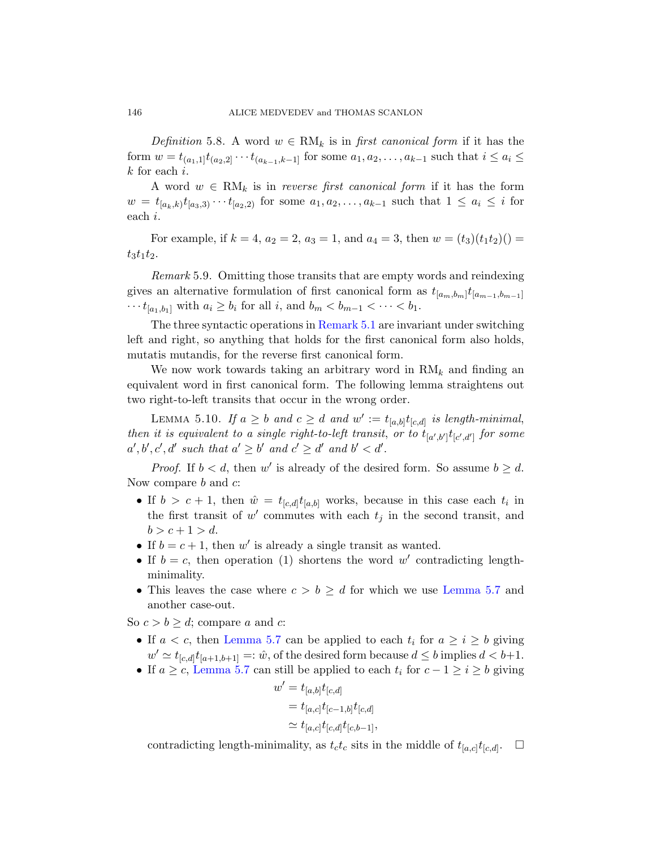Definition 5.8. A word  $w \in RM_k$  is in first canonical form if it has the form  $w = t_{(a_1,1]}t_{(a_2,2]} \cdots t_{(a_{k-1},k-1]}$  for some  $a_1, a_2, \ldots, a_{k-1}$  such that  $i \leq a_i \leq$  $k$  for each  $i$ .

<span id="page-65-0"></span>A word  $w \in RM_k$  is in reverse first canonical form if it has the form  $w = t_{[a_k,k)} t_{[a_3,3)} \cdots t_{[a_2,2)}$  for some  $a_1, a_2, \ldots, a_{k-1}$  such that  $1 \leq a_i \leq i$  for each i.

For exam[ple, if](#page-63-0)  $k = 4$ ,  $a_2 = 2$ ,  $a_3 = 1$ , and  $a_4 = 3$ , then  $w = (t_3)(t_1t_2)( ) = 1$  $t_3t_1t_2.$ 

Remark 5.9. Omitting those transits that are empty words and reindexing gives an alternative formulation of first canonical form as  $t_{[a_m,b_m]}t_{[a_{m-1},b_{m-1}]}$  $\cdots t_{[a_1,b_1]}$  with  $a_i \geq b_i$  for all i, and  $b_m < b_{m-1} < \cdots < b_1$ .

<span id="page-65-1"></span>The three syntactic operations in Remark 5.1 are invariant under switching left and right, so anything that holds for the first canonical form also holds, mutatis mutandis, for the reverse first canonical form.

We now work towards taking an arbitrary word in  $RM_k$  and finding an equivalent word in first canonical form. The following lemma straightens out two right-to-left transits that occur in the wrong order.

LEMMA 5.10. If  $a \geq b$  and  $c \geq d$  and  $w' := t_{[a,b]} t_{[c,d]}$  is length-minimal, then it is equivalent to a single right-to-left transit, or to  $t_{[a',b']}t_{[c',d']}$  for some  $a', b', c', d'$  such that  $a' \geq b'$  and  $c' \geq d'$  and  $b' < d'$ .

*Proof.* If  $b < d$ , then w' is already of the desired form. So assume  $b \geq d$ . Now compare  $b$  and  $c$ :

- If  $b > c + 1$ , then  $\hat{w} = t_{[c,d]} t_{[a,b]}$  [works, beca](#page-64-0)use in this case each  $t_i$  in the first transit of  $w'$  commutes with each  $t_j$  in the second transit, and  $b > c + 1 > d$ .
- [If](#page-64-0)  $b = c + 1$ , then w' is already a single transit as wanted.
- If  $b = c$ , then operation (1) shortens the word w' contradicting lengthminimality.
- This leaves the case where  $c > b \geq d$  for which we use Lemma 5.7 and another case-out.

So  $c > b \geq d$ ; compare a and c:

- If  $a < c$ , then Lemma 5.7 can be applied to each  $t_i$  for  $a \geq i \geq b$  giving  $w' \simeq t_{[c,d]} t_{[a+1,b+1]} =: \hat{w}$ , of the desired form because  $d \leq b$  implies  $d < b+1$ .
- If  $a \geq c$ , Lemma 5.7 can still be applied to each  $t_i$  for  $c 1 \geq i \geq b$  giving

$$
w' = t_{[a,b]} t_{[c,d]}
$$
  
=  $t_{[a,c]} t_{[c-1,b]} t_{[c,d]}$   

$$
\simeq t_{[a,c]} t_{[c,d]} t_{[c,b-1]},
$$

contradicting length-minimality, as  $t_c t_c$  sits in the middle of  $t_{[a,c]} t_{[c,d]}$ .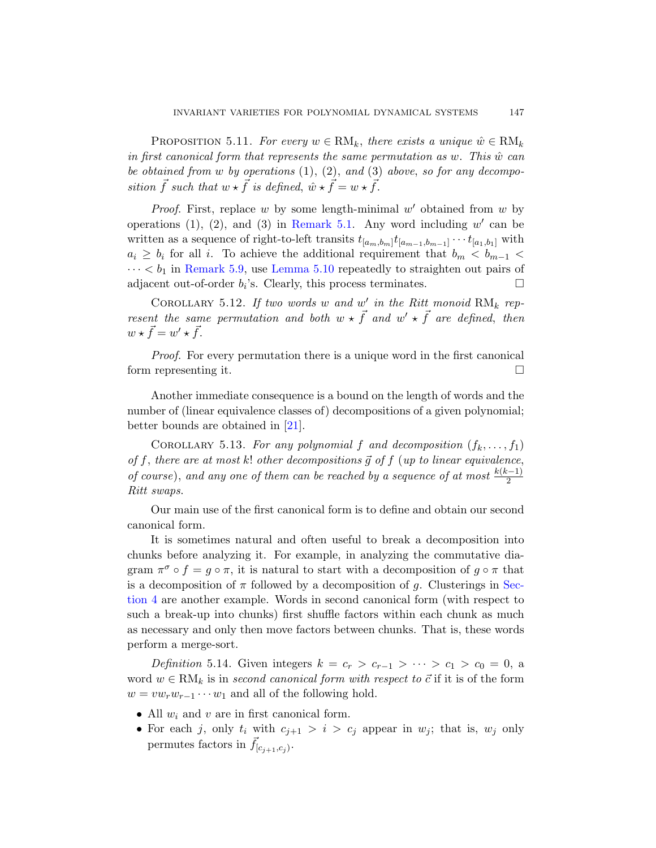<span id="page-66-0"></span>PROPOSITION 5.11. For every  $w \in RM_k$ , there exists a unique  $\hat{w} \in RM_k$ in first canonical form that represents the same permutation as  $w$ . This  $\hat{w}$  can [b](#page-65-0)e ob[tained from](#page-65-1) w by operations  $(1), (2),$  and  $(3)$  above, so for any decomposition  $\vec{f}$  such that  $w \star \vec{f}$  is defined,  $\hat{w} \star \vec{f} = w \star \vec{f}$ .

*Proof.* First, replace  $w$  by some length-minimal  $w'$  obtained from  $w$  by operations (1), (2), and (3) in Remark 5.1. Any word including  $w'$  can be written as a sequence of right-to-left transits  $t_{[a_m,b_m]}t_{[a_{m-1},b_{m-1}]} \cdots t_{[a_1,b_1]}$  with  $a_i \geq b_i$  for all i. To achieve the additional requirement that  $b_m < b_{m-1}$  $\cdots < b_1$  in Remark 5.9, use Lemma 5.10 repeatedly to straighten out pairs of adjacent out-of-order  $b_i$ 's. Clearly, this process terminates.  $\Box$ 

COROLLARY 5.12. If two words w and  $w'$  in the Ritt monoid  $\text{RM}_k$  represent the same permutation and both  $w \star \vec{f}$  and  $w' \star \vec{f}$  are defined, then  $w \star \vec{f} = w' \star \vec{f}.$  $w \star \vec{f} = w' \star \vec{f}.$ 

Proof. For every permutation there is a unique word in the first canonical form representing it.

Another immediate consequence is a bound on the length of words and the number of (linear equivalence classes of) decompositions of a given polynomial; better bounds are obtained in [21].

COROLLARY 5.13. For any polynomial f and decomposition  $(f_k, \ldots, f_1)$ of f, there are at most k! other decompositions  $\vec{g}$  of  $f$  (up to linear equivalence, of course), and any one of them can be reached by a sequence of at most  $\frac{k(k-1)}{2}$ Ritt swaps.

Our main use of the first canonical form is to define and obtain our second canonical form.

It is sometimes natural and often useful to break a decomposition into chunks before analyzing it. For example, in analyzing the commutative diagram  $\pi^{\sigma} \circ f = g \circ \pi$ , it is natural to start with a decomposition of  $g \circ \pi$  that is a decomposition of  $\pi$  followed by a decomposition of g. Clusterings in Section 4 are another example. Words in second canonical form (with respect to such a break-up into chunks) first shuffle factors within each chunk as much as necessary and only then move factors between chunks. That is, these words perform a merge-sort.

Definition 5.14. Given integers  $k = c_r > c_{r-1} > \cdots > c_1 > c_0 = 0$ , a word  $w \in RM_k$  is in second canonical form with respect to  $\vec{c}$  if it is of the form  $w = v w_r w_{r-1} \cdots w_1$  and all of the following hold.

- All  $w_i$  and  $v$  are in first canonical form.
- For each j, only  $t_i$  with  $c_{j+1} > i > c_j$  appear in  $w_j$ ; that is,  $w_j$  only permutes factors in  $\vec{f}_{[c_{j+1},c_j)}$ .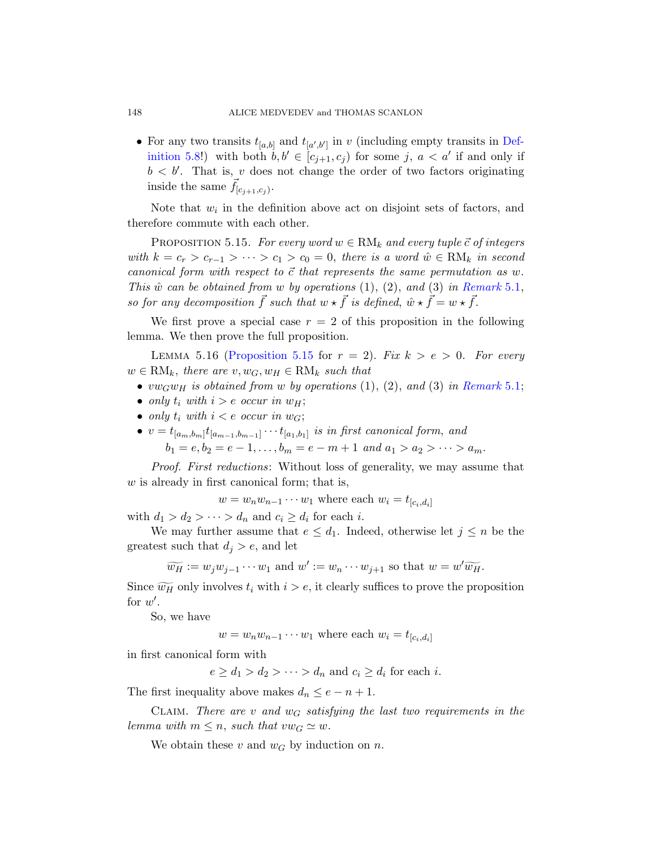• For any two transits  $t_{[a,b]}$  and  $t_{[a',b']}$  in v (including empty transits in Definition 5.8!) with both  $b, b' \in [c_{j+1}, c_j)$  for some j,  $a < a'$  if and only if  $b < b'$ . That is, v does not change the order of two factors originating inside the same  $\vec{f}_{[c_{j+1},c_j)}$ .

Note that  $w_i$  in the definition above act on disjoint sets of factors, and therefore commute with each other.

<span id="page-67-1"></span>PROPOSITION 5.15. For every word  $w \in RM_k$  and every tuple  $\vec{c}$  of integers with  $k = c_r > c_{r-1} > \cdots > c_1 > c_0 = 0$ , there is a word  $\hat{w} \in \text{RM}_k$  in second [canonical form](#page-67-0) with respect to  $\vec{c}$  that represents the same permutation as w. This  $\hat{w}$  can be obtained from w by operations [\(1\), \(2\),](#page-63-0) and (3) in Remark 5.1, so for any decomposition  $\vec{f}$  such that  $w \star \vec{f}$  is defined,  $\hat{w} \star \vec{f} = w \star \vec{f}$ .

We first prove a special case  $r = 2$  of this proposition in the following lemma. We then prove the full proposition.

LEMMA 5.16 (Proposition 5.15 for  $r = 2$ ). Fix  $k > e > 0$ . For every  $w \in RM_k$ , there are  $v, w_G, w_H \in RM_k$  such that

- $vw_Gw_H$  is obtained from w by operations (1), (2), and (3) in Remark 5.1;
- only  $t_i$  with  $i > e$  occur in  $w_H$ ;
- only  $t_i$  with  $i < e$  occur in  $w_G$ ;
- $v = t_{[a_m, b_m]} t_{[a_{m-1}, b_{m-1}]} \cdots t_{[a_1, b_1]}$  is in first canonical form, and  $b_1 = e, b_2 = e - 1, \ldots, b_m = e - m + 1$  and  $a_1 > a_2 > \cdots > a_m$ .

Proof. First reductions: Without loss of generality, we may assume that  $w$  is already in first canonical form; that is,

 $w = w_n w_{n-1} \cdots w_1$  where each  $w_i = t_{[c_i,d_i]}$ 

with  $d_1 > d_2 > \cdots > d_n$  and  $c_i \geq d_i$  for each *i*.

We may further assume that  $e \leq d_1$ . Indeed, otherwise let  $j \leq n$  be the greatest such that  $d_i > e$ , and let

$$
\widetilde{w_H} := w_j w_{j-1} \cdots w_1
$$
 and  $w' := w_n \cdots w_{j+1}$  so that  $w = w' \widetilde{w_H}$ .

Since  $\widetilde{w_H}$  only involves  $t_i$  with  $i > e$ , it clearly suffices to prove the proposition for  $w'$ .

So, we have

 $w = w_n w_{n-1} \cdots w_1$  where each  $w_i = t_{[c_i,d_i]}$ 

in first canonical form with

 $e \geq d_1 > d_2 > \cdots > d_n$  and  $c_i \geq d_i$  for each *i*.

The first inequality above makes  $d_n \leq e - n + 1$ .

CLAIM. There are v and  $w_G$  satisfying the last two requirements in the lemma with  $m \leq n$ , such that  $vw_G \simeq w$ .

We obtain these v and  $w_G$  by induction on n.

<span id="page-67-0"></span>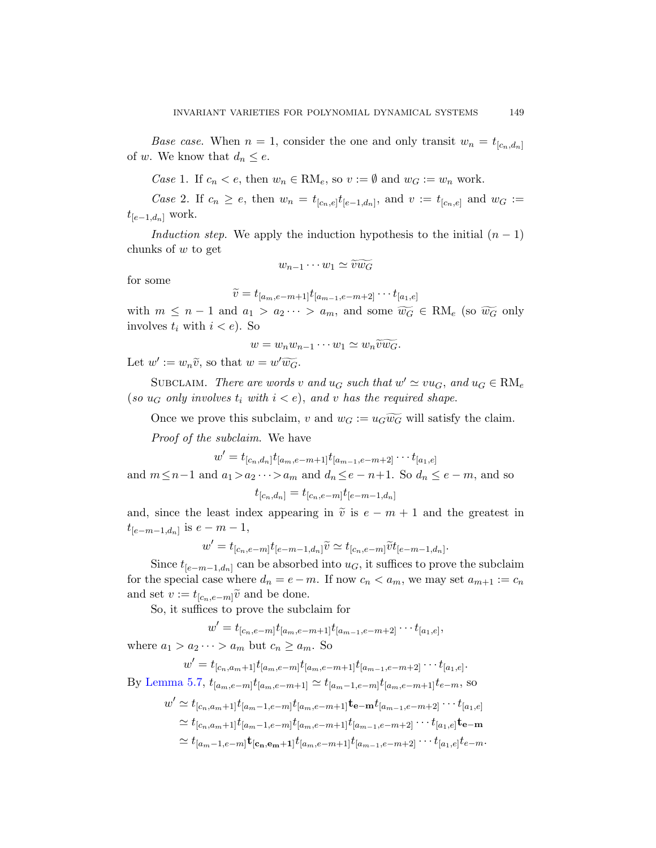*Base case.* When  $n = 1$ , consider the one and only transit  $w_n = t_{[c_n,d_n]}$ of w. We know that  $d_n \leq e$ .

Case 1. If  $c_n < e$ , then  $w_n \in RM_e$ , so  $v := \emptyset$  and  $w_G := w_n$  work.

*Case* 2. If  $c_n \geq e$ , then  $w_n = t_{[c_n,e]} t_{[e-1,d_n]}$ , and  $v := t_{[c_n,e]}$  and  $w_G :=$  $t_{[e-1,d_n]}$  work.

*Induction step.* We apply the induction hypothesis to the initial  $(n - 1)$ chunks of w to get

$$
w_{n-1}\cdots w_1 \simeq \widetilde{v}\widetilde{w_G}
$$

for some

$$
\widetilde{v} = t_{[a_m,e-m+1]}t_{[a_{m-1},e-m+2]} \cdots t_{[a_1,e]}
$$

with  $m \leq n-1$  and  $a_1 > a_2 \cdots > a_m$ , and some  $\widetilde{w_G} \in \text{RM}_{e}$  (so  $\widetilde{w_G}$  only involves  $t_i$  with  $i < e$ ). So

$$
w=w_nw_{n-1}\cdots w_1\simeq w_n\widetilde{v}\widetilde{w_G}.
$$

Let  $w' := w_n \widetilde{v}$ , so that  $w = w' \widetilde{w_G}$ .

SUBCLAIM. There are words v and  $u_G$  such that  $w' \simeq vu_G$ , and  $u_G \in \text{RM}_e$ (so  $u_G$  only involves  $t_i$  with  $i < e$ ), and v has the required shape.

Once we prove this subclaim, v and  $w_G := u_G \widetilde{w_G}$  will satisfy the claim.

Proof of the subclaim. We have

 $w' = t_{[c_n,d_n]} t_{[a_m,e-m+1]} t_{[a_{m-1},e-m+2]} \cdots t_{[a_1,e]}$ 

and  $m \leq n-1$  and  $a_1 > a_2 \cdots > a_m$  and  $d_n \leq e - n+1$ . So  $d_n \leq e - m$ , and so

$$
t_{[c_n,d_n]} = t_{[c_n,e-m]} t_{[e-m-1,d_n]}
$$

and, since the least index appearing in  $\tilde{v}$  is  $e - m + 1$  and the greatest in  $t_{[e-m-1,d_n]}$  is  $e-m-1$ ,

$$
w'=t_{[c_n,e-m]}t_{[e-m-1,d_n]}\widetilde{v}\simeq t_{[c_n,e-m]}\widetilde{v}t_{[e-m-1,d_n]}.
$$

Since  $t_{[e-m-1,d_n]}$  can be absorbed into  $u_G$ , it suffices to prove the subclaim for the special case where  $d_n = e - m$ . If now  $c_n < a_m$ , we may set  $a_{m+1} := c_n$ and set  $v := t_{[c_n,e-m]} \tilde{v}$  and be done.

So, it suffices to prove the subclaim for

$$
w' = t_{[c_n,e-m]}t_{[a_m,e-m+1]}t_{[a_{m-1},e-m+2]} \cdots t_{[a_1,e]},
$$

where  $a_1 > a_2 \cdots > a_m$  but  $c_n \ge a_m$ . So

$$
w' = t_{[c_n, a_m+1]} t_{[a_m, e-m]} t_{[a_m, e-m+1]} t_{[a_{m-1}, e-m+2]} \cdots t_{[a_1, e]}.
$$

By Lemma 5.7,  $t_{[a_m,e-m]}t_{[a_m,e-m+1]} \simeq t_{[a_m-1,e-m]}t_{[a_m,e-m+1]}t_{e-m}$ , so

$$
w' \simeq t_{[c_n,a_m+1]} t_{[a_m-1,e-m]} t_{[a_m,e-m+1]} \mathbf{t}_{\mathbf{e}-\mathbf{m}} t_{[a_{m-1},e-m+2]} \cdots t_{[a_1,e]}
$$
  
\n
$$
\simeq t_{[c_n,a_m+1]} t_{[a_m-1,e-m]} t_{[a_m,e-m+1]} t_{[a_{m-1},e-m+2]} \cdots t_{[a_1,e]} \mathbf{t}_{\mathbf{e}-\mathbf{m}}
$$
  
\n
$$
\simeq t_{[a_m-1,e-m]} \mathbf{t}_{[\mathbf{c}_n,\mathbf{e}_m+1]} t_{[a_m,e-m+1]} t_{[a_{m-1},e-m+2]} \cdots t_{[a_1,e]} t_{e-m}.
$$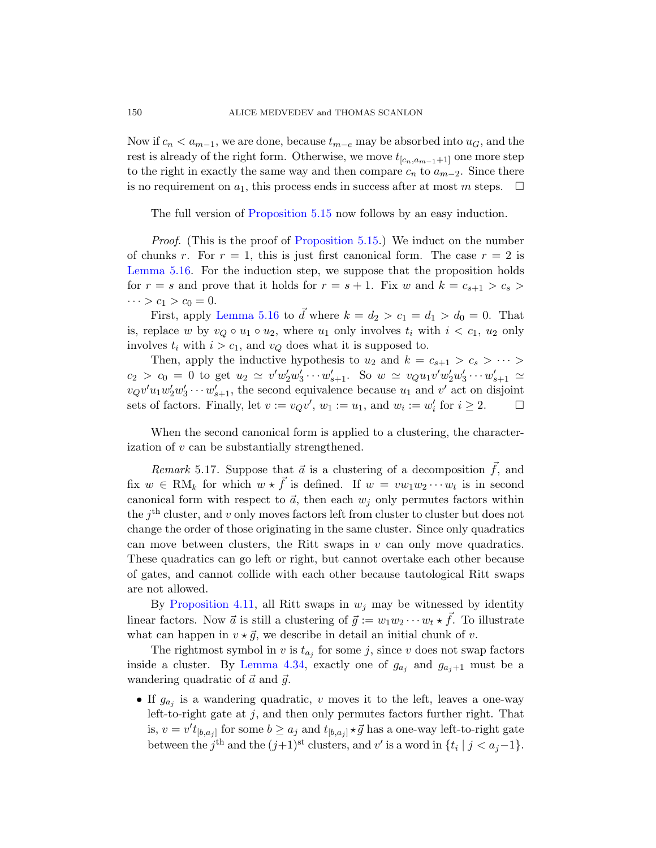Now if  $c_n < a_{m-1}$ , we are done, because  $t_{m-e}$  may be absorbed into  $u_G$ , and the rest is alr[eady of the right f](#page-67-0)orm. Otherwise, we move  $t_{[c_n,a_{m-1}+1]}$  one more step to the right in exactly the same way and then compare  $c_n$  to  $a_{m-2}$ . Since there is no requirement on  $a_1$ , this process ends in success after at most m steps.  $\Box$ 

[Th](#page-67-1)e full version of Proposition 5.15 now follows by an easy induction.

*Proof.* (This is the proof of Proposition 5.15.) We induct on the number of chunks r. For  $r = 1$ , this is just first canonical form. The case  $r = 2$  is Lemma 5.16. For the induction step, we suppose that the proposition holds for  $r = s$  and prove that it holds for  $r = s + 1$ . Fix w and  $k = c_{s+1} > c_s$  $\cdots > c_1 > c_0 = 0.$ 

First, apply Lemma 5.16 to  $\vec{d}$  where  $k = d_2 > c_1 = d_1 > d_0 = 0$ . That is, replace w by  $v_Q \circ u_1 \circ u_2$ , where  $u_1$  only involves  $t_i$  with  $i < c_1$ ,  $u_2$  only involves  $t_i$  with  $i > c_1$ , and  $v_Q$  does what it is supposed to.

Then, apply the inductive hypothesis to  $u_2$  and  $k = c_{s+1} > c_s > \cdots$  $c_2 > c_0 = 0$  to get  $u_2 \simeq v' w'_2 w'_3 \cdots w'_{s+1}$ . So  $w \simeq v_Q u_1 v' w'_2 w'_3 \cdots w'_{s+1} \simeq$  $v_Q v' u_1 w_2' w_3' \cdots w_{s+1}'$ , the second equivalence because  $u_1$  and  $v'$  act on disjoint sets of factors. Finally, let  $v := v_Q v'$ ,  $w_1 := u_1$ , and  $w_i := w'_i$  for  $i \geq 2$ .  $\Box$ 

When the second canonical form is applied to a clustering, the characterization of v can be substantially strengthened.

*Remark* 5.17. Suppose that  $\vec{a}$  is a clustering of a decomposition  $\vec{f}$ , and fix  $w \in \text{RM}_k$  for which  $w \star \vec{f}$  is defined. If  $w = vw_1w_2\cdots w_t$  is in second canonical form with respect to  $\vec{a}$ , then each  $w_i$  only permutes factors within [th](#page-49-0)e  $j<sup>th</sup>$  cluster, and v only moves factors left from cluster to cluster but does not change the order of those originating in the same cluster. Since only quadratics can move between clusters, the Ritt swaps in  $v$  can only move quadratics. These quadratics can go left or right, but cannot overtake each other because [of gates, an](#page-59-1)d cannot collide with each other because tautological Ritt swaps are not allowed.

By Proposition 4.11, all Ritt swaps in  $w_j$  may be witnessed by identity linear factors. Now  $\vec{a}$  is still a clustering of  $\vec{g} := w_1w_2\cdots w_t \star \vec{f}$ . To illustrate what can happen in  $v \star \vec{g}$ , we describe in detail an initial chunk of v.

The rightmost symbol in v is  $t_{a_j}$  for some j, since v does not swap factors inside a cluster. By Lemma 4.34, exactly one of  $g_{a_j}$  and  $g_{a_j+1}$  must be a wandering quadratic of  $\vec{a}$  and  $\vec{g}$ .

• If  $g_{a_j}$  is a wandering quadratic, v moves it to the left, leaves a one-way left-to-right gate at  $j$ , and then only permutes factors further right. That is,  $v = v' t_{[b,a_j]}$  for some  $b \ge a_j$  and  $t_{[b,a_j]} \star \vec{g}$  has a one-way left-to-right gate between the j<sup>th</sup> and the  $(j+1)$ <sup>st</sup> clusters, and v' is a word in  $\{t_i \mid j < a_j - 1\}$ .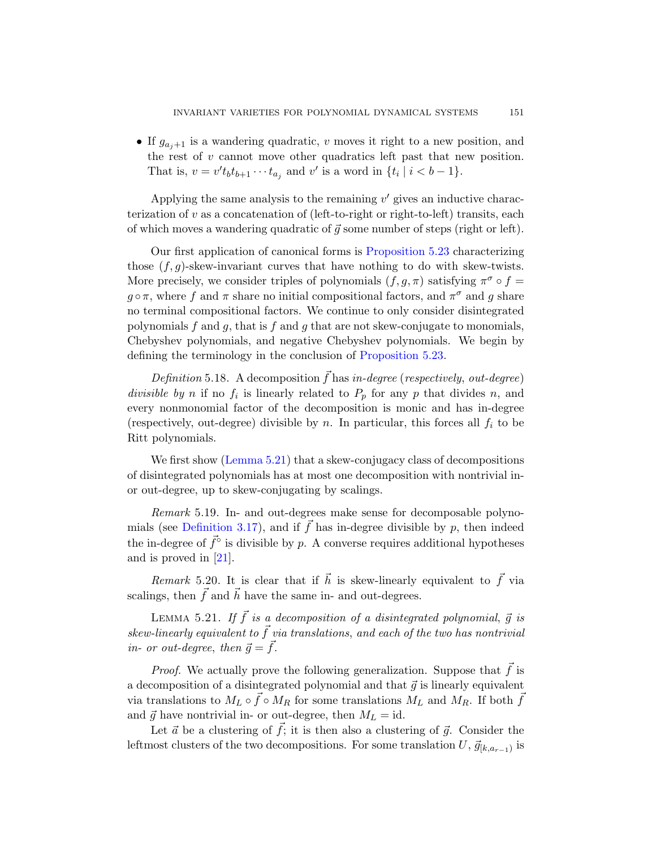• If  $g_{a_i+1}$  is a wandering quadratic, v moves it right to a new position, and the rest of  $v$  cann[ot move other qu](#page-71-0)adratics left past that new position. That is,  $v = v't_b t_{b+1} \cdots t_{a_j}$  and v' is a word in  $\{t_i \mid i < b-1\}$ .

Applying the same analysis to the remaining  $v'$  gives an inductive characterization of v as a concatenation of (left-to-right or right-to-left) transits, each of which moves a wandering quadratic of  $\vec{g}$  some number of steps (right or left).

Our first application of canonical forms is Proposition 5.23 characterizing those  $(f, g)$ -skew-inva[riant curves that](#page-71-0) have nothing to do with skew-twists. More precisely, we consider triples of polynomials  $(f, g, \pi)$  satisfying  $\pi^{\sigma} \circ f =$  $g \circ \pi$ , where f and  $\pi$  share no initial compositional factors, and  $\pi^{\sigma}$  and g share no terminal compositional factors. We continue to only consider disintegrated polynomials f and g, that is f and g that are not skew-conjugate to monomials, Chebyshev polynomials, and negative Chebyshev polynomials. We begin by [defining](#page-70-0) the terminology in the conclusion of Proposition 5.23.

Definition 5.18. A decomposition  $\vec{f}$  has in-degree (respectively, out-degree) divisible by n if no  $f_i$  is linearly related to  $P_p$  for any p that divides n, and every nonmonomial factor of the decomposition is monic and has in-degree (respectively, out-degree) divisible by n. In particular, this forces all  $f_i$  to be [Rit](#page-35-3)t polynomials.

<span id="page-70-1"></span>We first show (Lemma 5.21) that a skew-conjugacy class of decompositions of disintegrated polynomials has at most one decomposition with nontrivial inor out-degree, up to skew-conjugating by scalings.

<span id="page-70-0"></span>Remark 5.19. In- and out-degrees make sense for decomposable polynomials (see Definition 3.17), and if  $\vec{f}$  has in-degree divisible by p, then indeed the in-degree of  $\vec{f}^{\circ}$  is divisible by p. A converse requires additional hypotheses and is proved in [21].

Remark 5.20. It is clear that if  $\vec{h}$  is skew-linearly equivalent to  $\vec{f}$  via scalings, then  $\vec{f}$  and  $\vec{h}$  have the same in- and out-degrees.

LEMMA 5.21. If  $\vec{f}$  is a decomposition of a disintegrated polynomial,  $\vec{g}$  is skew-linearly equivalent to  $\vec{f}$  via translations, and each of the two has nontrivial in- or out-degree, then  $\vec{g} = \vec{f}$ .

*Proof.* We actually prove the following generalization. Suppose that  $f$  is a decomposition of a disintegrated polynomial and that  $\vec{g}$  is linearly equivalent via translations to  $M_L \circ \vec{f} \circ M_R$  for some translations  $M_L$  and  $M_R$ . If both  $\vec{f}$ and  $\vec{q}$  have nontrivial in- or out-degree, then  $M_L = id$ .

Let  $\vec{a}$  be a clustering of  $\vec{f}$ ; it is then also a clustering of  $\vec{g}$ . Consider the leftmost clusters of the two decompositions. For some translation  $U, \vec{g}_{[k,a_{r-1})}$  is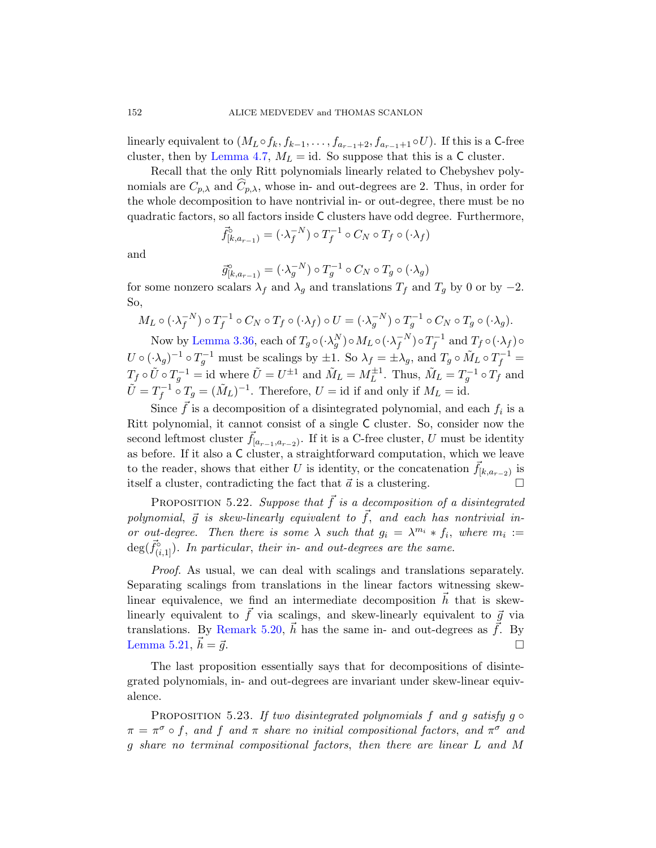linearly equivalent to  $(M_L \circ f_k, f_{k-1}, \ldots, f_{a_{r-1}+2}, f_{a_{r-1}+1} \circ U)$ . If this is a C-free cluster, then by Lemma 4.7,  $M_L = id$ . So suppose that this is a C cluster.

Recall that the only Ritt polynomials linearly related to Chebyshev polynomials are  $C_{p,\lambda}$  and  $C_{p,\lambda}$ , whose in- and out-degrees are 2. Thus, in order for the whole decomposition to have nontrivial in- or out-degree, there must be no quadratic factors, so all factors inside C clusters have odd degree. Furthermore,

$$
\vec{f}_{[k,a_{r-1})}^{\circ} = (\cdot \lambda_f^{-N}) \circ T_f^{-1} \circ C_N \circ T_f \circ (\cdot \lambda_f)
$$

[an](#page-41-2)d

$$
\vec{g}_{[k,a_{r-1})}^{\circ} = (\cdot \lambda_g^{-N}) \circ T_g^{-1} \circ C_N \circ T_g \circ (\cdot \lambda_g)
$$

for some nonzero scalars  $\lambda_f$  and  $\lambda_g$  and translations  $T_f$  and  $T_g$  by 0 or by  $-2$ . So,

$$
M_L \circ (\cdot \lambda_f^{-N}) \circ T_f^{-1} \circ C_N \circ T_f \circ (\cdot \lambda_f) \circ U = (\cdot \lambda_g^{-N}) \circ T_g^{-1} \circ C_N \circ T_g \circ (\cdot \lambda_g).
$$

Now by Lemma 3.36, each of  $T_g\circ(\cdot\lambda_g^N)\circ M_L\circ(\cdot\lambda_f^{-N})\circ T_f^{-1}$  and  $T_f\circ(\cdot\lambda_f)\circ$  $U \circ (\cdot \lambda_g)^{-1} \circ T_g^{-1}$  must be scalings by  $\pm 1$ . So  $\lambda_f = \pm \lambda_g$ , and  $T_g \circ \tilde{M}_L \circ T_f^{-1} =$  $T_f \circ \tilde{U} \circ T_g^{-1} = \text{id}$  where  $\tilde{U} = U^{\pm 1}$  and  $\tilde{M}_L = M_L^{\pm 1}$ . Thus,  $\tilde{M}_L = T_g^{-1} \circ T_f$  and  $\tilde{U} = T_f^{-1} \circ T_g = (\tilde{M}_L)^{-1}$ . Therefore,  $U = id$  if and only if  $M_L = id$ .

Since  $\vec{f}$  is a decomposition of a disintegrated polynomial, and each  $f_i$  is a Ritt polynomial, it cannot consist of a single C cluster. So, consider now the second leftmost cluster  $\vec{f}_{[a_{r-1},a_{r-2})}$ . If it is a C-free cluster, U must be identity as before. If it also a C cluster, a straightforward computation, which we leave to the reader, shows that either U is identity, or the concatenation  $\vec{f}_{[k,a_{r-2})}$  is itself a cluster, contradicting the fact that  $\vec{a}$  is a clustering.

PROPOSITION 5.22. Suppose that  $\vec{f}$  is a decomposition of a disintegrated polynomial,  $\vec{g}$  is skew-linearly equivalent to  $\vec{f}$ , and each has nontrivial in[or out-d](#page-70-1)egree. Then there is some  $\lambda$  such that  $g_i = \lambda^{m_i} * f_i$ , where  $m_i :=$  $deg(\vec{f}_{(i,1)}^{\circ})$ . In particular, their in- and out-degrees are the same.

<span id="page-71-0"></span>Proof. As usual, we can deal with scalings and translations separately. Separating scalings from translations in the linear factors witnessing skewlinear equivalence, we find an intermediate decomposition  $\vec{h}$  that is skewlinearly equivalent to  $\vec{f}$  via scalings, and skew-linearly equivalent to  $\vec{g}$  via translations. By Remark 5.20,  $\vec{h}$  has the same in- and out-degrees as  $\vec{f}$ . By Lemma 5.21,  $h = \vec{g}$ .  $\vec{h} = \vec{g}$ .

The last proposition essentially says that for decompositions of disintegrated polynomials, in- and out-degrees are invariant under skew-linear equivalence.

PROPOSITION 5.23. If two disintegrated polynomials f and g satisfy  $q \circ$  $\pi = \pi^{\sigma} \circ f$ , and f and  $\pi$  share no initial compositional factors, and  $\pi^{\sigma}$  and g share no terminal compositional factors, then there are linear L and M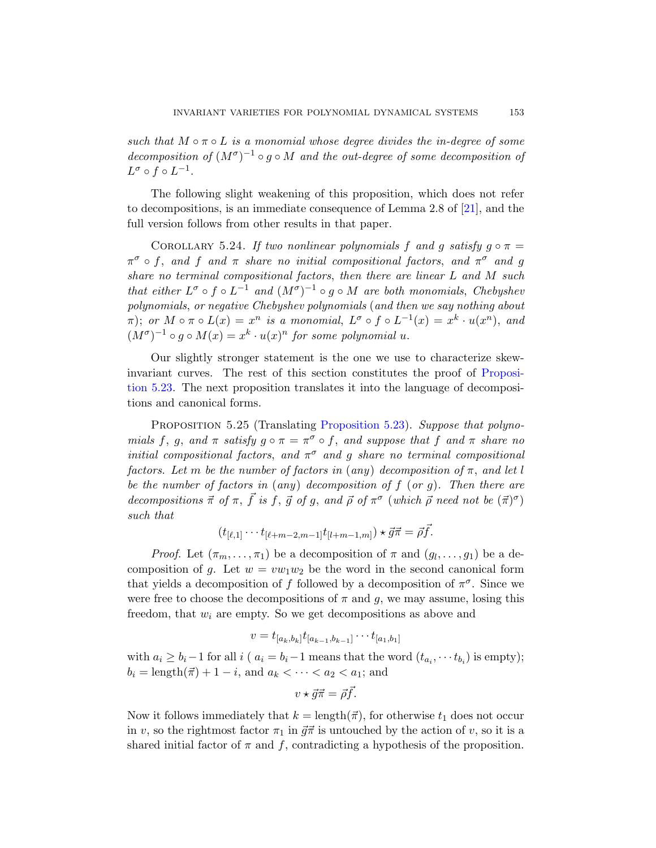such that  $M \circ \pi \circ L$  is a monomial whose degree divides the in-degree of some decomposition of  $(M^{\sigma})^{-1} \circ g \circ M$  and the out-degree of some decomposition of  $L^{\sigma} \circ f \circ L^{-1}.$ 

The following slight weakening of this proposition, which does not refer to decompositions, is an immediate consequence of Lemma 2.8 of [21], and the full version follows from other results in that paper.

COROLLARY 5.24. If two nonlinear polynomials f and g satisfy  $g \circ \pi =$  $\pi^{\sigma} \circ f$ , and f and  $\pi$  share no initial compositional factors, and  $\pi^{\sigma}$  and g share no terminal compositional factors, then [there are](#page-71-0) linear L and M such that either  $L^{\sigma} \circ f \circ L^{-1}$  and  $(M^{\sigma})^{-1} \circ g \circ M$  are both monomials, Chebyshev polynomials, or negative Chebyshev polynomials (and then we say nothing about  $\pi$ ); or  $M \circ \pi \circ L(x) = x^n$  is a monomial,  $L^{\sigma} \circ f \circ L^{-1}(x) = x^k \cdot u(x^n)$ , and  $(M^{\sigma})^{-1} \circ g \circ M(x) = x^{k} \cdot u(x)^{n}$  $(M^{\sigma})^{-1} \circ g \circ M(x) = x^{k} \cdot u(x)^{n}$  $(M^{\sigma})^{-1} \circ g \circ M(x) = x^{k} \cdot u(x)^{n}$  for some polynomial u.

<span id="page-72-0"></span>Our slightly stronger statement is the one we use to characterize skewinvariant curves. The rest of this section constitutes the proof of Proposition 5.23. The next proposition translates it into the language of decompositions and canonical forms.

PROPOSITION 5.25 (Translating Proposition 5.23). Suppose that polynomials f, g, and  $\pi$  satisfy  $g \circ \pi = \pi^{\sigma} \circ f$ , and suppose that f and  $\pi$  share no initial compositional factors, and  $\pi^{\sigma}$  and g share no terminal compositional factors. Let m be the number of factors in (any) decomposition of  $\pi$ , and let l be the number of factors in (any) decomposition of  $f$  (or  $g$ ). Then there are decompositions  $\vec{\pi}$  of  $\pi$ ,  $\vec{f}$  is f,  $\vec{g}$  of g, and  $\vec{\rho}$  of  $\pi^{\sigma}$  (which  $\vec{\rho}$  need not be  $(\vec{\pi})^{\sigma}$ ) such that

$$
(t_{[\ell,1]}\cdots t_{[\ell+m-2,m-1]}t_{[l+m-1,m]})\star\vec{g}\vec{\pi}=\vec{\rho}\vec{f}.
$$

*Proof.* Let  $(\pi_m, \ldots, \pi_1)$  be a decomposition of  $\pi$  and  $(g_1, \ldots, g_1)$  be a decomposition of g. Let  $w = vw_1w_2$  be the word in the second canonical form that yields a decomposition of f followed by a decomposition of  $\pi^{\sigma}$ . Since we were free to choose the decompositions of  $\pi$  and g, we may assume, losing this freedom, that  $w_i$  are empty. So we get decompositions as above and

$$
v = t_{[a_k, b_k]} t_{[a_{k-1}, b_{k-1}]} \cdots t_{[a_1, b_1]}
$$

with  $a_i \ge b_i - 1$  for all  $i$  ( $a_i = b_i - 1$  means that the word  $(t_{a_i}, \dots, t_{b_i})$  is empty);  $b_i = \text{length}(\vec{\pi}) + 1 - i$ , and  $a_k < \cdots < a_2 < a_1$ ; and

$$
v \star \vec{g}\vec{\pi} = \vec{\rho}\vec{f}.
$$

Now it follows immediately that  $k = \text{length}(\vec{\pi})$ , for otherwise  $t_1$  does not occur in v, so the rightmost factor  $\pi_1$  in  $\vec{g}\vec{\pi}$  is untouched by the action of v, so it is a shared initial factor of  $\pi$  and  $f$ , contradicting a hypothesis of the proposition.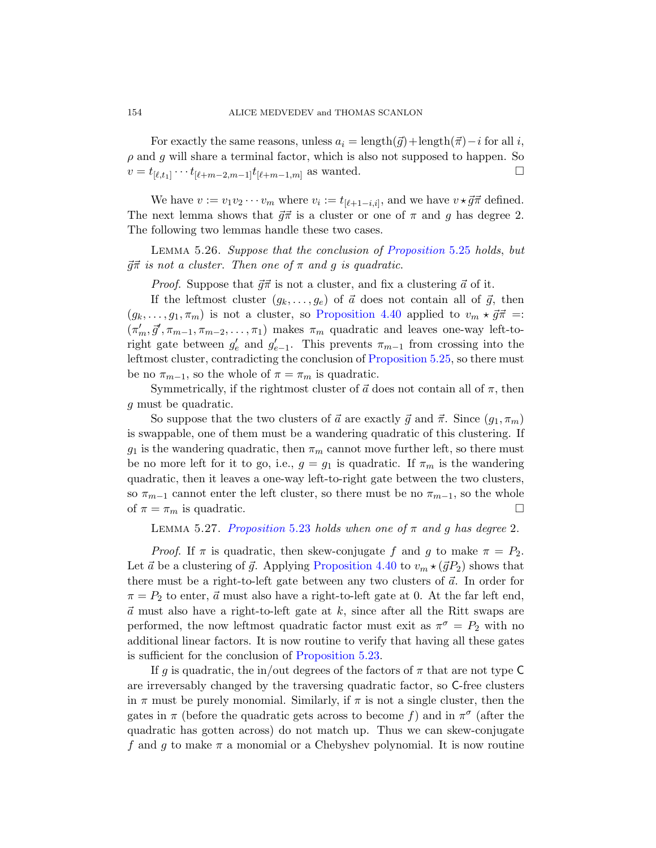For exactly the same reasons, unless  $a_i = \text{length}(\vec{q}) + \text{length}(\vec{\pi}) - i$  for all i,  $\rho$  and g will share a termin[al factor, which is](#page-72-0) also not supposed to happen. So  $v = t_{[\ell,t_1]} \cdots t_{[\ell+m-2,m-1]} t_{[\ell+m-1,m]}$  as wanted.

We have  $v := v_1 v_2 \cdots v_m$  where  $v_i := t_{[\ell+1-i,i]},$  and we have  $v \star \vec{g} \vec{\pi}$  defined. The next le[mma shows that](#page-61-0)  $\vec{g} \vec{\pi}$  is a cluster or one of  $\pi$  and g has degree 2. The following two lemmas handle these two cases.

Lemma 5.26. Suppose that the conclusion of Proposition 5.25 holds, but  $\vec{g}\vec{\pi}$  is not a cluster. Th[en one of](#page-72-0)  $\pi$  and g is quadratic.

*Proof.* Suppose that  $\vec{q}\vec{\pi}$  is not a cluster, and fix a clustering  $\vec{a}$  of it.

If the leftmost cluster  $(g_k, \ldots, g_e)$  of  $\vec{a}$  does not contain all of  $\vec{g}$ , then  $(g_k, \ldots, g_1, \pi_m)$  is not a cluster, so Proposition 4.40 applied to  $v_m \star \vec{g}\vec{\pi} =$ :  $(\pi'_m, \vec{g}', \pi_{m-1}, \pi_{m-2}, \ldots, \pi_1)$  makes  $\pi_m$  quadratic and leaves one-way left-toright gate between  $g'_e$  and  $g'_{e-1}$ . This prevents  $\pi_{m-1}$  from crossing into the leftmost cluster, contradicting the conclusion of Proposition 5.25, so there must be no  $\pi_{m-1}$ , so the whole of  $\pi = \pi_m$  is quadratic.

Symmetrically, if the rightmost cluster of  $\vec{a}$  does not contain all of  $\pi$ , then g must be quadratic.

So suppose that the two clusters of  $\vec{a}$  are exactly  $\vec{q}$  and  $\vec{\pi}$ . Since  $(q_1, \pi_m)$ [is swappable,](#page-71-0) one of them must be a wandering quadratic of this clustering. If  $g_1$  is the wandering quadratic, then  $\pi_m$  cannot move further left, so there must be no more left for it to go, i.e.,  $g = g_1$  is quadratic. If  $\pi_m$  is the wandering quadratic, th[en it leaves a one](#page-61-0)-way left-to-right gate between the two clusters, so  $\pi_{m-1}$  cannot enter the left cluster, so there must be no  $\pi_{m-1}$ , so the whole of  $\pi = \pi_m$  is quadratic.

LEMMA 5.27. Proposition 5.23 holds when one of  $\pi$  and g has degree 2.

*Proof.* If  $\pi$  is quadratic, then skew-conjugate f and g to make  $\pi = P_2$ . Let  $\vec{a}$  be [a clustering of](#page-71-0)  $\vec{g}$ . Applying Proposition 4.40 to  $v_m \star (\vec{g}P_2)$  shows that there must be a right-to-left gate between any two clusters of  $\vec{a}$ . In order for  $\pi = P_2$  to enter,  $\vec{a}$  must also have a right-to-left gate at 0. At the far left end,  $\vec{a}$  must also have a right-to-left gate at k, since after all the Ritt swaps are performed, the now leftmost quadratic factor must exit as  $\pi^{\sigma} = P_2$  with no additional linear factors. It is now routine to verify that having all these gates is sufficient for the conclusion of Proposition 5.23.

If g is quadratic, the in/out degrees of the factors of  $\pi$  that are not type C are irreversably changed by the traversing quadratic factor, so C-free clusters in  $\pi$  must be purely monomial. Similarly, if  $\pi$  is not a single cluster, then the gates in  $\pi$  (before the quadratic gets across to become f) and in  $\pi^{\sigma}$  (after the quadratic has gotten across) do not match up. Thus we can skew-conjugate f and g to make  $\pi$  a monomial or a Chebyshev polynomial. It is now routine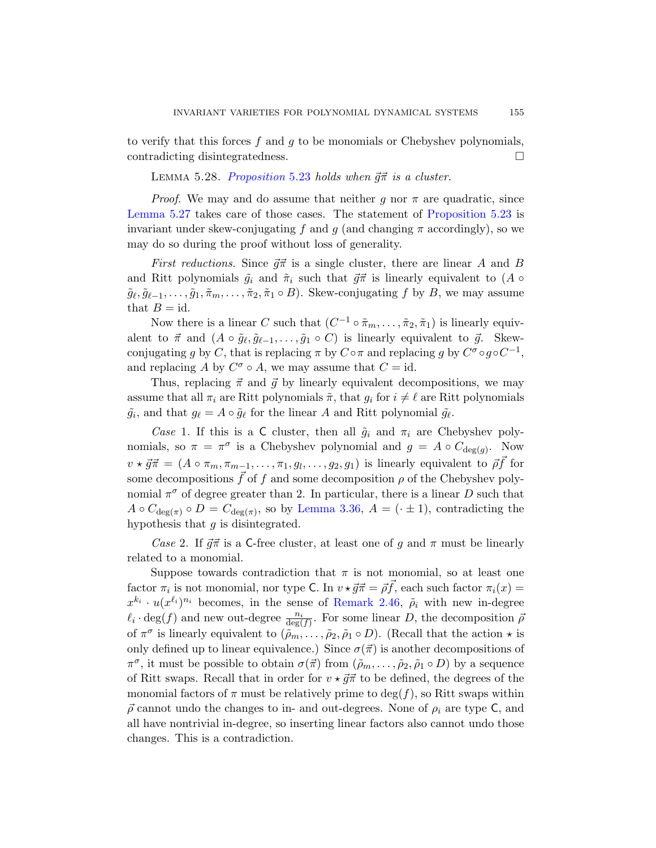to verify that this forces  $f$  and  $g$  to be monomials or Chebyshev polynomials, contradicting disintegratedness.

LEMMA 5.28. Proposition 5.23 holds when  $\vec{g}$  $\vec{\pi}$  is a cluster.

*Proof.* We may and do assume that neither g nor  $\pi$  are quadratic, since Lemma 5.27 takes care of those cases. The statement of Proposition 5.23 is invariant under skew-conjugating f and g (and changing  $\pi$  accordingly), so we may do so during the proof without loss of generality.

*First reductions.* Since  $\vec{q}\vec{\pi}$  is a single cluster, there are linear A and B and Ritt polynomials  $\tilde{g}_i$  and  $\tilde{\pi}_i$  such that  $\vec{g}\vec{\pi}$  is linearly equivalent to (A  $\circ$  $\tilde{g}_{\ell}, \tilde{g}_{\ell-1}, \ldots, \tilde{g}_1, \tilde{\pi}_m, \ldots, \tilde{\pi}_2, \tilde{\pi}_1 \circ B$ . Skew-conjugating f by B, we may assume that  $B = id$ .

Now there is a linear C such that  $(C^{-1} \circ \tilde{\pi}_m, \ldots, \tilde{\pi}_2, \tilde{\pi}_1)$  is linearly equivalent to  $\vec{\pi}$  and  $(A \circ \tilde{g}_{\ell}, \tilde{g}_{\ell-1}, \ldots, \tilde{g}_1 \circ C)$  is linearly equivalent to  $\vec{g}$ . Skewconjugating g by C, that is replacing  $\pi$  by  $C \circ \pi$  and replacing g by  $C^{\sigma} \circ g \circ C^{-1}$ , and replacing A by  $C^{\sigma} \circ A$ , we may assume that  $C = id$ .

Thus, replacing  $\vec{\pi}$  and  $\vec{g}$  by linearly equivalent decompositions, we may assume that all  $\pi_i$  are Ritt polynomials  $\tilde{\pi}$ , that  $g_i$  for  $i \neq \ell$  are Ritt polynomials  $\tilde{g}_i$ , and that  $g_\ell = A \circ \tilde{g}_\ell$  $g_\ell = A \circ \tilde{g}_\ell$  $g_\ell = A \circ \tilde{g}_\ell$  for the linear A and Ritt polynomial  $\tilde{g}_\ell$ .

Case 1. If this is a C cluster, then all  $\tilde{g}_i$  and  $\pi_i$  are Chebyshev polynomials, so  $\pi = \pi^{\sigma}$  is a Chebyshev polynomial and  $g = A \circ C_{\deg(g)}$ . Now  $v \star \vec{g} \vec{\pi} = (A \circ \pi_m, \pi_{m-1}, \ldots, \pi_1, g_1, \ldots, g_2, g_1)$  is linearly equivalent to  $\vec{\rho} \vec{f}$  for some decompositions  $\tilde{f}$  of f and some decomposition  $\rho$  of the Chebyshev polynomial  $\pi^{\sigma}$  of degree greater than 2. In particular, there is a linear D such that  $A \circ C_{\deg(\pi)} \circ D = C_{\deg(\pi)}$ [, so b](#page-21-0)y Lemma 3.36,  $A = (\cdot \pm 1)$ , contradicting the hypothesis that  $g$  is disintegrated.

Case 2. If  $\vec{g}\vec{\pi}$  is a C-free cluster, at least one of g and  $\pi$  must be linearly related to a monomial.

Suppose towards contradiction that  $\pi$  is not monomial, so at least one factor  $\pi_i$  is not monomial, nor type C. In  $v \star \vec{g} \vec{\pi} = \vec{\rho} \vec{f}$ , each such factor  $\pi_i(x) =$  $x^{k_i} \cdot u(x^{\ell_i})^{n_i}$  becomes, in the sense of Remark 2.46,  $\tilde{\rho}_i$  with new in-degree  $\ell_i \cdot \deg(f)$  and new out-degree  $\frac{n_i}{\deg(f)}$ . For some linear D, the decomposition  $\bar{\rho}$ of  $\pi^{\sigma}$  is linearly equivalent to  $(\tilde{\rho}_m,\ldots,\tilde{\rho}_2,\tilde{\rho}_1 \circ D)$ . (Recall that the action  $\star$  is only defined up to linear equivalence.) Since  $\sigma(\vec{\pi})$  is another decompositions of  $\pi^{\sigma}$ , it must be possible to obtain  $\sigma(\vec{\pi})$  from  $(\tilde{\rho}_m, \ldots, \tilde{\rho}_2, \tilde{\rho}_1 \circ D)$  by a sequence of Ritt swaps. Recall that in order for  $v \star \vec{g} \vec{\pi}$  to be defined, the degrees of the monomial factors of  $\pi$  must be relatively prime to  $\deg(f)$ , so Ritt swaps within  $\vec{\rho}$  cannot undo the changes to in- and out-degrees. None of  $\rho_i$  are type C, and all have nontrivial in-degree, so inserting linear factors also cannot undo those changes. This is a contradiction.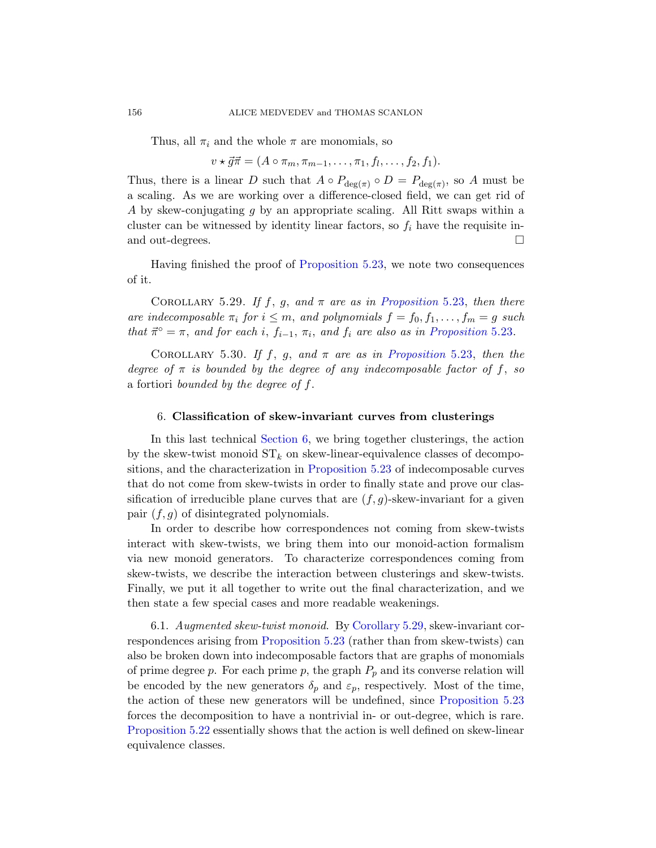Thus, all  $\pi_i$  and the whole  $\pi$  are monomials, so

 $v \star \vec{g} \vec{\pi} = (A \circ \pi_m, \pi_{m-1}, \ldots, \pi_1, f_1, \ldots, f_2, f_1).$ 

<span id="page-75-1"></span>Thus, the[re is a linear](#page-71-0) D such that  $A \circ P_{\deg(\pi)} \circ D = P_{\deg(\pi)}$ , so A must be a scaling. As we are working over a difference-closed field, we can get rid of A by skew-conjugating g [by an appropriate](#page-71-0) scaling. All Ritt swaps within a cluster can be witnessed by identity linear factors, so  $f_i$  have the requisite inand out-degrees.

<span id="page-75-2"></span>Having finished the proof of [Proposition](#page-71-0) 5.23, we note two consequences of it.

<span id="page-75-0"></span>COROLLARY 5.29. If f, g, and  $\pi$  are as in Proposition 5.23, then there are indecomposable  $\pi_i$  for  $i \leq m$ , and polynomials  $f = f_0, f_1, \ldots, f_m = g$  such that  $\vec{\pi}^{\circ} = \pi$ , and for each i,  $f_{i-1}, \pi_i$ , and  $f_i$  are also as in Proposition 5.23.

COROLLARY 5.30. If f, g, and  $\pi$  are as in Proposition 5.23, then the degree of  $\pi$  [is bounded by th](#page-71-0)e degree of any indecomposable factor of f, so a fortiori bounded by the degree of  $f$ .

## 6. Classification of skew-invariant curves from clusterings

In this last technical Section 6, we bring together clusterings, the action by the skew-twist monoid  $ST_k$  on skew-linear-equivalence classes of decompositions, and the characterization in Proposition 5.23 of indecomposable curves that do not come from skew-twists in order to finally state and prove our classification of irreducible plane curves that are  $(f, g)$ -skew-invariant for a given pair  $(f, g)$  of disintegrated polynomials.

In order to des[cribe how corr](#page-75-1)espondences not coming from skew-twists int[eract with skew-t](#page-71-0)wists, we bring them into our monoid-action formalism via new monoid generators. To characterize correspondences coming from skew-twists, we describe the interaction between clusterings and skew-twists. Finally, we put it all together to write out the final characterization, and we then state a few special cases and mo[re readable weake](#page-71-0)nings.

6.1. Augmented skew-twist monoid. By Corollary 5.29, skew-invariant correspondences arising from Proposition 5.23 (rather than from skew-twists) can also be broken down into indecomposable factors that are graphs of monomials of prime degree p. For each prime p, the graph  $P_p$  and its converse relation will be encoded by the new generators  $\delta_p$  and  $\varepsilon_p$ , respectively. Most of the time, the action of these new generators will be undefined, since Proposition 5.23 forces the decomposition to have a nontrivial in- or out-degree, which is rare. Proposition 5.22 essentially shows that the action is well defined on skew-linear equivalence classes.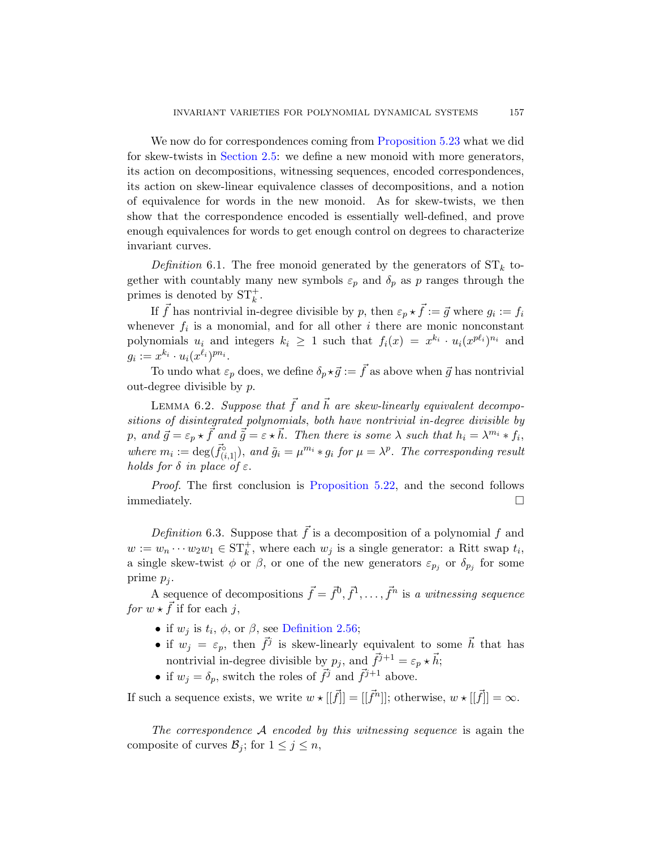We now do for correspondences coming from Proposition 5.23 what we did for skew-twists in Section 2.5: we define a new monoid with more generators, its action on decompositions, witnessing sequences, encoded correspondences, its action on skew-linear equivalence classes of decompositions, and a notion of equivalence for words in the new monoid. As for skew-twists, we then show that the correspondence encoded is essentially well-defined, and prove enough equivalences for words to get enough control on degrees to characterize invariant curves.

Definition 6.1. The free monoid generated by the generators of  $ST_k$  together with countably many new symbols  $\varepsilon_p$  and  $\delta_p$  as p ranges through the primes is denoted by  $ST_k^+$ .

<span id="page-76-0"></span>If  $\vec{f}$  has nontrivial in-degree divisible by p, then  $\varepsilon_p \star \vec{f} := \vec{g}$  where  $g_i := f_i$ whenever  $f_i$  is a monomial, and for all other i there are monic nonconstant polynomials  $u_i$  and integers  $k_i \geq 1$  such that  $f_i(x) = x^{k_i} \cdot u_i(x^{p\ell_i})^{n_i}$  and  $g_i := x^{k_i} \cdot u_i(x^{\ell_i})^{pn_i}.$ 

To undo what  $\varepsilon_p$  does, we define  $\delta_p \star \vec{g} := \vec{f}$  as above when  $\vec{g}$  has nontrivial out-degree [divisible by](#page-71-1)  $p$ .

LEMMA 6.2. Suppose that  $\vec{f}$  and  $\vec{h}$  are skew-linearly equivalent decompositions of disintegrated polynomials, both have nontrivial in-degree divisible by p, and  $\vec{g} = \varepsilon_p \star \vec{f}$  and  $\vec{\tilde{g}} = \varepsilon \star \vec{h}$ . Then there is some  $\lambda$  such that  $h_i = \lambda^{m_i} * f_i$ , where  $m_i := \deg(\vec{f}_{(i,1]}^{\circ})$ , and  $\tilde{g}_i = \mu^{m_i} * g_i$  for  $\mu = \lambda^p$ . The corresponding result holds for  $\delta$  in place of  $\varepsilon$ .

Proof. The first conclusion is Proposition 5.22, and the second follows immediately.  $\Box$ 

D[efinition](#page-24-0) 6.3. Suppose that  $\vec{f}$  is a decomposition of a polynomial f and  $w := w_n \cdots w_2 w_1 \in \mathrm{ST}_k^+$ , where each  $w_j$  is a single generator: a Ritt swap  $t_i$ , a single skew-twist  $\phi$  or  $\beta$ , or one of the new generators  $\varepsilon_{p_j}$  or  $\delta_{p_j}$  for some prime  $p_i$ .

A sequence of decompositions  $\vec{f} = \vec{f}^0, \vec{f}^1, \dots, \vec{f}^n$  is a witnessing sequence for  $w \star \vec{f}$  if for each j,

- if  $w_j$  is  $t_i$ ,  $\phi$ , or  $\beta$ , see Definition 2.56;
- if  $w_j = \varepsilon_p$ , then  $\vec{f}^j$  is skew-linearly equivalent to some  $\vec{h}$  that has nontrivial in-degree divisible by  $p_j$ , and  $\vec{f}^{j+1} = \varepsilon_p \star \vec{h}$ ;
- if  $w_j = \delta_p$ , switch the roles of  $\vec{f}^j$  and  $\vec{f}^{j+1}$  above.

If such a sequence exists, we write  $w \star [[\vec{f}]]=[[\vec{f}^n]]$ ; otherwise,  $w \star [[\vec{f}]]=\infty$ .

The correspondence  $A$  encoded by this witnessing sequence is again the composite of curves  $\mathcal{B}_j$ ; for  $1 \leq j \leq n$ ,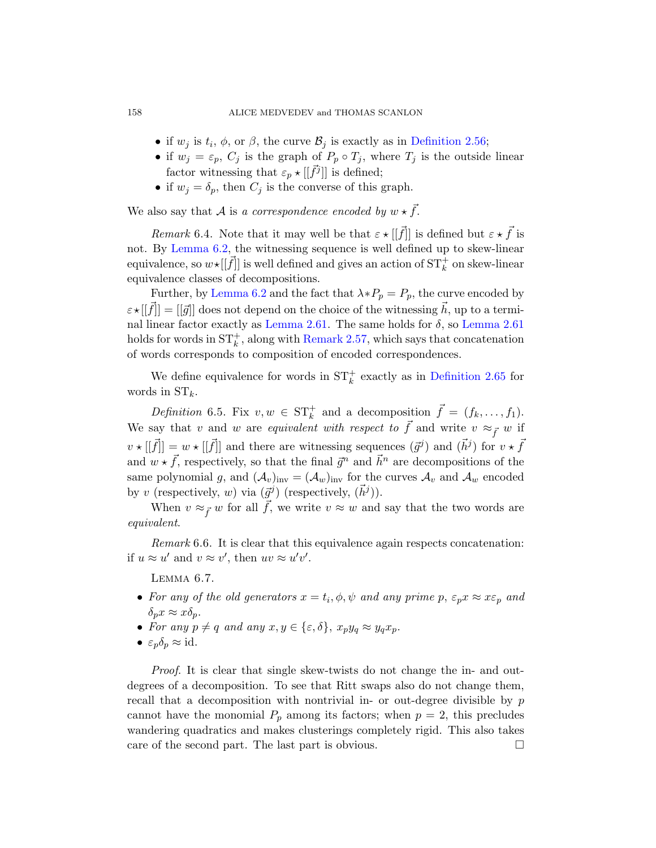### 158 ALICE MEDVEDEV and THOMAS SCANLON

- if  $w_j$  is  $t_i$ ,  $\phi$ , or  $\beta$ , the curve  $\mathcal{B}_j$  is exactly as in Definition 2.56;
- if  $w_j = \varepsilon_p$ ,  $C_j$  is the graph of  $P_p \circ T_j$ , where  $T_j$  is the outside linear factor witnessing that  $\varepsilon_p \star [[\vec{f}^j]]$  is defined;
- if  $w_j = \delta_p$ , then  $C_j$  is the converse of this graph.

[We a](#page-76-0)lso say that A is a correspondence encoded by  $w \star \vec{f}$ .

[Remark](#page-25-0) 6.4. Not[e that](#page-25-0) it may well be that  $\varepsilon \star [[\vec{f}]]$  is defined but  $\varepsilon \star \vec{f}$  is not. By Le[mma 6.2, the](#page-25-1) witnessing sequence is well defined up to skew-linear equivalence, so  $w\star[[\vec f]]$  is well defined and gives an action of  $\mathrm{ST}^+_k$  on skew-linear equivalence classes of decompositions.

Further, by Lemma 6.2 and the [fact that](#page-27-0)  $\lambda * P_p = P_p$ , the curve encoded by  $\varepsilon \star |[\vec{f}] = |[\vec{g}]|$  does not depend on the choice of the witnessing  $\vec{h}$ , up to a terminal linear factor exactly as Lemma 2.61. The same holds for  $\delta$ , so Lemma 2.61 holds for words in  $ST_k^+$ , along with Remark 2.57, which says that concatenation of words corresponds to composition of encoded correspondences.

We define equivalence for words in  $ST_k^+$  exactly as in Definition 2.65 for words in  $ST_k$ .

<span id="page-77-0"></span>Definition 6.5. Fix  $v, w \in ST_k^+$  and a decomposition  $\vec{f} = (f_k, \ldots, f_1)$ . We say that v and w are equivalent with respect to  $\vec{f}$  and write  $v \approx_{\vec{f}} w$  if  $v \star [[\vec{f}]]=w \star [[\vec{f}]]$  and there are witnessing sequences  $(\vec{g}^j)$  and  $(\vec{h}^j)$  for  $v \star \vec{f}$ and  $w \star \vec{f}$ , respectively, so that the final  $\vec{g}^n$  and  $\vec{h}^n$  are decompositions of the same polynomial g, and  $(\mathcal{A}_v)_{inv} = (\mathcal{A}_w)_{inv}$  for the curves  $\mathcal{A}_v$  and  $\mathcal{A}_w$  encoded by v (respectively, w) via  $(\vec{g}^j)$  (respectively,  $(\vec{h}^j)$ ).

<span id="page-77-1"></span>When  $v \approx_{\vec{f}} w$  for all  $\vec{f}$ , we write  $v \approx w$  and say that the two words are equivalent.

Remark 6.6. It is clear that this equivalence again respects concatenation: if  $u \approx u'$  and  $v \approx v'$ , then  $uv \approx u'v'$ .

Lemma 6.7.

- For any of the old generators  $x = t_i, \phi, \psi$  and any prime p,  $\varepsilon_p x \approx x \varepsilon_p$  and  $\delta_p x \approx x \delta_p$ .
- For any  $p \neq q$  and any  $x, y \in \{\varepsilon, \delta\}, x_p y_q \approx y_q x_p$ .
- $\varepsilon_p \delta_p \approx \text{id}$ .

Proof. It is clear that single skew-twists do not change the in- and outdegrees of a decomposition. To see that Ritt swaps also do not change them, recall that a decomposition with nontrivial in- or out-degree divisible by  $p$ cannot have the monomial  $P_p$  among its factors; when  $p = 2$ , this precludes wandering quadratics and makes clusterings completely rigid. This also takes care of the second part. The last part is obvious.  $\Box$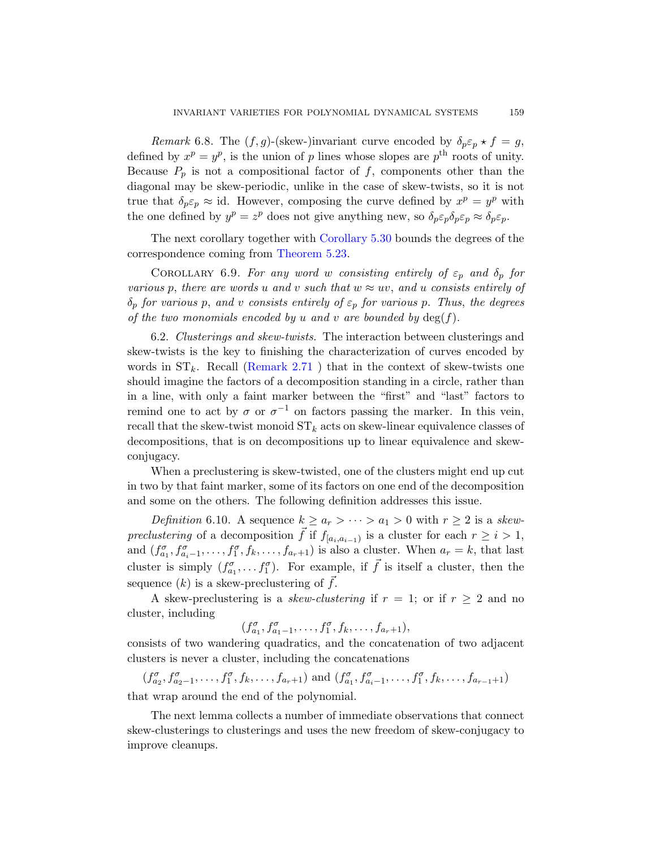Remark 6.8. The  $(f, g)$ -(skew-)invariant curve encoded by  $\delta_p \varepsilon_p \star f = g$ , define[d by](#page-71-0)  $x^p = y^p$ , is the union of p lines whose slopes are  $p^{\text{th}}$  roots of unity. Because  $P_p$  is not a compositional factor of f, components other than the diagonal may be skew-periodic, unlike in the case of skew-twists, so it is not true that  $\delta_p \varepsilon_p \approx$  id. However, composing the curve defined by  $x^p = y^p$  with the one defined by  $y^p = z^p$  does not give anything new, so  $\delta_p \varepsilon_p \delta_p \varepsilon_p \approx \delta_p \varepsilon_p$ .

The next corollary together with Corollary 5.30 bounds the degrees of the correspondence coming from Theorem 5.23.

COROLLARY 6.9. For any word w consisting entirely of  $\varepsilon_p$  and  $\delta_p$  for various p, there are words u and v such that  $w \approx uv$ , and u consists entirely of  $\delta_p$  for various p, and v consists entirely of  $\varepsilon_p$  for various p. Thus, the degrees of the two monomials encoded by u and v are bounded by  $\deg(f)$ .

6.2. Clusterings and skew-twists. The interaction between clusterings and skew-twists is the key to finishing the characterization of curves encoded by words in  $ST_k$ . Recall (Remark 2.71) that in the context of skew-twists one should imagine the factors of a decomposition standing in a circle, rather than in a line, with only a faint marker between the "first" and "last" factors to remind one to act by  $\sigma$  or  $\sigma^{-1}$  on factors passing the marker. In this vein, recall that the skew-twist monoid  $ST_k$  acts on skew-linear equivalence classes of decompositions, that is on decompositions up to linear equivalence and skewconjugacy.

When a preclustering is skew-twisted, one of the clusters might end up cut in two by that faint marker, some of its factors on one end of the decomposition and some on the others. The following definition addresses this issue.

Definition 6.10. A sequence  $k \ge a_r > \cdots > a_1 > 0$  with  $r \ge 2$  is a skewpreclustering of a decomposition  $\vec{f}$  if  $f_{[a_i, a_{i-1})}$  is a cluster for each  $r \geq i > 1$ , and  $(f_{a_1}^{\sigma}, f_{a_{i-1}}^{\sigma}, \ldots, f_1^{\sigma}, f_k, \ldots, f_{a_r+1})$  is also a cluster. When  $a_r = k$ , that last cluster is simply  $(f_{a_1}^{\sigma}, \ldots, f_1^{\sigma})$ . For example, if  $\vec{f}$  is itself a cluster, then the sequence  $(k)$  is a skew-preclustering of  $\vec{f}$ .

A skew-preclustering is a *skew-clustering* if  $r = 1$ ; or if  $r \geq 2$  and no cluster, including

$$
(f_{a_1}^{\sigma}, f_{a_1-1}^{\sigma}, \ldots, f_1^{\sigma}, f_k, \ldots, f_{a_r+1}),
$$

consists of two wandering quadratics, and the concatenation of two adjacent clusters is never a cluster, including the concatenations

 $(f_{a_2}^{\sigma}, f_{a_2-1}^{\sigma}, \ldots, f_1^{\sigma}, f_k, \ldots, f_{a_r+1})$  and  $(f_{a_1}^{\sigma}, f_{a_i-1}^{\sigma}, \ldots, f_1^{\sigma}, f_k, \ldots, f_{a_{r-1}+1})$ that wrap around the end of the polynomial.

The next lemma collects a number of immediate observations that connect skew-clusterings to clusterings and uses the new freedom of skew-conjugacy to improve cleanups.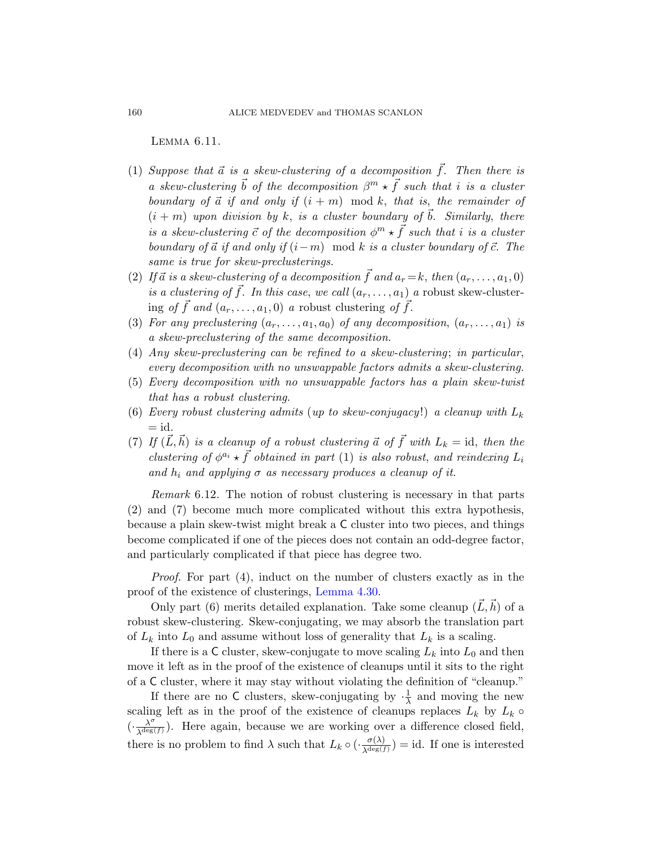Lemma 6.11.

- (1) Suppose that  $\vec{a}$  is a skew-clustering of a decomposition  $\vec{f}$ . Then there is a skew-clustering  $\vec{b}$  of the decomposition  $\beta^m \star \vec{f}$  such that i is a cluster boundary of  $\vec{a}$  if and only if  $(i + m) \mod k$ , that is, the remainder of  $(i + m)$  upon division by k, is a cluster boundary of b. Similarly, there is a skew-clustering  $\vec{c}$  of the decomposition  $\phi^m \star \vec{f}$  such that i is a cluster boundary of  $\vec{a}$  if and only if  $(i-m) \mod k$  is a cluster boundary of  $\vec{c}$ . The same is true for skew-preclusterings.
- (2) If  $\vec{a}$  is a skew-clustering of a decomposition  $\vec{f}$  and  $a_r = k$ , then  $(a_r, \ldots, a_1, 0)$ is a clustering of  $\vec{f}$ . In this case, we call  $(a_r, \ldots, a_1)$  a robust skew-clustering of  $\vec{f}$  and  $(a_r, \ldots, a_1, 0)$  a robust clustering of  $\vec{f}$ .
- (3) For any preclustering  $(a_r, \ldots, a_1, a_0)$  of any decomposition,  $(a_r, \ldots, a_1)$  is a skew-preclustering of the same decomposition.
- (4) Any skew-preclustering can be refined to a skew-clustering; in particular, every decomposition with no unswappable factors admits a skew-clustering.
- (5) Every decomposition with no unswappable factors has a plain skew-twist that has a robust clustering.
- (6) Every robust clustering admits (up to skew-conjugacy!) a cleanup with  $L_k$  $=$  id.
- (7) If  $(\vec{L}, \vec{h})$  is a cleanup of a robust clustering  $\vec{a}$  of  $\vec{f}$  with  $L_k = id$ , then the clustering of  $\phi^{a_i} \star \vec{f}$  obtained in part (1) is also robust, and reindexing  $L_i$ and  $h_i$  and applying  $\sigma$  as necessary produces a cleanup of it.

Remark 6.12. [The no](#page-57-0)tion of robust clustering is necessary in that parts (2) and (7) become much more complicated without this extra hypothesis, because a plain skew-twist might break a C cluster into two pieces, and things become complicated if one of the pieces does not contain an odd-degree factor, and particularly complicated if that piece has degree two.

Proof. For part (4), induct on the number of clusters exactly as in the proof of the existence of clusterings, Lemma 4.30.

Only part (6) merits detailed explanation. Take some cleanup  $(\hat{L}, \hat{h})$  of a robust skew-clustering. Skew-conjugating, we may absorb the translation part of  $L_k$  into  $L_0$  and assume without loss of generality that  $L_k$  is a scaling.

If there is a C cluster, skew-conjugate to move scaling  $L_k$  into  $L_0$  and then move it left as in the proof of the existence of cleanups until it sits to the right of a C cluster, where it may stay without violating the definition of "cleanup."

If there are no C clusters, skew-conjugating by  $\cdot \frac{1}{\lambda}$  $\frac{1}{\lambda}$  and moving the new scaling left as in the proof of the existence of cleanups replaces  $L_k$  by  $L_k \circ$  $\left(\cdot \frac{\lambda^{\sigma}}{\lambda \operatorname{deg}(t)}\right)$  $\frac{\lambda^{\circ}}{\lambda^{\deg(f)}}$ ). Here again, because we are working over a difference closed field, there is no problem to find  $\lambda$  such that  $L_k \circ (\frac{\sigma(\lambda)}{\lambda \deg(f)}$  $\frac{\sigma(\lambda)}{\lambda^{\deg(f)}}$  = id. If one is interested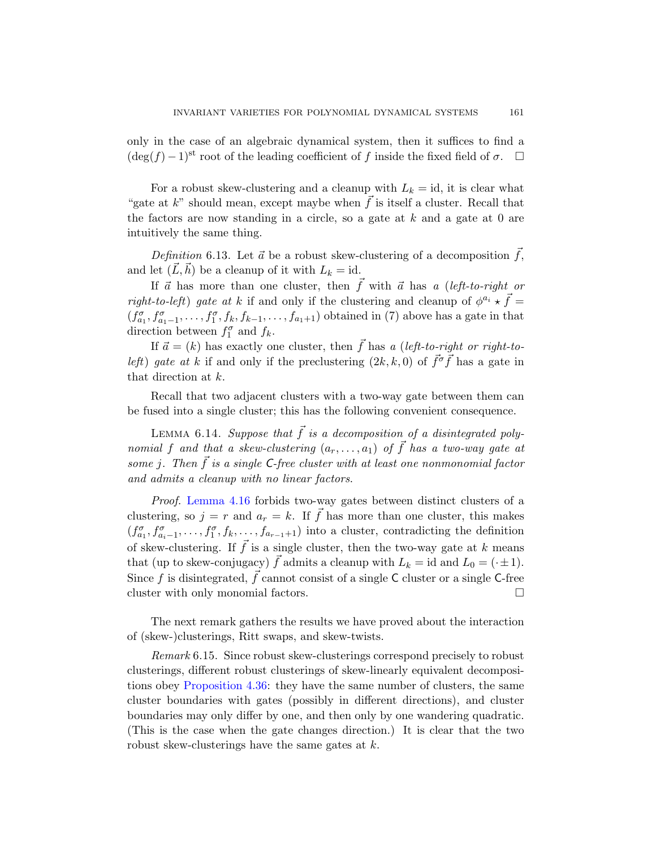only in the case of an algebraic dynamical system, then it suffices to find a  $(\deg(f) - 1)$ <sup>st</sup> root of the leading coefficient of f inside the fixed field of  $\sigma$ .  $\Box$ 

For a robust skew-clustering and a cleanup with  $L_k = id$ , it is clear what "gate at k" should mean, except maybe when  $\vec{f}$  is itself a cluster. Recall that the factors are now standing in a circle, so a gate at  $k$  and a gate at  $0$  are intuitively the same thing.

Definition 6.13. Let  $\vec{a}$  be a robust skew-clustering of a decomposition  $\vec{f}$ , and let  $(\vec{L}, \vec{h})$  be a cleanup of it with  $L_k = id$ .

If  $\vec{a}$  has more than one cluster, then  $f$  with  $\vec{a}$  has a (left-to-right or *right-to-left*) gate at k if and only if the clustering and cleanup of  $\phi^{a_i} \star \vec{f}$  =  $(f_{a_1}^{\sigma}, f_{a_1-1}^{\sigma}, \ldots, f_1^{\sigma}, f_k, f_{k-1}, \ldots, f_{a_1+1})$  obtained in (7) above has a gate in that direction between  $f_1^{\sigma}$  and  $f_k$ .

If  $\vec{a} = (k)$  has exactly one cluster, then  $\vec{f}$  has a (left-to-right or right-toleft) gate at k if and only if the preclustering  $(2k, k, 0)$  of  $\vec{f}^{\sigma} \vec{f}$  has a gate in that direction at k.

Recall that two adjacent clusters with a two-way gate between them can [b](#page-51-0)e fused into a single cluster; this has the following convenient consequence.

LEMMA 6.14. Suppose that  $\vec{f}$  is a decomposition of a disintegrated polynomial f and that a skew-clustering  $(a_r, \ldots, a_1)$  of  $\vec{f}$  has a two-way gate at some j. Then  $\vec{f}$  is a single C-free cluster with at least one nonmonomial factor and admits a cleanup with no linear factors.

Proof. Lemma 4.16 forbids two-way gates between distinct clusters of a clustering, so  $j = r$  and  $a_r = k$ . If  $\overrightarrow{f}$  has more than one cluster, this makes  $(f_{a_1}^{\sigma}, f_{a_{i-1}}^{\sigma}, \ldots, f_1^{\sigma}, f_k, \ldots, f_{a_{r-1}+1})$  into a cluster, contradicting the definition of skew-clustering. If  $\vec{f}$  is a single cluster, then the two-way gate at k means that (up to skew-conjugacy)  $\vec{f}$  admits a cleanup with  $L_k = id$  and  $L_0 = (\cdot \pm 1)$ . Since f is disintegrated,  $\vec{f}$  cannot consist of a single C cluster or a single C-free [clust](#page-60-0)er with only monomial factors.

The next remark gathers the results we have proved about the interaction of (skew-)clusterings, Ritt swaps, and skew-twists.

Remark 6.15. Since robust skew-clusterings correspond precisely to robust clusterings, different robust clusterings of skew-linearly equivalent decompositions obey Proposition 4.36: they have the same number of clusters, the same cluster boundaries with gates (possibly in different directions), and cluster boundaries may only differ by one, and then only by one wandering quadratic. (This is the case when the gate changes direction.) It is clear that the two robust skew-clusterings have the same gates at  $k$ .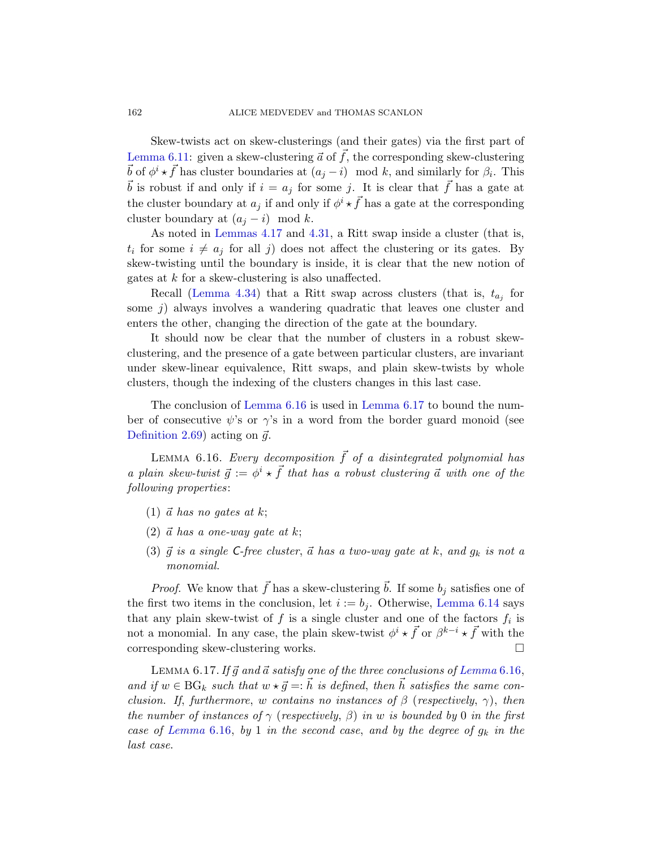[Ske](#page-51-1)w-t[wists](#page-57-1) act on skew-clusterings (and their gates) via the first part of Lemma 6.11: given a skew-clustering  $\vec{a}$  of  $\vec{f}$ , the corresponding skew-clustering  $\vec{b}$  of  $\phi^i \star \vec{f}$  has cluster boundaries at  $(a_j - i) \mod k$ , and similarly for  $\beta_i$ . This b is robust if and only if  $i = a_j$  for some j. It is clear that f has a gate at [the](#page-59-0) cluster boundary at  $a_j$  if and only if  $\phi^i \star \vec{f}$  has a gate at the corresponding cluster boundary at  $(a_i - i) \mod k$ .

As noted in Lemmas 4.17 and 4.31, a Ritt swap inside a cluster (that is,  $t_i$  for some  $i \neq a_j$  for all j) does not affect the clustering or its gates. By skew-twisting until the boundary is inside, it is clear that the new notion of gates at k for a skew-clustering is also unaffected.

Recall (Lemma 4.34) that a Ritt swap across clusters (that is,  $t_{a_j}$  for some  $j$ [\) alw](#page-81-0)ays involv[es a wanderi](#page-81-1)ng quadratic that leaves one cluster and enters the other, changing the direction of the gate at the boundary.

<span id="page-81-0"></span>It should now be clear that the number of clusters in a robust skewclustering, and the presence of a gate between particular clusters, are invariant under skew-linear equivalence, Ritt swaps, and plain skew-twists by whole clusters, though the indexing of the clusters changes in this last case.

The conclusion of Lemma 6.16 is used in Lemma 6.17 to bound the number of consecutive  $\psi$ 's or  $\gamma$ 's in a word from the border guard monoid (see Definition 2.69) acting on  $\vec{g}$ .

LEMMA 6.16. Every decomposition  $\vec{f}$  of a disintegrated polynomial has a plain skew-twist  $\vec{g} := \phi^i \star \vec{f}$  that has a robust clustering  $\vec{a}$  with one of the following properties:

- (1)  $\vec{a}$  has no gates at k;
- $(2)$   $\vec{a}$  has a one-way gate at k;
- (3)  $\vec{g}$  is a single C-free cluster,  $\vec{a}$  has a two-way gate at k, and  $g_k$  is not a monomial.

<span id="page-81-1"></span>*Proof.* We know that  $\bar{f}$  has a skew-cl[ustering](#page-81-0) b. If some  $b_j$  satisfies one of the first two items in the conclusion, let  $i := b_i$ . Otherwise, Lemma 6.14 says that any plain skew-twist of  $f$  is a single cluster and one of the factors  $f_i$  is not a monomial. In any case, the plain skew-twist  $\phi^i \star \vec{f}$  or  $\beta^{k-i} \star \vec{f}$  with the corresponding skew-clustering works.

LEMMA 6.17. If  $\vec{g}$  and  $\vec{a}$  satisfy one of the three conclusions of Lemma 6.16, and if  $w \in BG_k$  such that  $w \star \vec{g} =: \vec{h}$  is defined, then  $\vec{h}$  satisfies the same conclusion. If, furthermore, w contains no instances of  $\beta$  (respectively,  $\gamma$ ), then the number of instances of  $\gamma$  (respectively,  $\beta$ ) in w is bounded by 0 in the first case of Lemma 6.16, by 1 in the second case, and by the degree of  $g_k$  in the last case.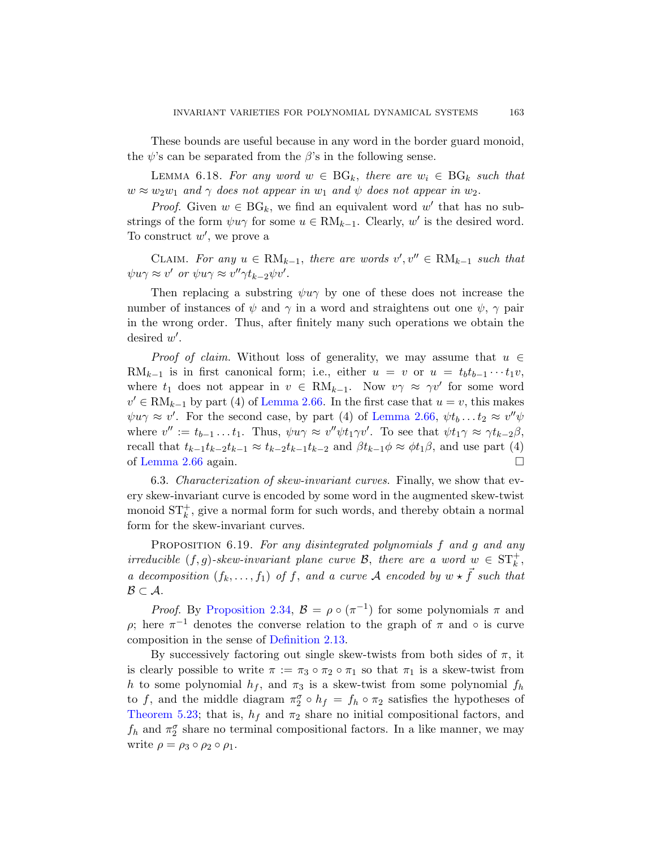These bounds are useful because in any word in the border guard monoid, the  $\psi$ 's can be separated from the  $\beta$ 's in the following sense.

LEMMA 6.18. For any word  $w \in BG_k$ , there are  $w_i \in BG_k$  such that  $w \approx w_2w_1$  and  $\gamma$  does not appear in  $w_1$  and  $\psi$  does not appear in  $w_2$ .

*Proof.* Given  $w \in BG_k$ , we find an equivalent word w' that has no substrings of the form  $\psi u \gamma$  for some  $u \in RM_{k-1}$ . Clearly, w' is the desired word. To construct  $w'$ , we prove a

CLAIM. For any  $u \in RM_{k-1}$ , there are words  $v', v'' \in RM_{k-1}$  such that  $\psi u \gamma \approx v'$  or  $\psi u \gamma \approx v'' \gamma t_{k-2} \psi v'.$ 

Then replacing a substring  $\psi u \gamma$  by one of these does not increase the nu[mber of insta](#page-27-1)nces of  $\psi$  and  $\gamma$  in a word and straightens out one  $\psi$ ,  $\gamma$  pair in the wrong order. Th[us, after finite](#page-27-1)ly many such operations we obtain the desired  $w'$ .

*Proof of claim.* Without loss of generality, we may assume that  $u \in$ RM<sub>k−1</sub> is in first canonical form; i.e., either  $u = v$  or  $u = t_b t_{b-1} \cdots t_1 v$ , where  $t_1$  does not appear in  $v \in RM_{k-1}$ . Now  $v\gamma \approx \gamma v'$  for some word  $v' \in \text{RM}_{k-1}$  by part (4) of Lemma 2.66. In the first case that  $u = v$ , this makes  $\psi u \gamma \approx v'$ . For the second case, by part (4) of Lemma 2.66,  $\psi t_b \dots t_2 \approx v'' \psi$ where  $v'' := t_{b-1} \dots t_1$ . Thus,  $\psi u \gamma \approx v'' \psi t_1 \gamma v'$ . To see that  $\psi t_1 \gamma \approx \gamma t_{k-2} \beta$ , recall that  $t_{k-1}t_{k-2}t_{k-1} \approx t_{k-2}t_{k-1}t_{k-2}$  and  $\beta t_{k-1}\phi \approx \phi t_1\beta$ , and use part (4) of Lemma 2.66 again.

<span id="page-82-0"></span>6.3. Characterization of skew-invariant curves. Finally, we show that every skew-invariant curve is encoded by some word in the augmented skew-twist monoid  $ST_k^+$ , give a normal form for such words, and thereby obtain a normal form for the skew-invariant curves.

PROPOSITION 6.19. For any disintegrated polynomials f and g and any irreducible  $(f, g)$ -skew-invariant plane curve B, there are a word  $w \in ST_k^+$ , a decomposition  $(f_k, \ldots, f_1)$  of f, and a curve A encoded by  $w \star \vec{f}$  such that  $\mathcal{B} \subset \mathcal{A}.$ 

*Proof.* By Proposition 2.34,  $\mathcal{B} = \rho \circ (\pi^{-1})$  for some polynomials  $\pi$  and  $ρ$ ; here  $π^{-1}$  denotes the converse relation to the graph of π and  $\circ$  is curve composition in the sense of Definition 2.13.

By successively factoring out single skew-twists from both sides of  $\pi$ , it is clearly possible to write  $\pi := \pi_3 \circ \pi_2 \circ \pi_1$  so that  $\pi_1$  is a skew-twist from h to some polynomial  $h_f$ , and  $\pi_3$  is a skew-twist from some polynomial  $f_h$ to f, and the middle diagram  $\pi_2^{\sigma} \circ h_f = f_h \circ \pi_2$  satisfies the hypotheses of Theorem 5.23; that is,  $h_f$  and  $\pi_2$  share no initial compositional factors, and  $f_h$  and  $\pi_2^{\sigma}$  share no terminal compositional factors. In a like manner, we may write  $\rho = \rho_3 \circ \rho_2 \circ \rho_1$ .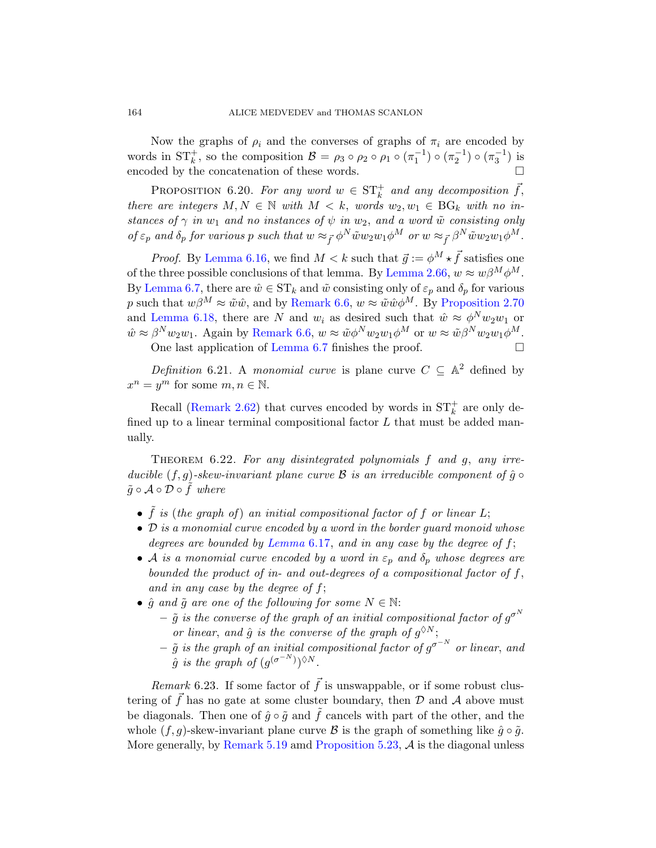Now the graphs of  $\rho_i$  and the converses of graphs of  $\pi_i$  are encoded by [word](#page-81-0)s in  $ST_k^+$ , so the composition  $\mathcal{B} = \rho_3 \circ \rho_2 \circ \rho_1 \circ (\pi_1^{-1}) \circ (\pi_2^{-1}) \circ (\pi_3^{-1})$  is encoded by the concatenat[ion of these w](#page-27-1)ords.

PROPOSITION 6.20. For any word  $w \in ST_k^+$  and any decomposition  $\vec{f}$ , there ar[e integers](#page-77-0)  $M, N \in \mathbb{N}$  with  $M < k$ , [words](#page-29-1)  $w_2, w_1 \in BG_k$  with no instances of  $\gamma$  in  $w_1$  and no instances of  $\psi$  in  $w_2$ , and a word  $\tilde{w}$  consisting only of  $\varepsilon_p$  [and](#page-77-0)  $\delta_p$  for various p such that  $w \approx_{\vec{f}} \phi^N \tilde{w} w_2 w_1 \phi^M$  or  $w \approx_{\vec{f}} \beta^N \tilde{w} w_2 w_1 \phi^M$ .

*[Proof](#page-77-1).* By Lemma 6.16, we find  $M < k$  such that  $\vec{g} := \phi^M \star \vec{f}$  satisfies one of the three possible conclusions of that lemma. By Lemma 2.66,  $w \approx w\beta^M\phi^M$ . By Lemma 6.7, there are  $\hat{w} \in ST_k$  and  $\tilde{w}$  consisting only of  $\varepsilon_p$  and  $\delta_p$  for various p such that  $w\beta^M \approx \tilde{w}\hat{w}$ , and by Remark 6.6,  $w \approx \tilde{w}\hat{w}\phi^M$ . By Proposition 2.70 [an](#page-26-0)d Lemma 6.18, there are N and  $w_i$  as desired such that  $\hat{w} \approx \phi^N w_2 w_1$  or  $\hat{w} \approx \beta^N w_2 w_1$ . Again by Remark 6.6,  $w \approx \tilde{w} \phi^N w_2 w_1 \phi^M$  or  $w \approx \tilde{w} \beta^N w_2 w_1 \phi^M$ .

One last application of Lemma 6.7 finishes the proof.

Definition 6.21. A monomial curve is plane curve  $C \subseteq \mathbb{A}^2$  defined by  $x^n = y^m$  for some  $m, n \in \mathbb{N}$ .

Recall (Remark 2.62) that curves encoded by words in  $ST_k^+$  are only defined up to a linear terminal compositional factor  $L$  that must be added manually.

THEOREM  $6.22$ . For any disintegrated polynomials f and g, any irreducible  $(f, g)$ -skew-invariant plane curve  $\mathcal B$  is an irreducible component of  $\hat g \circ$  $\tilde{g} \circ A \circ \mathcal{D} \circ f$  where

- $\tilde{f}$  is (the graph of) an initial compositional factor of f or linear L;
- $\bullet$  D is a monomial curve encoded by a word in the border quard monoid whose degrees are bounded by Lemma  $6.17$ , and in any case by the degree of f;
- A is a monomial curve encoded by a word in  $\varepsilon_p$  and  $\delta_p$  whose degrees are bounded the product of in- and out-degrees of a compositional factor of  $f$ , and in any case by the degree of  $f$ ;
- <span id="page-83-0"></span>•  $\hat{g}$  and  $\tilde{g}$  are one of the following for some  $N \in \mathbb{N}$ :
	- $\tilde{g}$  is the converse of the graph of an initial compositional factor of  $g^{\sigma^N}$ or linear, and  $\hat{g}$  is the converse of the graph of  $g^{\lozenge N}$ ;
	- $\tilde{g}$  is [the graph of an in](#page-71-0)itial compositional factor of  $g^{\sigma^{-N}}$  or linear, and  $\hat{g}$  is the graph of  $(g^{(\sigma^{-N})})^{\lozenge N}$ .

*Remark* 6.23. If some factor of  $\vec{f}$  is unswappable, or if some robust clustering of  $\vec{f}$  has no gate at some cluster boundary, then  $\mathcal D$  and  $\mathcal A$  above must be diagonals. Then one of  $\hat{g} \circ \tilde{g}$  and  $\hat{f}$  cancels with part of the other, and the whole  $(f, g)$ -skew-invariant plane curve  $\mathcal B$  is the graph of something like  $\hat g \circ \tilde g$ . More generally, by Remark  $5.19$  amd Proposition  $5.23$ ,  $\mathcal{A}$  is the diagonal unless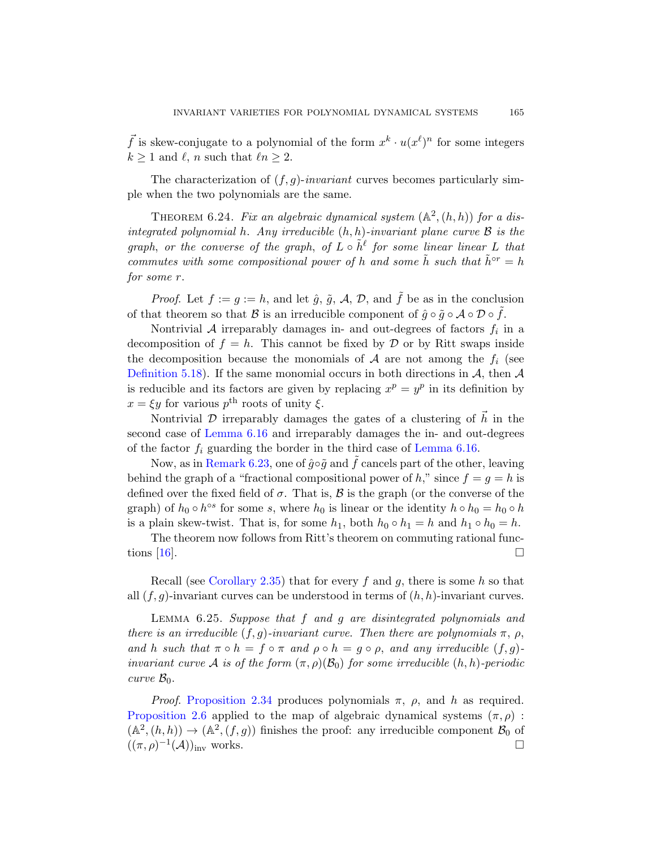<span id="page-84-0"></span> $\vec{f}$  is skew-conjugate to a polynomial of the form  $x^k \cdot u(x^{\ell})^n$  for some integers  $k \geq 1$  and  $\ell, n$  such that  $\ell n \geq 2$ .

The characterization of  $(f, g)$ -invariant curves becomes particularly simple when the two polynomials are the same.

THEOREM 6.24. Fix an algebraic dynamical system  $(A^2,(h,h))$  for a disintegrated polynomial h. Any irreducible  $(h, h)$ -invariant plane curve  $\beta$  is the graph, or the converse of the graph, of  $L \circ \tilde{h}^{\ell}$  for some linear linear L that commutes with some compositional power of h and some  $\tilde{h}$  such that  $\tilde{h}^{\circ r} = h$ for some r.

*Proof.* Let  $f := g := h$ , and let  $\hat{g}$ ,  $\tilde{g}$ ,  $\mathcal{A}$ ,  $\mathcal{D}$ , and  $\tilde{f}$  be as in the conclusion of that theorem so that B is an irreducible component of  $\hat{g} \circ \tilde{g} \circ A \circ D \circ \tilde{f}$ .

Nontrivial  $A$  irreparably damages in- and out-degrees of factors  $f_i$  in a [decom](#page-81-0)position of  $f = h$ . This cannot be fixed by D or by Ritt swaps inside the decomposition because the [monomials o](#page-81-0)f  $A$  are not among the  $f_i$  (see [Defin](#page-83-0)ition 5.18). If the same monomial occurs in both directions in  $A$ , then  $A$ is reducible and its factors are given by replacing  $x^p = y^p$  in its definition by  $x = \xi y$  for various  $p^{\text{th}}$  roots of unity  $\xi$ .

Nontrivial D irreparably damages the gates of a clustering of  $\vec{h}$  in the second case of Lemma 6.16 and irreparably damages the in- and out-degrees of the factor  $f_i$  guarding the border in the third case of Lemma 6.16.

Now, as in Remark 6.23, one of  $\hat{g} \circ \tilde{g}$  and  $\tilde{f}$  cancels part of the other, leaving behind the graph of a "fractional compositional power of h," since  $f = g = h$  is [defined](#page-19-1) over the fixed field of  $\sigma$ . That is,  $\mathcal B$  is the graph (or the converse of the graph) of  $h_0 \circ h^{\circ s}$  for some s, where  $h_0$  is linear or the identity  $h \circ h_0 = h_0 \circ h$ is a plain skew-twist. That is, for some  $h_1$ , both  $h_0 \circ h_1 = h$  and  $h_1 \circ h_0 = h$ .

The theorem now follows from Ritt's theorem on commuting rational functions  $[16]$ .

Recall (see Corollary 2.35) that for every f and g, there is some h so that all  $(f, q)$ -invariant curves can be understood in terms of  $(h, h)$ -invariant curves.

[L](#page-19-0)emma 6.25. Suppose that f and g are disintegrated polynomials and there is an irreducible  $(f, g)$ -invariant curve. Then there are polynomials  $\pi$ ,  $\rho$ , and h such that  $\pi \circ h = f \circ \pi$  and  $\rho \circ h = g \circ \rho$ , and any irreducible  $(f, g)$ invariant curve A is of the form  $(\pi, \rho)(\mathcal{B}_0)$  for some irreducible  $(h, h)$ -periodic curve  $\mathcal{B}_0$ .

*Proof.* Proposition 2.34 produces polynomials  $\pi$ ,  $\rho$ , and h as required. Proposition 2.6 applied to the map of algebraic dynamical systems  $(\pi, \rho)$ :  $(\mathbb{A}^2, (h, h)) \to (\mathbb{A}^2, (f, g))$  finishes the proof: any irreducible component  $\mathcal{B}_0$  of  $((\pi,\rho)^{-1}(\mathcal{A}))_{\text{inv}}$  works.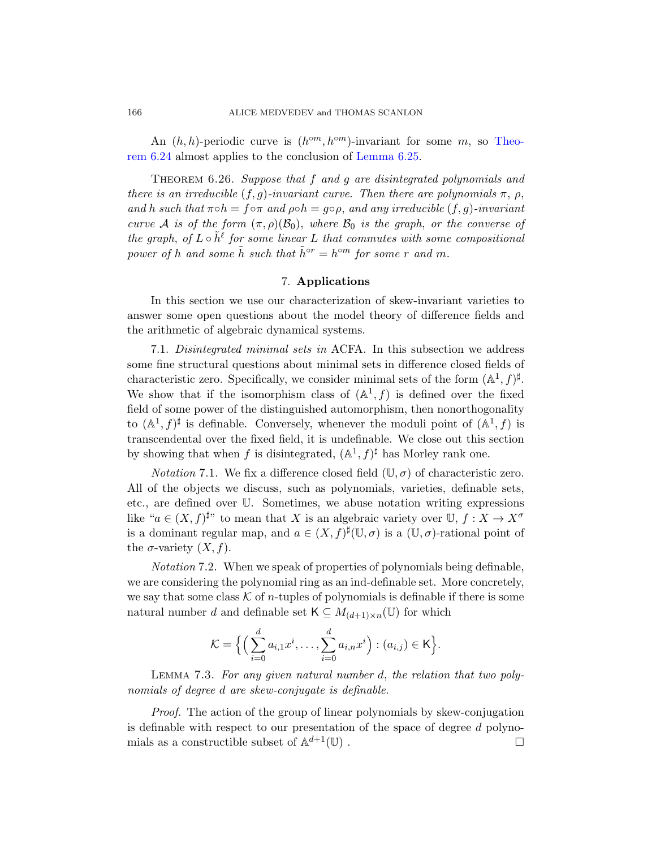An  $(h, h)$ -periodic curve is  $(h^{\circ m}, h^{\circ m})$ -invariant for some m, so Theorem 6.24 almost applies to the conclusion of Lemma 6.25.

THEOREM 6.26. Suppose that f and g are disintegrated polynomials and there is an irreducible  $(f, g)$ -invariant curve. Then there are polynomials  $\pi$ ,  $\rho$ , and h such that  $\pi \circ h = f \circ \pi$  and  $\rho \circ h = g \circ \rho$ , and any irreducible  $(f, g)$ -invariant curve A is of the form  $(\pi, \rho)(\mathcal{B}_0)$ , where  $\mathcal{B}_0$  is the graph, or the converse of the graph, of  $L \circ \tilde{h}^{\ell}$  for some linear L that commutes with some compositional power of h and some  $\tilde{h}$  such that  $\tilde{h}^{\circ r} = h^{\circ m}$  for some r and m.

# 7. Applications

In this section we use our characterization of skew-invariant varieties to answer some open questions about the model theory of difference fields and the arithmetic of algebraic dynamical systems.

7.1. Disintegrated minimal sets in ACFA. In this subsection we address some fine structural questions about minimal sets in difference closed fields of characteristic zero. Specifically, we consider minimal sets of the form  $(\mathbb{A}^1, f)^{\sharp}$ . We show that if the isomorphism class of  $(\mathbb{A}^1, f)$  is defined over the fixed field of some power of the distinguished automorphism, then nonorthogonality to  $(\mathbb{A}^1, f)^\sharp$  is definable. Conversely, whenever the moduli point of  $(\mathbb{A}^1, f)$  is transcendental over the fixed field, it is undefinable. We close out this section by showing that when f is disintegrated,  $(\mathbb{A}^1, f)^\sharp$  has Morley rank one.

*Notation* 7.1. We fix a difference closed field  $(\mathbb{U}, \sigma)$  of characteristic zero. All of the objects we discuss, such as polynomials, varieties, definable sets, etc., are defined over U. Sometimes, we abuse notation writing expressions like " $a \in (X, f)^{\sharp}$ " to mean that X is an algebraic variety over  $\mathbb{U}, f : X \to X^{\sigma}$ is a dominant regular map, and  $a \in (X, f)^\sharp(\mathbb{U}, \sigma)$  is a  $(\mathbb{U}, \sigma)$ -rational point of the  $\sigma$ -variety  $(X, f)$ .

Notation 7.2. When we speak of properties of polynomials being definable, we are considering the polynomial ring as an ind-definable set. More concretely, we say that some class  $\mathcal K$  of *n*-tuples of polynomials is definable if there is some natural number d and definable set  $\mathsf{K} \subseteq M_{(d+1)\times n}(\mathbb{U})$  for which

$$
\mathcal{K} = \Big\{ \Big( \sum_{i=0}^d a_{i,1} x^i, \ldots, \sum_{i=0}^d a_{i,n} x^i \Big) : (a_{i,j}) \in \mathsf{K} \Big\}.
$$

Lemma 7.3. For any given natural number d, the relation that two polynomials of degree d are skew-conjugate is definable.

Proof. The action of the group of linear polynomials by skew-conjugation is definable with respect to our presentation of the space of degree d polynomials as a constructible subset of  $\mathbb{A}^{d+1}(\mathbb{U})$ .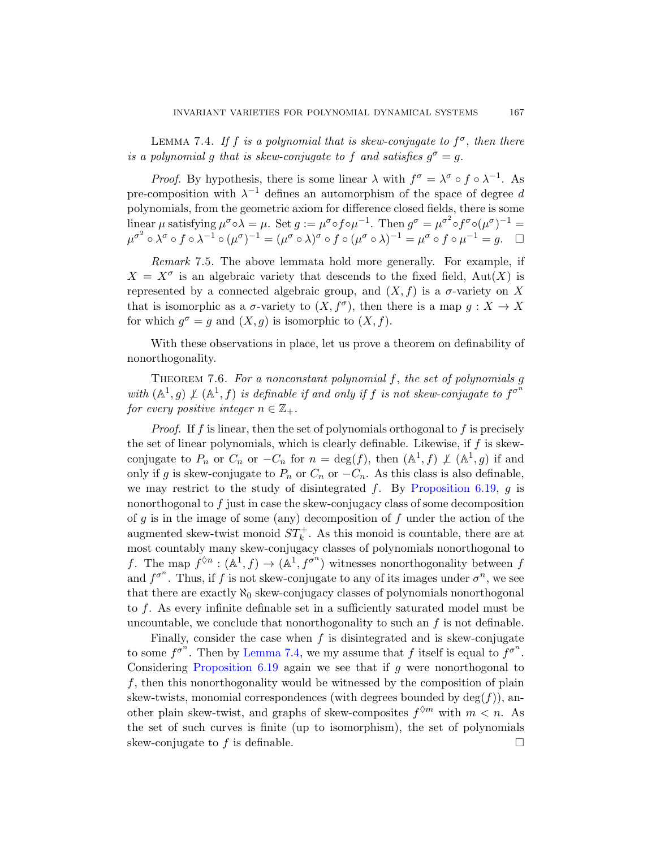<span id="page-86-0"></span>LEMMA 7.4. If f is a polynomial that is skew-conjugate to  $f^{\sigma}$ , then there is a polynomial g that is skew-conjugate to f and satisfies  $g^{\sigma} = g$ .

*Proof.* By hypothesis, there is some linear  $\lambda$  with  $f^{\sigma} = \lambda^{\sigma} \circ f \circ \lambda^{-1}$ . As pre-composition with  $\lambda^{-1}$  defines an automorphism of the space of degree d polynomials, from the geometric axiom for difference closed fields, there is some linear  $\mu$  satisfying  $\mu^{\sigma} \circ \lambda = \mu$ . Set  $g := \mu^{\sigma} \circ f \circ \mu^{-1}$ . Then  $g^{\sigma} = \mu^{\sigma^2} \circ f^{\sigma} \circ (\mu^{\sigma})^{-1} =$  $\mu^{\sigma^2} \circ \lambda^{\sigma} \circ f \circ \lambda^{-1} \circ (\mu^{\sigma})^{-1} = (\mu^{\sigma} \circ \lambda)^{\sigma} \circ f \circ (\mu^{\sigma} \circ \lambda)^{-1} = \mu^{\sigma} \circ f \circ \mu^{-1} = g.$ 

Remark 7.5. The above lemmata hold more generally. For example, if  $X = X^{\sigma}$  is an algebraic variety that descends to the fixed field, Aut $(X)$  is represented by a connected algebraic group, and  $(X, f)$  is a  $\sigma$ -variety on X that is isomorphic as a  $\sigma$ -variety to  $(X, f^{\sigma})$ , then there is a map  $g: X \to X$ for which  $g^{\sigma} = g$  and  $(X, g)$  is isomorphic to  $(X, f)$ .

With these observations in place, let us prove a theorem on definability of nonorthogonality.

THEOREM 7.6. For a nonconstant polynomial  $f$ , the set of polynomials  $g$ with  $(\mathbb{A}^1,g) \nsubseteq (\mathbb{A}^1,f)$  is definabl[e if and only if](#page-82-0) f is not skew-conjugate to  $f^{\sigma^n}$ for every positive integer  $n \in \mathbb{Z}_+$ .

*Proof.* If f is linear, then the set of polynomials orthogonal to f is precisely the set of linear polynomials, which is clearly definable. Likewise, if  $f$  is skewconjugate to  $P_n$  or  $C_n$  or  $-C_n$  for  $n = \deg(f)$ , then  $(\mathbb{A}^1, f) \not\perp (\mathbb{A}^1, g)$  if and only if g is skew-conjugate to  $P_n$  or  $C_n$  or  $-C_n$ . As this class is also definable, we may restrict to the study of disintegrated f. By Proposition 6.19,  $q$  is nonorthogonal to f just in case the skew-conjugacy class of some decomposition of g is in the image of some (any) decomposition of f under the action of the augmented skew-twist monoid  $ST_k^+$ . As this monoid is countable, there are at most countably many skew-conjugacy classes of polynomials nonorthogonal to f[. The ma](#page-86-0)p  $f^{\lozenge n} : (\mathbb{A}^1, f) \to (\mathbb{A}^1, f^{\sigma^n})$  witnesses nonorthogonality between f [and](#page-82-0)  $f^{\sigma^n}$ . Thus, if f is not skew-conjugate to any of its images under  $\sigma^n$ , we see that there are exactly  $\aleph_0$  skew-conjugacy classes of polynomials nonorthogonal to f. As every infinite definable set in a sufficiently saturated model must be uncountable, we conclude that nonorthogonality to such an  $f$  is not definable.

Finally, consider the case when  $f$  is disintegrated and is skew-conjugate to some  $f^{\sigma^n}$ . Then by Lemma 7.4, we my assume that f itself is equal to  $f^{\sigma^n}$ . Considering Proposition  $6.19$  again we see that if g were nonorthogonal to f, then this nonorthogonality would be witnessed by the composition of plain skew-twists, monomial correspondences (with degrees bounded by  $deg(f)$ ), another plain skew-twist, and graphs of skew-composites  $f^{\lozenge m}$  with  $m < n$ . As the set of such curves is finite (up to isomorphism), the set of polynomials skew-conjugate to f is definable.  $\square$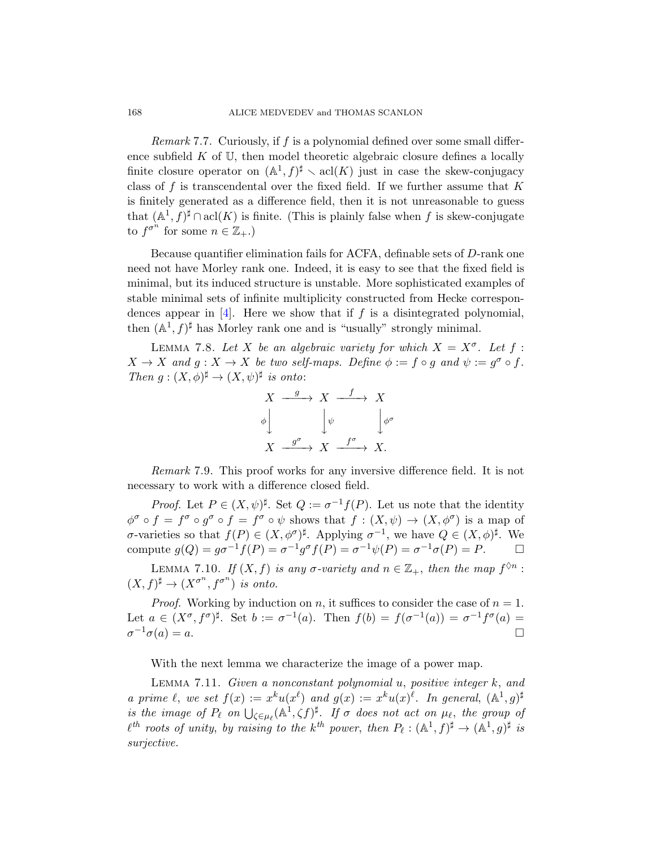Remark 7.7. Curiously, if  $f$  is a polynomial defined over some small difference subfield  $K$  of  $U$ , then model theoretic algebraic closure defines a locally finite closure operator on  $(\mathbb{A}^1, f)^{\sharp} \setminus \text{acl}(K)$  just in case the skew-conjugacy class of f is transcendental over the fixed field. If we further assume that  $K$ is finitely generated as a difference field, then it is not unreasonable to guess that  $(\mathbb{A}^1, f)^\sharp \cap \text{acl}(K)$  is finite. (This is plainly false when f is skew-conjugate to  $f^{\sigma^n}$  for some  $n \in \mathbb{Z}_+$ .)

Because quantifier elimination fails for ACFA, definable sets of D-rank one need not have Morley rank one. Indeed, it is easy to see that the fixed field is minimal, but its induced structure is unstable. More sophisticated examples of stable minimal sets of infinite multiplicity constructed from Hecke correspondences appear in  $[4]$ . Here we show that if f is a disintegrated polynomial, then  $(A^1, f)^{\sharp}$  has Morley rank one and is "usually" strongly minimal.

LEMMA 7.8. Let X be an algebraic variety for which  $X = X^{\sigma}$ . Let f:  $X \to X$  and  $g: X \to X$  be two self-maps. Define  $\phi := f \circ g$  and  $\psi := g^{\sigma} \circ f$ . Then  $g:(X,\phi)^{\sharp}\to (X,\psi)^{\sharp}$  is onto:



<span id="page-87-0"></span>Remark 7.9. This proof works for any inversive difference field. It is not necessary to work with a difference closed field.

*Proof.* Let  $P \in (X, \psi)^{\sharp}$ . Set  $Q := \sigma^{-1} f(P)$ . Let us note that the identity  $\phi^{\sigma} \circ f = f^{\sigma} \circ g^{\sigma} \circ f = f^{\sigma} \circ \psi$  shows that  $f : (X, \psi) \to (X, \phi^{\sigma})$  is a map of σ-varieties so that  $f(P) \in (X, φ^{\sigma})^{\sharp}$ . Applying  $σ^{-1}$ , we have  $Q \in (X, φ)^{\sharp}$ . We compute  $g(Q) = g\sigma^{-1}f(P) = \sigma^{-1}g^{\sigma}f(P) = \sigma^{-1}\psi(P) = \sigma^{-1}\sigma(P) = P.$   $\Box$ 

<span id="page-87-1"></span>LEMMA 7.10. If  $(X, f)$  is any  $\sigma$ -variety and  $n \in \mathbb{Z}_+$ , then the map  $f^{\lozenge n}$ :  $(X, f)^{\sharp} \to (X^{\sigma^n}, f^{\sigma^n})$  is onto.

*Proof.* Working by induction on n, it suffices to consider the case of  $n = 1$ . Let  $a \in (X^{\sigma}, f^{\sigma})^{\sharp}$ . Set  $b := \sigma^{-1}(a)$ . Then  $f(b) = f(\sigma^{-1}(a)) = \sigma^{-1} f^{\sigma}(a) =$  $\sigma^{-1}\sigma(a) = a.$ 

With the next lemma we characterize the image of a power map.

LEMMA 7.11. Given a nonconstant polynomial  $u$ , positive integer  $k$ , and a prime  $\ell$ , we set  $f(x) := x^k u(x^{\ell})$  and  $g(x) := x^k u(x)^{\ell}$ . In general,  $(\mathbb{A}^1, g)^{\sharp}$ is the image of  $P_\ell$  on  $\bigcup_{\zeta \in \mu_\ell} (\mathbb{A}^1, \zeta f)^\sharp$ . If  $\sigma$  does not act on  $\mu_\ell$ , the group of  $\ell^{th}$  roots of unity, by raising to the k<sup>th</sup> power, then  $P_{\ell}: (\mathbb{A}^1, f)^{\sharp} \to (\mathbb{A}^1, g)^{\sharp}$  is surjective.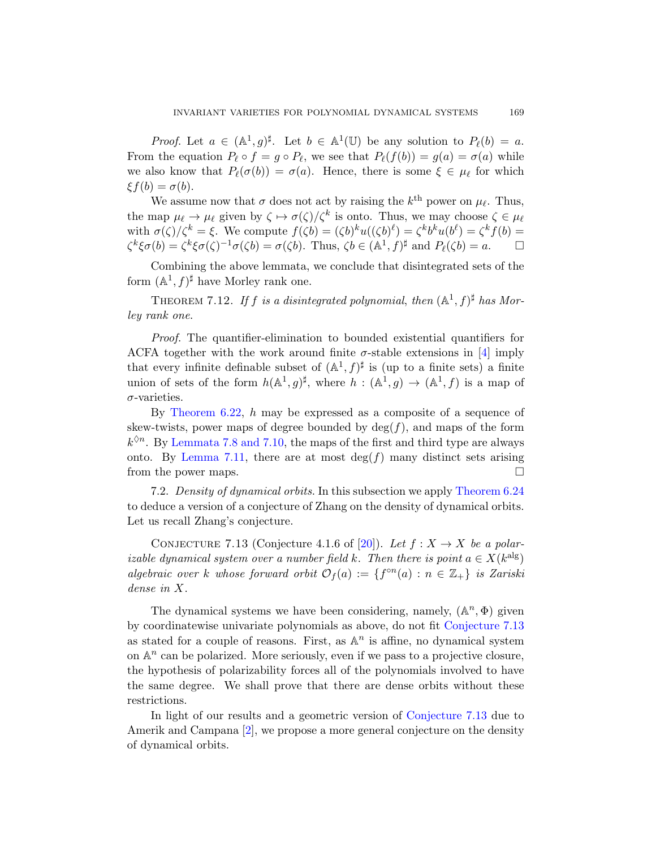*Proof.* Let  $a \in (\mathbb{A}^1, g)^\sharp$ . Let  $b \in \mathbb{A}^1(\mathbb{U})$  be any solution to  $P_\ell(b) = a$ . From the equation  $P_\ell \circ f = g \circ P_\ell$ , we see that  $P_\ell(f(b)) = g(a) = \sigma(a)$  while we also know that  $P_\ell(\sigma(b)) = \sigma(a)$ . Hence, there is some  $\xi \in \mu_\ell$  for which  $\xi f(b) = \sigma(b).$ 

We assume now that  $\sigma$  does not act by raising the  $k^{\text{th}}$  power on  $\mu_{\ell}$ . Thus, the map  $\mu_{\ell} \to \mu_{\ell}$  given by  $\zeta \mapsto \sigma(\zeta)/\zeta^k$  is onto. Thus, we may choose  $\zeta \in \mu_{\ell}$ with  $\sigma(\zeta)/\zeta^k = \xi$ . We compute  $f(\zeta b) = (\zeta b)^k u((\zeta b)^{\ell}) = \zeta^k b^k u(b^{\ell}) = \zeta^k f(b) =$  $\zeta^k \xi \sigma(b) = \zeta^k \xi \sigma(\zeta)^{-1} \sigma(\zeta b) = \sigma(\zeta b)$ . Thus,  $\zeta b \in (\mathbb{A}^1, f)^\sharp$  and  $P_\ell(\zeta b) = a$ .  $\Box$ 

Combining the above lemmata, we concl[ude](#page-95-0) that disintegrated sets of the form  $(\mathbb{A}^1, f)^\sharp$  have Morley rank one.

THEOREM 7.12. If f is a disintegrated polynomial, then  $(A^1, f)^{\sharp}$  has Morley rank one.

Proof. The quantifier-elimination to bounded existential quantifiers for [ACFA t](#page-87-0)ogether with the work around finite  $\sigma$ -stable extensions in [4] imply [t](#page-87-1)hat every infinite definable subset of  $(A^1, f)^{\sharp}$  is (up to a finite sets) a finite union of sets of the form  $h(\mathbb{A}^1,g)^{\sharp}$ , where  $h: (\mathbb{A}^1,g) \to (\mathbb{A}^1,f)$  is a map of  $\sigma$ -varieties.

<span id="page-88-0"></span>By Theorem 6.22, h may be expressed as a composite of a sequence of skew-twists, power maps of degree bounded by  $deg(f)$ , and maps of the form  $k^{\lozenge n}$ . By Lemmata 7.8 [and](#page-96-1) 7.10, the maps of the first and third type are always onto. By Lemma 7.11, there are at most  $\deg(f)$  many distinct sets arising from the power maps.

7.2. Density of dynamical orbits. In this subsection we apply Theorem 6.24 to deduce a version of a conjecture of Zhang on the density of dynamical orbits. Let us recall Zhang's conjecture.

CONJECTURE 7.13 (Conjecture 4.[1.6 of \[20\]\).](#page-88-0) Let  $f: X \to X$  be a polarizable dynamical system over a number field k. Then there is point  $a \in X(k^{\text{alg}})$ algebraic over k whose forward orbit  $\mathcal{O}_f(a) := \{f^{\circ n}(a) : n \in \mathbb{Z}_+\}$  is Zariski dense in X.

The dynamical systems we have been considering, namely,  $(\mathbb{A}^n, \Phi)$  given by coordinatewise univariate p[olynomials as abo](#page-88-0)ve, do not fit Conjecture 7.13 [as](#page-95-1) stated for a couple of reasons. First, as  $\mathbb{A}^n$  is affine, no dynamical system on  $\mathbb{A}^n$  can be polarized. More seriously, even if we pass to a projective closure, the hypothesis of polarizability forces all of the polynomials involved to have the same degree. We shall prove that there are dense orbits without these restrictions.

In light of our results and a geometric version of Conjecture 7.13 due to Amerik and Campana [2], we propose a more general conjecture on the density of dynamical orbits.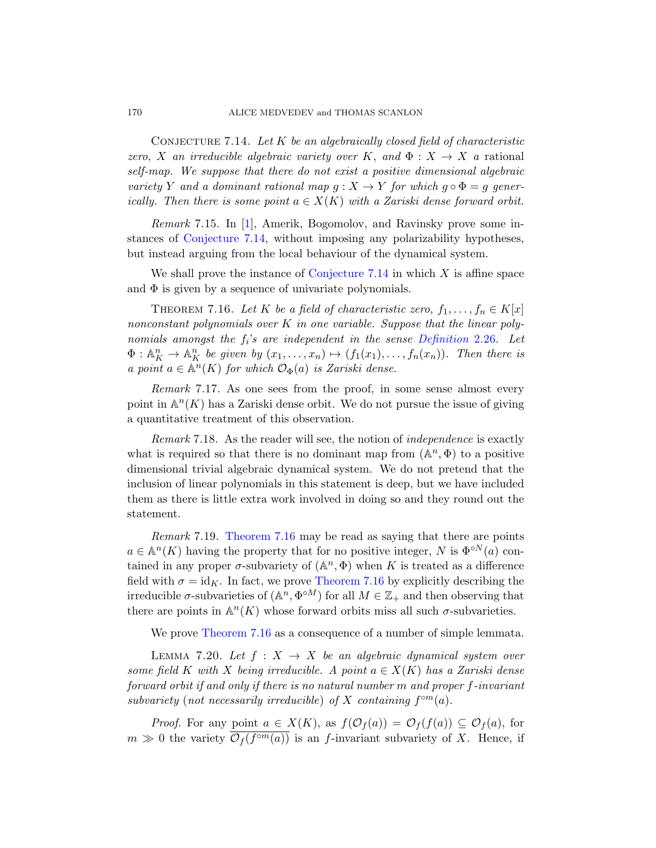#### <span id="page-89-0"></span>170 ALICE MEDVEDEV and THOMAS SCANLON

CONJECTURE 7.14. Let  $K$  be an algebraically closed field of characteristic [zero](#page-89-0), X an irreducible algebraic variety over K, and  $\Phi: X \to X$  a rational self-map. We suppose that there do not exist a positive dimensional algebraic variety Y a[nd a dominant ra](#page-89-0)tional map  $g: X \to Y$  for which  $g \circ \Phi = g$  generically. Then there is some point  $a \in X(K)$  with a Zariski dense forward orbit.

<span id="page-89-1"></span>Remark 7.15. In [1], Amerik, Bogomolov, and Ravinsky prove some instances of Conjecture 7.14, with[out imposing an](#page-16-0)y polarizability hypotheses, but instead arguing from the local behaviour of the dynamical system.

We shall prove the instance of Conjecture 7.14 in which  $X$  is affine space and  $\Phi$  is given by a sequence of univariate polynomials.

THEOREM 7.16. Let K be a field of characteristic zero,  $f_1, \ldots, f_n \in K[x]$ nonconstant polynomials over  $K$  in one variable. Suppose that the linear polynomials amongst the  $f_i$ 's are independent in the sense Definition 2.26. Let  $\Phi: \mathbb{A}_{K}^{n} \to \mathbb{A}_{K}^{n}$  be given by  $(x_1, \ldots, x_n) \mapsto (f_1(x_1), \ldots, f_n(x_n))$ . Then there is a point  $a \in \mathbb{A}^n(K)$  for which  $\mathcal{O}_{\Phi}(a)$  is Zariski dense.

Remark 7.17. As one sees from the proof, in some sense almost every point in  $\mathbb{A}^n(K)$  has a Zariski dense orbit. We do not pursue the issue of giving a quantitative treatment of this observation.

[Rema](#page-89-1)rk 7.18. As the reader will see, the notion of *independence* is exactly what is required so that there is no dominant map from  $(\mathbb{A}^n, \Phi)$  to a positive dimensional trivial algebraic dynamical system. We do not pretend that the inclusion of li[near polynomi](#page-89-1)als in this statement is deep, but we have included them as there is little extra work involved in doing so and they round out the statement.

[R](#page-89-1)emark 7.19. Theorem 7.16 may be read as saying that there are points  $a \in \mathbb{A}^n(K)$  having the property that for no positive integer, N is  $\Phi^{\circ N}(a)$  contained in any proper  $\sigma$ -subvariety of  $(\mathbb{A}^n, \Phi)$  when K is treated as a difference field with  $\sigma = id_K$ . In fact, we prove Theorem 7.16 by explicitly describing the irreducible  $\sigma$ -subvarieties of  $(\mathbb{A}^n, \Phi^{\circ M})$  for all  $M \in \mathbb{Z}_+$  and then observing that there are points in  $\mathbb{A}^n(K)$  whose forward orbits miss all such  $\sigma$ -subvarieties.

We prove Theorem 7.16 as a consequence of a number of simple lemmata.

LEMMA 7.20. Let  $f : X \rightarrow X$  be an algebraic dynamical system over some field K with X being irreducible. A point  $a \in X(K)$  has a Zariski dense forward orbit if and only if there is no natural number m and proper f-invariant subvariety (not necessarily irreducible) of X containing  $f^{\circ m}(a)$ .

*Proof.* For any point  $a \in X(K)$ , as  $f(\mathcal{O}_f(a)) = \mathcal{O}_f(f(a)) \subseteq \mathcal{O}_f(a)$ , for  $m \gg 0$  the variety  $\overline{\mathcal{O}_f(f^{\circ m}(a))}$  is an f-invariant subvariety of X. Hence, if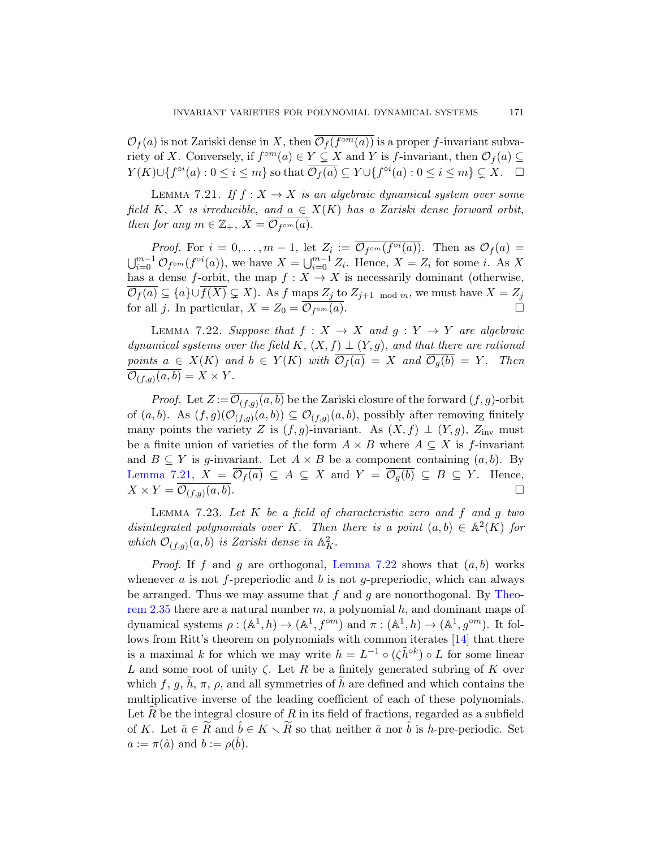$\mathcal{O}_f(a)$  is not Zariski dense in X, then  $\overline{\mathcal{O}_f(f^{\circ m}(a))}$  is a proper f-invariant subvariety of X. Conversely, if  $f^{\circ m}(a) \in Y \subsetneq X$  and Y is f-invariant, then  $\mathcal{O}_f(a) \subseteq$  $Y(K)\cup\{f^{\circ i}(a):0\leq i\leq m\}$  so that  $\overline{\mathcal{O}_f(a)}\subseteq Y\cup\{f^{\circ i}(a):0\leq i\leq m\}\subsetneq X.$   $\Box$ 

LEMMA 7.21. If  $f: X \to X$  is an algebraic dynamical system over some field K, X is irreducible, and  $a \in X(K)$  has a Zariski dense forward orbit, then for any  $m \in \mathbb{Z}_+, X = \overline{\mathcal{O}_{f^{\circ m}}(a)}$ .

<span id="page-90-0"></span>*Proof.* For  $i = 0, ..., m - 1$ , let  $Z_i := \mathcal{O}_{f^{\circ m}}(f^{\circ i}(a))$ . Then as  $\mathcal{O}_f(a) =$  $\bigcup_{i=0}^{m-1} \mathcal{O}_{f^{\circ m}}(f^{\circ i}(a))$ , we have  $X = \bigcup_{i=0}^{m-1} Z_i$ . Hence,  $X = Z_i$  for some i. As X has a dense f-orbit, the map  $f : X \to X$  is necessarily dominant (otherwise,  $\overline{\mathcal{O}_f(a)} \subseteq \{a\} \cup \overline{f(X)} \subsetneq X$ . As f maps  $Z_j$  to  $Z_{j+1 \mod m}$ , we must have  $X = Z_j$ for all j. In particular,  $X = Z_0 = \overline{\mathcal{O}_{f^{\circ m}}(a)}$ .

LEMMA 7.22. Suppose that  $f: X \to X$  and  $g: Y \to Y$  are algebraic dynamical systems over the field K,  $(X, f) \perp (Y, g)$ , and that there are rational points  $a \in X(K)$  and  $b \in Y(K)$  with  $\overline{\mathcal{O}_f(a)} = X$  and  $\overline{\mathcal{O}_g(b)} = Y$ . Then  $\mathcal{O}_{(f,g)}(a,b) = X \times Y.$ 

*Proof.* Let  $Z := \mathcal{O}_{(f,g)}(a, b)$  be the Zariski closure of the forward  $(f, g)$ -orbit of  $(a, b)$ . As  $(f, g)(\mathcal{O}_{(f,g)}(a, b)) \subseteq \mathcal{O}_{(f,g)}(a, b)$ , possibly after removing finitely many points the variety Z is  $(f, g)$ -invariant. As  $(X, f) \perp (Y, g)$ , Z<sub>inv</sub> must be a finite union of varieties of the form  $A \times B$  where  $A \subseteq X$  is f-invariant and  $B \subseteq Y$  is g-invariant. Let  $A \times B$  be a component containing  $(a, b)$ . By Lemma 7.21,  $X = \overline{\mathcal{O}_f(a)} \subseteq A \subseteq X$  $X = \overline{\mathcal{O}_f(a)} \subseteq A \subseteq X$  $X = \overline{\mathcal{O}_f(a)} \subseteq A \subseteq X$  and  $Y = \overline{\mathcal{O}_g(b)} \subseteq B \subseteq Y$ . Hence,  $X \times Y = \overline{\mathcal{O}_{(f,g)}(a,b)}.$  $\overline{(a, b)}$ .

LEMMA  $7.23$ . Let  $K$  be a field of charact[eristic](#page-19-1) zero and  $f$  and  $g$  two disintegrated polynomials over K. Then there is a point  $(a, b) \in \mathbb{A}^2(K)$  for which  $\mathcal{O}_{(f,g)}(a,b)$  is Zariski dense in  $\mathbb{A}_{K}^{2}$ [.](#page-96-2)

*Proof.* If f and g are orthogonal, Lemma 7.22 shows that  $(a, b)$  works whenever a is not f-preperiodic and b is not g-preperiodic, which can always be arranged. Thus we may assume that  $f$  and  $g$  are nonorthogonal. By Theorem 2.35 there are a natural number  $m$ , a polynomial  $h$ , and dominant maps of dynamical systems  $\rho: (\mathbb{A}^1, h) \to (\mathbb{A}^1, f^{\circ m})$  and  $\pi: (\mathbb{A}^1, h) \to (\mathbb{A}^1, g^{\circ m})$ . It follows from Ritt's theorem on polynomials with common iterates [14] that there is a maximal k for which we may write  $h = L^{-1} \circ (\zeta \tilde{h}^{\circ k}) \circ L$  for some linear L and some root of unity  $\zeta$ . Let R be a finitely generated subring of K over which  $f, g, h, \pi, \rho$ , and all symmetries of h are defined and which contains the multiplicative inverse of the leading coefficient of each of these polynomials. Let R be the integral closure of R in its field of fractions, regarded as a subfield of K. Let  $\hat{a} \in \widetilde{R}$  and  $\hat{b} \in K \setminus \widetilde{R}$  so that neither  $\hat{a}$  nor  $\hat{b}$  is h-pre-periodic. Set  $a := \pi(\hat{a})$  and  $b := \rho(\hat{b})$ .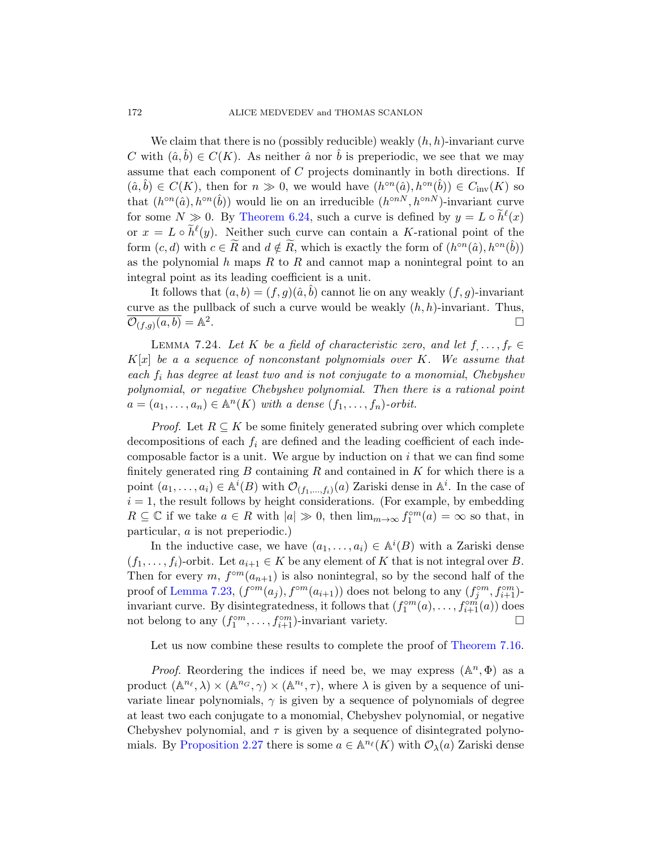We claim that there is no (possibly reducible) weakly  $(h, h)$ -invariant curve C with  $(\hat{a}, b) \in C(K)$ . As neither  $\hat{a}$  nor b is preperiodic, we see that we may assume that each component of C projects dominantly in both directions. If  $(\hat{a}, \hat{b}) \in C(K)$ , then for  $n \gg 0$ , we would have  $(h^{\circ n}(\hat{a}), h^{\circ n}(\hat{b})) \in C_{\text{inv}}(K)$  so that  $(h^{\circ n}(\hat{a}), h^{\circ n}(\hat{b}))$  would lie on an irreducible  $(h^{\circ nN}, h^{\circ nN})$ -invariant curve for some  $N \gg 0$ . By Theorem 6.24, such a curve is defined by  $y = L \circ \tilde{h}^{\ell}(x)$ or  $x = L \circ \tilde{h}^{\ell}(y)$ . Neither such curve can contain a K-rational point of the form  $(c, d)$  with  $c \in \tilde{R}$  and  $d \notin \tilde{R}$ , which is exactly the form of  $(h^{\circ n}(\hat{a}), h^{\circ n}(\hat{b}))$ as the polynomial  $h$  maps  $R$  to  $R$  and cannot map a nonintegral point to an integral point as its leading coefficient is a unit.

It follows that  $(a, b) = (f, g)(\hat{a}, b)$  cannot lie on any weakly  $(f, g)$ -invariant curve as the pullback of such a curve would be weakly  $(h, h)$ -invariant. Thus,  $\overline{\mathcal{O}_{(f,g)}(a,b)} = \mathbb{A}^2$ .

LEMMA 7.24. Let K be a field of characteristic zero, and let  $f, \ldots, f_r \in$  $K[x]$  be a a sequence of nonconstant polynomials over K. We assume that each  $f_i$  has degree at least two and is not conjugate to a monomial, Chebyshev polynomial, or negative Chebyshev polynomial. Then there is a rational point  $a = (a_1, \ldots, a_n) \in \mathbb{A}^n(K)$  with a dense  $(f_1, \ldots, f_n)$ -orbit.

*Proof.* Let  $R \subseteq K$  be some finitely generated subring over which complete decompositions of each  $f_i$  are defined and the leading coefficient of each indecomposable factor is a unit. We argue by induction on  $i$  that we can find some finitely generated ring B containing R and contained in K for which there is a point  $(a_1, \ldots, a_i) \in \mathbb{A}^i(B)$  with  $\mathcal{O}_{(f_1, \ldots, f_i)}(a)$  Zariski dense in  $\mathbb{A}^i$ . In the case of  $i = 1$ , the result follows by height considerations. (For example, by embedding  $R \subseteq \mathbb{C}$  if we take  $a \in R$  with  $|a| \gg 0$ , then  $\lim_{m \to \infty} f_1^{\circ m}(a) = \infty$  so that, in particular, a is not preperiodic.)

In the inductive case, we have  $(a_1, \ldots, a_i) \in \mathbb{A}^i(B)$  with a Zariski dense  $(f_1, \ldots, f_i)$ -orbit. Let  $a_{i+1} \in K$  be any e[lement of](#page-89-1) K that is not integral over B. Then for every m,  $f^{\circ m}(a_{n+1})$  is also nonintegral, so by the second half of the proof of Lemma 7.23,  $(f^{\circ m}(a_j), f^{\circ m}(a_{i+1}))$  does not belong to any  $(f_j^{\circ m}, f_{i+1}^{\circ m})$ invariant curve. By disintegratedness, it follows that  $(f_1^{\circ m}(a), \ldots, f_{i+1}^{\circ m}(a))$  does not belong to any  $(f_1^{\circ m}, \ldots, f_{i+1}^{\circ m})$ -invariant variety.

Let us now combine these results to complete the proof of Theorem 7.16.

*Proof.* Reordering the indices if need be, we may express  $(\mathbb{A}^n, \Phi)$  as a product  $(\mathbb{A}^{n_\ell}, \lambda) \times (\mathbb{A}^{n_G}, \gamma) \times (\mathbb{A}^{n_t}, \tau)$ , where  $\lambda$  is given by a sequence of univariate linear polynomials,  $\gamma$  is given by a sequence of polynomials of degree at least two each conjugate to a monomial, Chebyshev polynomial, or negative Chebyshev polynomial, and  $\tau$  is given by a sequence of disintegrated polynomials. By Proposition 2.27 there is some  $a \in \mathbb{A}^{n_{\ell}}(K)$  with  $\mathcal{O}_{\lambda}(a)$  Zariski dense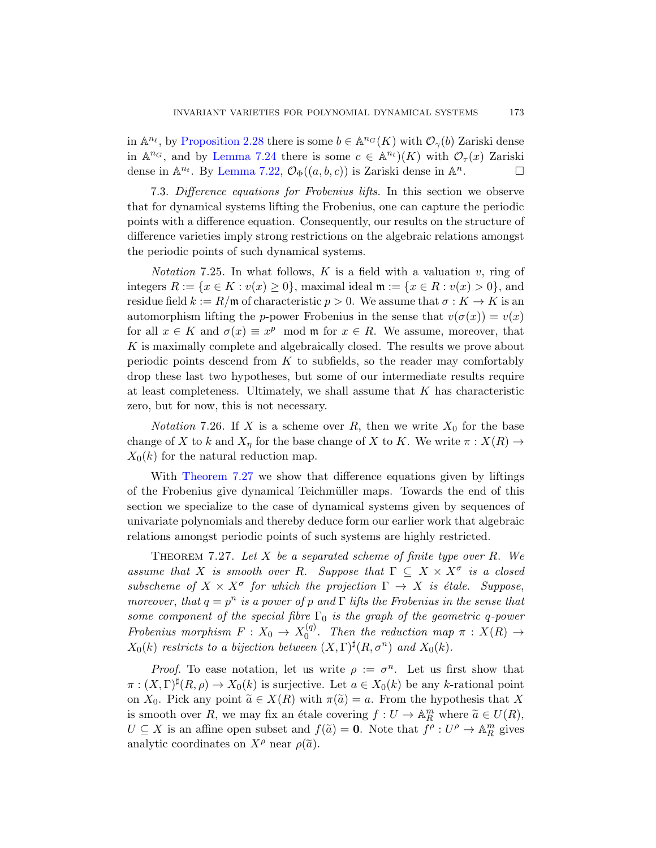in  $\mathbb{A}^{n_\ell}$ , by Proposition 2.28 there is some  $b \in \mathbb{A}^{n_G}(K)$  with  $\mathcal{O}_{\gamma}(b)$  Zariski dense in  $\mathbb{A}^{n_G}$ , and by Lemma 7.24 there is some  $c \in \mathbb{A}^{n_t}$  (K) with  $\mathcal{O}_{\tau}(x)$  Zariski dense in  $\mathbb{A}^{n_t}$ . By Lemma 7.22,  $\mathcal{O}_{\Phi}((a, b, c))$  is Zariski dense in  $\mathbb{A}^n$  $\Box$ 

7.3. Difference equations for Frobenius lifts. In this section we observe that for dynamical systems lifting the Frobenius, one can capture the periodic points with a difference equation. Consequently, our results on the structure of difference varieties imply strong restrictions on the algebraic relations amongst the periodic points of such dynamical systems.

*Notation* 7.25. In what follows,  $K$  is a field with a valuation  $v$ , ring of integers  $R := \{x \in K : v(x) \ge 0\}$ , maximal ideal  $\mathfrak{m} := \{x \in R : v(x) > 0\}$ , and residue field  $k := R/\mathfrak{m}$  of characteristic  $p > 0$ . We assume that  $\sigma : K \to K$  is an automorphism lifting the p-power Frobenius in the sense that  $v(\sigma(x)) = v(x)$ for all  $x \in K$  and  $\sigma(x) \equiv x^p \mod{m}$  for  $x \in R$ . We assume, moreover, that K is maximally complete and algebraically closed. The results we prove about periodic points descend from  $K$  to subfields, so the reader may comfortably drop these last two hypotheses, but some of our intermediate results require [at](#page-92-0) least completeness. Ultimately, we shall assume that  $K$  has characteristic zero, but for now, this is not necessary.

*Notation* 7.26. If X is a scheme over R, then we write  $X_0$  for the base change of X to k and  $X_n$  for the base change of X to K. We write  $\pi : X(R) \to$  $X_0(k)$  for the natural reduction map.

<span id="page-92-0"></span>With Theorem 7.27 we show that difference equations given by liftings of the Frobenius give dynamical Teichmüller maps. Towards the end of this section we specialize to the case of dynamical systems given by sequences of univariate polynomials and thereby deduce form our earlier work that algebraic relations amongst periodic points of such systems are highly restricted.

THEOREM 7.27. Let X be a separated scheme of finite type over R. We assume that X is smooth over R. Suppose that  $\Gamma \subseteq X \times X^{\sigma}$  is a closed subscheme of  $X \times X^{\sigma}$  for which the projection  $\Gamma \to X$  is étale. Suppose, moreover, that  $q = p^n$  is a power of p and  $\Gamma$  lifts the Frobenius in the sense that some component of the special fibre  $\Gamma_0$  is the graph of the geometric q-power Frobenius morphism  $F: X_0 \to X_0^{(q)}$  $v_0^{(q)}$ . Then the reduction map  $\pi : X(R) \rightarrow$  $X_0(k)$  restricts to a bijection between  $(X, \Gamma)^{\sharp}(R, \sigma^n)$  and  $X_0(k)$ .

*Proof.* To ease notation, let us write  $\rho := \sigma^n$ . Let us first show that  $\pi : (X,\Gamma)^{\sharp}(R,\rho) \to X_0(k)$  is surjective. Let  $a \in X_0(k)$  be any k-rational point on  $X_0$ . Pick any point  $\tilde{a} \in X(R)$  with  $\pi(\tilde{a}) = a$ . From the hypothesis that X is smooth over R, we may fix an étale covering  $f : U \to \mathbb{A}_{R}^{m}$  where  $\widetilde{a} \in U(R)$ ,  $U \subseteq X$  is an affine open subset and  $f(\tilde{a}) = 0$ . Note that  $f^{\rho}: U^{\rho} \to \mathbb{A}_{R}^{m}$  gives analytic coordinates on  $X^{\rho}$  near  $\rho(\tilde{a})$ .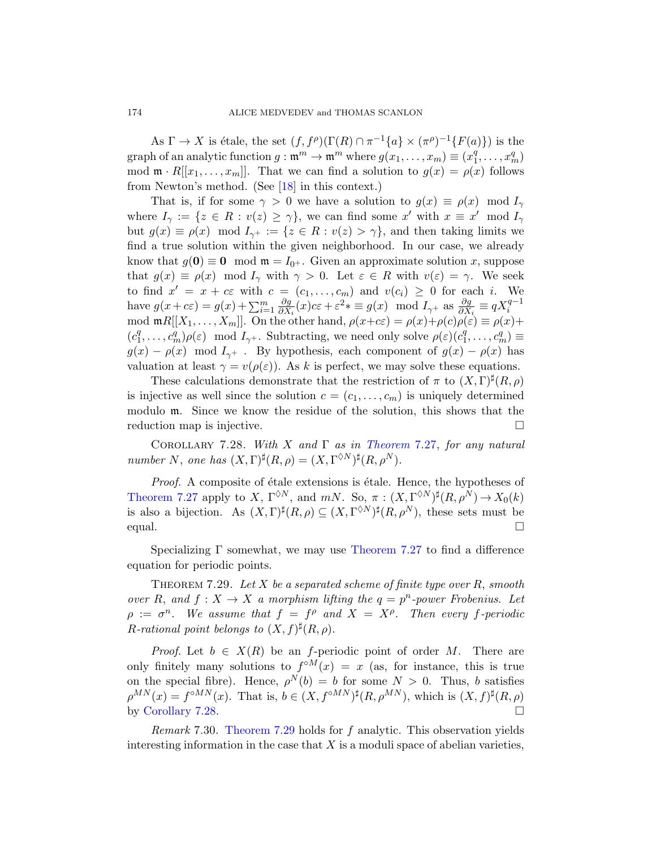As  $\Gamma \to X$  is étale, the set  $(f, f^{\rho})(\Gamma(R) \cap \pi^{-1}\{a\} \times (\pi^{\rho})^{-1}\{F(a)\})$  is the graph of an analytic function  $g : \mathfrak{m}^m \to \mathfrak{m}^m$  where  $g(x_1, \ldots, x_m) \equiv (x_1^q)$  $\binom{q}{1}, \ldots, \binom{q}{m}$ mod  $\mathfrak{m} \cdot R[[x_1,\ldots,x_m]]$ . That we can find a solution to  $g(x) = \rho(x)$  follows from Newton's method. (See [18] in this context.)

That is, if for some  $\gamma > 0$  we have a solution to  $g(x) \equiv \rho(x) \mod I_{\gamma}$ where  $I_{\gamma} := \{ z \in R : v(z) \geq \gamma \},$  we can find some  $x'$  with  $x \equiv x' \mod I_{\gamma}$ but  $g(x) \equiv \rho(x) \mod I_{\gamma^+} := \{z \in R : v(z) > \gamma\}$ , and then taking limits we find a true solution within the given neighborhood. In our case, we already know that  $g(\mathbf{0}) \equiv \mathbf{0} \mod \mathfrak{m} = I_{0+}$ . Given an approximate solution x, suppose that  $g(x) \equiv \rho(x) \mod I_{\gamma}$  with  $\gamma > 0$ . Let  $\varepsilon \in R$  with  $v(\varepsilon) = \gamma$ . We seek to find  $x' = x + c\varepsilon$  with  $c = (c_1, \ldots, c_m)$  and  $v(c_i) \geq 0$  for each i. We have  $g(x + c\varepsilon) = g(x) + \sum_{i=1}^m \frac{\partial g}{\partial X}$  $\frac{\partial g}{\partial X_i}(x)c\varepsilon + \varepsilon^2 * \equiv g(x) \mod I_{\gamma^+}$  as  $\frac{\partial g}{\partial X_i} \equiv qX_i^{q-1}$ mod  $\mathfrak{m}R[[X_1,\ldots,X_m]]$ . On the other hand,  $\rho(x+c\varepsilon)=\rho(x)+\rho(c)\rho(\varepsilon)\equiv\rho(x)+\rho(c)\rho(x)$  $(c_1^q)$  $\overline{G}_1^q, \ldots, \overline{G}_m^q$ ) $\rho(\varepsilon) \mod I_{\gamma^+}$ . Subtracting, we need only solve  $\rho(\varepsilon)(c_1^q)$  $c_1^q, \ldots, c_m^q) \equiv$  $g(x) - \rho(x) \mod I_{\gamma}$ [. By hypothes](#page-92-0)is, each component of  $g(x) - \rho(x)$  has valuation at least  $\gamma = v(\rho(\varepsilon))$ . As k is perfect, we may solve these equations.

These calculations demonstrate that the restriction of  $\pi$  to  $(X, \Gamma)^\sharp(R, \rho)$ is injective as well since the solution  $c = (c_1, \ldots, c_m)$  is uniquely determined modulo m. Since we know the residue of the solution, this shows that the reduction map is injective.

COROLLARY 7.28. With X and  $\Gamma$  as in Theorem 7.27, for any natural number N, one has  $(X, \Gamma)^{\sharp}(R, \rho) = (X, \Gamma^{\lozenge N})^{\sharp}(R, \rho^N)$ .

<span id="page-93-0"></span>Proof. A composite of étale extensions is étale. Hence, the hypotheses of Theorem 7.27 apply to X,  $\Gamma^{\lozenge N}$ , and  $mN$ . So,  $\pi : (X, \Gamma^{\lozenge N})^{\sharp}(R, \rho^N) \to X_0(k)$ is also a bijection. As  $(X, \Gamma)^{\sharp}(R, \rho) \subseteq (X, \Gamma^{\lozenge N})^{\sharp}(R, \rho^N)$ , these sets must be equal.

Specializing Γ somewhat, we may use Theorem 7.27 to find a difference equation for periodic points.

THEOREM 7.29. Let X be a separated scheme of finite type over  $R$ , smooth over R, and  $f: X \to X$  a morphism lifting the  $q = p^n$ -power Frobenius. Let  $\rho := \sigma^n$ . We assume that  $f = f^{\rho}$  and  $X = X^{\rho}$ . Then every f-periodic R[-rational](#page-93-0) point belongs to  $(X, f)^{\sharp}(R, \rho)$ .

*Proof.* Let  $b \in X(R)$  be an f-periodic point of order M. There are only finitely many solutions to  $f^{\circ M}(x) = x$  (as, for instance, this is true on the special fibre). Hence,  $\rho^{N}(b) = b$  for some  $N > 0$ . Thus, b satisfies  $\rho^{MN}(x) = f^{\circ MN}(x)$ . That is,  $b \in (X, f^{\circ MN})^{\sharp}(R, \rho^{MN})$ , which is  $(X, f)^{\sharp}(R, \rho)$ by Corollary 7.28.

Remark 7.30. Theorem 7.29 holds for f analytic. This observation yields interesting information in the case that  $X$  is a moduli space of abelian varieties,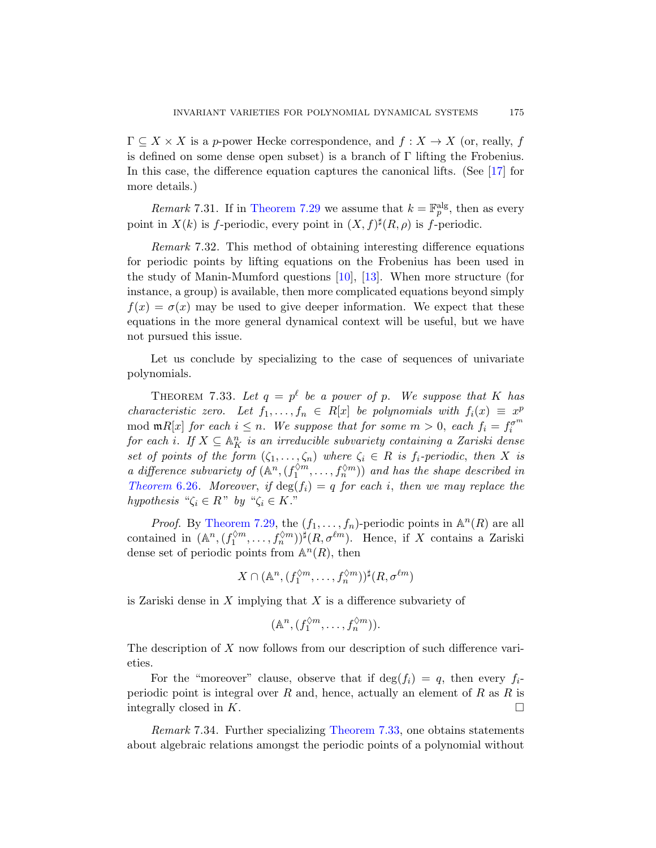$\Gamma \subseteq X \times X$  is a p-power Hecke correspondence, and  $f: X \to X$  (or, really, f is defined on some dense open subset) is a branch of Γ lifting the Frobenius. In this case, the difference equation captures the canonical lifts. (See [17] for more details.)

*Remark* 7.31. If in Theorem 7.29 we assume that  $k = \mathbb{F}_p^{\text{alg}}$ , then as every point in  $X(k)$  is f-periodic, every point in  $(X, f)^{\sharp}(R, \rho)$  is f-periodic.

<span id="page-94-0"></span>Remark 7.32. This method of obtaining interesting difference equations for periodic points by lifting equations on the Frobenius has been used in the study of Manin-Mumford questions [10], [13]. When more structure (for instance, a group) is available, then more complicated equations beyond simply  $f(x) = \sigma(x)$  may be used to give deeper information. We expect that these equations in the more general dynamical context will be useful, but we have not pursued this issue.

Let us conclude by specializing to the case of sequences of univariate polynomials.

THEOREM 7.33. Let  $q = p^{\ell}$  be a power of p. We suppose that K has characteristic zero. Let  $f_1, \ldots, f_n \in R[x]$  be polynomials with  $f_i(x) \equiv x^p$ [mod](#page-93-0)  $\mathfrak{m}R[x]$  for each  $i \leq n$ . We suppose that for some  $m > 0$ , each  $f_i = f_i^{\sigma^m}$ for each i. If  $X \subseteq \mathbb{A}^n$  is an irreducible subvariety containing a Zariski dense set of points of the form  $(\zeta_1, \ldots, \zeta_n)$  where  $\zeta_i \in R$  is  $f_i$ -periodic, then X is a difference subvariety of  $(\mathbb{A}^n, (f_1^{\lozenge m}, \ldots, f_n^{\lozenge m}))$  and has the shape described in Theorem 6.26. Moreover, if  $\deg(f_i) = q$  for each i, then we may replace the hypothesis " $\zeta_i \in R$ " by " $\zeta_i \in K$ ."

*Proof.* By Theorem 7.29, the  $(f_1, \ldots, f_n)$ -periodic points in  $\mathbb{A}^n(R)$  are all contained in  $(\mathbb{A}^n, (f_1^{\lozenge m}, \ldots, f_n^{\lozenge m}))^{\sharp}(R, \sigma^{\ell m})$ . Hence, if X contains a Zariski dense set of periodic points from  $\mathbb{A}^n(R)$ , then

$$
X \cap (\mathbb{A}^n, (f_1^{\lozenge m}, \dots, f_n^{\lozenge m}))^{\sharp}(R, \sigma^{\ell m})
$$

is Zariski dense in  $X$  implying that  $X$  is a difference subvariety of

$$
(\mathbb{A}^n, (f_1^{\lozenge m}, \dots, f_n^{\lozenge m})).
$$

The description of X [now follo](#page-94-0)ws from our description of such difference varieties.

For the "moreover" clause, observe that if  $\deg(f_i) = q$ , then every  $f_i$ periodic point is integral over  $R$  and, hence, actually an element of  $R$  as  $R$  is integrally closed in  $K$ .

Remark 7.34. Further specializing Theorem 7.33, one obtains statements about algebraic relations amongst the periodic points of a polynomial without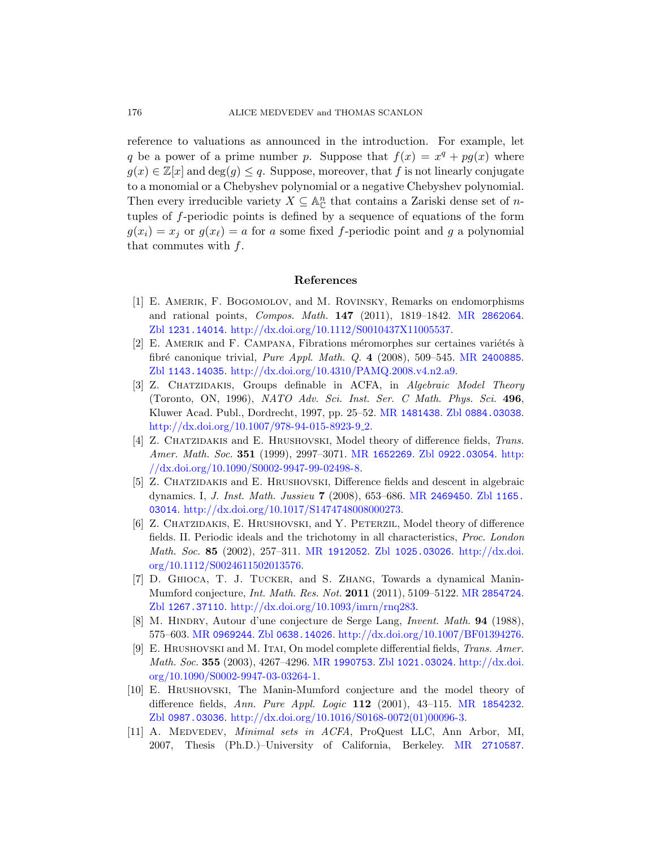reference to valuations as announced in the introduction. For example, let q be a power of a prime number p. Suppose that  $f(x) = x^q + pg(x)$  where  $g(x) \in \mathbb{Z}[x]$  and  $\deg(g) \leq q$ . Suppose, moreover, that f is not linearly conjugate to a monomial or a Chebyshev polynomial or a negative Chebyshev polynomial. Then every irreducible variety  $X \subseteq \mathbb{A}_{\mathbb{C}}^n$  that contains a Zariski dense set of *n*tuples of f-periodic points is defined by [a sequence of](http://www.ams.org/mathscinet-getitem?mr=2862064) equations of the form  $g(x_i) = x_j$  or  $g(x_\ell) = a$  for a some fixed f-periodic point and g a polynomial [that commutes with](http://dx.doi.org/10.1112/S0010437X11005537)  $f$ .

## [Referen](http://dx.doi.org/10.4310/PAMQ.2008.v4.n2.a9)ces

- <span id="page-95-1"></span>[1] E. Amerik, F. Bogomolov, and M. Rovinsky, Remarks on endomorphisms and rational points, [Compos](http://www.ams.org/mathscinet-getitem?mr=1481438). Math. 147 [\(2011\), 1](http://www.zentralblatt-math.org/zmath/en/search/?q=an:0884.03038)819–1842. MR 2862064. Zbl [1231.14014](http://dx.doi.org/10.1007/978-94-015-8923-9_2). http://dx.doi.org/10.1112/S0010437X11005537.
- <span id="page-95-0"></span> $[2]$  E. AMERIK and F. CAMPANA, Fibrations méromorphes sur certaines variétés à fibré canonique trivial, *[Pure A](http://www.ams.org/mathscinet-getitem?mr=1652269)ppl. [Math](http://www.zentralblatt-math.org/zmath/en/search/?q=an:0922.03054). Q.* 4 ([2008\),](http://dx.doi.org/10.1090/S0002-9947-99-02498-8) 509–545. MR 2400885. Zbl [1143.14035](http://dx.doi.org/10.1090/S0002-9947-99-02498-8). http://dx.doi.org/10.4310/PAMQ.2008.v4.n2.a9.
- [3] Z. CHATZIDAKIS, Groups definable in ACFA, in Algebraic Model Theory (Toronto, ON, 1996), NAT[O Adv](http://www.ams.org/mathscinet-getitem?mr=2469450). Sci. Inst. [Ser](http://www.zentralblatt-math.org/zmath/en/search/?q=an:1165.03014). C Math. Phys. Sci. 496, [Kluwer Acad. Publ., Dordrec](http://dx.doi.org/10.1017/S1474748008000273)ht, 1997, pp. 25–52. MR 1481438. Zbl 0884.03038. http://dx.doi.org/10.1007/978-94-015-8923-9<sub>-2</sub>.
- [4] Z. CHATZIDAKIS and E. HRUSHOVSKI, Model theory of difference fields, Trans. Amer. Math. Soc. 351 [\(1999\), 2997–307](http://www.zentralblatt-math.org/zmath/en/search/?q=an:1025.03026)1. MR [1652269](http://dx.doi.org/10.1112/S0024611502013576). Zbl 0922.03054. http: [//dx.do](http://dx.doi.org/10.1112/S0024611502013576)[i.org/10.1090/](http://www.ams.org/mathscinet-getitem?mr=1912052)S0002-9947-99-02498-8.
- [5] Z. Chatzidakis and E. Hrushovski, Difference fields and descent in algebraic dynamics. I, J. Inst. Math. Jussieu 7 (2[008\), 653–686.](http://www.ams.org/mathscinet-getitem?mr=2854724) MR 2469450. Zbl 1165. 03014. [http://dx.doi.org/10.1017](http://dx.doi.org/10.1093/imrn/rnq283)/S1474748008000273.
- [6] Z. CHATZIDAKIS, E. HRUSHOVSKI, and Y. PETERZIL, Model theory of difference [fields. II. Perio](http://www.zentralblatt-math.org/zmath/en/search/?q=an:0638.14026)[dic ideals and the trichotomy in all char](http://dx.doi.org/10.1007/BF01394276)acteristics, Proc. London Math. Soc. 85 (2002), 257–311. MR 1912052. Zbl 1025.03026. http://dx.doi. org/10.11[12/S00246115](http://www.ams.org/mathscinet-getitem?mr=1990753)[02013576.](http://www.zentralblatt-math.org/zmath/en/search/?q=an:1021.03024)
- [7] [D. Ghioca](http://dx.doi.org/10.1090/S0002-9947-03-03264-1), T. J. Tucker, and S. [Zhang](http://dx.doi.org/10.1090/S0002-9947-03-03264-1), Towards a dynamical Manin-Mumford conjecture, Int. Math. Res. Not. 2011 (2011), 5109–5122. MR 2854724. Zbl 1267.37110. http://dx.doi.org/10.1[093/imrn/rnq28](http://www.ams.org/mathscinet-getitem?mr=1854232)3.
- [8] M. HINDRY[, Autour d'une conjecture de S](http://dx.doi.org/10.1016/S0168-0072(01)00096-3)erge Lang, *Invent. Math.* **94** (1988), 575–603. MR 0969244. Zbl 0638.14026. http://dx.doi.org/10.1007/BF01394276.
- [9] E. Hrushovski and M. Itai, On model [complete differe](http://www.ams.org/mathscinet-getitem?mr=2710587)ntial fields, Trans. Amer. Math. Soc. 355 (2003), 4267–4296. MR 1990753. Zbl 1021.03024. http://dx.doi. org/10.1090/S0002-9947-03-03264-1.
- [10] E. Hrushovski, The Manin-Mumford conjecture and the model theory of difference fields, Ann. Pure Appl. Logic 112 (2001), 43–115. MR 1854232. Zbl 0987.03036. http://dx.doi.org/10.1016/S0168-0072(01)00096-3.
- [11] A. Medvedev, Minimal sets in ACFA, ProQuest LLC, Ann Arbor, MI, 2007, Thesis (Ph.D.)–University of California, Berkeley. MR 2710587.